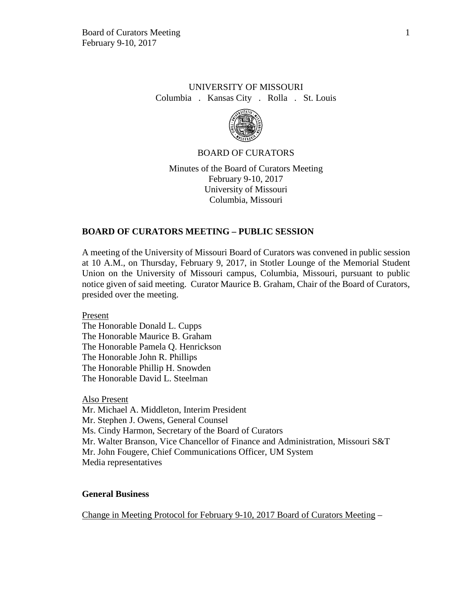## UNIVERSITY OF MISSOURI Columbia . Kansas City . Rolla . St. Louis



## BOARD OF CURATORS

Minutes of the Board of Curators Meeting February 9-10, 2017 University of Missouri Columbia, Missouri

#### **BOARD OF CURATORS MEETING – PUBLIC SESSION**

A meeting of the University of Missouri Board of Curators was convened in public session at 10 A.M., on Thursday, February 9, 2017, in Stotler Lounge of the Memorial Student Union on the University of Missouri campus, Columbia, Missouri, pursuant to public notice given of said meeting. Curator Maurice B. Graham, Chair of the Board of Curators, presided over the meeting.

Present

The Honorable Donald L. Cupps The Honorable Maurice B. Graham The Honorable Pamela Q. Henrickson The Honorable John R. Phillips The Honorable Phillip H. Snowden The Honorable David L. Steelman

Also Present Mr. Michael A. Middleton, Interim President Mr. Stephen J. Owens, General Counsel Ms. Cindy Harmon, Secretary of the Board of Curators Mr. Walter Branson, Vice Chancellor of Finance and Administration, Missouri S&T Mr. John Fougere, Chief Communications Officer, UM System Media representatives

#### **General Business**

Change in Meeting Protocol for February 9-10, 2017 Board of Curators Meeting –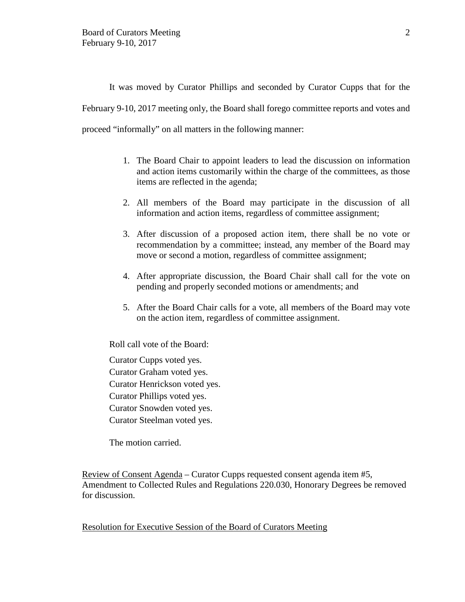It was moved by Curator Phillips and seconded by Curator Cupps that for the February 9-10, 2017 meeting only, the Board shall forego committee reports and votes and proceed "informally" on all matters in the following manner:

- 1. The Board Chair to appoint leaders to lead the discussion on information and action items customarily within the charge of the committees, as those items are reflected in the agenda;
- 2. All members of the Board may participate in the discussion of all information and action items, regardless of committee assignment;
- 3. After discussion of a proposed action item, there shall be no vote or recommendation by a committee; instead, any member of the Board may move or second a motion, regardless of committee assignment;
- 4. After appropriate discussion, the Board Chair shall call for the vote on pending and properly seconded motions or amendments; and
- 5. After the Board Chair calls for a vote, all members of the Board may vote on the action item, regardless of committee assignment.

Roll call vote of the Board:

Curator Cupps voted yes. Curator Graham voted yes. Curator Henrickson voted yes. Curator Phillips voted yes. Curator Snowden voted yes. Curator Steelman voted yes.

The motion carried.

Review of Consent Agenda – Curator Cupps requested consent agenda item #5, Amendment to Collected Rules and Regulations 220.030, Honorary Degrees be removed for discussion.

Resolution for Executive Session of the Board of Curators Meeting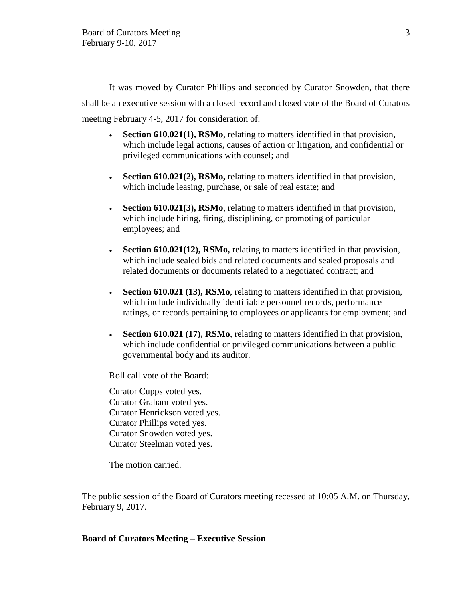It was moved by Curator Phillips and seconded by Curator Snowden, that there shall be an executive session with a closed record and closed vote of the Board of Curators meeting February 4-5, 2017 for consideration of:

- **Section 610.021(1), RSMo**, relating to matters identified in that provision, which include legal actions, causes of action or litigation, and confidential or privileged communications with counsel; and
- **Section 610.021(2), RSMo,** relating to matters identified in that provision, which include leasing, purchase, or sale of real estate; and
- **Section 610.021(3), RSMo**, relating to matters identified in that provision, which include hiring, firing, disciplining, or promoting of particular employees; and
- **Section 610.021(12), RSMo,** relating to matters identified in that provision, which include sealed bids and related documents and sealed proposals and related documents or documents related to a negotiated contract; and
- **Section 610.021 (13), RSMo**, relating to matters identified in that provision, which include individually identifiable personnel records, performance ratings, or records pertaining to employees or applicants for employment; and
- **Section 610.021 (17), RSMo**, relating to matters identified in that provision, which include confidential or privileged communications between a public governmental body and its auditor.

Roll call vote of the Board:

Curator Cupps voted yes. Curator Graham voted yes. Curator Henrickson voted yes. Curator Phillips voted yes. Curator Snowden voted yes. Curator Steelman voted yes.

The motion carried.

The public session of the Board of Curators meeting recessed at 10:05 A.M. on Thursday, February 9, 2017.

#### **Board of Curators Meeting – Executive Session**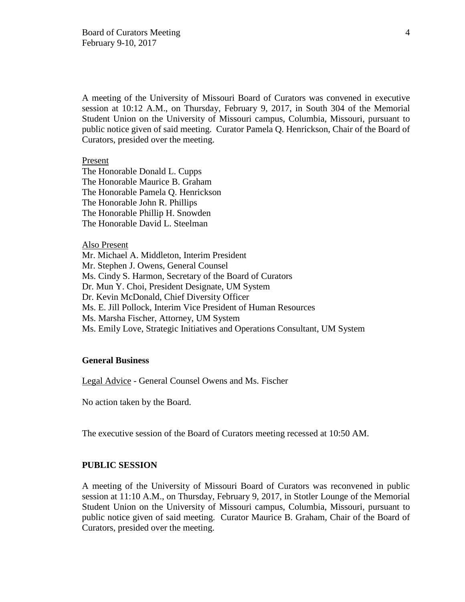A meeting of the University of Missouri Board of Curators was convened in executive session at 10:12 A.M., on Thursday, February 9, 2017, in South 304 of the Memorial Student Union on the University of Missouri campus, Columbia, Missouri, pursuant to public notice given of said meeting. Curator Pamela Q. Henrickson, Chair of the Board of Curators, presided over the meeting.

#### Present

The Honorable Donald L. Cupps The Honorable Maurice B. Graham The Honorable Pamela Q. Henrickson The Honorable John R. Phillips The Honorable Phillip H. Snowden The Honorable David L. Steelman

#### Also Present

Mr. Michael A. Middleton, Interim President Mr. Stephen J. Owens, General Counsel Ms. Cindy S. Harmon, Secretary of the Board of Curators Dr. Mun Y. Choi, President Designate, UM System Dr. Kevin McDonald, Chief Diversity Officer Ms. E. Jill Pollock, Interim Vice President of Human Resources Ms. Marsha Fischer, Attorney, UM System Ms. Emily Love, Strategic Initiatives and Operations Consultant, UM System

## **General Business**

Legal Advice - General Counsel Owens and Ms. Fischer

No action taken by the Board.

The executive session of the Board of Curators meeting recessed at 10:50 AM.

## **PUBLIC SESSION**

A meeting of the University of Missouri Board of Curators was reconvened in public session at 11:10 A.M., on Thursday, February 9, 2017, in Stotler Lounge of the Memorial Student Union on the University of Missouri campus, Columbia, Missouri, pursuant to public notice given of said meeting. Curator Maurice B. Graham, Chair of the Board of Curators, presided over the meeting.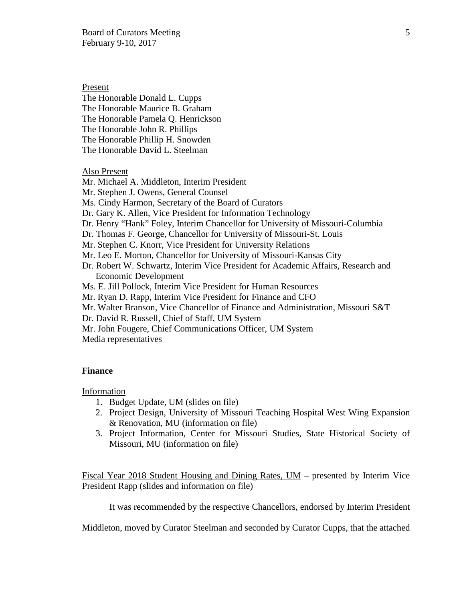Board of Curators Meeting 5 February 9-10, 2017

Present

The Honorable Donald L. Cupps The Honorable Maurice B. Graham The Honorable Pamela Q. Henrickson The Honorable John R. Phillips The Honorable Phillip H. Snowden The Honorable David L. Steelman

Also Present

Mr. Michael A. Middleton, Interim President

Mr. Stephen J. Owens, General Counsel

Ms. Cindy Harmon, Secretary of the Board of Curators

Dr. Gary K. Allen, Vice President for Information Technology

Dr. Henry "Hank" Foley, Interim Chancellor for University of Missouri-Columbia

Dr. Thomas F. George, Chancellor for University of Missouri-St. Louis

Mr. Stephen C. Knorr, Vice President for University Relations

Mr. Leo E. Morton, Chancellor for University of Missouri-Kansas City

Dr. Robert W. Schwartz, Interim Vice President for Academic Affairs, Research and Economic Development

Ms. E. Jill Pollock, Interim Vice President for Human Resources

Mr. Ryan D. Rapp, Interim Vice President for Finance and CFO

Mr. Walter Branson, Vice Chancellor of Finance and Administration, Missouri S&T

Dr. David R. Russell, Chief of Staff, UM System

Mr. John Fougere, Chief Communications Officer, UM System

Media representatives

#### **Finance**

Information

- 1. Budget Update, UM (slides on file)
- 2. Project Design, University of Missouri Teaching Hospital West Wing Expansion & Renovation, MU (information on file)
- 3. Project Information, Center for Missouri Studies, State Historical Society of Missouri, MU (information on file)

Fiscal Year 2018 Student Housing and Dining Rates, UM – presented by Interim Vice President Rapp (slides and information on file)

It was recommended by the respective Chancellors, endorsed by Interim President

Middleton, moved by Curator Steelman and seconded by Curator Cupps, that the attached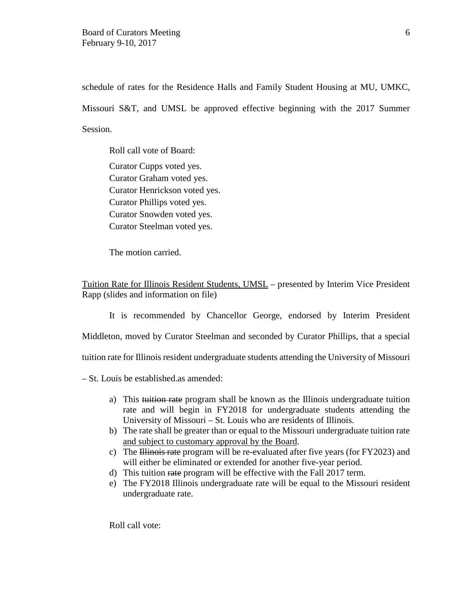schedule of rates for the Residence Halls and Family Student Housing at MU, UMKC, Missouri S&T, and UMSL be approved effective beginning with the 2017 Summer Session.

Roll call vote of Board: Curator Cupps voted yes. Curator Graham voted yes. Curator Henrickson voted yes. Curator Phillips voted yes. Curator Snowden voted yes. Curator Steelman voted yes.

The motion carried.

Tuition Rate for Illinois Resident Students, UMSL – presented by Interim Vice President Rapp (slides and information on file)

It is recommended by Chancellor George, endorsed by Interim President Middleton, moved by Curator Steelman and seconded by Curator Phillips, that a special tuition rate for Illinois resident undergraduate students attending the University of Missouri

– St. Louis be established.as amended:

- a) This tuition rate program shall be known as the Illinois undergraduate tuition rate and will begin in FY2018 for undergraduate students attending the University of Missouri – St. Louis who are residents of Illinois.
- b) The rate shall be greater than or equal to the Missouri undergraduate tuition rate and subject to customary approval by the Board.
- c) The Illinois rate program will be re-evaluated after five years (for FY2023) and will either be eliminated or extended for another five-year period.
- d) This tuition rate program will be effective with the Fall 2017 term.
- e) The FY2018 Illinois undergraduate rate will be equal to the Missouri resident undergraduate rate.

Roll call vote: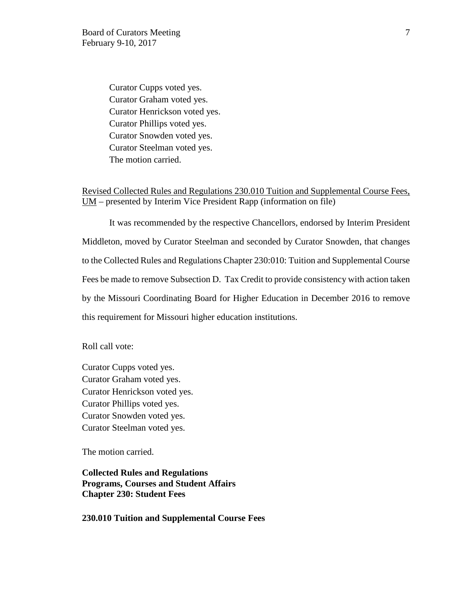Curator Cupps voted yes. Curator Graham voted yes. Curator Henrickson voted yes. Curator Phillips voted yes. Curator Snowden voted yes. Curator Steelman voted yes. The motion carried.

Revised Collected Rules and Regulations 230.010 Tuition and Supplemental Course Fees, UM – presented by Interim Vice President Rapp (information on file)

It was recommended by the respective Chancellors, endorsed by Interim President Middleton, moved by Curator Steelman and seconded by Curator Snowden, that changes to the Collected Rules and Regulations Chapter 230:010: Tuition and Supplemental Course Fees be made to remove Subsection D. Tax Credit to provide consistency with action taken by the Missouri Coordinating Board for Higher Education in December 2016 to remove this requirement for Missouri higher education institutions.

Roll call vote:

Curator Cupps voted yes. Curator Graham voted yes. Curator Henrickson voted yes. Curator Phillips voted yes. Curator Snowden voted yes. Curator Steelman voted yes.

The motion carried.

**Collected Rules and Regulations Programs, Courses and Student Affairs Chapter 230: Student Fees**

**230.010 Tuition and Supplemental Course Fees**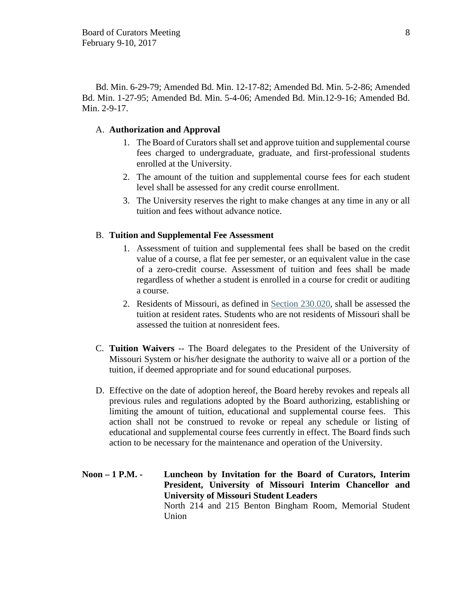Bd. Min. 6-29-79; Amended Bd. Min. 12-17-82; Amended Bd. Min. 5-2-86; Amended Bd. Min. 1-27-95; Amended Bd. Min. 5-4-06; Amended Bd. Min.12-9-16; Amended Bd. Min. 2-9-17.

#### A. **Authorization and Approval**

- 1. The Board of Curators shall set and approve tuition and supplemental course fees charged to undergraduate, graduate, and first-professional students enrolled at the University.
- 2. The amount of the tuition and supplemental course fees for each student level shall be assessed for any credit course enrollment.
- 3. The University reserves the right to make changes at any time in any or all tuition and fees without advance notice.

#### B. **Tuition and Supplemental Fee Assessment**

- 1. Assessment of tuition and supplemental fees shall be based on the credit value of a course, a flat fee per semester, or an equivalent value in the case of a zero-credit course. Assessment of tuition and fees shall be made regardless of whether a student is enrolled in a course for credit or auditing a course.
- 2. Residents of Missouri, as defined in Section 230.020, shall be assessed the tuition at resident rates. Students who are not residents of Missouri shall be assessed the tuition at nonresident fees.
- C. **Tuition Waivers** -- The Board delegates to the President of the University of Missouri System or his/her designate the authority to waive all or a portion of the tuition, if deemed appropriate and for sound educational purposes.
- D. Effective on the date of adoption hereof, the Board hereby revokes and repeals all previous rules and regulations adopted by the Board authorizing, establishing or limiting the amount of tuition, educational and supplemental course fees. This action shall not be construed to revoke or repeal any schedule or listing of educational and supplemental course fees currently in effect. The Board finds such action to be necessary for the maintenance and operation of the University.
- **Noon 1 P.M. Luncheon by Invitation for the Board of Curators, Interim President, University of Missouri Interim Chancellor and University of Missouri Student Leaders** North 214 and 215 Benton Bingham Room, Memorial Student Union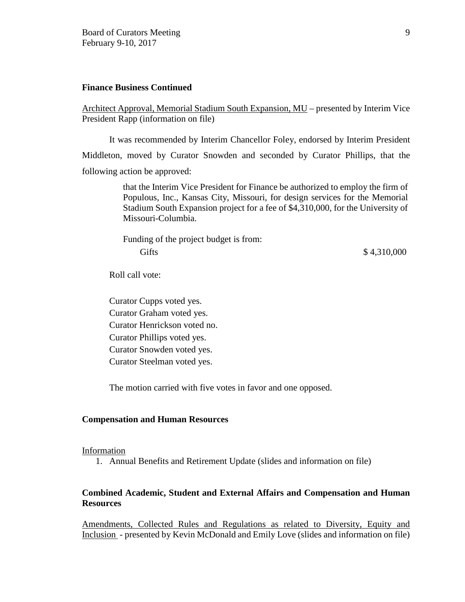## **Finance Business Continued**

Architect Approval, Memorial Stadium South Expansion, MU – presented by Interim Vice President Rapp (information on file)

It was recommended by Interim Chancellor Foley, endorsed by Interim President Middleton, moved by Curator Snowden and seconded by Curator Phillips, that the following action be approved:

> that the Interim Vice President for Finance be authorized to employ the firm of Populous, Inc., Kansas City, Missouri, for design services for the Memorial Stadium South Expansion project for a fee of \$4,310,000, for the University of Missouri-Columbia.

> Funding of the project budget is from: Gifts \$4,310,000

Roll call vote:

Curator Cupps voted yes. Curator Graham voted yes. Curator Henrickson voted no. Curator Phillips voted yes. Curator Snowden voted yes. Curator Steelman voted yes.

The motion carried with five votes in favor and one opposed.

#### **Compensation and Human Resources**

#### Information

1. Annual Benefits and Retirement Update (slides and information on file)

## **Combined Academic, Student and External Affairs and Compensation and Human Resources**

Amendments, Collected Rules and Regulations as related to Diversity, Equity and Inclusion - presented by Kevin McDonald and Emily Love (slides and information on file)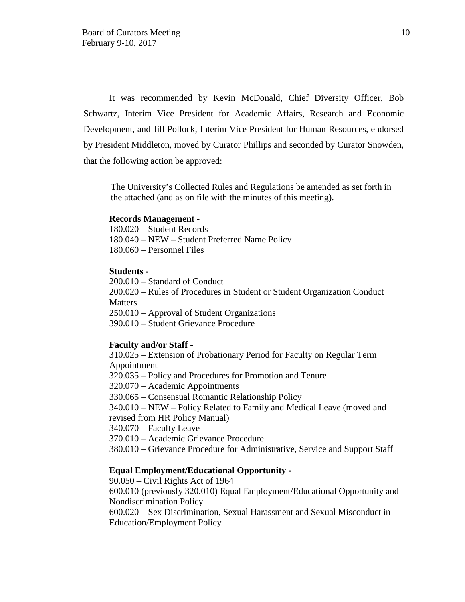It was recommended by Kevin McDonald, Chief Diversity Officer, Bob Schwartz, Interim Vice President for Academic Affairs, Research and Economic Development, and Jill Pollock, Interim Vice President for Human Resources, endorsed by President Middleton, moved by Curator Phillips and seconded by Curator Snowden, that the following action be approved:

The University's Collected Rules and Regulations be amended as set forth in the attached (and as on file with the minutes of this meeting).

#### **Records Management -**

180.020 – Student Records 180.040 – NEW – Student Preferred Name Policy 180.060 – Personnel Files

#### **Students -**

200.010 – Standard of Conduct 200.020 – Rules of Procedures in Student or Student Organization Conduct **Matters** 250.010 – Approval of Student Organizations 390.010 – Student Grievance Procedure

#### **Faculty and/or Staff -**

310.025 – Extension of Probationary Period for Faculty on Regular Term Appointment

320.035 – Policy and Procedures for Promotion and Tenure

320.070 – Academic Appointments

330.065 – Consensual Romantic Relationship Policy

340.010 – NEW – Policy Related to Family and Medical Leave (moved and revised from HR Policy Manual)

340.070 – Faculty Leave

370.010 – Academic Grievance Procedure

380.010 – Grievance Procedure for Administrative, Service and Support Staff

#### **Equal Employment/Educational Opportunity -**

90.050 – Civil Rights Act of 1964 600.010 (previously 320.010) Equal Employment/Educational Opportunity and Nondiscrimination Policy

600.020 – Sex Discrimination, Sexual Harassment and Sexual Misconduct in Education/Employment Policy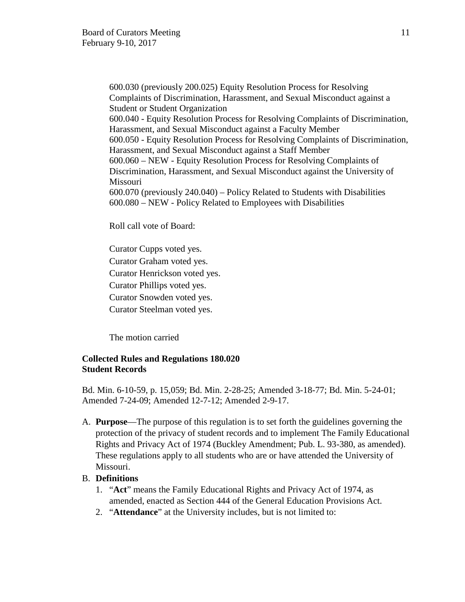600.030 (previously 200.025) Equity Resolution Process for Resolving Complaints of Discrimination, Harassment, and Sexual Misconduct against a Student or Student Organization 600.040 - Equity Resolution Process for Resolving Complaints of Discrimination, Harassment, and Sexual Misconduct against a Faculty Member 600.050 - Equity Resolution Process for Resolving Complaints of Discrimination, Harassment, and Sexual Misconduct against a Staff Member 600.060 – NEW - Equity Resolution Process for Resolving Complaints of Discrimination, Harassment, and Sexual Misconduct against the University of Missouri 600.070 (previously 240.040) – Policy Related to Students with Disabilities 600.080 – NEW - Policy Related to Employees with Disabilities

Roll call vote of Board:

Curator Cupps voted yes.

Curator Graham voted yes.

Curator Henrickson voted yes.

Curator Phillips voted yes.

Curator Snowden voted yes.

Curator Steelman voted yes.

The motion carried

## **Collected Rules and Regulations 180.020 Student Records**

Bd. Min. 6-10-59, p. 15,059; Bd. Min. 2-28-25; Amended 3-18-77; Bd. Min. 5-24-01; Amended 7-24-09; Amended 12-7-12; Amended 2-9-17.

A. **Purpose**—The purpose of this regulation is to set forth the guidelines governing the protection of the privacy of student records and to implement The Family Educational Rights and Privacy Act of 1974 (Buckley Amendment; Pub. L. 93-380, as amended). These regulations apply to all students who are or have attended the University of Missouri.

## B. **Definitions**

- 1. "**Act**" means the Family Educational Rights and Privacy Act of 1974, as amended, enacted as Section 444 of the General Education Provisions Act.
- 2. "**Attendance**" at the University includes, but is not limited to: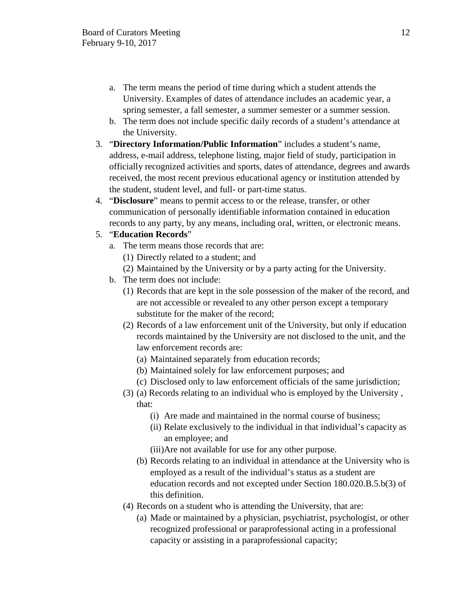- a. The term means the period of time during which a student attends the University. Examples of dates of attendance includes an academic year, a spring semester, a fall semester, a summer semester or a summer session.
- b. The term does not include specific daily records of a student's attendance at the University.
- 3. "**Directory Information/Public Information**" includes a student's name, address, e-mail address, telephone listing, major field of study, participation in officially recognized activities and sports, dates of attendance, degrees and awards received, the most recent previous educational agency or institution attended by the student, student level, and full- or part-time status.
- 4. "**Disclosure**" means to permit access to or the release, transfer, or other communication of personally identifiable information contained in education records to any party, by any means, including oral, written, or electronic means.

## 5. "**Education Records**"

- a. The term means those records that are:
	- (1) Directly related to a student; and
	- (2) Maintained by the University or by a party acting for the University.
- b. The term does not include:
	- (1) Records that are kept in the sole possession of the maker of the record, and are not accessible or revealed to any other person except a temporary substitute for the maker of the record;
	- (2) Records of a law enforcement unit of the University, but only if education records maintained by the University are not disclosed to the unit, and the law enforcement records are:
		- (a) Maintained separately from education records;
		- (b) Maintained solely for law enforcement purposes; and
		- (c) Disclosed only to law enforcement officials of the same jurisdiction;
	- (3) (a) Records relating to an individual who is employed by the University , that:
		- (i) Are made and maintained in the normal course of business;
		- (ii) Relate exclusively to the individual in that individual's capacity as an employee; and
		- (iii)Are not available for use for any other purpose.
		- (b) Records relating to an individual in attendance at the University who is employed as a result of the individual's status as a student are education records and not excepted under Section 180.020.B.5.b(3) of this definition.
	- (4) Records on a student who is attending the University, that are:
		- (a) Made or maintained by a physician, psychiatrist, psychologist, or other recognized professional or paraprofessional acting in a professional capacity or assisting in a paraprofessional capacity;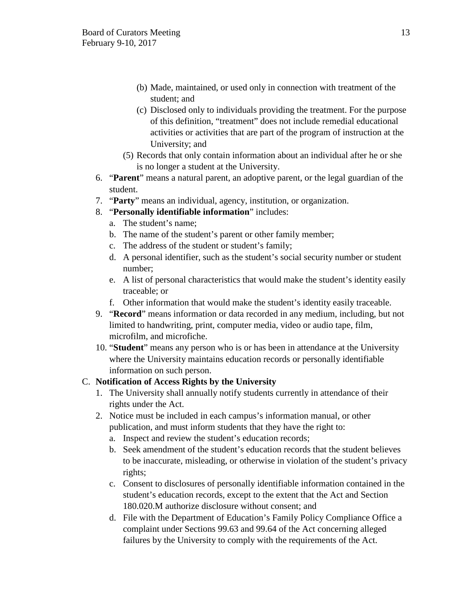- (b) Made, maintained, or used only in connection with treatment of the student; and
- (c) Disclosed only to individuals providing the treatment. For the purpose of this definition, "treatment" does not include remedial educational activities or activities that are part of the program of instruction at the University; and
- (5) Records that only contain information about an individual after he or she is no longer a student at the University.
- 6. "**Parent**" means a natural parent, an adoptive parent, or the legal guardian of the student.
- 7. "**Party**" means an individual, agency, institution, or organization.
- 8. "**Personally identifiable information**" includes:
	- a. The student's name;
	- b. The name of the student's parent or other family member;
	- c. The address of the student or student's family;
	- d. A personal identifier, such as the student's social security number or student number;
	- e. A list of personal characteristics that would make the student's identity easily traceable; or
	- f. Other information that would make the student's identity easily traceable.
- 9. "**Record**" means information or data recorded in any medium, including, but not limited to handwriting, print, computer media, video or audio tape, film, microfilm, and microfiche.
- 10. "**Student**" means any person who is or has been in attendance at the University where the University maintains education records or personally identifiable information on such person.

# C. **Notification of Access Rights by the University**

- 1. The University shall annually notify students currently in attendance of their rights under the Act.
- 2. Notice must be included in each campus's information manual, or other publication, and must inform students that they have the right to:
	- a. Inspect and review the student's education records;
	- b. Seek amendment of the student's education records that the student believes to be inaccurate, misleading, or otherwise in violation of the student's privacy rights;
	- c. Consent to disclosures of personally identifiable information contained in the student's education records, except to the extent that the Act and Section 180.020.M authorize disclosure without consent; and
	- d. File with the Department of Education's Family Policy Compliance Office a complaint under Sections 99.63 and 99.64 of the Act concerning alleged failures by the University to comply with the requirements of the Act.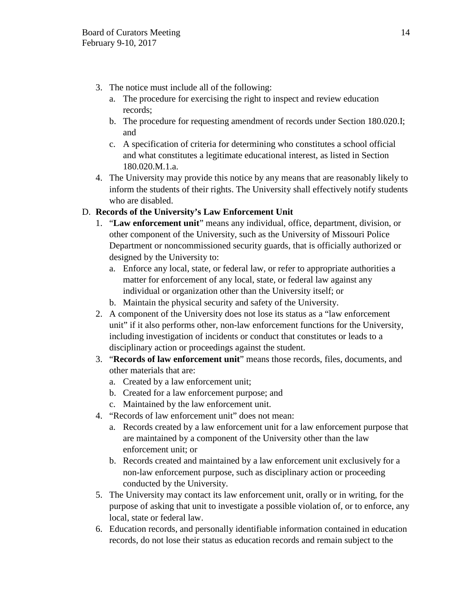- 3. The notice must include all of the following:
	- a. The procedure for exercising the right to inspect and review education records;
	- b. The procedure for requesting amendment of records under Section 180.020.I; and
	- c. A specification of criteria for determining who constitutes a school official and what constitutes a legitimate educational interest, as listed in Section 180.020.M.1.a.
- 4. The University may provide this notice by any means that are reasonably likely to inform the students of their rights. The University shall effectively notify students who are disabled.

# D. **Records of the University's Law Enforcement Unit**

- 1. "**Law enforcement unit**" means any individual, office, department, division, or other component of the University, such as the University of Missouri Police Department or noncommissioned security guards, that is officially authorized or designed by the University to:
	- a. Enforce any local, state, or federal law, or refer to appropriate authorities a matter for enforcement of any local, state, or federal law against any individual or organization other than the University itself; or
	- b. Maintain the physical security and safety of the University.
- 2. A component of the University does not lose its status as a "law enforcement unit" if it also performs other, non-law enforcement functions for the University, including investigation of incidents or conduct that constitutes or leads to a disciplinary action or proceedings against the student.
- 3. "**Records of law enforcement unit**" means those records, files, documents, and other materials that are:
	- a. Created by a law enforcement unit;
	- b. Created for a law enforcement purpose; and
	- c. Maintained by the law enforcement unit.
- 4. "Records of law enforcement unit" does not mean:
	- a. Records created by a law enforcement unit for a law enforcement purpose that are maintained by a component of the University other than the law enforcement unit; or
	- b. Records created and maintained by a law enforcement unit exclusively for a non-law enforcement purpose, such as disciplinary action or proceeding conducted by the University.
- 5. The University may contact its law enforcement unit, orally or in writing, for the purpose of asking that unit to investigate a possible violation of, or to enforce, any local, state or federal law.
- 6. Education records, and personally identifiable information contained in education records, do not lose their status as education records and remain subject to the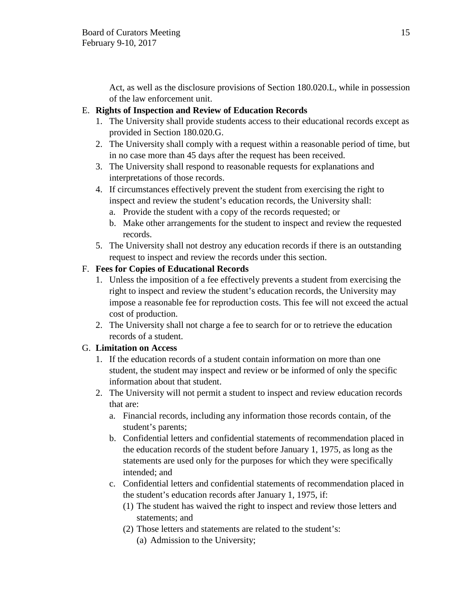Act, as well as the disclosure provisions of Section 180.020.L, while in possession of the law enforcement unit.

## E. **Rights of Inspection and Review of Education Records**

- 1. The University shall provide students access to their educational records except as provided in Section 180.020.G.
- 2. The University shall comply with a request within a reasonable period of time, but in no case more than 45 days after the request has been received.
- 3. The University shall respond to reasonable requests for explanations and interpretations of those records.
- 4. If circumstances effectively prevent the student from exercising the right to inspect and review the student's education records, the University shall:
	- a. Provide the student with a copy of the records requested; or
	- b. Make other arrangements for the student to inspect and review the requested records.
- 5. The University shall not destroy any education records if there is an outstanding request to inspect and review the records under this section.

# F. **Fees for Copies of Educational Records**

- 1. Unless the imposition of a fee effectively prevents a student from exercising the right to inspect and review the student's education records, the University may impose a reasonable fee for reproduction costs. This fee will not exceed the actual cost of production.
- 2. The University shall not charge a fee to search for or to retrieve the education records of a student.

# G. **Limitation on Access**

- 1. If the education records of a student contain information on more than one student, the student may inspect and review or be informed of only the specific information about that student.
- 2. The University will not permit a student to inspect and review education records that are:
	- a. Financial records, including any information those records contain, of the student's parents;
	- b. Confidential letters and confidential statements of recommendation placed in the education records of the student before January 1, 1975, as long as the statements are used only for the purposes for which they were specifically intended; and
	- c. Confidential letters and confidential statements of recommendation placed in the student's education records after January 1, 1975, if:
		- (1) The student has waived the right to inspect and review those letters and statements; and
		- (2) Those letters and statements are related to the student's:
			- (a) Admission to the University;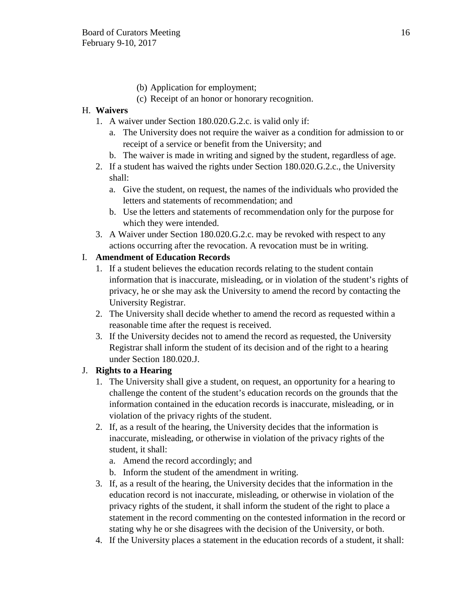- (b) Application for employment;
- (c) Receipt of an honor or honorary recognition.

# H. **Waivers**

- 1. A waiver under Section 180.020.G.2.c. is valid only if:
	- a. The University does not require the waiver as a condition for admission to or receipt of a service or benefit from the University; and
	- b. The waiver is made in writing and signed by the student, regardless of age.
- 2. If a student has waived the rights under Section 180.020.G.2.c., the University shall:
	- a. Give the student, on request, the names of the individuals who provided the letters and statements of recommendation; and
	- b. Use the letters and statements of recommendation only for the purpose for which they were intended.
- 3. A Waiver under Section 180.020.G.2.c. may be revoked with respect to any actions occurring after the revocation. A revocation must be in writing.

# I. **Amendment of Education Records**

- 1. If a student believes the education records relating to the student contain information that is inaccurate, misleading, or in violation of the student's rights of privacy, he or she may ask the University to amend the record by contacting the University Registrar.
- 2. The University shall decide whether to amend the record as requested within a reasonable time after the request is received.
- 3. If the University decides not to amend the record as requested, the University Registrar shall inform the student of its decision and of the right to a hearing under Section 180.020.J.

# J. **Rights to a Hearing**

- 1. The University shall give a student, on request, an opportunity for a hearing to challenge the content of the student's education records on the grounds that the information contained in the education records is inaccurate, misleading, or in violation of the privacy rights of the student.
- 2. If, as a result of the hearing, the University decides that the information is inaccurate, misleading, or otherwise in violation of the privacy rights of the student, it shall:
	- a. Amend the record accordingly; and
	- b. Inform the student of the amendment in writing.
- 3. If, as a result of the hearing, the University decides that the information in the education record is not inaccurate, misleading, or otherwise in violation of the privacy rights of the student, it shall inform the student of the right to place a statement in the record commenting on the contested information in the record or stating why he or she disagrees with the decision of the University, or both.
- 4. If the University places a statement in the education records of a student, it shall: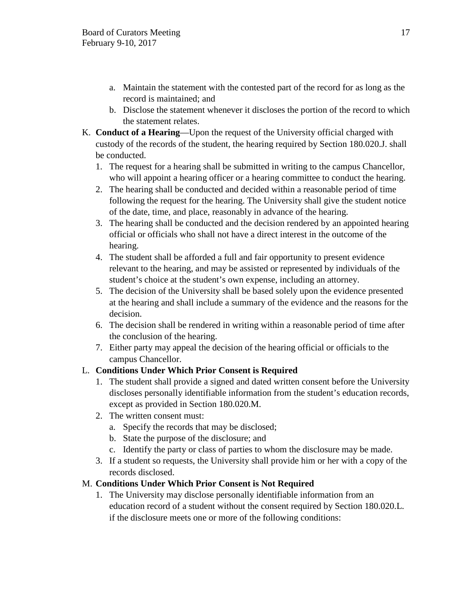- a. Maintain the statement with the contested part of the record for as long as the record is maintained; and
- b. Disclose the statement whenever it discloses the portion of the record to which the statement relates.
- K. **Conduct of a Hearing**—Upon the request of the University official charged with custody of the records of the student, the hearing required by Section 180.020.J. shall be conducted.
	- 1. The request for a hearing shall be submitted in writing to the campus Chancellor, who will appoint a hearing officer or a hearing committee to conduct the hearing.
	- 2. The hearing shall be conducted and decided within a reasonable period of time following the request for the hearing. The University shall give the student notice of the date, time, and place, reasonably in advance of the hearing.
	- 3. The hearing shall be conducted and the decision rendered by an appointed hearing official or officials who shall not have a direct interest in the outcome of the hearing.
	- 4. The student shall be afforded a full and fair opportunity to present evidence relevant to the hearing, and may be assisted or represented by individuals of the student's choice at the student's own expense, including an attorney.
	- 5. The decision of the University shall be based solely upon the evidence presented at the hearing and shall include a summary of the evidence and the reasons for the decision.
	- 6. The decision shall be rendered in writing within a reasonable period of time after the conclusion of the hearing.
	- 7. Either party may appeal the decision of the hearing official or officials to the campus Chancellor.

# L. **Conditions Under Which Prior Consent is Required**

- 1. The student shall provide a signed and dated written consent before the University discloses personally identifiable information from the student's education records, except as provided in Section 180.020.M.
- 2. The written consent must:
	- a. Specify the records that may be disclosed;
	- b. State the purpose of the disclosure; and
	- c. Identify the party or class of parties to whom the disclosure may be made.
- 3. If a student so requests, the University shall provide him or her with a copy of the records disclosed.

# M. **Conditions Under Which Prior Consent is Not Required**

1. The University may disclose personally identifiable information from an education record of a student without the consent required by Section 180.020.L. if the disclosure meets one or more of the following conditions: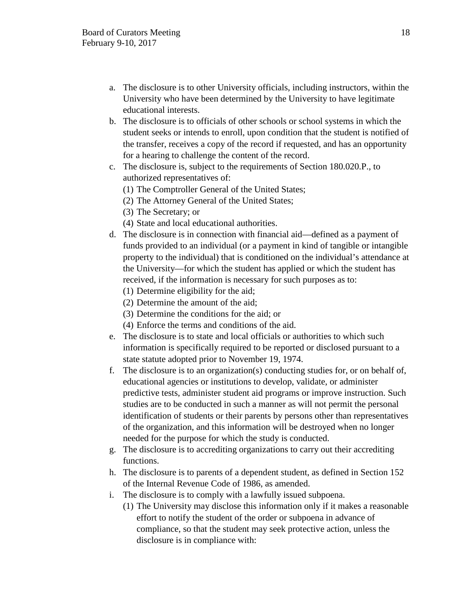- a. The disclosure is to other University officials, including instructors, within the University who have been determined by the University to have legitimate educational interests.
- b. The disclosure is to officials of other schools or school systems in which the student seeks or intends to enroll, upon condition that the student is notified of the transfer, receives a copy of the record if requested, and has an opportunity for a hearing to challenge the content of the record.
- c. The disclosure is, subject to the requirements of Section 180.020.P., to authorized representatives of:
	- (1) The Comptroller General of the United States;
	- (2) The Attorney General of the United States;
	- (3) The Secretary; or
	- (4) State and local educational authorities.
- d. The disclosure is in connection with financial aid—defined as a payment of funds provided to an individual (or a payment in kind of tangible or intangible property to the individual) that is conditioned on the individual's attendance at the University—for which the student has applied or which the student has received, if the information is necessary for such purposes as to:
	- (1) Determine eligibility for the aid;
	- (2) Determine the amount of the aid;
	- (3) Determine the conditions for the aid; or
	- (4) Enforce the terms and conditions of the aid.
- e. The disclosure is to state and local officials or authorities to which such information is specifically required to be reported or disclosed pursuant to a state statute adopted prior to November 19, 1974.
- f. The disclosure is to an organization(s) conducting studies for, or on behalf of, educational agencies or institutions to develop, validate, or administer predictive tests, administer student aid programs or improve instruction. Such studies are to be conducted in such a manner as will not permit the personal identification of students or their parents by persons other than representatives of the organization, and this information will be destroyed when no longer needed for the purpose for which the study is conducted.
- g. The disclosure is to accrediting organizations to carry out their accrediting functions.
- h. The disclosure is to parents of a dependent student, as defined in Section 152 of the Internal Revenue Code of 1986, as amended.
- i. The disclosure is to comply with a lawfully issued subpoena.
	- (1) The University may disclose this information only if it makes a reasonable effort to notify the student of the order or subpoena in advance of compliance, so that the student may seek protective action, unless the disclosure is in compliance with: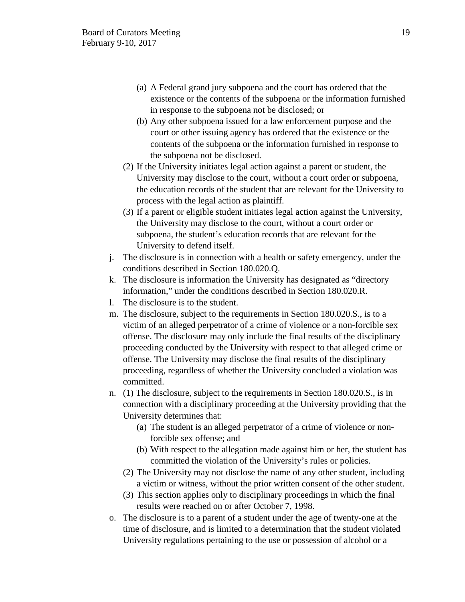- (a) A Federal grand jury subpoena and the court has ordered that the existence or the contents of the subpoena or the information furnished in response to the subpoena not be disclosed; or
- (b) Any other subpoena issued for a law enforcement purpose and the court or other issuing agency has ordered that the existence or the contents of the subpoena or the information furnished in response to the subpoena not be disclosed.
- (2) If the University initiates legal action against a parent or student, the University may disclose to the court, without a court order or subpoena, the education records of the student that are relevant for the University to process with the legal action as plaintiff.
- (3) If a parent or eligible student initiates legal action against the University, the University may disclose to the court, without a court order or subpoena, the student's education records that are relevant for the University to defend itself.
- j. The disclosure is in connection with a health or safety emergency, under the conditions described in Section 180.020.Q.
- k. The disclosure is information the University has designated as "directory information," under the conditions described in Section 180.020.R.
- l. The disclosure is to the student.
- m. The disclosure, subject to the requirements in Section 180.020.S., is to a victim of an alleged perpetrator of a crime of violence or a non-forcible sex offense. The disclosure may only include the final results of the disciplinary proceeding conducted by the University with respect to that alleged crime or offense. The University may disclose the final results of the disciplinary proceeding, regardless of whether the University concluded a violation was committed.
- n. (1) The disclosure, subject to the requirements in Section 180.020.S., is in connection with a disciplinary proceeding at the University providing that the University determines that:
	- (a) The student is an alleged perpetrator of a crime of violence or nonforcible sex offense; and
	- (b) With respect to the allegation made against him or her, the student has committed the violation of the University's rules or policies.
	- (2) The University may not disclose the name of any other student, including a victim or witness, without the prior written consent of the other student.
	- (3) This section applies only to disciplinary proceedings in which the final results were reached on or after October 7, 1998.
- o. The disclosure is to a parent of a student under the age of twenty-one at the time of disclosure, and is limited to a determination that the student violated University regulations pertaining to the use or possession of alcohol or a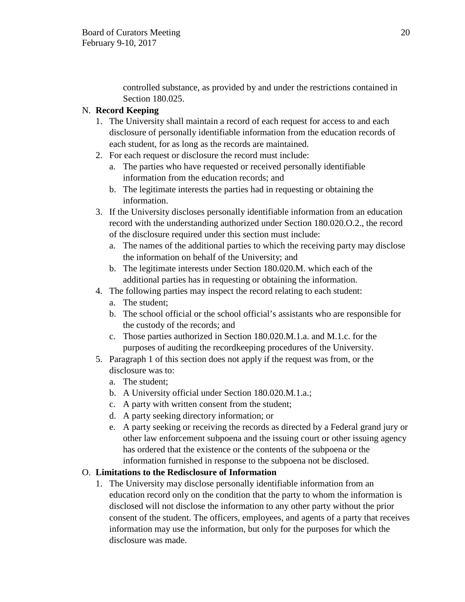controlled substance, as provided by and under the restrictions contained in Section 180.025.

# N. **Record Keeping**

- 1. The University shall maintain a record of each request for access to and each disclosure of personally identifiable information from the education records of each student, for as long as the records are maintained.
- 2. For each request or disclosure the record must include:
	- a. The parties who have requested or received personally identifiable information from the education records; and
	- b. The legitimate interests the parties had in requesting or obtaining the information.
- 3. If the University discloses personally identifiable information from an education record with the understanding authorized under Section 180.020.O.2., the record of the disclosure required under this section must include:
	- a. The names of the additional parties to which the receiving party may disclose the information on behalf of the University; and
	- b. The legitimate interests under Section 180.020.M. which each of the additional parties has in requesting or obtaining the information.
- 4. The following parties may inspect the record relating to each student:
	- a. The student;
	- b. The school official or the school official's assistants who are responsible for the custody of the records; and
	- c. Those parties authorized in Section 180.020.M.1.a. and M.1.c. for the purposes of auditing the recordkeeping procedures of the University.
- 5. Paragraph 1 of this section does not apply if the request was from, or the disclosure was to:
	- a. The student;
	- b. A University official under Section 180.020.M.1.a.;
	- c. A party with written consent from the student;
	- d. A party seeking directory information; or
	- e. A party seeking or receiving the records as directed by a Federal grand jury or other law enforcement subpoena and the issuing court or other issuing agency has ordered that the existence or the contents of the subpoena or the information furnished in response to the subpoena not be disclosed.

# O. **Limitations to the Redisclosure of Information**

1. The University may disclose personally identifiable information from an education record only on the condition that the party to whom the information is disclosed will not disclose the information to any other party without the prior consent of the student. The officers, employees, and agents of a party that receives information may use the information, but only for the purposes for which the disclosure was made.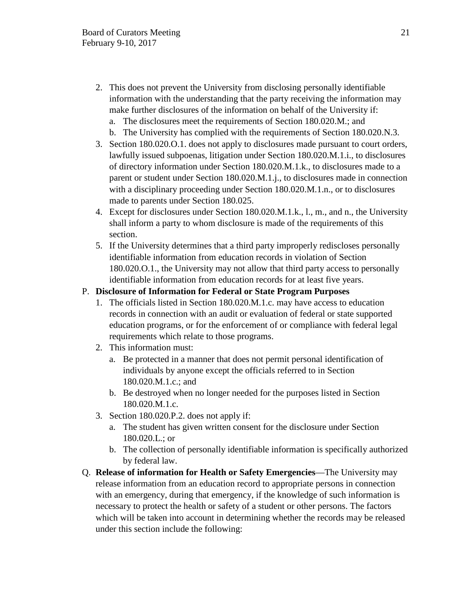- 2. This does not prevent the University from disclosing personally identifiable information with the understanding that the party receiving the information may make further disclosures of the information on behalf of the University if:
	- a. The disclosures meet the requirements of Section 180.020.M.; and
	- b. The University has complied with the requirements of Section 180.020.N.3.
- 3. Section 180.020.O.1. does not apply to disclosures made pursuant to court orders, lawfully issued subpoenas, litigation under Section 180.020.M.1.i., to disclosures of directory information under Section 180.020.M.1.k., to disclosures made to a parent or student under Section 180.020.M.1.j., to disclosures made in connection with a disciplinary proceeding under Section 180.020.M.1.n., or to disclosures made to parents under Section 180.025.
- 4. Except for disclosures under Section 180.020.M.1.k., l., m., and n., the University shall inform a party to whom disclosure is made of the requirements of this section.
- 5. If the University determines that a third party improperly rediscloses personally identifiable information from education records in violation of Section 180.020.O.1., the University may not allow that third party access to personally identifiable information from education records for at least five years.

## P. **Disclosure of Information for Federal or State Program Purposes**

- 1. The officials listed in Section 180.020.M.1.c. may have access to education records in connection with an audit or evaluation of federal or state supported education programs, or for the enforcement of or compliance with federal legal requirements which relate to those programs.
- 2. This information must:
	- a. Be protected in a manner that does not permit personal identification of individuals by anyone except the officials referred to in Section 180.020.M.1.c.; and
	- b. Be destroyed when no longer needed for the purposes listed in Section 180.020.M.1.c.
- 3. Section 180.020.P.2. does not apply if:
	- a. The student has given written consent for the disclosure under Section 180.020.L.; or
	- b. The collection of personally identifiable information is specifically authorized by federal law.
- Q. **Release of information for Health or Safety Emergencies**—The University may release information from an education record to appropriate persons in connection with an emergency, during that emergency, if the knowledge of such information is necessary to protect the health or safety of a student or other persons. The factors which will be taken into account in determining whether the records may be released under this section include the following: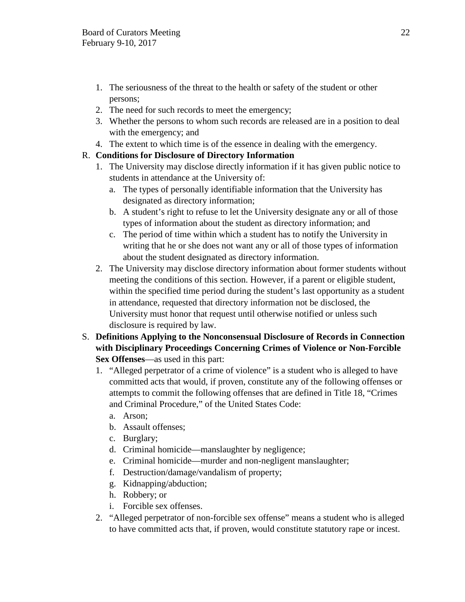- 1. The seriousness of the threat to the health or safety of the student or other persons;
- 2. The need for such records to meet the emergency;
- 3. Whether the persons to whom such records are released are in a position to deal with the emergency; and
- 4. The extent to which time is of the essence in dealing with the emergency.

# R. **Conditions for Disclosure of Directory Information**

- 1. The University may disclose directly information if it has given public notice to students in attendance at the University of:
	- a. The types of personally identifiable information that the University has designated as directory information;
	- b. A student's right to refuse to let the University designate any or all of those types of information about the student as directory information; and
	- c. The period of time within which a student has to notify the University in writing that he or she does not want any or all of those types of information about the student designated as directory information.
- 2. The University may disclose directory information about former students without meeting the conditions of this section. However, if a parent or eligible student, within the specified time period during the student's last opportunity as a student in attendance, requested that directory information not be disclosed, the University must honor that request until otherwise notified or unless such disclosure is required by law.
- S. **Definitions Applying to the Nonconsensual Disclosure of Records in Connection with Disciplinary Proceedings Concerning Crimes of Violence or Non-Forcible Sex Offenses**—as used in this part:
	- 1. "Alleged perpetrator of a crime of violence" is a student who is alleged to have committed acts that would, if proven, constitute any of the following offenses or attempts to commit the following offenses that are defined in Title 18, "Crimes and Criminal Procedure," of the United States Code:
		- a. Arson;
		- b. Assault offenses;
		- c. Burglary;
		- d. Criminal homicide—manslaughter by negligence;
		- e. Criminal homicide—murder and non-negligent manslaughter;
		- f. Destruction/damage/vandalism of property;
		- g. Kidnapping/abduction;
		- h. Robbery; or
		- i. Forcible sex offenses.
	- 2. "Alleged perpetrator of non-forcible sex offense" means a student who is alleged to have committed acts that, if proven, would constitute statutory rape or incest.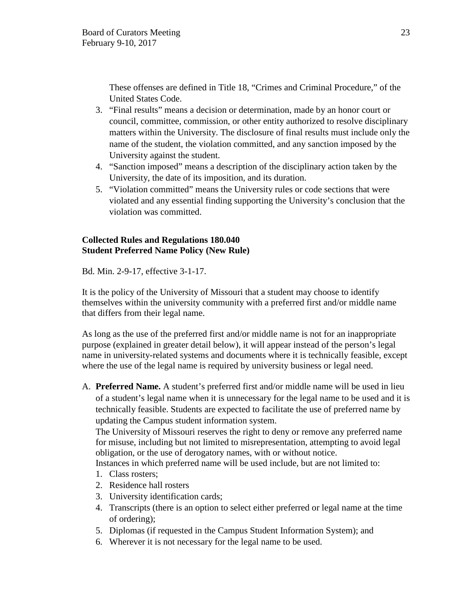These offenses are defined in Title 18, "Crimes and Criminal Procedure," of the United States Code.

- 3. "Final results" means a decision or determination, made by an honor court or council, committee, commission, or other entity authorized to resolve disciplinary matters within the University. The disclosure of final results must include only the name of the student, the violation committed, and any sanction imposed by the University against the student.
- 4. "Sanction imposed" means a description of the disciplinary action taken by the University, the date of its imposition, and its duration.
- 5. "Violation committed" means the University rules or code sections that were violated and any essential finding supporting the University's conclusion that the violation was committed.

## **Collected Rules and Regulations 180.040 Student Preferred Name Policy (New Rule)**

Bd. Min. 2-9-17, effective 3-1-17.

It is the policy of the University of Missouri that a student may choose to identify themselves within the university community with a preferred first and/or middle name that differs from their legal name.

As long as the use of the preferred first and/or middle name is not for an inappropriate purpose (explained in greater detail below), it will appear instead of the person's legal name in university-related systems and documents where it is technically feasible, except where the use of the legal name is required by university business or legal need.

A. **Preferred Name.** A student's preferred first and/or middle name will be used in lieu of a student's legal name when it is unnecessary for the legal name to be used and it is technically feasible. Students are expected to facilitate the use of preferred name by updating the Campus student information system.

The University of Missouri reserves the right to deny or remove any preferred name for misuse, including but not limited to misrepresentation, attempting to avoid legal obligation, or the use of derogatory names, with or without notice.

Instances in which preferred name will be used include, but are not limited to:

- 1. Class rosters;
- 2. Residence hall rosters
- 3. University identification cards;
- 4. Transcripts (there is an option to select either preferred or legal name at the time of ordering);
- 5. Diplomas (if requested in the Campus Student Information System); and
- 6. Wherever it is not necessary for the legal name to be used.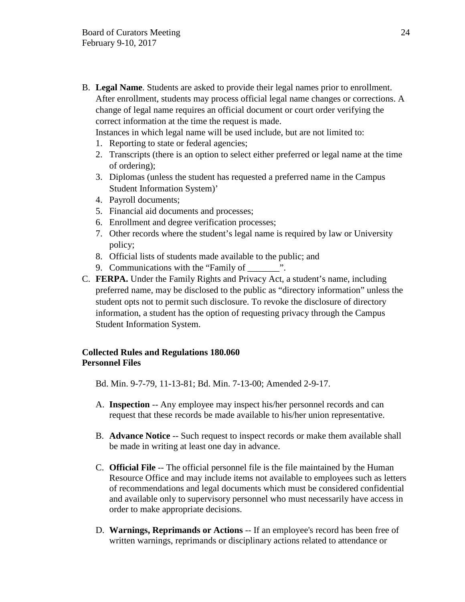B. **Legal Name**. Students are asked to provide their legal names prior to enrollment. After enrollment, students may process official legal name changes or corrections. A change of legal name requires an official document or court order verifying the correct information at the time the request is made.

Instances in which legal name will be used include, but are not limited to:

- 1. Reporting to state or federal agencies;
- 2. Transcripts (there is an option to select either preferred or legal name at the time of ordering);
- 3. Diplomas (unless the student has requested a preferred name in the Campus Student Information System)'
- 4. Payroll documents;
- 5. Financial aid documents and processes;
- 6. Enrollment and degree verification processes;
- 7. Other records where the student's legal name is required by law or University policy;
- 8. Official lists of students made available to the public; and
- 9. Communications with the "Family of \_\_\_\_\_\_\_\_\_".
- C. **FERPA.** Under the Family Rights and Privacy Act, a student's name, including preferred name, may be disclosed to the public as "directory information" unless the student opts not to permit such disclosure. To revoke the disclosure of directory information, a student has the option of requesting privacy through the Campus Student Information System.

## **Collected Rules and Regulations 180.060 Personnel Files**

Bd. Min. 9-7-79, 11-13-81; Bd. Min. 7-13-00; Amended 2-9-17.

- A. **Inspection** -- Any employee may inspect his/her personnel records and can request that these records be made available to his/her union representative.
- B. **Advance Notice** -- Such request to inspect records or make them available shall be made in writing at least one day in advance.
- C. **Official File** -- The official personnel file is the file maintained by the Human Resource Office and may include items not available to employees such as letters of recommendations and legal documents which must be considered confidential and available only to supervisory personnel who must necessarily have access in order to make appropriate decisions.
- D. **Warnings, Reprimands or Actions** -- If an employee's record has been free of written warnings, reprimands or disciplinary actions related to attendance or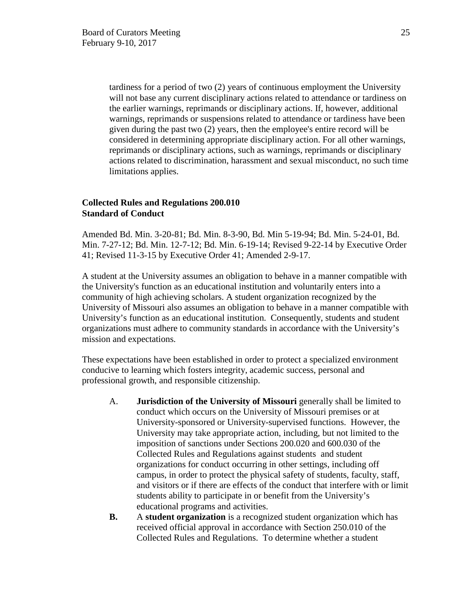tardiness for a period of two (2) years of continuous employment the University will not base any current disciplinary actions related to attendance or tardiness on the earlier warnings, reprimands or disciplinary actions. If, however, additional warnings, reprimands or suspensions related to attendance or tardiness have been given during the past two (2) years, then the employee's entire record will be considered in determining appropriate disciplinary action. For all other warnings, reprimands or disciplinary actions, such as warnings, reprimands or disciplinary actions related to discrimination, harassment and sexual misconduct, no such time limitations applies.

## **Collected Rules and Regulations 200.010 Standard of Conduct**

Amended Bd. Min. 3-20-81; Bd. Min. 8-3-90, Bd. Min 5-19-94; Bd. Min. 5-24-01, Bd. Min. 7-27-12; Bd. Min. 12-7-12; Bd. Min. 6-19-14; Revised 9-22-14 by Executive Order 41; Revised 11-3-15 by Executive Order 41; Amended 2-9-17.

A student at the University assumes an obligation to behave in a manner compatible with the University's function as an educational institution and voluntarily enters into a community of high achieving scholars. A student organization recognized by the University of Missouri also assumes an obligation to behave in a manner compatible with University's function as an educational institution. Consequently, students and student organizations must adhere to community standards in accordance with the University's mission and expectations.

These expectations have been established in order to protect a specialized environment conducive to learning which fosters integrity, academic success, personal and professional growth, and responsible citizenship.

- A. **Jurisdiction of the University of Missouri** generally shall be limited to conduct which occurs on the University of Missouri premises or at University-sponsored or University-supervised functions. However, the University may take appropriate action, including, but not limited to the imposition of sanctions under Sections 200.020 and 600.030 of the Collected Rules and Regulations against students and student organizations for conduct occurring in other settings, including off campus, in order to protect the physical safety of students, faculty, staff, and visitors or if there are effects of the conduct that interfere with or limit students ability to participate in or benefit from the University's educational programs and activities.
- **B.** A **student organization** is a recognized student organization which has received official approval in accordance with Section 250.010 of the Collected Rules and Regulations. To determine whether a student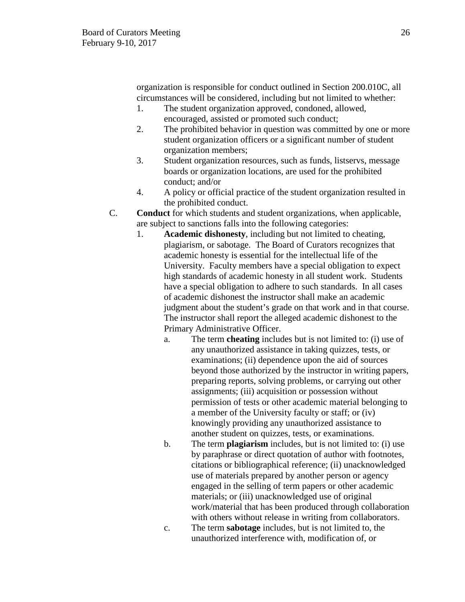organization is responsible for conduct outlined in Section 200.010C, all circumstances will be considered, including but not limited to whether:

- 1. The student organization approved, condoned, allowed, encouraged, assisted or promoted such conduct;
- 2. The prohibited behavior in question was committed by one or more student organization officers or a significant number of student organization members;
- 3. Student organization resources, such as funds, listservs, message boards or organization locations, are used for the prohibited conduct; and/or
- 4. A policy or official practice of the student organization resulted in the prohibited conduct.
- C. **Conduct** for which students and student organizations, when applicable, are subject to sanctions falls into the following categories:
	- 1. **Academic dishonesty**, including but not limited to cheating, plagiarism, or sabotage. The Board of Curators recognizes that academic honesty is essential for the intellectual life of the University. Faculty members have a special obligation to expect high standards of academic honesty in all student work. Students have a special obligation to adhere to such standards. In all cases of academic dishonest the instructor shall make an academic judgment about the student's grade on that work and in that course. The instructor shall report the alleged academic dishonest to the Primary Administrative Officer.
		- a. The term **cheating** includes but is not limited to: (i) use of any unauthorized assistance in taking quizzes, tests, or examinations; (ii) dependence upon the aid of sources beyond those authorized by the instructor in writing papers, preparing reports, solving problems, or carrying out other assignments; (iii) acquisition or possession without permission of tests or other academic material belonging to a member of the University faculty or staff; or (iv) knowingly providing any unauthorized assistance to another student on quizzes, tests, or examinations.
		- b. The term **plagiarism** includes, but is not limited to: (i) use by paraphrase or direct quotation of author with footnotes, citations or bibliographical reference; (ii) unacknowledged use of materials prepared by another person or agency engaged in the selling of term papers or other academic materials; or (iii) unacknowledged use of original work/material that has been produced through collaboration with others without release in writing from collaborators.
		- c. The term **sabotage** includes, but is not limited to, the unauthorized interference with, modification of, or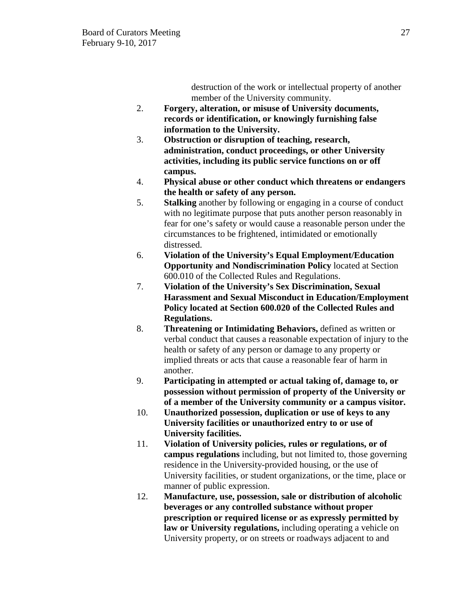destruction of the work or intellectual property of another member of the University community.

- 2. **Forgery, alteration, or misuse of University documents, records or identification, or knowingly furnishing false information to the University.**
- 3. **Obstruction or disruption of teaching, research, administration, conduct proceedings, or other University activities, including its public service functions on or off campus.**
- 4. **Physical abuse or other conduct which threatens or endangers the health or safety of any person.**
- 5. **Stalking** another by following or engaging in a course of conduct with no legitimate purpose that puts another person reasonably in fear for one's safety or would cause a reasonable person under the circumstances to be frightened, intimidated or emotionally distressed.
- 6. **Violation of the University's Equal Employment/Education Opportunity and Nondiscrimination Policy** located at Section 600.010 of the Collected Rules and Regulations.
- 7. **Violation of the University's Sex Discrimination, Sexual Harassment and Sexual Misconduct in Education/Employment Policy located at Section 600.020 of the Collected Rules and Regulations.**
- 8. **Threatening or Intimidating Behaviors,** defined as written or verbal conduct that causes a reasonable expectation of injury to the health or safety of any person or damage to any property or implied threats or acts that cause a reasonable fear of harm in another.
- 9. **Participating in attempted or actual taking of, damage to, or possession without permission of property of the University or of a member of the University community or a campus visitor.**
- 10. **Unauthorized possession, duplication or use of keys to any University facilities or unauthorized entry to or use of University facilities.**
- 11. **Violation of University policies, rules or regulations, or of campus regulations** including, but not limited to, those governing residence in the University-provided housing, or the use of University facilities, or student organizations, or the time, place or manner of public expression.
- 12. **Manufacture, use, possession, sale or distribution of alcoholic beverages or any controlled substance without proper prescription or required license or as expressly permitted by law or University regulations,** including operating a vehicle on University property, or on streets or roadways adjacent to and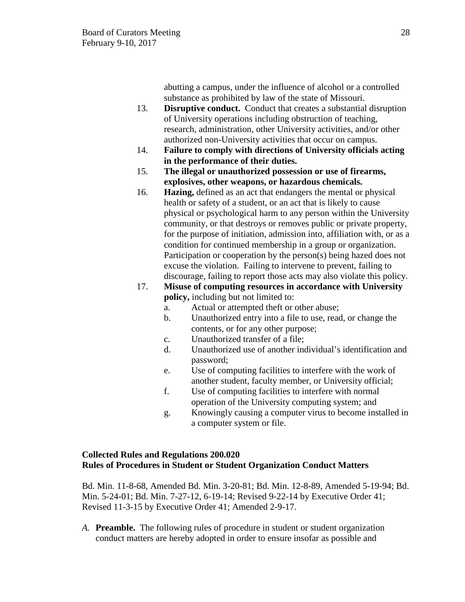abutting a campus, under the influence of alcohol or a controlled substance as prohibited by law of the state of Missouri.

- 13. **Disruptive conduct.** Conduct that creates a substantial disruption of University operations including obstruction of teaching, research, administration, other University activities, and/or other authorized non-University activities that occur on campus.
- 14. **Failure to comply with directions of University officials acting in the performance of their duties.**
- 15. **The illegal or unauthorized possession or use of firearms, explosives, other weapons, or hazardous chemicals.**
- 16. **Hazing,** defined as an act that endangers the mental or physical health or safety of a student, or an act that is likely to cause physical or psychological harm to any person within the University community, or that destroys or removes public or private property, for the purpose of initiation, admission into, affiliation with, or as a condition for continued membership in a group or organization. Participation or cooperation by the person(s) being hazed does not excuse the violation. Failing to intervene to prevent, failing to discourage, failing to report those acts may also violate this policy.
- 17. **Misuse of computing resources in accordance with University policy,** including but not limited to:
	- a. Actual or attempted theft or other abuse;
	- b. Unauthorized entry into a file to use, read, or change the contents, or for any other purpose;
	- c. Unauthorized transfer of a file;
	- d. Unauthorized use of another individual's identification and password;
	- e. Use of computing facilities to interfere with the work of another student, faculty member, or University official;
	- f. Use of computing facilities to interfere with normal operation of the University computing system; and
	- g. Knowingly causing a computer virus to become installed in a computer system or file.

## **Collected Rules and Regulations 200.020 Rules of Procedures in Student or Student Organization Conduct Matters**

Bd. Min. 11-8-68, Amended Bd. Min. 3-20-81; Bd. Min. 12-8-89, Amended 5-19-94; Bd. Min. 5-24-01; Bd. Min. 7-27-12, 6-19-14; Revised 9-22-14 by Executive Order 41; Revised 11-3-15 by Executive Order 41; Amended 2-9-17.

*A.* **Preamble.** The following rules of procedure in student or student organization conduct matters are hereby adopted in order to ensure insofar as possible and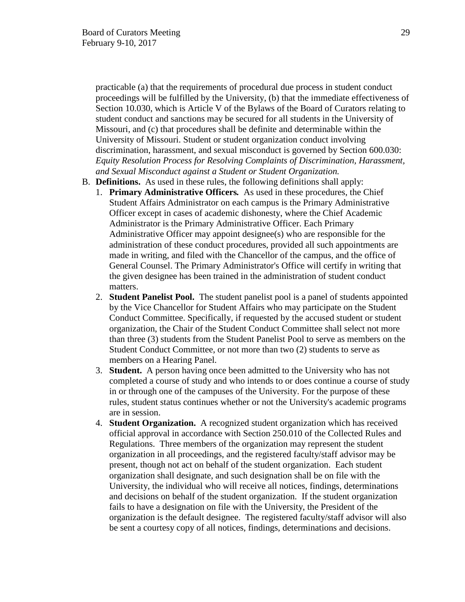practicable (a) that the requirements of procedural due process in student conduct proceedings will be fulfilled by the University, (b) that the immediate effectiveness of Section 10.030, which is Article V of the Bylaws of the Board of Curators relating to student conduct and sanctions may be secured for all students in the University of Missouri, and (c) that procedures shall be definite and determinable within the University of Missouri. Student or student organization conduct involving discrimination, harassment, and sexual misconduct is governed by Section 600.030: *Equity Resolution Process for Resolving Complaints of Discrimination, Harassment, and Sexual Misconduct against a Student or Student Organization.* 

- B. **Definitions.**As used in these rules, the following definitions shall apply:
	- 1. **Primary Administrative Officers***.* As used in these procedures, the Chief Student Affairs Administrator on each campus is the Primary Administrative Officer except in cases of academic dishonesty, where the Chief Academic Administrator is the Primary Administrative Officer. Each Primary Administrative Officer may appoint designee(s) who are responsible for the administration of these conduct procedures, provided all such appointments are made in writing, and filed with the Chancellor of the campus, and the office of General Counsel. The Primary Administrator's Office will certify in writing that the given designee has been trained in the administration of student conduct matters.
	- 2. **Student Panelist Pool.** The student panelist pool is a panel of students appointed by the Vice Chancellor for Student Affairs who may participate on the Student Conduct Committee. Specifically, if requested by the accused student or student organization, the Chair of the Student Conduct Committee shall select not more than three (3) students from the Student Panelist Pool to serve as members on the Student Conduct Committee, or not more than two (2) students to serve as members on a Hearing Panel.
	- 3. **Student.** A person having once been admitted to the University who has not completed a course of study and who intends to or does continue a course of study in or through one of the campuses of the University. For the purpose of these rules, student status continues whether or not the University's academic programs are in session.
	- 4. **Student Organization.** A recognized student organization which has received official approval in accordance with Section 250.010 of the Collected Rules and Regulations. Three members of the organization may represent the student organization in all proceedings, and the registered faculty/staff advisor may be present, though not act on behalf of the student organization. Each student organization shall designate, and such designation shall be on file with the University, the individual who will receive all notices, findings, determinations and decisions on behalf of the student organization. If the student organization fails to have a designation on file with the University, the President of the organization is the default designee. The registered faculty/staff advisor will also be sent a courtesy copy of all notices, findings, determinations and decisions.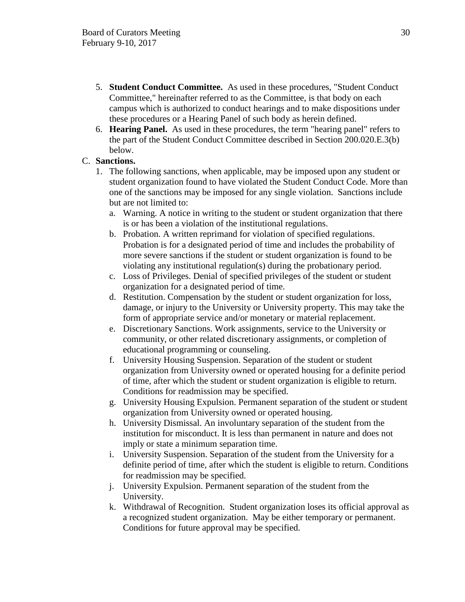- 5. **Student Conduct Committee.** As used in these procedures, "Student Conduct Committee," hereinafter referred to as the Committee, is that body on each campus which is authorized to conduct hearings and to make dispositions under these procedures or a Hearing Panel of such body as herein defined.
- 6. **Hearing Panel.** As used in these procedures, the term "hearing panel" refers to the part of the Student Conduct Committee described in Section 200.020.E.3(b) below.

## C. **Sanctions.**

- 1. The following sanctions, when applicable, may be imposed upon any student or student organization found to have violated the Student Conduct Code. More than one of the sanctions may be imposed for any single violation. Sanctions include but are not limited to:
	- a. Warning. A notice in writing to the student or student organization that there is or has been a violation of the institutional regulations.
	- b. Probation. A written reprimand for violation of specified regulations. Probation is for a designated period of time and includes the probability of more severe sanctions if the student or student organization is found to be violating any institutional regulation(s) during the probationary period.
	- c. Loss of Privileges. Denial of specified privileges of the student or student organization for a designated period of time.
	- d. Restitution. Compensation by the student or student organization for loss, damage, or injury to the University or University property. This may take the form of appropriate service and/or monetary or material replacement.
	- e. Discretionary Sanctions. Work assignments, service to the University or community, or other related discretionary assignments, or completion of educational programming or counseling.
	- f. University Housing Suspension. Separation of the student or student organization from University owned or operated housing for a definite period of time, after which the student or student organization is eligible to return. Conditions for readmission may be specified.
	- g. University Housing Expulsion. Permanent separation of the student or student organization from University owned or operated housing.
	- h. University Dismissal. An involuntary separation of the student from the institution for misconduct. It is less than permanent in nature and does not imply or state a minimum separation time.
	- i. University Suspension. Separation of the student from the University for a definite period of time, after which the student is eligible to return. Conditions for readmission may be specified.
	- j. University Expulsion. Permanent separation of the student from the University.
	- k. Withdrawal of Recognition. Student organization loses its official approval as a recognized student organization. May be either temporary or permanent. Conditions for future approval may be specified.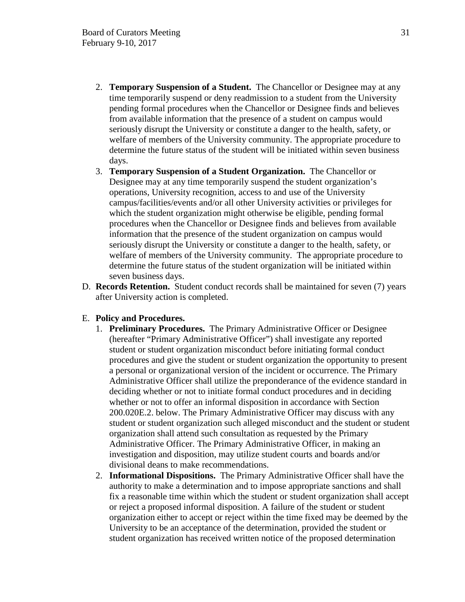- 2. **Temporary Suspension of a Student.** The Chancellor or Designee may at any time temporarily suspend or deny readmission to a student from the University pending formal procedures when the Chancellor or Designee finds and believes from available information that the presence of a student on campus would seriously disrupt the University or constitute a danger to the health, safety, or welfare of members of the University community. The appropriate procedure to determine the future status of the student will be initiated within seven business days.
- 3. **Temporary Suspension of a Student Organization.** The Chancellor or Designee may at any time temporarily suspend the student organization's operations, University recognition, access to and use of the University campus/facilities/events and/or all other University activities or privileges for which the student organization might otherwise be eligible, pending formal procedures when the Chancellor or Designee finds and believes from available information that the presence of the student organization on campus would seriously disrupt the University or constitute a danger to the health, safety, or welfare of members of the University community. The appropriate procedure to determine the future status of the student organization will be initiated within seven business days.
- D. **Records Retention.** Student conduct records shall be maintained for seven (7) years after University action is completed.

### E. **Policy and Procedures.**

- 1. **Preliminary Procedures.** The Primary Administrative Officer or Designee (hereafter "Primary Administrative Officer") shall investigate any reported student or student organization misconduct before initiating formal conduct procedures and give the student or student organization the opportunity to present a personal or organizational version of the incident or occurrence. The Primary Administrative Officer shall utilize the preponderance of the evidence standard in deciding whether or not to initiate formal conduct procedures and in deciding whether or not to offer an informal disposition in accordance with Section 200.020E.2. below. The Primary Administrative Officer may discuss with any student or student organization such alleged misconduct and the student or student organization shall attend such consultation as requested by the Primary Administrative Officer. The Primary Administrative Officer, in making an investigation and disposition, may utilize student courts and boards and/or divisional deans to make recommendations.
- 2. **Informational Dispositions.** The Primary Administrative Officer shall have the authority to make a determination and to impose appropriate sanctions and shall fix a reasonable time within which the student or student organization shall accept or reject a proposed informal disposition. A failure of the student or student organization either to accept or reject within the time fixed may be deemed by the University to be an acceptance of the determination, provided the student or student organization has received written notice of the proposed determination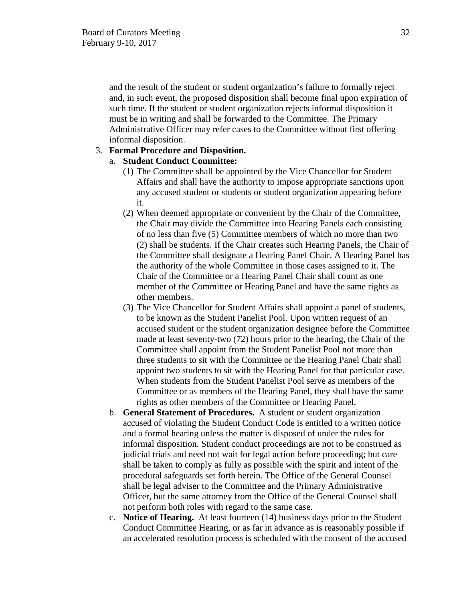and the result of the student or student organization's failure to formally reject and, in such event, the proposed disposition shall become final upon expiration of such time. If the student or student organization rejects informal disposition it must be in writing and shall be forwarded to the Committee. The Primary Administrative Officer may refer cases to the Committee without first offering informal disposition.

## 3. **Formal Procedure and Disposition.**

## a. **Student Conduct Committee:**

- (1) The Committee shall be appointed by the Vice Chancellor for Student Affairs and shall have the authority to impose appropriate sanctions upon any accused student or students or student organization appearing before it.
- (2) When deemed appropriate or convenient by the Chair of the Committee, the Chair may divide the Committee into Hearing Panels each consisting of no less than five (5) Committee members of which no more than two (2) shall be students. If the Chair creates such Hearing Panels, the Chair of the Committee shall designate a Hearing Panel Chair. A Hearing Panel has the authority of the whole Committee in those cases assigned to it. The Chair of the Committee or a Hearing Panel Chair shall count as one member of the Committee or Hearing Panel and have the same rights as other members.
- (3) The Vice Chancellor for Student Affairs shall appoint a panel of students, to be known as the Student Panelist Pool. Upon written request of an accused student or the student organization designee before the Committee made at least seventy-two (72) hours prior to the hearing, the Chair of the Committee shall appoint from the Student Panelist Pool not more than three students to sit with the Committee or the Hearing Panel Chair shall appoint two students to sit with the Hearing Panel for that particular case. When students from the Student Panelist Pool serve as members of the Committee or as members of the Hearing Panel, they shall have the same rights as other members of the Committee or Hearing Panel.
- b. **General Statement of Procedures.** A student or student organization accused of violating the Student Conduct Code is entitled to a written notice and a formal hearing unless the matter is disposed of under the rules for informal disposition. Student conduct proceedings are not to be construed as judicial trials and need not wait for legal action before proceeding; but care shall be taken to comply as fully as possible with the spirit and intent of the procedural safeguards set forth herein. The Office of the General Counsel shall be legal adviser to the Committee and the Primary Administrative Officer, but the same attorney from the Office of the General Counsel shall not perform both roles with regard to the same case.
- c. **Notice of Hearing.** At least fourteen (14) business days prior to the Student Conduct Committee Hearing, or as far in advance as is reasonably possible if an accelerated resolution process is scheduled with the consent of the accused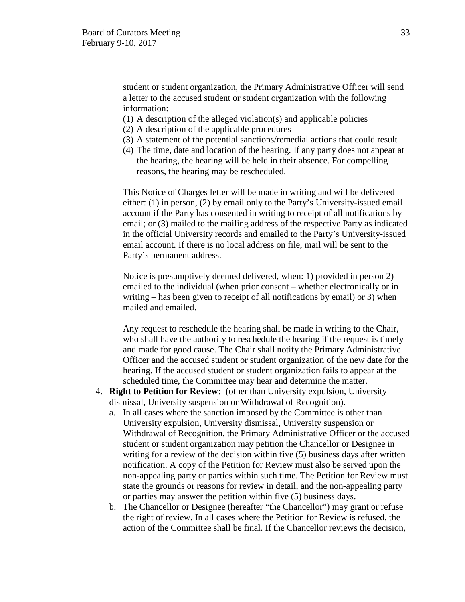student or student organization, the Primary Administrative Officer will send a letter to the accused student or student organization with the following information:

- (1) A description of the alleged violation(s) and applicable policies
- (2) A description of the applicable procedures
- (3) A statement of the potential sanctions/remedial actions that could result
- (4) The time, date and location of the hearing. If any party does not appear at the hearing, the hearing will be held in their absence. For compelling reasons, the hearing may be rescheduled.

This Notice of Charges letter will be made in writing and will be delivered either: (1) in person, (2) by email only to the Party's University-issued email account if the Party has consented in writing to receipt of all notifications by email; or (3) mailed to the mailing address of the respective Party as indicated in the official University records and emailed to the Party's University-issued email account. If there is no local address on file, mail will be sent to the Party's permanent address.

Notice is presumptively deemed delivered, when: 1) provided in person 2) emailed to the individual (when prior consent – whether electronically or in writing – has been given to receipt of all notifications by email) or 3) when mailed and emailed.

Any request to reschedule the hearing shall be made in writing to the Chair, who shall have the authority to reschedule the hearing if the request is timely and made for good cause. The Chair shall notify the Primary Administrative Officer and the accused student or student organization of the new date for the hearing. If the accused student or student organization fails to appear at the scheduled time, the Committee may hear and determine the matter.

- 4. **Right to Petition for Review:** (other than University expulsion, University dismissal, University suspension or Withdrawal of Recognition).
	- a. In all cases where the sanction imposed by the Committee is other than University expulsion, University dismissal, University suspension or Withdrawal of Recognition, the Primary Administrative Officer or the accused student or student organization may petition the Chancellor or Designee in writing for a review of the decision within five (5) business days after written notification. A copy of the Petition for Review must also be served upon the non-appealing party or parties within such time. The Petition for Review must state the grounds or reasons for review in detail, and the non-appealing party or parties may answer the petition within five (5) business days.
	- b. The Chancellor or Designee (hereafter "the Chancellor") may grant or refuse the right of review. In all cases where the Petition for Review is refused, the action of the Committee shall be final. If the Chancellor reviews the decision,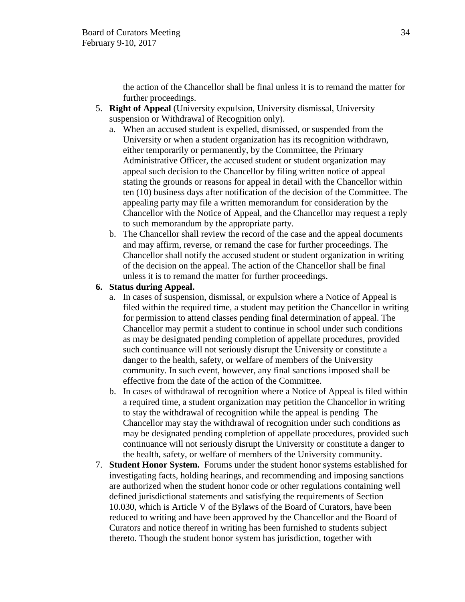the action of the Chancellor shall be final unless it is to remand the matter for further proceedings.

- 5. **Right of Appeal** (University expulsion, University dismissal, University suspension or Withdrawal of Recognition only).
	- a. When an accused student is expelled, dismissed, or suspended from the University or when a student organization has its recognition withdrawn, either temporarily or permanently, by the Committee, the Primary Administrative Officer, the accused student or student organization may appeal such decision to the Chancellor by filing written notice of appeal stating the grounds or reasons for appeal in detail with the Chancellor within ten (10) business days after notification of the decision of the Committee. The appealing party may file a written memorandum for consideration by the Chancellor with the Notice of Appeal, and the Chancellor may request a reply to such memorandum by the appropriate party.
	- b. The Chancellor shall review the record of the case and the appeal documents and may affirm, reverse, or remand the case for further proceedings. The Chancellor shall notify the accused student or student organization in writing of the decision on the appeal. The action of the Chancellor shall be final unless it is to remand the matter for further proceedings.

## **6. Status during Appeal.**

- a. In cases of suspension, dismissal, or expulsion where a Notice of Appeal is filed within the required time, a student may petition the Chancellor in writing for permission to attend classes pending final determination of appeal. The Chancellor may permit a student to continue in school under such conditions as may be designated pending completion of appellate procedures, provided such continuance will not seriously disrupt the University or constitute a danger to the health, safety, or welfare of members of the University community. In such event, however, any final sanctions imposed shall be effective from the date of the action of the Committee.
- b. In cases of withdrawal of recognition where a Notice of Appeal is filed within a required time, a student organization may petition the Chancellor in writing to stay the withdrawal of recognition while the appeal is pending The Chancellor may stay the withdrawal of recognition under such conditions as may be designated pending completion of appellate procedures, provided such continuance will not seriously disrupt the University or constitute a danger to the health, safety, or welfare of members of the University community.
- 7. **Student Honor System.** Forums under the student honor systems established for investigating facts, holding hearings, and recommending and imposing sanctions are authorized when the student honor code or other regulations containing well defined jurisdictional statements and satisfying the requirements of Section 10.030, which is Article V of the Bylaws of the Board of Curators, have been reduced to writing and have been approved by the Chancellor and the Board of Curators and notice thereof in writing has been furnished to students subject thereto. Though the student honor system has jurisdiction, together with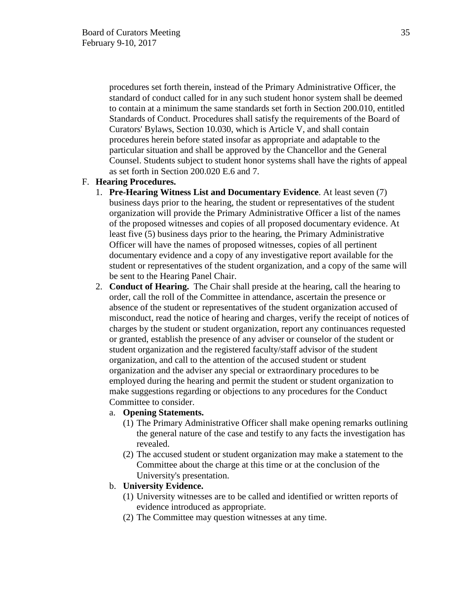procedures set forth therein, instead of the Primary Administrative Officer, the standard of conduct called for in any such student honor system shall be deemed to contain at a minimum the same standards set forth in Section 200.010, entitled Standards of Conduct. Procedures shall satisfy the requirements of the Board of Curators' Bylaws, Section 10.030, which is Article V, and shall contain procedures herein before stated insofar as appropriate and adaptable to the particular situation and shall be approved by the Chancellor and the General Counsel. Students subject to student honor systems shall have the rights of appeal as set forth in Section 200.020 E.6 and 7.

#### F. **Hearing Procedures.**

- 1. **Pre-Hearing Witness List and Documentary Evidence**. At least seven (7) business days prior to the hearing, the student or representatives of the student organization will provide the Primary Administrative Officer a list of the names of the proposed witnesses and copies of all proposed documentary evidence. At least five (5) business days prior to the hearing, the Primary Administrative Officer will have the names of proposed witnesses, copies of all pertinent documentary evidence and a copy of any investigative report available for the student or representatives of the student organization, and a copy of the same will be sent to the Hearing Panel Chair.
- 2. **Conduct of Hearing.** The Chair shall preside at the hearing, call the hearing to order, call the roll of the Committee in attendance, ascertain the presence or absence of the student or representatives of the student organization accused of misconduct, read the notice of hearing and charges, verify the receipt of notices of charges by the student or student organization, report any continuances requested or granted, establish the presence of any adviser or counselor of the student or student organization and the registered faculty/staff advisor of the student organization, and call to the attention of the accused student or student organization and the adviser any special or extraordinary procedures to be employed during the hearing and permit the student or student organization to make suggestions regarding or objections to any procedures for the Conduct Committee to consider.

#### a. **Opening Statements.**

- (1) The Primary Administrative Officer shall make opening remarks outlining the general nature of the case and testify to any facts the investigation has revealed.
- (2) The accused student or student organization may make a statement to the Committee about the charge at this time or at the conclusion of the University's presentation.

## b. **University Evidence.**

- (1) University witnesses are to be called and identified or written reports of evidence introduced as appropriate.
- (2) The Committee may question witnesses at any time.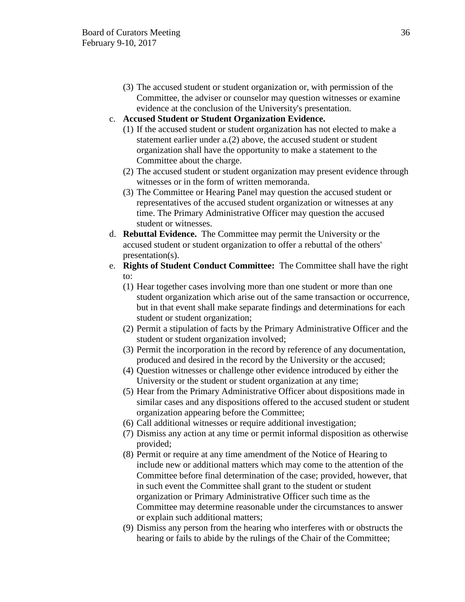(3) The accused student or student organization or, with permission of the Committee, the adviser or counselor may question witnesses or examine evidence at the conclusion of the University's presentation.

## c. **Accused Student or Student Organization Evidence.**

- (1) If the accused student or student organization has not elected to make a statement earlier under a.(2) above, the accused student or student organization shall have the opportunity to make a statement to the Committee about the charge.
- (2) The accused student or student organization may present evidence through witnesses or in the form of written memoranda.
- (3) The Committee or Hearing Panel may question the accused student or representatives of the accused student organization or witnesses at any time. The Primary Administrative Officer may question the accused student or witnesses.
- d. **Rebuttal Evidence.** The Committee may permit the University or the accused student or student organization to offer a rebuttal of the others' presentation(s).
- e. **Rights of Student Conduct Committee:** The Committee shall have the right to:
	- (1) Hear together cases involving more than one student or more than one student organization which arise out of the same transaction or occurrence, but in that event shall make separate findings and determinations for each student or student organization;
	- (2) Permit a stipulation of facts by the Primary Administrative Officer and the student or student organization involved;
	- (3) Permit the incorporation in the record by reference of any documentation, produced and desired in the record by the University or the accused;
	- (4) Question witnesses or challenge other evidence introduced by either the University or the student or student organization at any time;
	- (5) Hear from the Primary Administrative Officer about dispositions made in similar cases and any dispositions offered to the accused student or student organization appearing before the Committee;
	- (6) Call additional witnesses or require additional investigation;
	- (7) Dismiss any action at any time or permit informal disposition as otherwise provided;
	- (8) Permit or require at any time amendment of the Notice of Hearing to include new or additional matters which may come to the attention of the Committee before final determination of the case; provided, however, that in such event the Committee shall grant to the student or student organization or Primary Administrative Officer such time as the Committee may determine reasonable under the circumstances to answer or explain such additional matters;
	- (9) Dismiss any person from the hearing who interferes with or obstructs the hearing or fails to abide by the rulings of the Chair of the Committee;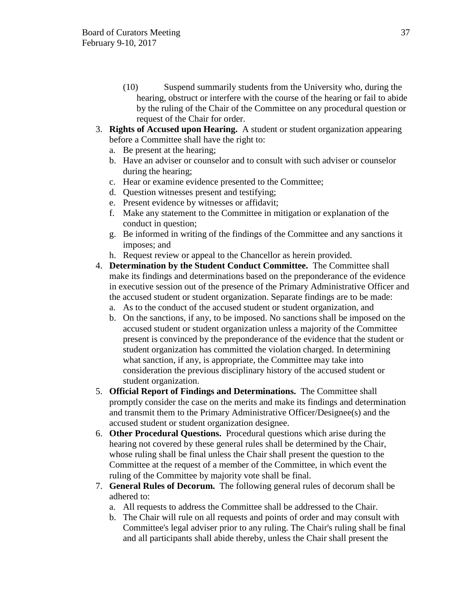- (10) Suspend summarily students from the University who, during the hearing, obstruct or interfere with the course of the hearing or fail to abide by the ruling of the Chair of the Committee on any procedural question or request of the Chair for order.
- 3. **Rights of Accused upon Hearing.** A student or student organization appearing before a Committee shall have the right to:
	- a. Be present at the hearing;
	- b. Have an adviser or counselor and to consult with such adviser or counselor during the hearing;
	- c. Hear or examine evidence presented to the Committee;
	- d. Question witnesses present and testifying;
	- e. Present evidence by witnesses or affidavit;
	- f. Make any statement to the Committee in mitigation or explanation of the conduct in question;
	- g. Be informed in writing of the findings of the Committee and any sanctions it imposes; and
	- h. Request review or appeal to the Chancellor as herein provided.
- 4. **Determination by the Student Conduct Committee.** The Committee shall make its findings and determinations based on the preponderance of the evidence in executive session out of the presence of the Primary Administrative Officer and the accused student or student organization. Separate findings are to be made:
	- a. As to the conduct of the accused student or student organization, and
	- b. On the sanctions, if any, to be imposed. No sanctions shall be imposed on the accused student or student organization unless a majority of the Committee present is convinced by the preponderance of the evidence that the student or student organization has committed the violation charged. In determining what sanction, if any, is appropriate, the Committee may take into consideration the previous disciplinary history of the accused student or student organization.
- 5. **Official Report of Findings and Determinations.** The Committee shall promptly consider the case on the merits and make its findings and determination and transmit them to the Primary Administrative Officer/Designee(s) and the accused student or student organization designee.
- 6. **Other Procedural Questions.** Procedural questions which arise during the hearing not covered by these general rules shall be determined by the Chair, whose ruling shall be final unless the Chair shall present the question to the Committee at the request of a member of the Committee, in which event the ruling of the Committee by majority vote shall be final.
- 7. **General Rules of Decorum.** The following general rules of decorum shall be adhered to:
	- a. All requests to address the Committee shall be addressed to the Chair.
	- b. The Chair will rule on all requests and points of order and may consult with Committee's legal adviser prior to any ruling. The Chair's ruling shall be final and all participants shall abide thereby, unless the Chair shall present the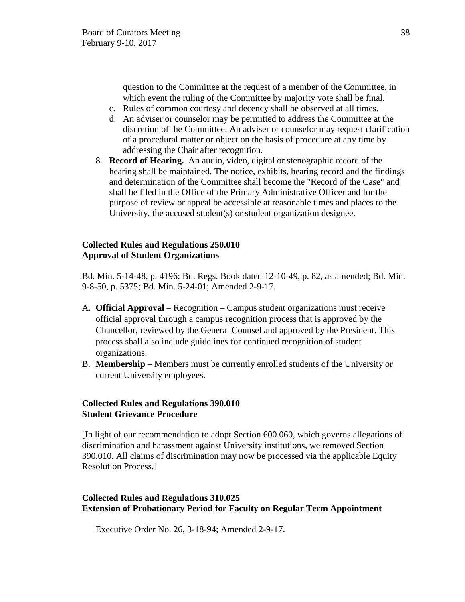question to the Committee at the request of a member of the Committee, in which event the ruling of the Committee by majority vote shall be final.

- c. Rules of common courtesy and decency shall be observed at all times.
- d. An adviser or counselor may be permitted to address the Committee at the discretion of the Committee. An adviser or counselor may request clarification of a procedural matter or object on the basis of procedure at any time by addressing the Chair after recognition.
- 8. **Record of Hearing.** An audio, video, digital or stenographic record of the hearing shall be maintained. The notice, exhibits, hearing record and the findings and determination of the Committee shall become the "Record of the Case" and shall be filed in the Office of the Primary Administrative Officer and for the purpose of review or appeal be accessible at reasonable times and places to the University, the accused student(s) or student organization designee.

### **Collected Rules and Regulations 250.010 Approval of Student Organizations**

Bd. Min. 5-14-48, p. 4196; Bd. Regs. Book dated 12-10-49, p. 82, as amended; Bd. Min. 9-8-50, p. 5375; Bd. Min. 5-24-01; Amended 2-9-17.

- A. **Official Approval** Recognition Campus student organizations must receive official approval through a campus recognition process that is approved by the Chancellor, reviewed by the General Counsel and approved by the President. This process shall also include guidelines for continued recognition of student organizations.
- B. **Membership** Members must be currently enrolled students of the University or current University employees.

# **Collected Rules and Regulations 390.010 Student Grievance Procedure**

[In light of our recommendation to adopt Section 600.060, which governs allegations of discrimination and harassment against University institutions, we removed Section 390.010. All claims of discrimination may now be processed via the applicable Equity Resolution Process.]

# **Collected Rules and Regulations 310.025 Extension of Probationary Period for Faculty on Regular Term Appointment**

Executive Order No. 26, 3-18-94; Amended 2-9-17.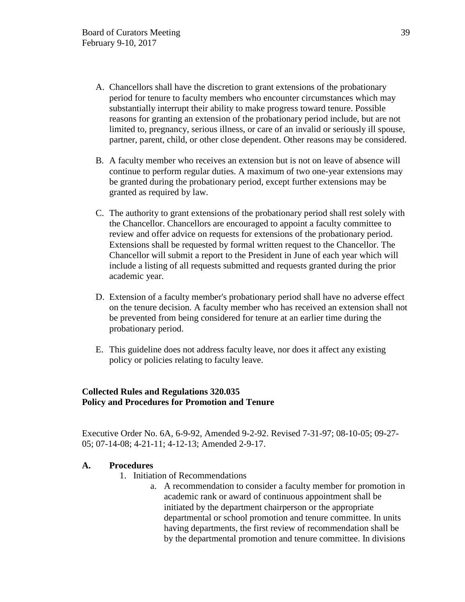- A. Chancellors shall have the discretion to grant extensions of the probationary period for tenure to faculty members who encounter circumstances which may substantially interrupt their ability to make progress toward tenure. Possible reasons for granting an extension of the probationary period include, but are not limited to, pregnancy, serious illness, or care of an invalid or seriously ill spouse, partner, parent, child, or other close dependent. Other reasons may be considered.
- B. A faculty member who receives an extension but is not on leave of absence will continue to perform regular duties. A maximum of two one-year extensions may be granted during the probationary period, except further extensions may be granted as required by law.
- C. The authority to grant extensions of the probationary period shall rest solely with the Chancellor. Chancellors are encouraged to appoint a faculty committee to review and offer advice on requests for extensions of the probationary period. Extensions shall be requested by formal written request to the Chancellor. The Chancellor will submit a report to the President in June of each year which will include a listing of all requests submitted and requests granted during the prior academic year.
- D. Extension of a faculty member's probationary period shall have no adverse effect on the tenure decision. A faculty member who has received an extension shall not be prevented from being considered for tenure at an earlier time during the probationary period.
- E. This guideline does not address faculty leave, nor does it affect any existing policy or policies relating to faculty leave.

# **Collected Rules and Regulations 320.035 Policy and Procedures for Promotion and Tenure**

Executive Order No. 6A, 6-9-92, Amended 9-2-92. Revised 7-31-97; 08-10-05; 09-27- 05; 07-14-08; 4-21-11; 4-12-13; Amended 2-9-17.

### **A. Procedures**

- 1. Initiation of Recommendations
	- a. A recommendation to consider a faculty member for promotion in academic rank or award of continuous appointment shall be initiated by the department chairperson or the appropriate departmental or school promotion and tenure committee. In units having departments, the first review of recommendation shall be by the departmental promotion and tenure committee. In divisions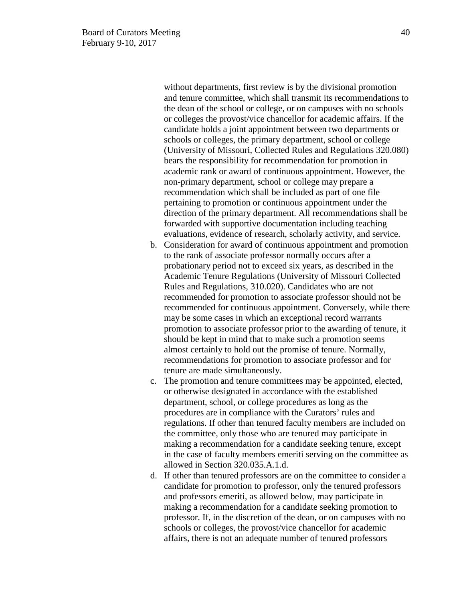without departments, first review is by the divisional promotion and tenure committee, which shall transmit its recommendations to the dean of the school or college, or on campuses with no schools or colleges the provost/vice chancellor for academic affairs. If the candidate holds a joint appointment between two departments or schools or colleges, the primary department, school or college (University of Missouri, Collected Rules and Regulations 320.080) bears the responsibility for recommendation for promotion in academic rank or award of continuous appointment. However, the non-primary department, school or college may prepare a recommendation which shall be included as part of one file pertaining to promotion or continuous appointment under the direction of the primary department. All recommendations shall be forwarded with supportive documentation including teaching evaluations, evidence of research, scholarly activity, and service.

- b. Consideration for award of continuous appointment and promotion to the rank of associate professor normally occurs after a probationary period not to exceed six years, as described in the Academic Tenure Regulations (University of Missouri Collected Rules and Regulations, 310.020). Candidates who are not recommended for promotion to associate professor should not be recommended for continuous appointment. Conversely, while there may be some cases in which an exceptional record warrants promotion to associate professor prior to the awarding of tenure, it should be kept in mind that to make such a promotion seems almost certainly to hold out the promise of tenure. Normally, recommendations for promotion to associate professor and for tenure are made simultaneously.
- c. The promotion and tenure committees may be appointed, elected, or otherwise designated in accordance with the established department, school, or college procedures as long as the procedures are in compliance with the Curators' rules and regulations. If other than tenured faculty members are included on the committee, only those who are tenured may participate in making a recommendation for a candidate seeking tenure, except in the case of faculty members emeriti serving on the committee as allowed in Section 320.035.A.1.d.
- d. If other than tenured professors are on the committee to consider a candidate for promotion to professor, only the tenured professors and professors emeriti, as allowed below, may participate in making a recommendation for a candidate seeking promotion to professor. If, in the discretion of the dean, or on campuses with no schools or colleges, the provost/vice chancellor for academic affairs, there is not an adequate number of tenured professors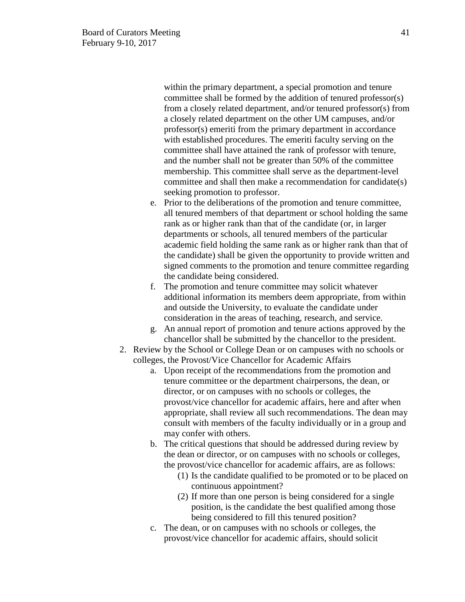within the primary department, a special promotion and tenure committee shall be formed by the addition of tenured professor(s) from a closely related department, and/or tenured professor(s) from a closely related department on the other UM campuses, and/or professor(s) emeriti from the primary department in accordance with established procedures. The emeriti faculty serving on the committee shall have attained the rank of professor with tenure, and the number shall not be greater than 50% of the committee membership. This committee shall serve as the department-level committee and shall then make a recommendation for candidate(s) seeking promotion to professor.

- e. Prior to the deliberations of the promotion and tenure committee, all tenured members of that department or school holding the same rank as or higher rank than that of the candidate (or, in larger departments or schools, all tenured members of the particular academic field holding the same rank as or higher rank than that of the candidate) shall be given the opportunity to provide written and signed comments to the promotion and tenure committee regarding the candidate being considered.
- f. The promotion and tenure committee may solicit whatever additional information its members deem appropriate, from within and outside the University, to evaluate the candidate under consideration in the areas of teaching, research, and service.
- g. An annual report of promotion and tenure actions approved by the chancellor shall be submitted by the chancellor to the president.
- 2. Review by the School or College Dean or on campuses with no schools or colleges, the Provost/Vice Chancellor for Academic Affairs
	- a. Upon receipt of the recommendations from the promotion and tenure committee or the department chairpersons, the dean, or director, or on campuses with no schools or colleges, the provost/vice chancellor for academic affairs, here and after when appropriate, shall review all such recommendations. The dean may consult with members of the faculty individually or in a group and may confer with others.
	- b. The critical questions that should be addressed during review by the dean or director, or on campuses with no schools or colleges, the provost/vice chancellor for academic affairs, are as follows:
		- (1) Is the candidate qualified to be promoted or to be placed on continuous appointment?
		- (2) If more than one person is being considered for a single position, is the candidate the best qualified among those being considered to fill this tenured position?
	- c. The dean, or on campuses with no schools or colleges, the provost/vice chancellor for academic affairs, should solicit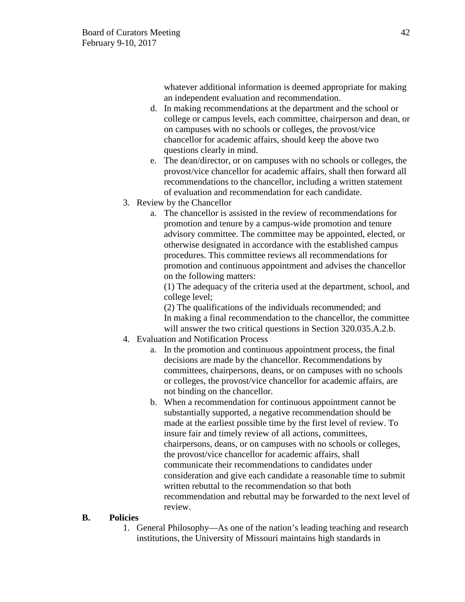whatever additional information is deemed appropriate for making an independent evaluation and recommendation.

- d. In making recommendations at the department and the school or college or campus levels, each committee, chairperson and dean, or on campuses with no schools or colleges, the provost/vice chancellor for academic affairs, should keep the above two questions clearly in mind.
- e. The dean/director, or on campuses with no schools or colleges, the provost/vice chancellor for academic affairs, shall then forward all recommendations to the chancellor, including a written statement of evaluation and recommendation for each candidate.
- 3. Review by the Chancellor
	- a. The chancellor is assisted in the review of recommendations for promotion and tenure by a campus-wide promotion and tenure advisory committee. The committee may be appointed, elected, or otherwise designated in accordance with the established campus procedures. This committee reviews all recommendations for promotion and continuous appointment and advises the chancellor on the following matters:

(1) The adequacy of the criteria used at the department, school, and college level;

(2) The qualifications of the individuals recommended; and In making a final recommendation to the chancellor, the committee will answer the two critical questions in Section 320.035.A.2.b.

- 4. Evaluation and Notification Process
	- a. In the promotion and continuous appointment process, the final decisions are made by the chancellor. Recommendations by committees, chairpersons, deans, or on campuses with no schools or colleges, the provost/vice chancellor for academic affairs, are not binding on the chancellor.
	- b. When a recommendation for continuous appointment cannot be substantially supported, a negative recommendation should be made at the earliest possible time by the first level of review. To insure fair and timely review of all actions, committees, chairpersons, deans, or on campuses with no schools or colleges, the provost/vice chancellor for academic affairs, shall communicate their recommendations to candidates under consideration and give each candidate a reasonable time to submit written rebuttal to the recommendation so that both recommendation and rebuttal may be forwarded to the next level of review.

### **B. Policies**

1. General Philosophy—As one of the nation's leading teaching and research institutions, the University of Missouri maintains high standards in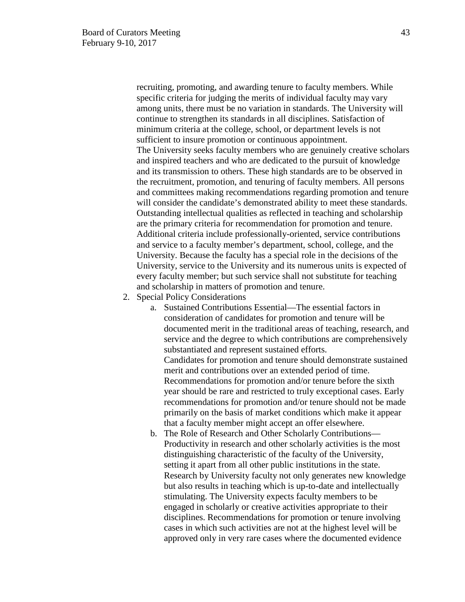recruiting, promoting, and awarding tenure to faculty members. While specific criteria for judging the merits of individual faculty may vary among units, there must be no variation in standards. The University will continue to strengthen its standards in all disciplines. Satisfaction of minimum criteria at the college, school, or department levels is not sufficient to insure promotion or continuous appointment. The University seeks faculty members who are genuinely creative scholars and inspired teachers and who are dedicated to the pursuit of knowledge and its transmission to others. These high standards are to be observed in the recruitment, promotion, and tenuring of faculty members. All persons and committees making recommendations regarding promotion and tenure will consider the candidate's demonstrated ability to meet these standards. Outstanding intellectual qualities as reflected in teaching and scholarship are the primary criteria for recommendation for promotion and tenure. Additional criteria include professionally-oriented, service contributions and service to a faculty member's department, school, college, and the University. Because the faculty has a special role in the decisions of the University, service to the University and its numerous units is expected of every faculty member; but such service shall not substitute for teaching and scholarship in matters of promotion and tenure.

- 2. Special Policy Considerations
	- a. Sustained Contributions Essential—The essential factors in consideration of candidates for promotion and tenure will be documented merit in the traditional areas of teaching, research, and service and the degree to which contributions are comprehensively substantiated and represent sustained efforts. Candidates for promotion and tenure should demonstrate sustained merit and contributions over an extended period of time. Recommendations for promotion and/or tenure before the sixth year should be rare and restricted to truly exceptional cases. Early recommendations for promotion and/or tenure should not be made primarily on the basis of market conditions which make it appear that a faculty member might accept an offer elsewhere.
	- b. The Role of Research and Other Scholarly Contributions— Productivity in research and other scholarly activities is the most distinguishing characteristic of the faculty of the University, setting it apart from all other public institutions in the state. Research by University faculty not only generates new knowledge but also results in teaching which is up-to-date and intellectually stimulating. The University expects faculty members to be engaged in scholarly or creative activities appropriate to their disciplines. Recommendations for promotion or tenure involving cases in which such activities are not at the highest level will be approved only in very rare cases where the documented evidence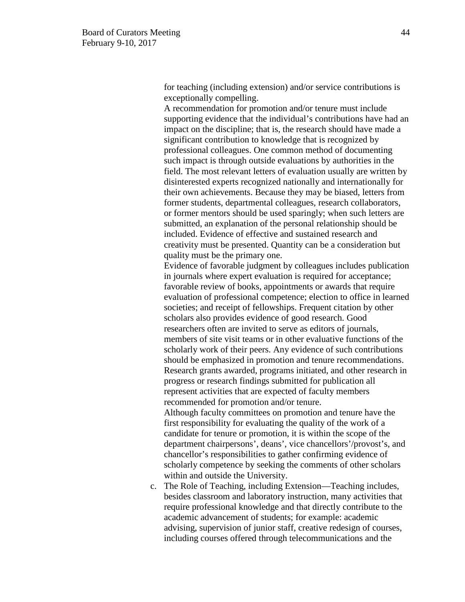for teaching (including extension) and/or service contributions is exceptionally compelling.

A recommendation for promotion and/or tenure must include supporting evidence that the individual's contributions have had an impact on the discipline; that is, the research should have made a significant contribution to knowledge that is recognized by professional colleagues. One common method of documenting such impact is through outside evaluations by authorities in the field. The most relevant letters of evaluation usually are written by disinterested experts recognized nationally and internationally for their own achievements. Because they may be biased, letters from former students, departmental colleagues, research collaborators, or former mentors should be used sparingly; when such letters are submitted, an explanation of the personal relationship should be included. Evidence of effective and sustained research and creativity must be presented. Quantity can be a consideration but quality must be the primary one.

Evidence of favorable judgment by colleagues includes publication in journals where expert evaluation is required for acceptance; favorable review of books, appointments or awards that require evaluation of professional competence; election to office in learned societies; and receipt of fellowships. Frequent citation by other scholars also provides evidence of good research. Good researchers often are invited to serve as editors of journals, members of site visit teams or in other evaluative functions of the scholarly work of their peers. Any evidence of such contributions should be emphasized in promotion and tenure recommendations. Research grants awarded, programs initiated, and other research in progress or research findings submitted for publication all represent activities that are expected of faculty members recommended for promotion and/or tenure.

Although faculty committees on promotion and tenure have the first responsibility for evaluating the quality of the work of a candidate for tenure or promotion, it is within the scope of the department chairpersons', deans', vice chancellors'/provost's, and chancellor's responsibilities to gather confirming evidence of scholarly competence by seeking the comments of other scholars within and outside the University.

c. The Role of Teaching, including Extension—Teaching includes, besides classroom and laboratory instruction, many activities that require professional knowledge and that directly contribute to the academic advancement of students; for example: academic advising, supervision of junior staff, creative redesign of courses, including courses offered through telecommunications and the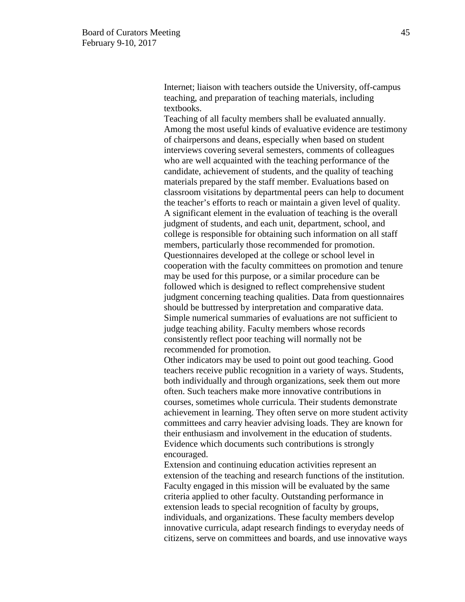Internet; liaison with teachers outside the University, off-campus teaching, and preparation of teaching materials, including textbooks.

Teaching of all faculty members shall be evaluated annually. Among the most useful kinds of evaluative evidence are testimony of chairpersons and deans, especially when based on student interviews covering several semesters, comments of colleagues who are well acquainted with the teaching performance of the candidate, achievement of students, and the quality of teaching materials prepared by the staff member. Evaluations based on classroom visitations by departmental peers can help to document the teacher's efforts to reach or maintain a given level of quality. A significant element in the evaluation of teaching is the overall judgment of students, and each unit, department, school, and college is responsible for obtaining such information on all staff members, particularly those recommended for promotion. Questionnaires developed at the college or school level in cooperation with the faculty committees on promotion and tenure may be used for this purpose, or a similar procedure can be followed which is designed to reflect comprehensive student judgment concerning teaching qualities. Data from questionnaires should be buttressed by interpretation and comparative data. Simple numerical summaries of evaluations are not sufficient to judge teaching ability. Faculty members whose records consistently reflect poor teaching will normally not be recommended for promotion.

Other indicators may be used to point out good teaching. Good teachers receive public recognition in a variety of ways. Students, both individually and through organizations, seek them out more often. Such teachers make more innovative contributions in courses, sometimes whole curricula. Their students demonstrate achievement in learning. They often serve on more student activity committees and carry heavier advising loads. They are known for their enthusiasm and involvement in the education of students. Evidence which documents such contributions is strongly encouraged.

Extension and continuing education activities represent an extension of the teaching and research functions of the institution. Faculty engaged in this mission will be evaluated by the same criteria applied to other faculty. Outstanding performance in extension leads to special recognition of faculty by groups, individuals, and organizations. These faculty members develop innovative curricula, adapt research findings to everyday needs of citizens, serve on committees and boards, and use innovative ways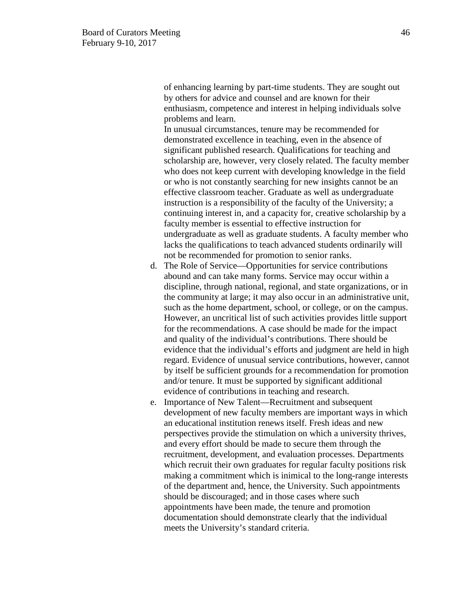of enhancing learning by part-time students. They are sought out by others for advice and counsel and are known for their enthusiasm, competence and interest in helping individuals solve problems and learn.

In unusual circumstances, tenure may be recommended for demonstrated excellence in teaching, even in the absence of significant published research. Qualifications for teaching and scholarship are, however, very closely related. The faculty member who does not keep current with developing knowledge in the field or who is not constantly searching for new insights cannot be an effective classroom teacher. Graduate as well as undergraduate instruction is a responsibility of the faculty of the University; a continuing interest in, and a capacity for, creative scholarship by a faculty member is essential to effective instruction for undergraduate as well as graduate students. A faculty member who lacks the qualifications to teach advanced students ordinarily will not be recommended for promotion to senior ranks.

- d. The Role of Service—Opportunities for service contributions abound and can take many forms. Service may occur within a discipline, through national, regional, and state organizations, or in the community at large; it may also occur in an administrative unit, such as the home department, school, or college, or on the campus. However, an uncritical list of such activities provides little support for the recommendations. A case should be made for the impact and quality of the individual's contributions. There should be evidence that the individual's efforts and judgment are held in high regard. Evidence of unusual service contributions, however, cannot by itself be sufficient grounds for a recommendation for promotion and/or tenure. It must be supported by significant additional evidence of contributions in teaching and research.
- e. Importance of New Talent—Recruitment and subsequent development of new faculty members are important ways in which an educational institution renews itself. Fresh ideas and new perspectives provide the stimulation on which a university thrives, and every effort should be made to secure them through the recruitment, development, and evaluation processes. Departments which recruit their own graduates for regular faculty positions risk making a commitment which is inimical to the long-range interests of the department and, hence, the University. Such appointments should be discouraged; and in those cases where such appointments have been made, the tenure and promotion documentation should demonstrate clearly that the individual meets the University's standard criteria.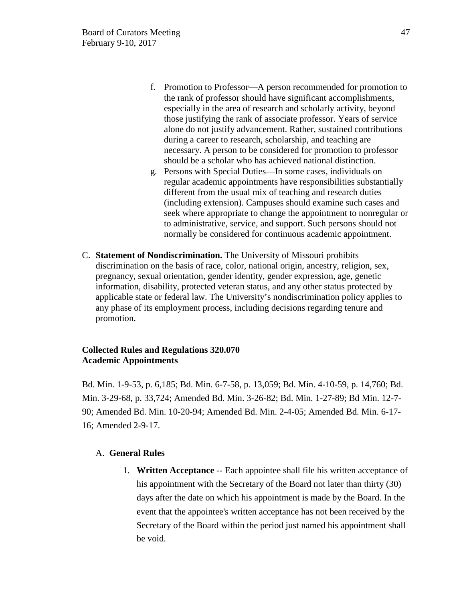- f. Promotion to Professor—A person recommended for promotion to the rank of professor should have significant accomplishments, especially in the area of research and scholarly activity, beyond those justifying the rank of associate professor. Years of service alone do not justify advancement. Rather, sustained contributions during a career to research, scholarship, and teaching are necessary. A person to be considered for promotion to professor should be a scholar who has achieved national distinction.
- g. Persons with Special Duties—In some cases, individuals on regular academic appointments have responsibilities substantially different from the usual mix of teaching and research duties (including extension). Campuses should examine such cases and seek where appropriate to change the appointment to nonregular or to administrative, service, and support. Such persons should not normally be considered for continuous academic appointment.
- C. **Statement of Nondiscrimination.** The University of Missouri prohibits discrimination on the basis of race, color, national origin, ancestry, religion, sex, pregnancy, sexual orientation, gender identity, gender expression, age, genetic information, disability, protected veteran status, and any other status protected by applicable state or federal law. The University's nondiscrimination policy applies to any phase of its employment process, including decisions regarding tenure and promotion.

### **Collected Rules and Regulations 320.070 Academic Appointments**

Bd. Min. 1-9-53, p. 6,185; Bd. Min. 6-7-58, p. 13,059; Bd. Min. 4-10-59, p. 14,760; Bd. Min. 3-29-68, p. 33,724; Amended Bd. Min. 3-26-82; Bd. Min. 1-27-89; Bd Min. 12-7- 90; Amended Bd. Min. 10-20-94; Amended Bd. Min. 2-4-05; Amended Bd. Min. 6-17- 16; Amended 2-9-17.

### A. **General Rules**

1. **Written Acceptance** -- Each appointee shall file his written acceptance of his appointment with the Secretary of the Board not later than thirty (30) days after the date on which his appointment is made by the Board. In the event that the appointee's written acceptance has not been received by the Secretary of the Board within the period just named his appointment shall be void.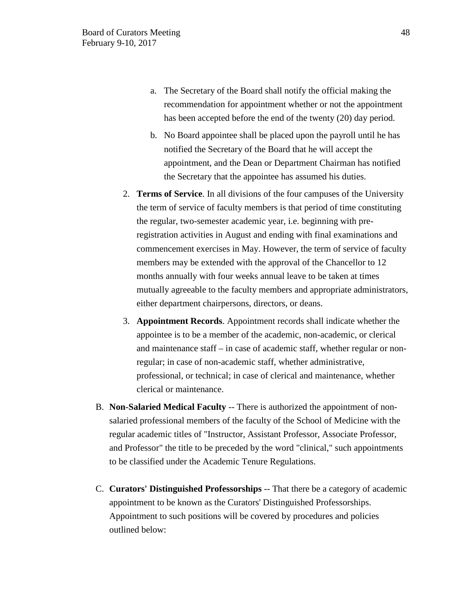- a. The Secretary of the Board shall notify the official making the recommendation for appointment whether or not the appointment has been accepted before the end of the twenty (20) day period.
- b. No Board appointee shall be placed upon the payroll until he has notified the Secretary of the Board that he will accept the appointment, and the Dean or Department Chairman has notified the Secretary that the appointee has assumed his duties.
- 2. **Terms of Service**. In all divisions of the four campuses of the University the term of service of faculty members is that period of time constituting the regular, two-semester academic year, i.e. beginning with preregistration activities in August and ending with final examinations and commencement exercises in May. However, the term of service of faculty members may be extended with the approval of the Chancellor to 12 months annually with four weeks annual leave to be taken at times mutually agreeable to the faculty members and appropriate administrators, either department chairpersons, directors, or deans.
- 3. **Appointment Records**. Appointment records shall indicate whether the appointee is to be a member of the academic, non-academic, or clerical and maintenance staff – in case of academic staff, whether regular or nonregular; in case of non-academic staff, whether administrative, professional, or technical; in case of clerical and maintenance, whether clerical or maintenance.
- B. **Non-Salaried Medical Faculty** -- There is authorized the appointment of nonsalaried professional members of the faculty of the School of Medicine with the regular academic titles of "Instructor, Assistant Professor, Associate Professor, and Professor" the title to be preceded by the word "clinical," such appointments to be classified under the Academic Tenure Regulations.
- C. **Curators' Distinguished Professorships** -- That there be a category of academic appointment to be known as the Curators' Distinguished Professorships. Appointment to such positions will be covered by procedures and policies outlined below: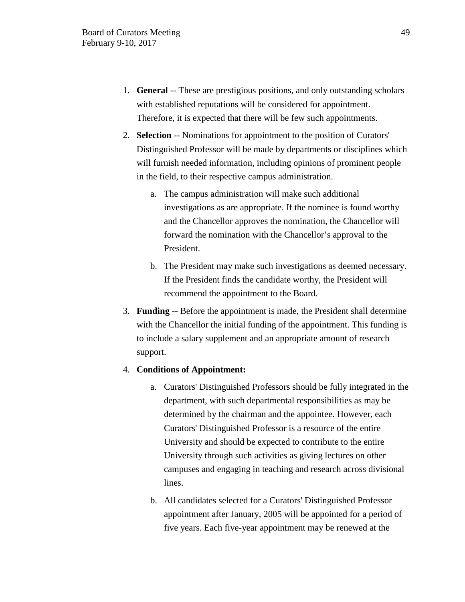- 1. **General** -- These are prestigious positions, and only outstanding scholars with established reputations will be considered for appointment. Therefore, it is expected that there will be few such appointments.
- 2. **Selection** -- Nominations for appointment to the position of Curators' Distinguished Professor will be made by departments or disciplines which will furnish needed information, including opinions of prominent people in the field, to their respective campus administration.
	- a. The campus administration will make such additional investigations as are appropriate. If the nominee is found worthy and the Chancellor approves the nomination, the Chancellor will forward the nomination with the Chancellor's approval to the President.
	- b. The President may make such investigations as deemed necessary. If the President finds the candidate worthy, the President will recommend the appointment to the Board.
- 3. **Funding** -- Before the appointment is made, the President shall determine with the Chancellor the initial funding of the appointment. This funding is to include a salary supplement and an appropriate amount of research support.

### 4. **Conditions of Appointment:**

- a. Curators' Distinguished Professors should be fully integrated in the department, with such departmental responsibilities as may be determined by the chairman and the appointee. However, each Curators' Distinguished Professor is a resource of the entire University and should be expected to contribute to the entire University through such activities as giving lectures on other campuses and engaging in teaching and research across divisional lines.
- b. All candidates selected for a Curators' Distinguished Professor appointment after January, 2005 will be appointed for a period of five years. Each five-year appointment may be renewed at the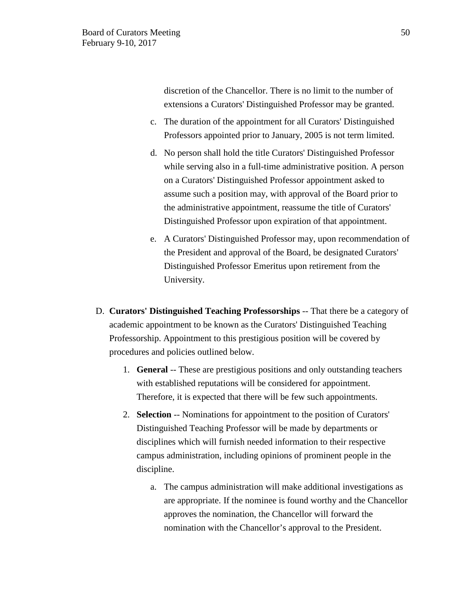discretion of the Chancellor. There is no limit to the number of extensions a Curators' Distinguished Professor may be granted.

- c. The duration of the appointment for all Curators' Distinguished Professors appointed prior to January, 2005 is not term limited.
- d. No person shall hold the title Curators' Distinguished Professor while serving also in a full-time administrative position. A person on a Curators' Distinguished Professor appointment asked to assume such a position may, with approval of the Board prior to the administrative appointment, reassume the title of Curators' Distinguished Professor upon expiration of that appointment.
- e. A Curators' Distinguished Professor may, upon recommendation of the President and approval of the Board, be designated Curators' Distinguished Professor Emeritus upon retirement from the University.
- D. **Curators' Distinguished Teaching Professorships** -- That there be a category of academic appointment to be known as the Curators' Distinguished Teaching Professorship. Appointment to this prestigious position will be covered by procedures and policies outlined below.
	- 1. **General** -- These are prestigious positions and only outstanding teachers with established reputations will be considered for appointment. Therefore, it is expected that there will be few such appointments.
	- 2. **Selection** -- Nominations for appointment to the position of Curators' Distinguished Teaching Professor will be made by departments or disciplines which will furnish needed information to their respective campus administration, including opinions of prominent people in the discipline.
		- a. The campus administration will make additional investigations as are appropriate. If the nominee is found worthy and the Chancellor approves the nomination, the Chancellor will forward the nomination with the Chancellor's approval to the President.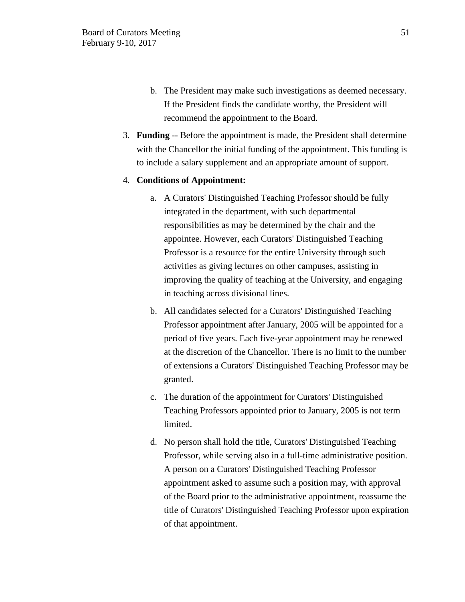- b. The President may make such investigations as deemed necessary. If the President finds the candidate worthy, the President will recommend the appointment to the Board.
- 3. **Funding** -- Before the appointment is made, the President shall determine with the Chancellor the initial funding of the appointment. This funding is to include a salary supplement and an appropriate amount of support.

#### 4. **Conditions of Appointment:**

- a. A Curators' Distinguished Teaching Professor should be fully integrated in the department, with such departmental responsibilities as may be determined by the chair and the appointee. However, each Curators' Distinguished Teaching Professor is a resource for the entire University through such activities as giving lectures on other campuses, assisting in improving the quality of teaching at the University, and engaging in teaching across divisional lines.
- b. All candidates selected for a Curators' Distinguished Teaching Professor appointment after January, 2005 will be appointed for a period of five years. Each five-year appointment may be renewed at the discretion of the Chancellor. There is no limit to the number of extensions a Curators' Distinguished Teaching Professor may be granted.
- c. The duration of the appointment for Curators' Distinguished Teaching Professors appointed prior to January, 2005 is not term limited.
- d. No person shall hold the title, Curators' Distinguished Teaching Professor, while serving also in a full-time administrative position. A person on a Curators' Distinguished Teaching Professor appointment asked to assume such a position may, with approval of the Board prior to the administrative appointment, reassume the title of Curators' Distinguished Teaching Professor upon expiration of that appointment.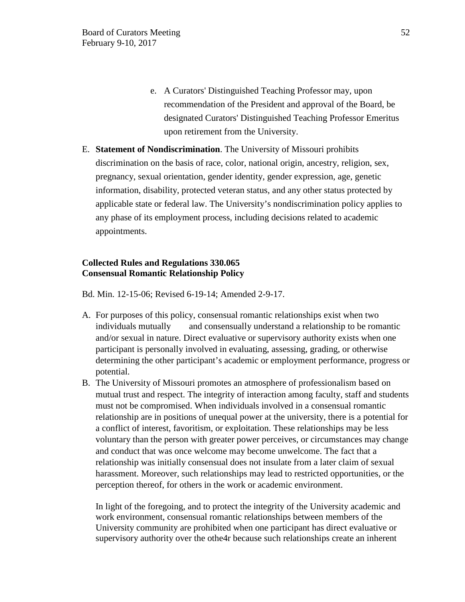- e. A Curators' Distinguished Teaching Professor may, upon recommendation of the President and approval of the Board, be designated Curators' Distinguished Teaching Professor Emeritus upon retirement from the University.
- E. **Statement of Nondiscrimination**. The University of Missouri prohibits discrimination on the basis of race, color, national origin, ancestry, religion, sex, pregnancy, sexual orientation, gender identity, gender expression, age, genetic information, disability, protected veteran status, and any other status protected by applicable state or federal law. The University's nondiscrimination policy applies to any phase of its employment process, including decisions related to academic appointments.

# **Collected Rules and Regulations 330.065 Consensual Romantic Relationship Policy**

Bd. Min. 12-15-06; Revised 6-19-14; Amended 2-9-17.

- A. For purposes of this policy, consensual romantic relationships exist when two individuals mutually and consensually understand a relationship to be romantic and/or sexual in nature. Direct evaluative or supervisory authority exists when one participant is personally involved in evaluating, assessing, grading, or otherwise determining the other participant's academic or employment performance, progress or potential.
- B. The University of Missouri promotes an atmosphere of professionalism based on mutual trust and respect. The integrity of interaction among faculty, staff and students must not be compromised. When individuals involved in a consensual romantic relationship are in positions of unequal power at the university, there is a potential for a conflict of interest, favoritism, or exploitation. These relationships may be less voluntary than the person with greater power perceives, or circumstances may change and conduct that was once welcome may become unwelcome. The fact that a relationship was initially consensual does not insulate from a later claim of sexual harassment. Moreover, such relationships may lead to restricted opportunities, or the perception thereof, for others in the work or academic environment.

In light of the foregoing, and to protect the integrity of the University academic and work environment, consensual romantic relationships between members of the University community are prohibited when one participant has direct evaluative or supervisory authority over the othe4r because such relationships create an inherent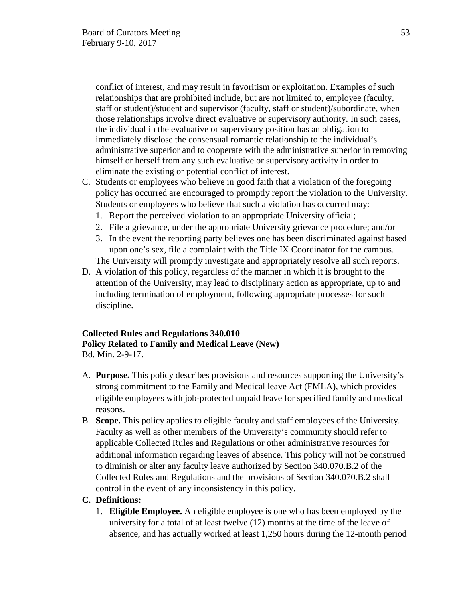conflict of interest, and may result in favoritism or exploitation. Examples of such relationships that are prohibited include, but are not limited to, employee (faculty, staff or student)/student and supervisor (faculty, staff or student)/subordinate, when those relationships involve direct evaluative or supervisory authority. In such cases, the individual in the evaluative or supervisory position has an obligation to immediately disclose the consensual romantic relationship to the individual's administrative superior and to cooperate with the administrative superior in removing himself or herself from any such evaluative or supervisory activity in order to eliminate the existing or potential conflict of interest.

- C. Students or employees who believe in good faith that a violation of the foregoing policy has occurred are encouraged to promptly report the violation to the University. Students or employees who believe that such a violation has occurred may:
	- 1. Report the perceived violation to an appropriate University official;
	- 2. File a grievance, under the appropriate University grievance procedure; and/or
	- 3. In the event the reporting party believes one has been discriminated against based upon one's sex, file a complaint with the Title IX Coordinator for the campus.

The University will promptly investigate and appropriately resolve all such reports.

D. A violation of this policy, regardless of the manner in which it is brought to the attention of the University, may lead to disciplinary action as appropriate, up to and including termination of employment, following appropriate processes for such discipline.

### **Collected Rules and Regulations 340.010 Policy Related to Family and Medical Leave (New)** Bd. Min. 2-9-17.

- A. **Purpose.** This policy describes provisions and resources supporting the University's strong commitment to the Family and Medical leave Act (FMLA), which provides eligible employees with job-protected unpaid leave for specified family and medical reasons.
- B. **Scope.** This policy applies to eligible faculty and staff employees of the University. Faculty as well as other members of the University's community should refer to applicable Collected Rules and Regulations or other administrative resources for additional information regarding leaves of absence. This policy will not be construed to diminish or alter any faculty leave authorized by Section 340.070.B.2 of the Collected Rules and Regulations and the provisions of Section 340.070.B.2 shall control in the event of any inconsistency in this policy.

# **C. Definitions:**

1. **Eligible Employee.** An eligible employee is one who has been employed by the university for a total of at least twelve (12) months at the time of the leave of absence, and has actually worked at least 1,250 hours during the 12-month period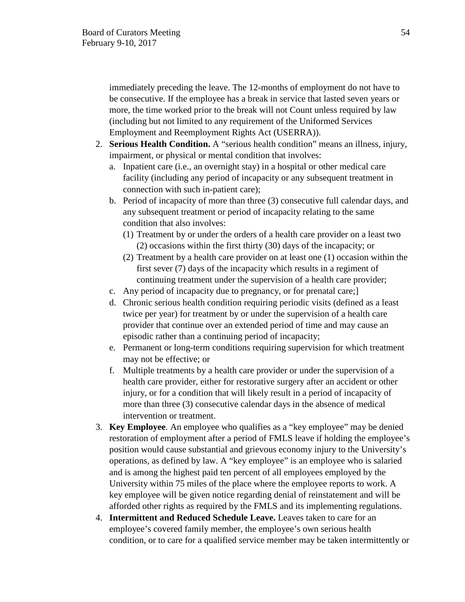immediately preceding the leave. The 12-months of employment do not have to be consecutive. If the employee has a break in service that lasted seven years or more, the time worked prior to the break will not Count unless required by law (including but not limited to any requirement of the Uniformed Services Employment and Reemployment Rights Act (USERRA)).

- 2. **Serious Health Condition.** A "serious health condition" means an illness, injury, impairment, or physical or mental condition that involves:
	- a. Inpatient care (i.e., an overnight stay) in a hospital or other medical care facility (including any period of incapacity or any subsequent treatment in connection with such in-patient care);
	- b. Period of incapacity of more than three (3) consecutive full calendar days, and any subsequent treatment or period of incapacity relating to the same condition that also involves:
		- (1) Treatment by or under the orders of a health care provider on a least two (2) occasions within the first thirty (30) days of the incapacity; or
		- (2) Treatment by a health care provider on at least one (1) occasion within the first sever (7) days of the incapacity which results in a regiment of continuing treatment under the supervision of a health care provider;
	- c. Any period of incapacity due to pregnancy, or for prenatal care;]
	- d. Chronic serious health condition requiring periodic visits (defined as a least twice per year) for treatment by or under the supervision of a health care provider that continue over an extended period of time and may cause an episodic rather than a continuing period of incapacity;
	- e. Permanent or long-term conditions requiring supervision for which treatment may not be effective; or
	- f. Multiple treatments by a health care provider or under the supervision of a health care provider, either for restorative surgery after an accident or other injury, or for a condition that will likely result in a period of incapacity of more than three (3) consecutive calendar days in the absence of medical intervention or treatment.
- 3. **Key Employee**. An employee who qualifies as a "key employee" may be denied restoration of employment after a period of FMLS leave if holding the employee's position would cause substantial and grievous economy injury to the University's operations, as defined by law. A "key employee" is an employee who is salaried and is among the highest paid ten percent of all employees employed by the University within 75 miles of the place where the employee reports to work. A key employee will be given notice regarding denial of reinstatement and will be afforded other rights as required by the FMLS and its implementing regulations.
- 4. **Intermittent and Reduced Schedule Leave.** Leaves taken to care for an employee's covered family member, the employee's own serious health condition, or to care for a qualified service member may be taken intermittently or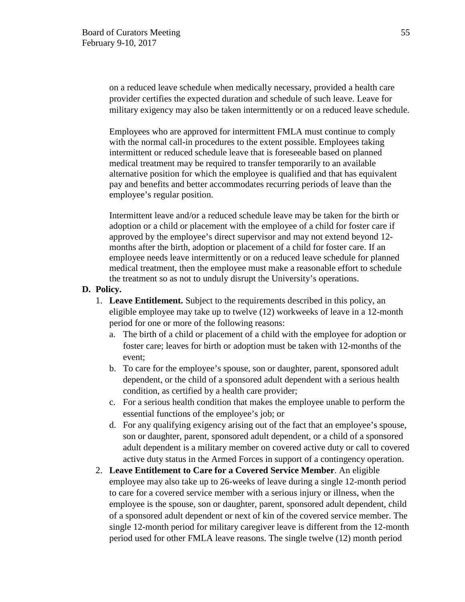on a reduced leave schedule when medically necessary, provided a health care provider certifies the expected duration and schedule of such leave. Leave for military exigency may also be taken intermittently or on a reduced leave schedule.

Employees who are approved for intermittent FMLA must continue to comply with the normal call-in procedures to the extent possible. Employees taking intermittent or reduced schedule leave that is foreseeable based on planned medical treatment may be required to transfer temporarily to an available alternative position for which the employee is qualified and that has equivalent pay and benefits and better accommodates recurring periods of leave than the employee's regular position.

Intermittent leave and/or a reduced schedule leave may be taken for the birth or adoption or a child or placement with the employee of a child for foster care if approved by the employee's direct supervisor and may not extend beyond 12 months after the birth, adoption or placement of a child for foster care. If an employee needs leave intermittently or on a reduced leave schedule for planned medical treatment, then the employee must make a reasonable effort to schedule the treatment so as not to unduly disrupt the University's operations.

### **D. Policy.**

- 1. **Leave Entitlement.** Subject to the requirements described in this policy, an eligible employee may take up to twelve (12) workweeks of leave in a 12-month period for one or more of the following reasons:
	- a. The birth of a child or placement of a child with the employee for adoption or foster care; leaves for birth or adoption must be taken with 12-months of the event;
	- b. To care for the employee's spouse, son or daughter, parent, sponsored adult dependent, or the child of a sponsored adult dependent with a serious health condition, as certified by a health care provider;
	- c. For a serious health condition that makes the employee unable to perform the essential functions of the employee's job; or
	- d. For any qualifying exigency arising out of the fact that an employee's spouse, son or daughter, parent, sponsored adult dependent, or a child of a sponsored adult dependent is a military member on covered active duty or call to covered active duty status in the Armed Forces in support of a contingency operation.
- 2. **Leave Entitlement to Care for a Covered Service Member**. An eligible employee may also take up to 26-weeks of leave during a single 12-month period to care for a covered service member with a serious injury or illness, when the employee is the spouse, son or daughter, parent, sponsored adult dependent, child of a sponsored adult dependent or next of kin of the covered service member. The single 12-month period for military caregiver leave is different from the 12-month period used for other FMLA leave reasons. The single twelve (12) month period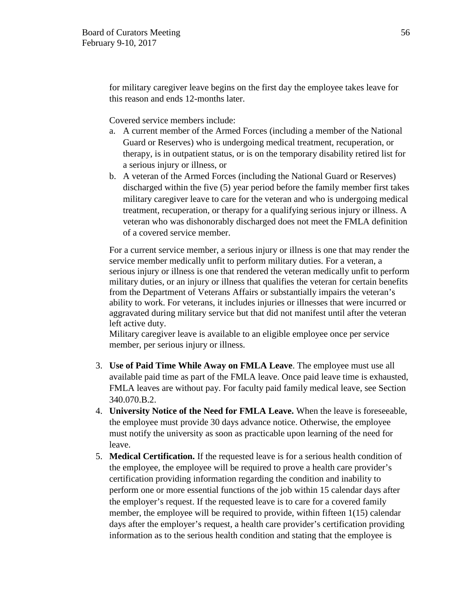for military caregiver leave begins on the first day the employee takes leave for this reason and ends 12-months later.

Covered service members include:

- a. A current member of the Armed Forces (including a member of the National Guard or Reserves) who is undergoing medical treatment, recuperation, or therapy, is in outpatient status, or is on the temporary disability retired list for a serious injury or illness, or
- b. A veteran of the Armed Forces (including the National Guard or Reserves) discharged within the five (5) year period before the family member first takes military caregiver leave to care for the veteran and who is undergoing medical treatment, recuperation, or therapy for a qualifying serious injury or illness. A veteran who was dishonorably discharged does not meet the FMLA definition of a covered service member.

For a current service member, a serious injury or illness is one that may render the service member medically unfit to perform military duties. For a veteran, a serious injury or illness is one that rendered the veteran medically unfit to perform military duties, or an injury or illness that qualifies the veteran for certain benefits from the Department of Veterans Affairs or substantially impairs the veteran's ability to work. For veterans, it includes injuries or illnesses that were incurred or aggravated during military service but that did not manifest until after the veteran left active duty.

Military caregiver leave is available to an eligible employee once per service member, per serious injury or illness.

- 3. **Use of Paid Time While Away on FMLA Leave**. The employee must use all available paid time as part of the FMLA leave. Once paid leave time is exhausted, FMLA leaves are without pay. For faculty paid family medical leave, see Section 340.070.B.2.
- 4. **University Notice of the Need for FMLA Leave.** When the leave is foreseeable, the employee must provide 30 days advance notice. Otherwise, the employee must notify the university as soon as practicable upon learning of the need for leave.
- 5. **Medical Certification.** If the requested leave is for a serious health condition of the employee, the employee will be required to prove a health care provider's certification providing information regarding the condition and inability to perform one or more essential functions of the job within 15 calendar days after the employer's request. If the requested leave is to care for a covered family member, the employee will be required to provide, within fifteen 1(15) calendar days after the employer's request, a health care provider's certification providing information as to the serious health condition and stating that the employee is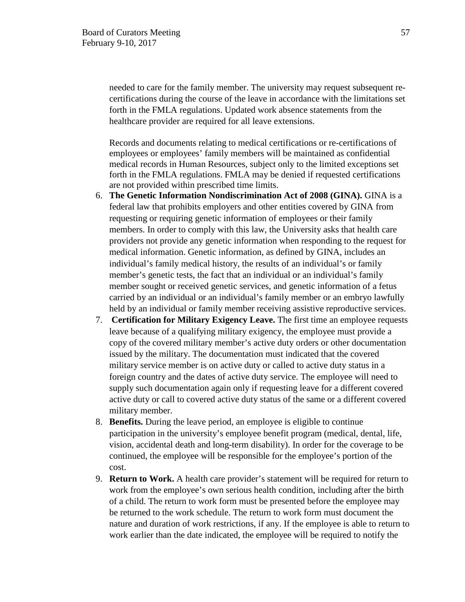needed to care for the family member. The university may request subsequent recertifications during the course of the leave in accordance with the limitations set forth in the FMLA regulations. Updated work absence statements from the healthcare provider are required for all leave extensions.

Records and documents relating to medical certifications or re-certifications of employees or employees' family members will be maintained as confidential medical records in Human Resources, subject only to the limited exceptions set forth in the FMLA regulations. FMLA may be denied if requested certifications are not provided within prescribed time limits.

- 6. **The Genetic Information Nondiscrimination Act of 2008 (GINA).** GINA is a federal law that prohibits employers and other entities covered by GINA from requesting or requiring genetic information of employees or their family members. In order to comply with this law, the University asks that health care providers not provide any genetic information when responding to the request for medical information. Genetic information, as defined by GINA, includes an individual's family medical history, the results of an individual's or family member's genetic tests, the fact that an individual or an individual's family member sought or received genetic services, and genetic information of a fetus carried by an individual or an individual's family member or an embryo lawfully held by an individual or family member receiving assistive reproductive services.
- 7. **Certification for Military Exigency Leave.** The first time an employee requests leave because of a qualifying military exigency, the employee must provide a copy of the covered military member's active duty orders or other documentation issued by the military. The documentation must indicated that the covered military service member is on active duty or called to active duty status in a foreign country and the dates of active duty service. The employee will need to supply such documentation again only if requesting leave for a different covered active duty or call to covered active duty status of the same or a different covered military member.
- 8. **Benefits.** During the leave period, an employee is eligible to continue participation in the university's employee benefit program (medical, dental, life, vision, accidental death and long-term disability). In order for the coverage to be continued, the employee will be responsible for the employee's portion of the cost.
- 9. **Return to Work.** A health care provider's statement will be required for return to work from the employee's own serious health condition, including after the birth of a child. The return to work form must be presented before the employee may be returned to the work schedule. The return to work form must document the nature and duration of work restrictions, if any. If the employee is able to return to work earlier than the date indicated, the employee will be required to notify the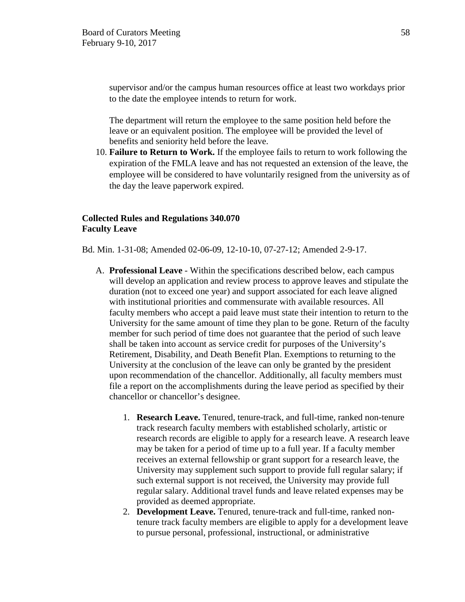supervisor and/or the campus human resources office at least two workdays prior to the date the employee intends to return for work.

The department will return the employee to the same position held before the leave or an equivalent position. The employee will be provided the level of benefits and seniority held before the leave.

10. **Failure to Return to Work.** If the employee fails to return to work following the expiration of the FMLA leave and has not requested an extension of the leave, the employee will be considered to have voluntarily resigned from the university as of the day the leave paperwork expired.

# **Collected Rules and Regulations 340.070 Faculty Leave**

Bd. Min. 1-31-08; Amended 02-06-09, 12-10-10, 07-27-12; Amended 2-9-17.

- A. **Professional Leave**  Within the specifications described below, each campus will develop an application and review process to approve leaves and stipulate the duration (not to exceed one year) and support associated for each leave aligned with institutional priorities and commensurate with available resources. All faculty members who accept a paid leave must state their intention to return to the University for the same amount of time they plan to be gone. Return of the faculty member for such period of time does not guarantee that the period of such leave shall be taken into account as service credit for purposes of the University's Retirement, Disability, and Death Benefit Plan. Exemptions to returning to the University at the conclusion of the leave can only be granted by the president upon recommendation of the chancellor. Additionally, all faculty members must file a report on the accomplishments during the leave period as specified by their chancellor or chancellor's designee.
	- 1. **Research Leave.** Tenured, tenure-track, and full-time, ranked non-tenure track research faculty members with established scholarly, artistic or research records are eligible to apply for a research leave. A research leave may be taken for a period of time up to a full year. If a faculty member receives an external fellowship or grant support for a research leave, the University may supplement such support to provide full regular salary; if such external support is not received, the University may provide full regular salary. Additional travel funds and leave related expenses may be provided as deemed appropriate.
	- 2. **Development Leave.** Tenured, tenure-track and full-time, ranked nontenure track faculty members are eligible to apply for a development leave to pursue personal, professional, instructional, or administrative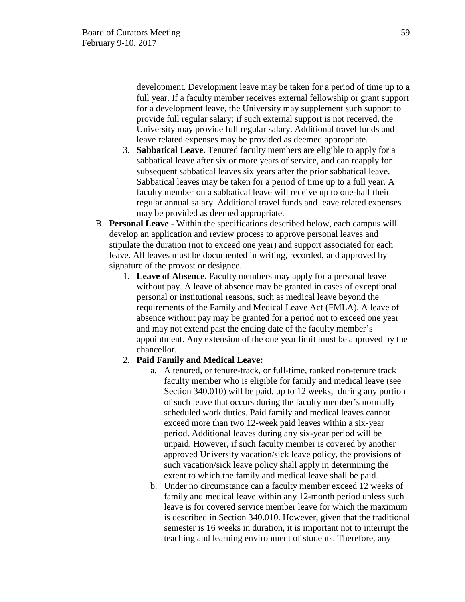development. Development leave may be taken for a period of time up to a full year. If a faculty member receives external fellowship or grant support for a development leave, the University may supplement such support to provide full regular salary; if such external support is not received, the University may provide full regular salary. Additional travel funds and leave related expenses may be provided as deemed appropriate.

- 3. **Sabbatical Leave.** Tenured faculty members are eligible to apply for a sabbatical leave after six or more years of service, and can reapply for subsequent sabbatical leaves six years after the prior sabbatical leave. Sabbatical leaves may be taken for a period of time up to a full year. A faculty member on a sabbatical leave will receive up to one-half their regular annual salary. Additional travel funds and leave related expenses may be provided as deemed appropriate.
- B. **Personal Leave** Within the specifications described below, each campus will develop an application and review process to approve personal leaves and stipulate the duration (not to exceed one year) and support associated for each leave. All leaves must be documented in writing, recorded, and approved by signature of the provost or designee.
	- 1. **Leave of Absence.** Faculty members may apply for a personal leave without pay. A leave of absence may be granted in cases of exceptional personal or institutional reasons, such as medical leave beyond the requirements of the Family and Medical Leave Act (FMLA). A leave of absence without pay may be granted for a period not to exceed one year and may not extend past the ending date of the faculty member's appointment. Any extension of the one year limit must be approved by the chancellor.
	- 2. **Paid Family and Medical Leave:** 
		- a. A tenured, or tenure-track, or full-time, ranked non-tenure track faculty member who is eligible for family and medical leave (see Section 340.010) will be paid, up to 12 weeks, during any portion of such leave that occurs during the faculty member's normally scheduled work duties. Paid family and medical leaves cannot exceed more than two 12-week paid leaves within a six-year period. Additional leaves during any six-year period will be unpaid. However, if such faculty member is covered by another approved University vacation/sick leave policy, the provisions of such vacation/sick leave policy shall apply in determining the extent to which the family and medical leave shall be paid.
		- b. Under no circumstance can a faculty member exceed 12 weeks of family and medical leave within any 12-month period unless such leave is for covered service member leave for which the maximum is described in Section 340.010. However, given that the traditional semester is 16 weeks in duration, it is important not to interrupt the teaching and learning environment of students. Therefore, any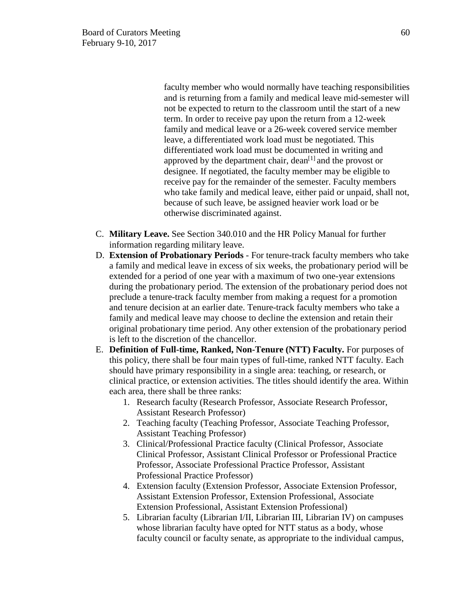faculty member who would normally have teaching responsibilities and is returning from a family and medical leave mid-semester will not be expected to return to the classroom until the start of a new term. In order to receive pay upon the return from a 12-week family and medical leave or a 26-week covered service member leave, a differentiated work load must be negotiated. This differentiated work load must be documented in writing and approved by the department chair, dean<sup>[1]</sup> and the provost or designee. If negotiated, the faculty member may be eligible to receive pay for the remainder of the semester. Faculty members who take family and medical leave, either paid or unpaid, shall not, because of such leave, be assigned heavier work load or be otherwise discriminated against.

- C. **Military Leave.** See Section 340.010 and the HR Policy Manual for further information regarding military leave.
- D. **Extension of Probationary Periods**  For tenure-track faculty members who take a family and medical leave in excess of six weeks, the probationary period will be extended for a period of one year with a maximum of two one-year extensions during the probationary period. The extension of the probationary period does not preclude a tenure-track faculty member from making a request for a promotion and tenure decision at an earlier date. Tenure-track faculty members who take a family and medical leave may choose to decline the extension and retain their original probationary time period. Any other extension of the probationary period is left to the discretion of the chancellor.
- E. **Definition of Full-time, Ranked, Non-Tenure (NTT) Faculty.** For purposes of this policy, there shall be four main types of full-time, ranked NTT faculty. Each should have primary responsibility in a single area: teaching, or research, or clinical practice, or extension activities. The titles should identify the area. Within each area, there shall be three ranks:
	- 1. Research faculty (Research Professor, Associate Research Professor, Assistant Research Professor)
	- 2. Teaching faculty (Teaching Professor, Associate Teaching Professor, Assistant Teaching Professor)
	- 3. Clinical/Professional Practice faculty (Clinical Professor, Associate Clinical Professor, Assistant Clinical Professor or Professional Practice Professor, Associate Professional Practice Professor, Assistant Professional Practice Professor)
	- 4. Extension faculty (Extension Professor, Associate Extension Professor, Assistant Extension Professor, Extension Professional, Associate Extension Professional, Assistant Extension Professional)
	- 5. Librarian faculty (Librarian I/II, Librarian III, Librarian IV) on campuses whose librarian faculty have opted for NTT status as a body, whose faculty council or faculty senate, as appropriate to the individual campus,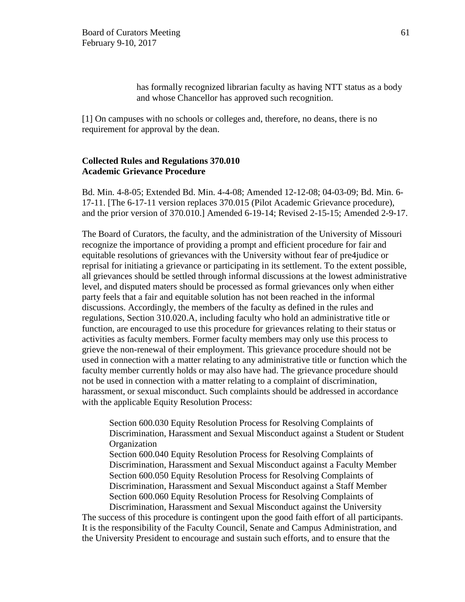has formally recognized librarian faculty as having NTT status as a body and whose Chancellor has approved such recognition.

[1] On campuses with no schools or colleges and, therefore, no deans, there is no requirement for approval by the dean.

### **Collected Rules and Regulations 370.010 Academic Grievance Procedure**

Bd. Min. 4-8-05; Extended Bd. Min. 4-4-08; Amended 12-12-08; 04-03-09; Bd. Min. 6- 17-11. [The 6-17-11 version replaces 370.015 (Pilot Academic Grievance procedure), and the prior version of 370.010.] Amended 6-19-14; Revised 2-15-15; Amended 2-9-17.

The Board of Curators, the faculty, and the administration of the University of Missouri recognize the importance of providing a prompt and efficient procedure for fair and equitable resolutions of grievances with the University without fear of pre4judice or reprisal for initiating a grievance or participating in its settlement. To the extent possible, all grievances should be settled through informal discussions at the lowest administrative level, and disputed maters should be processed as formal grievances only when either party feels that a fair and equitable solution has not been reached in the informal discussions. Accordingly, the members of the faculty as defined in the rules and regulations, Section 310.020.A, including faculty who hold an administrative title or function, are encouraged to use this procedure for grievances relating to their status or activities as faculty members. Former faculty members may only use this process to grieve the non-renewal of their employment. This grievance procedure should not be used in connection with a matter relating to any administrative title or function which the faculty member currently holds or may also have had. The grievance procedure should not be used in connection with a matter relating to a complaint of discrimination, harassment, or sexual misconduct. Such complaints should be addressed in accordance with the applicable Equity Resolution Process:

Section 600.030 Equity Resolution Process for Resolving Complaints of Discrimination, Harassment and Sexual Misconduct against a Student or Student **Organization** Section 600.040 Equity Resolution Process for Resolving Complaints of Discrimination, Harassment and Sexual Misconduct against a Faculty Member Section 600.050 Equity Resolution Process for Resolving Complaints of Discrimination, Harassment and Sexual Misconduct against a Staff Member Section 600.060 Equity Resolution Process for Resolving Complaints of Discrimination, Harassment and Sexual Misconduct against the University

The success of this procedure is contingent upon the good faith effort of all participants. It is the responsibility of the Faculty Council, Senate and Campus Administration, and the University President to encourage and sustain such efforts, and to ensure that the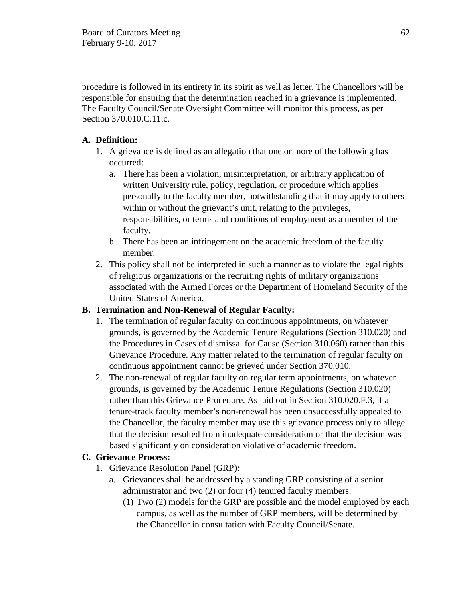procedure is followed in its entirety in its spirit as well as letter. The Chancellors will be responsible for ensuring that the determination reached in a grievance is implemented. The Faculty Council/Senate Oversight Committee will monitor this process, as per Section 370.010.C.11.c.

# **A. Definition:**

- 1. A grievance is defined as an allegation that one or more of the following has occurred:
	- a. There has been a violation, misinterpretation, or arbitrary application of written University rule, policy, regulation, or procedure which applies personally to the faculty member, notwithstanding that it may apply to others within or without the grievant's unit, relating to the privileges, responsibilities, or terms and conditions of employment as a member of the faculty.
	- b. There has been an infringement on the academic freedom of the faculty member.
- 2. This policy shall not be interpreted in such a manner as to violate the legal rights of religious organizations or the recruiting rights of military organizations associated with the Armed Forces or the Department of Homeland Security of the United States of America.

# **B. Termination and Non-Renewal of Regular Faculty:**

- 1. The termination of regular faculty on continuous appointments, on whatever grounds, is governed by the Academic Tenure Regulations (Section 310.020) and the Procedures in Cases of dismissal for Cause (Section 310.060) rather than this Grievance Procedure. Any matter related to the termination of regular faculty on continuous appointment cannot be grieved under Section 370.010.
- 2. The non-renewal of regular faculty on regular term appointments, on whatever grounds, is governed by the Academic Tenure Regulations (Section 310.020) rather than this Grievance Procedure. As laid out in Section 310.020.F.3, if a tenure-track faculty member's non-renewal has been unsuccessfully appealed to the Chancellor, the faculty member may use this grievance process only to allege that the decision resulted from inadequate consideration or that the decision was based significantly on consideration violative of academic freedom.

# **C. Grievance Process:**

- 1. Grievance Resolution Panel (GRP):
	- a. Grievances shall be addressed by a standing GRP consisting of a senior administrator and two (2) or four (4) tenured faculty members:
		- (1) Two (2) models for the GRP are possible and the model employed by each campus, as well as the number of GRP members, will be determined by the Chancellor in consultation with Faculty Council/Senate.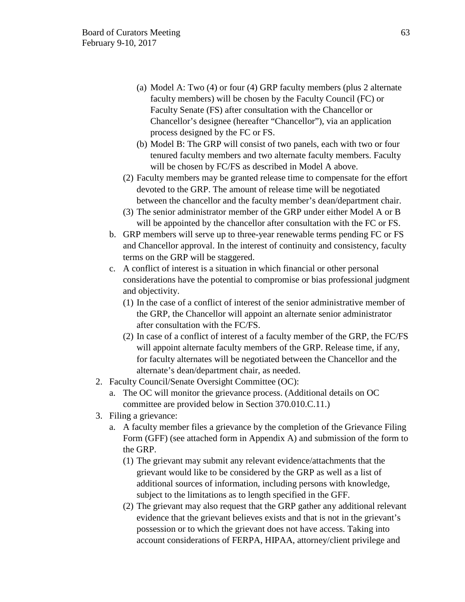- (a) Model A: Two (4) or four (4) GRP faculty members (plus 2 alternate faculty members) will be chosen by the Faculty Council (FC) or Faculty Senate (FS) after consultation with the Chancellor or Chancellor's designee (hereafter "Chancellor"), via an application process designed by the FC or FS.
- (b) Model B: The GRP will consist of two panels, each with two or four tenured faculty members and two alternate faculty members. Faculty will be chosen by FC/FS as described in Model A above.
- (2) Faculty members may be granted release time to compensate for the effort devoted to the GRP. The amount of release time will be negotiated between the chancellor and the faculty member's dean/department chair.
- (3) The senior administrator member of the GRP under either Model A or B will be appointed by the chancellor after consultation with the FC or FS.
- b. GRP members will serve up to three-year renewable terms pending FC or FS and Chancellor approval. In the interest of continuity and consistency, faculty terms on the GRP will be staggered.
- c. A conflict of interest is a situation in which financial or other personal considerations have the potential to compromise or bias professional judgment and objectivity.
	- (1) In the case of a conflict of interest of the senior administrative member of the GRP, the Chancellor will appoint an alternate senior administrator after consultation with the FC/FS.
	- (2) In case of a conflict of interest of a faculty member of the GRP, the FC/FS will appoint alternate faculty members of the GRP. Release time, if any, for faculty alternates will be negotiated between the Chancellor and the alternate's dean/department chair, as needed.
- 2. Faculty Council/Senate Oversight Committee (OC):
	- a. The OC will monitor the grievance process. (Additional details on OC committee are provided below in Section 370.010.C.11.)
- 3. Filing a grievance:
	- a. A faculty member files a grievance by the completion of the Grievance Filing Form (GFF) (see attached form in Appendix A) and submission of the form to the GRP.
		- (1) The grievant may submit any relevant evidence/attachments that the grievant would like to be considered by the GRP as well as a list of additional sources of information, including persons with knowledge, subject to the limitations as to length specified in the GFF.
		- (2) The grievant may also request that the GRP gather any additional relevant evidence that the grievant believes exists and that is not in the grievant's possession or to which the grievant does not have access. Taking into account considerations of FERPA, HIPAA, attorney/client privilege and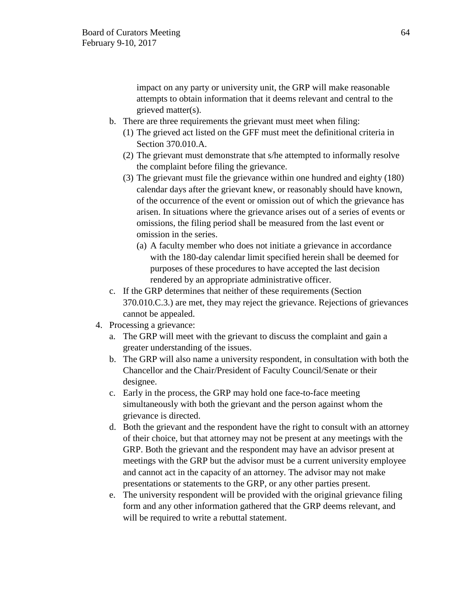impact on any party or university unit, the GRP will make reasonable attempts to obtain information that it deems relevant and central to the grieved matter(s).

- b. There are three requirements the grievant must meet when filing:
	- (1) The grieved act listed on the GFF must meet the definitional criteria in Section 370.010.A.
	- (2) The grievant must demonstrate that s/he attempted to informally resolve the complaint before filing the grievance.
	- (3) The grievant must file the grievance within one hundred and eighty (180) calendar days after the grievant knew, or reasonably should have known, of the occurrence of the event or omission out of which the grievance has arisen. In situations where the grievance arises out of a series of events or omissions, the filing period shall be measured from the last event or omission in the series.
		- (a) A faculty member who does not initiate a grievance in accordance with the 180-day calendar limit specified herein shall be deemed for purposes of these procedures to have accepted the last decision rendered by an appropriate administrative officer.
- c. If the GRP determines that neither of these requirements (Section 370.010.C.3.) are met, they may reject the grievance. Rejections of grievances cannot be appealed.
- 4. Processing a grievance:
	- a. The GRP will meet with the grievant to discuss the complaint and gain a greater understanding of the issues.
	- b. The GRP will also name a university respondent, in consultation with both the Chancellor and the Chair/President of Faculty Council/Senate or their designee.
	- c. Early in the process, the GRP may hold one face-to-face meeting simultaneously with both the grievant and the person against whom the grievance is directed.
	- d. Both the grievant and the respondent have the right to consult with an attorney of their choice, but that attorney may not be present at any meetings with the GRP. Both the grievant and the respondent may have an advisor present at meetings with the GRP but the advisor must be a current university employee and cannot act in the capacity of an attorney. The advisor may not make presentations or statements to the GRP, or any other parties present.
	- e. The university respondent will be provided with the original grievance filing form and any other information gathered that the GRP deems relevant, and will be required to write a rebuttal statement.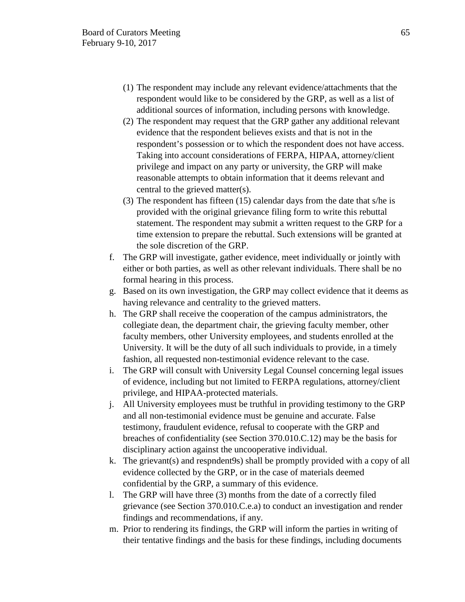- (1) The respondent may include any relevant evidence/attachments that the respondent would like to be considered by the GRP, as well as a list of additional sources of information, including persons with knowledge.
- (2) The respondent may request that the GRP gather any additional relevant evidence that the respondent believes exists and that is not in the respondent's possession or to which the respondent does not have access. Taking into account considerations of FERPA, HIPAA, attorney/client privilege and impact on any party or university, the GRP will make reasonable attempts to obtain information that it deems relevant and central to the grieved matter(s).
- (3) The respondent has fifteen (15) calendar days from the date that s/he is provided with the original grievance filing form to write this rebuttal statement. The respondent may submit a written request to the GRP for a time extension to prepare the rebuttal. Such extensions will be granted at the sole discretion of the GRP.
- f. The GRP will investigate, gather evidence, meet individually or jointly with either or both parties, as well as other relevant individuals. There shall be no formal hearing in this process.
- g. Based on its own investigation, the GRP may collect evidence that it deems as having relevance and centrality to the grieved matters.
- h. The GRP shall receive the cooperation of the campus administrators, the collegiate dean, the department chair, the grieving faculty member, other faculty members, other University employees, and students enrolled at the University. It will be the duty of all such individuals to provide, in a timely fashion, all requested non-testimonial evidence relevant to the case.
- i. The GRP will consult with University Legal Counsel concerning legal issues of evidence, including but not limited to FERPA regulations, attorney/client privilege, and HIPAA-protected materials.
- j. All University employees must be truthful in providing testimony to the GRP and all non-testimonial evidence must be genuine and accurate. False testimony, fraudulent evidence, refusal to cooperate with the GRP and breaches of confidentiality (see Section 370.010.C.12) may be the basis for disciplinary action against the uncooperative individual.
- k. The grievant(s) and respndent9s) shall be promptly provided with a copy of all evidence collected by the GRP, or in the case of materials deemed confidential by the GRP, a summary of this evidence.
- l. The GRP will have three (3) months from the date of a correctly filed grievance (see Section 370.010.C.e.a) to conduct an investigation and render findings and recommendations, if any.
- m. Prior to rendering its findings, the GRP will inform the parties in writing of their tentative findings and the basis for these findings, including documents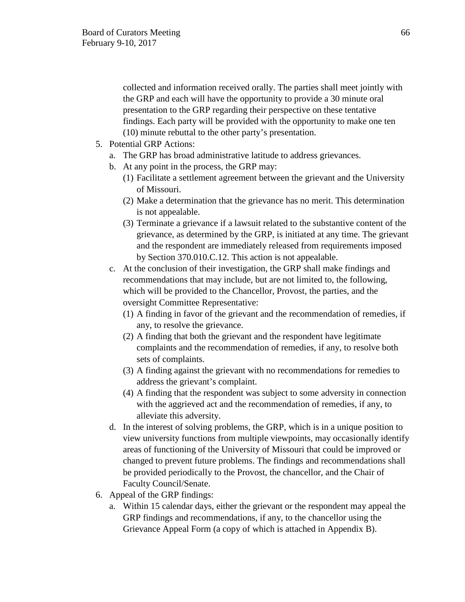collected and information received orally. The parties shall meet jointly with the GRP and each will have the opportunity to provide a 30 minute oral presentation to the GRP regarding their perspective on these tentative findings. Each party will be provided with the opportunity to make one ten (10) minute rebuttal to the other party's presentation.

- 5. Potential GRP Actions:
	- a. The GRP has broad administrative latitude to address grievances.
	- b. At any point in the process, the GRP may:
		- (1) Facilitate a settlement agreement between the grievant and the University of Missouri.
		- (2) Make a determination that the grievance has no merit. This determination is not appealable.
		- (3) Terminate a grievance if a lawsuit related to the substantive content of the grievance, as determined by the GRP, is initiated at any time. The grievant and the respondent are immediately released from requirements imposed by Section 370.010.C.12. This action is not appealable.
	- c. At the conclusion of their investigation, the GRP shall make findings and recommendations that may include, but are not limited to, the following, which will be provided to the Chancellor, Provost, the parties, and the oversight Committee Representative:
		- (1) A finding in favor of the grievant and the recommendation of remedies, if any, to resolve the grievance.
		- (2) A finding that both the grievant and the respondent have legitimate complaints and the recommendation of remedies, if any, to resolve both sets of complaints.
		- (3) A finding against the grievant with no recommendations for remedies to address the grievant's complaint.
		- (4) A finding that the respondent was subject to some adversity in connection with the aggrieved act and the recommendation of remedies, if any, to alleviate this adversity.
	- d. In the interest of solving problems, the GRP, which is in a unique position to view university functions from multiple viewpoints, may occasionally identify areas of functioning of the University of Missouri that could be improved or changed to prevent future problems. The findings and recommendations shall be provided periodically to the Provost, the chancellor, and the Chair of Faculty Council/Senate.
- 6. Appeal of the GRP findings:
	- a. Within 15 calendar days, either the grievant or the respondent may appeal the GRP findings and recommendations, if any, to the chancellor using the Grievance Appeal Form (a copy of which is attached in Appendix B).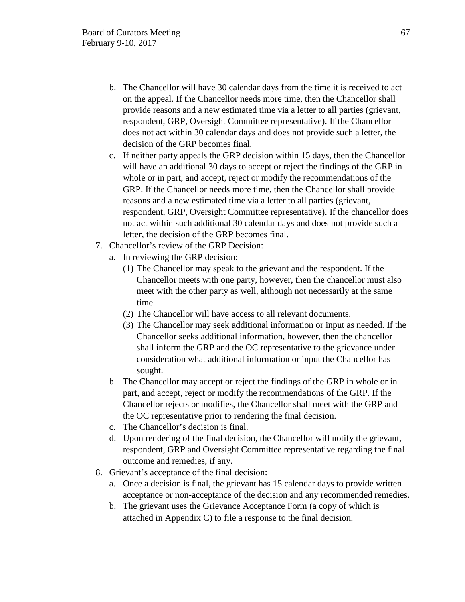- b. The Chancellor will have 30 calendar days from the time it is received to act on the appeal. If the Chancellor needs more time, then the Chancellor shall provide reasons and a new estimated time via a letter to all parties (grievant, respondent, GRP, Oversight Committee representative). If the Chancellor does not act within 30 calendar days and does not provide such a letter, the decision of the GRP becomes final.
- c. If neither party appeals the GRP decision within 15 days, then the Chancellor will have an additional 30 days to accept or reject the findings of the GRP in whole or in part, and accept, reject or modify the recommendations of the GRP. If the Chancellor needs more time, then the Chancellor shall provide reasons and a new estimated time via a letter to all parties (grievant, respondent, GRP, Oversight Committee representative). If the chancellor does not act within such additional 30 calendar days and does not provide such a letter, the decision of the GRP becomes final.
- 7. Chancellor's review of the GRP Decision:
	- a. In reviewing the GRP decision:
		- (1) The Chancellor may speak to the grievant and the respondent. If the Chancellor meets with one party, however, then the chancellor must also meet with the other party as well, although not necessarily at the same time.
		- (2) The Chancellor will have access to all relevant documents.
		- (3) The Chancellor may seek additional information or input as needed. If the Chancellor seeks additional information, however, then the chancellor shall inform the GRP and the OC representative to the grievance under consideration what additional information or input the Chancellor has sought.
	- b. The Chancellor may accept or reject the findings of the GRP in whole or in part, and accept, reject or modify the recommendations of the GRP. If the Chancellor rejects or modifies, the Chancellor shall meet with the GRP and the OC representative prior to rendering the final decision.
	- c. The Chancellor's decision is final.
	- d. Upon rendering of the final decision, the Chancellor will notify the grievant, respondent, GRP and Oversight Committee representative regarding the final outcome and remedies, if any.
- 8. Grievant's acceptance of the final decision:
	- a. Once a decision is final, the grievant has 15 calendar days to provide written acceptance or non-acceptance of the decision and any recommended remedies.
	- b. The grievant uses the Grievance Acceptance Form (a copy of which is attached in Appendix C) to file a response to the final decision.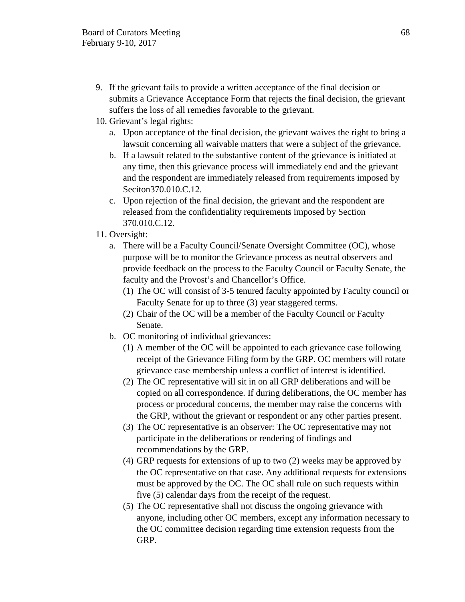- 9. If the grievant fails to provide a written acceptance of the final decision or submits a Grievance Acceptance Form that rejects the final decision, the grievant suffers the loss of all remedies favorable to the grievant.
- 10. Grievant's legal rights:
	- a. Upon acceptance of the final decision, the grievant waives the right to bring a lawsuit concerning all waivable matters that were a subject of the grievance.
	- b. If a lawsuit related to the substantive content of the grievance is initiated at any time, then this grievance process will immediately end and the grievant and the respondent are immediately released from requirements imposed by Seciton370.010.C.12.
	- c. Upon rejection of the final decision, the grievant and the respondent are released from the confidentiality requirements imposed by Section 370.010.C.12.
- 11. Oversight:
	- a. There will be a Faculty Council/Senate Oversight Committee (OC), whose purpose will be to monitor the Grievance process as neutral observers and provide feedback on the process to the Faculty Council or Faculty Senate, the faculty and the Provost's and Chancellor's Office.
		- (1) The OC will consist of 3-5 tenured faculty appointed by Faculty council or Faculty Senate for up to three (3) year staggered terms.
		- (2) Chair of the OC will be a member of the Faculty Council or Faculty Senate.
	- b. OC monitoring of individual grievances:
		- (1) A member of the OC will be appointed to each grievance case following receipt of the Grievance Filing form by the GRP. OC members will rotate grievance case membership unless a conflict of interest is identified.
		- (2) The OC representative will sit in on all GRP deliberations and will be copied on all correspondence. If during deliberations, the OC member has process or procedural concerns, the member may raise the concerns with the GRP, without the grievant or respondent or any other parties present.
		- (3) The OC representative is an observer: The OC representative may not participate in the deliberations or rendering of findings and recommendations by the GRP.
		- (4) GRP requests for extensions of up to two (2) weeks may be approved by the OC representative on that case. Any additional requests for extensions must be approved by the OC. The OC shall rule on such requests within five (5) calendar days from the receipt of the request.
		- (5) The OC representative shall not discuss the ongoing grievance with anyone, including other OC members, except any information necessary to the OC committee decision regarding time extension requests from the GRP.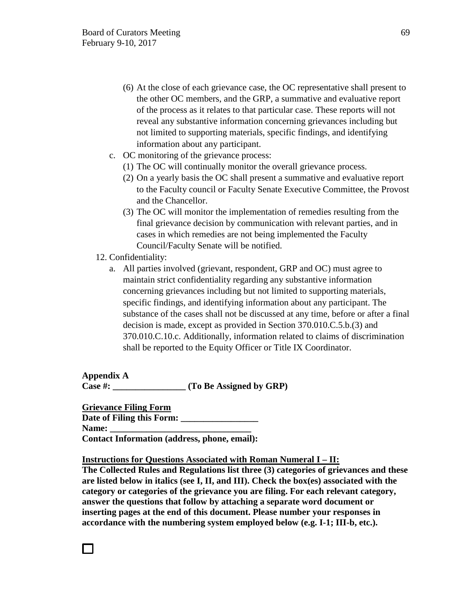- (6) At the close of each grievance case, the OC representative shall present to the other OC members, and the GRP, a summative and evaluative report of the process as it relates to that particular case. These reports will not reveal any substantive information concerning grievances including but not limited to supporting materials, specific findings, and identifying information about any participant.
- c. OC monitoring of the grievance process:
	- (1) The OC will continually monitor the overall grievance process.
	- (2) On a yearly basis the OC shall present a summative and evaluative report to the Faculty council or Faculty Senate Executive Committee, the Provost and the Chancellor.
	- (3) The OC will monitor the implementation of remedies resulting from the final grievance decision by communication with relevant parties, and in cases in which remedies are not being implemented the Faculty Council/Faculty Senate will be notified.
- 12. Confidentiality:

П

a. All parties involved (grievant, respondent, GRP and OC) must agree to maintain strict confidentiality regarding any substantive information concerning grievances including but not limited to supporting materials, specific findings, and identifying information about any participant. The substance of the cases shall not be discussed at any time, before or after a final decision is made, except as provided in Section 370.010.C.5.b.(3) and 370.010.C.10.c. Additionally, information related to claims of discrimination shall be reported to the Equity Officer or Title IX Coordinator.

**Appendix A Case #: \_\_\_\_\_\_\_\_\_\_\_\_\_\_\_\_ (To Be Assigned by GRP)** 

**Grievance Filing Form Date of Filing this Form: \_\_\_\_\_\_\_\_\_\_\_\_\_\_\_\_\_ Name:**  $\blacksquare$ **Contact Information (address, phone, email):** 

**Instructions for Questions Associated with Roman Numeral I – II:**

**The Collected Rules and Regulations list three (3) categories of grievances and these are listed below in italics (see I, II, and III). Check the box(es) associated with the category or categories of the grievance you are filing. For each relevant category, answer the questions that follow by attaching a separate word document or inserting pages at the end of this document. Please number your responses in accordance with the numbering system employed below (e.g. I-1; III-b, etc.).**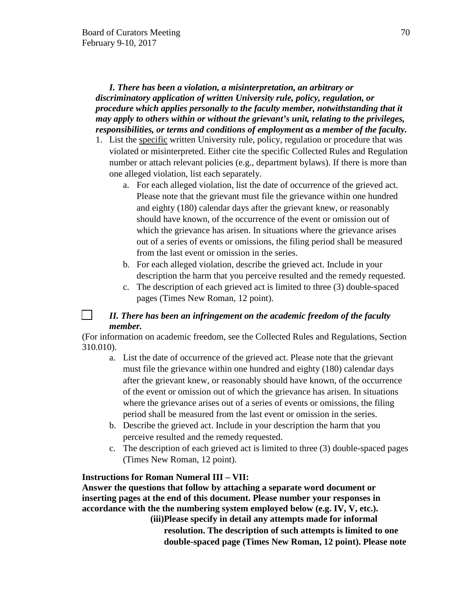# *I. There has been a violation, a misinterpretation, an arbitrary or discriminatory application of written University rule, policy, regulation, or procedure which applies personally to the faculty member, notwithstanding that it may apply to others within or without the grievant's unit, relating to the privileges, responsibilities, or terms and conditions of employment as a member of the faculty.*

- 1. List the specific written University rule, policy, regulation or procedure that was violated or misinterpreted. Either cite the specific Collected Rules and Regulation number or attach relevant policies (e.g., department bylaws). If there is more than one alleged violation, list each separately.
	- a. For each alleged violation, list the date of occurrence of the grieved act. Please note that the grievant must file the grievance within one hundred and eighty (180) calendar days after the grievant knew, or reasonably should have known, of the occurrence of the event or omission out of which the grievance has arisen. In situations where the grievance arises out of a series of events or omissions, the filing period shall be measured from the last event or omission in the series.
	- b. For each alleged violation, describe the grieved act. Include in your description the harm that you perceive resulted and the remedy requested.
	- c. The description of each grieved act is limited to three (3) double-spaced pages (Times New Roman, 12 point).

#### $\Box$ *II. There has been an infringement on the academic freedom of the faculty member.*

(For information on academic freedom, see the Collected Rules and Regulations, Section 310.010).

- a. List the date of occurrence of the grieved act. Please note that the grievant must file the grievance within one hundred and eighty (180) calendar days after the grievant knew, or reasonably should have known, of the occurrence of the event or omission out of which the grievance has arisen. In situations where the grievance arises out of a series of events or omissions, the filing period shall be measured from the last event or omission in the series.
- b. Describe the grieved act. Include in your description the harm that you perceive resulted and the remedy requested.
- c. The description of each grieved act is limited to three (3) double-spaced pages (Times New Roman, 12 point).

# **Instructions for Roman Numeral III – VII:**

**Answer the questions that follow by attaching a separate word document or inserting pages at the end of this document. Please number your responses in accordance with the the numbering system employed below (e.g. IV, V, etc.).** 

**(iii)Please specify in detail any attempts made for informal resolution. The description of such attempts is limited to one double-spaced page (Times New Roman, 12 point). Please note**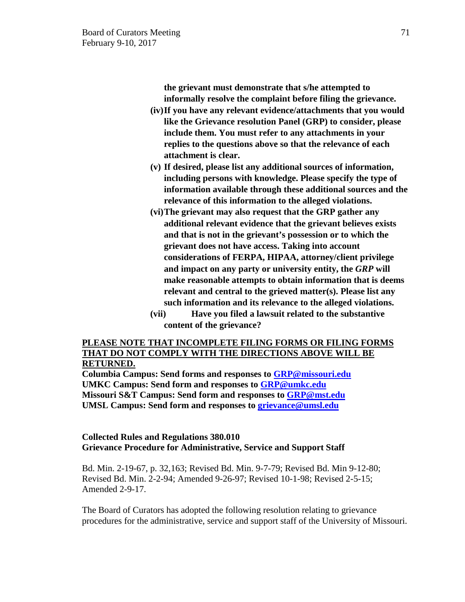**the grievant must demonstrate that s/he attempted to informally resolve the complaint before filing the grievance.**

- **(iv)If you have any relevant evidence/attachments that you would like the Grievance resolution Panel (GRP) to consider, please include them. You must refer to any attachments in your replies to the questions above so that the relevance of each attachment is clear.**
- **(v) If desired, please list any additional sources of information, including persons with knowledge. Please specify the type of information available through these additional sources and the relevance of this information to the alleged violations.**
- **(vi)The grievant may also request that the GRP gather any additional relevant evidence that the grievant believes exists and that is not in the grievant's possession or to which the grievant does not have access. Taking into account considerations of FERPA, HIPAA, attorney/client privilege and impact on any party or university entity, the** *GRP* **will make reasonable attempts to obtain information that is deems relevant and central to the grieved matter(s). Please list any such information and its relevance to the alleged violations.**
- **(vii) Have you filed a lawsuit related to the substantive content of the grievance?**

### **PLEASE NOTE THAT INCOMPLETE FILING FORMS OR FILING FORMS THAT DO NOT COMPLY WITH THE DIRECTIONS ABOVE WILL BE RETURNED.**

**Columbia Campus: Send forms and responses to [GRP@missouri.edu](mailto:GRP@missouri.edu) UMKC Campus: Send form and responses to [GRP@umkc.edu](mailto:GRP@umkc.edu) Missouri S&T Campus: Send form and responses to [GRP@mst.edu](mailto:GRP@mst.edu) UMSL Campus: Send form and responses to [grievance@umsl.edu](mailto:grievance@umsl.edu)** 

# **Collected Rules and Regulations 380.010 Grievance Procedure for Administrative, Service and Support Staff**

Bd. Min. 2-19-67, p. 32,163; Revised Bd. Min. 9-7-79; Revised Bd. Min 9-12-80; Revised Bd. Min. 2-2-94; Amended 9-26-97; Revised 10-1-98; Revised 2-5-15; Amended 2-9-17.

The Board of Curators has adopted the following resolution relating to grievance procedures for the administrative, service and support staff of the University of Missouri.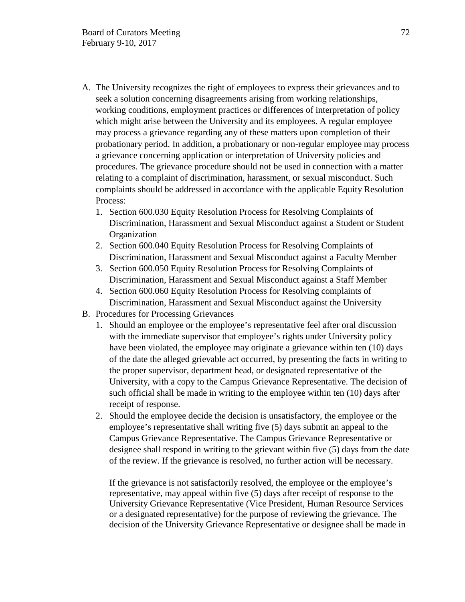- A. The University recognizes the right of employees to express their grievances and to seek a solution concerning disagreements arising from working relationships, working conditions, employment practices or differences of interpretation of policy which might arise between the University and its employees. A regular employee may process a grievance regarding any of these matters upon completion of their probationary period. In addition, a probationary or non-regular employee may process a grievance concerning application or interpretation of University policies and procedures. The grievance procedure should not be used in connection with a matter relating to a complaint of discrimination, harassment, or sexual misconduct. Such complaints should be addressed in accordance with the applicable Equity Resolution Process:
	- 1. Section 600.030 Equity Resolution Process for Resolving Complaints of Discrimination, Harassment and Sexual Misconduct against a Student or Student **Organization**
	- 2. Section 600.040 Equity Resolution Process for Resolving Complaints of Discrimination, Harassment and Sexual Misconduct against a Faculty Member
	- 3. Section 600.050 Equity Resolution Process for Resolving Complaints of Discrimination, Harassment and Sexual Misconduct against a Staff Member
	- 4. Section 600.060 Equity Resolution Process for Resolving complaints of Discrimination, Harassment and Sexual Misconduct against the University
- B. Procedures for Processing Grievances
	- 1. Should an employee or the employee's representative feel after oral discussion with the immediate supervisor that employee's rights under University policy have been violated, the employee may originate a grievance within ten (10) days of the date the alleged grievable act occurred, by presenting the facts in writing to the proper supervisor, department head, or designated representative of the University, with a copy to the Campus Grievance Representative. The decision of such official shall be made in writing to the employee within ten (10) days after receipt of response.
	- 2. Should the employee decide the decision is unsatisfactory, the employee or the employee's representative shall writing five (5) days submit an appeal to the Campus Grievance Representative. The Campus Grievance Representative or designee shall respond in writing to the grievant within five (5) days from the date of the review. If the grievance is resolved, no further action will be necessary.

If the grievance is not satisfactorily resolved, the employee or the employee's representative, may appeal within five (5) days after receipt of response to the University Grievance Representative (Vice President, Human Resource Services or a designated representative) for the purpose of reviewing the grievance. The decision of the University Grievance Representative or designee shall be made in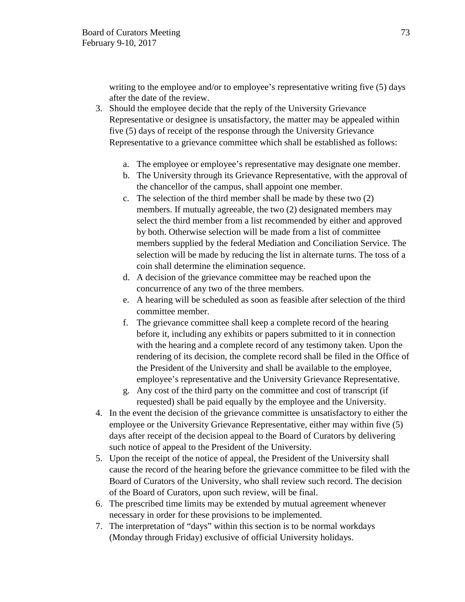writing to the employee and/or to employee's representative writing five (5) days after the date of the review.

- 3. Should the employee decide that the reply of the University Grievance Representative or designee is unsatisfactory, the matter may be appealed within five (5) days of receipt of the response through the University Grievance Representative to a grievance committee which shall be established as follows:
	- a. The employee or employee's representative may designate one member.
	- b. The University through its Grievance Representative, with the approval of the chancellor of the campus, shall appoint one member.
	- c. The selection of the third member shall be made by these two (2) members. If mutually agreeable, the two (2) designated members may select the third member from a list recommended by either and approved by both. Otherwise selection will be made from a list of committee members supplied by the federal Mediation and Conciliation Service. The selection will be made by reducing the list in alternate turns. The toss of a coin shall determine the elimination sequence.
	- d. A decision of the grievance committee may be reached upon the concurrence of any two of the three members.
	- e. A hearing will be scheduled as soon as feasible after selection of the third committee member.
	- f. The grievance committee shall keep a complete record of the hearing before it, including any exhibits or papers submitted to it in connection with the hearing and a complete record of any testimony taken. Upon the rendering of its decision, the complete record shall be filed in the Office of the President of the University and shall be available to the employee, employee's representative and the University Grievance Representative.
	- g. Any cost of the third party on the committee and cost of transcript (if requested) shall be paid equally by the employee and the University.
- 4. In the event the decision of the grievance committee is unsatisfactory to either the employee or the University Grievance Representative, either may within five (5) days after receipt of the decision appeal to the Board of Curators by delivering such notice of appeal to the President of the University.
- 5. Upon the receipt of the notice of appeal, the President of the University shall cause the record of the hearing before the grievance committee to be filed with the Board of Curators of the University, who shall review such record. The decision of the Board of Curators, upon such review, will be final.
- 6. The prescribed time limits may be extended by mutual agreement whenever necessary in order for these provisions to be implemented.
- 7. The interpretation of "days" within this section is to be normal workdays (Monday through Friday) exclusive of official University holidays.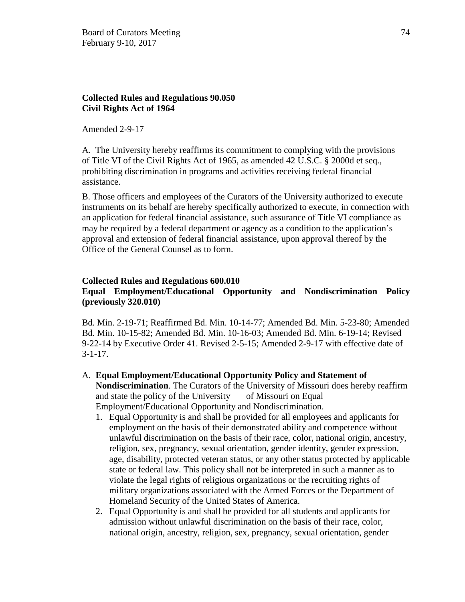# **Collected Rules and Regulations 90.050 Civil Rights Act of 1964**

Amended 2-9-17

A. The University hereby reaffirms its commitment to complying with the provisions of Title VI of the Civil Rights Act of 1965, as amended 42 U.S.C. § 2000d et seq., prohibiting discrimination in programs and activities receiving federal financial assistance.

B. Those officers and employees of the Curators of the University authorized to execute instruments on its behalf are hereby specifically authorized to execute, in connection with an application for federal financial assistance, such assurance of Title VI compliance as may be required by a federal department or agency as a condition to the application's approval and extension of federal financial assistance, upon approval thereof by the Office of the General Counsel as to form.

### **Collected Rules and Regulations 600.010 Equal Employment/Educational Opportunity and Nondiscrimination Policy (previously 320.010)**

Bd. Min. 2-19-71; Reaffirmed Bd. Min. 10-14-77; Amended Bd. Min. 5-23-80; Amended Bd. Min. 10-15-82; Amended Bd. Min. 10-16-03; Amended Bd. Min. 6-19-14; Revised 9-22-14 by Executive Order 41. Revised 2-5-15; Amended 2-9-17 with effective date of  $3 - 1 - 17$ .

- A. **Equal Employment/Educational Opportunity Policy and Statement of Nondiscrimination**. The Curators of the University of Missouri does hereby reaffirm and state the policy of the University of Missouri on Equal Employment/Educational Opportunity and Nondiscrimination.
	- 1. Equal Opportunity is and shall be provided for all employees and applicants for employment on the basis of their demonstrated ability and competence without unlawful discrimination on the basis of their race, color, national origin, ancestry, religion, sex, pregnancy, sexual orientation, gender identity, gender expression, age, disability, protected veteran status, or any other status protected by applicable state or federal law. This policy shall not be interpreted in such a manner as to violate the legal rights of religious organizations or the recruiting rights of military organizations associated with the Armed Forces or the Department of Homeland Security of the United States of America.
	- 2. Equal Opportunity is and shall be provided for all students and applicants for admission without unlawful discrimination on the basis of their race, color, national origin, ancestry, religion, sex, pregnancy, sexual orientation, gender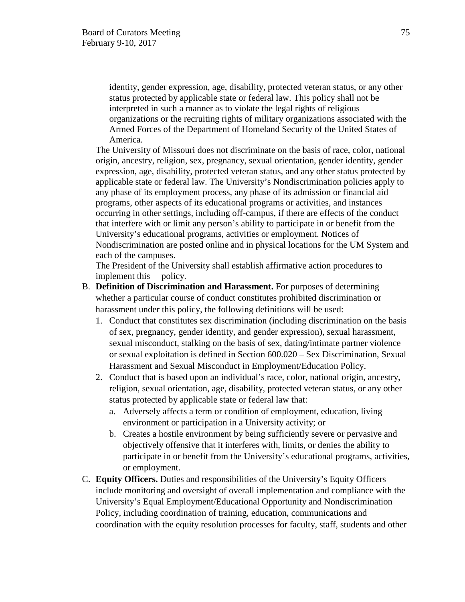identity, gender expression, age, disability, protected veteran status, or any other status protected by applicable state or federal law. This policy shall not be interpreted in such a manner as to violate the legal rights of religious organizations or the recruiting rights of military organizations associated with the Armed Forces of the Department of Homeland Security of the United States of America.

The University of Missouri does not discriminate on the basis of race, color, national origin, ancestry, religion, sex, pregnancy, sexual orientation, gender identity, gender expression, age, disability, protected veteran status, and any other status protected by applicable state or federal law. The University's Nondiscrimination policies apply to any phase of its employment process, any phase of its admission or financial aid programs, other aspects of its educational programs or activities, and instances occurring in other settings, including off-campus, if there are effects of the conduct that interfere with or limit any person's ability to participate in or benefit from the University's educational programs, activities or employment. Notices of Nondiscrimination are posted online and in physical locations for the UM System and each of the campuses.

The President of the University shall establish affirmative action procedures to implement this policy.

- B. **Definition of Discrimination and Harassment.** For purposes of determining whether a particular course of conduct constitutes prohibited discrimination or harassment under this policy, the following definitions will be used:
	- 1. Conduct that constitutes sex discrimination (including discrimination on the basis of sex, pregnancy, gender identity, and gender expression), sexual harassment, sexual misconduct, stalking on the basis of sex, dating/intimate partner violence or sexual exploitation is defined in Section 600.020 – Sex Discrimination, Sexual Harassment and Sexual Misconduct in Employment/Education Policy.
	- 2. Conduct that is based upon an individual's race, color, national origin, ancestry, religion, sexual orientation, age, disability, protected veteran status, or any other status protected by applicable state or federal law that:
		- a. Adversely affects a term or condition of employment, education, living environment or participation in a University activity; or
		- b. Creates a hostile environment by being sufficiently severe or pervasive and objectively offensive that it interferes with, limits, or denies the ability to participate in or benefit from the University's educational programs, activities, or employment.
- C. **Equity Officers.** Duties and responsibilities of the University's Equity Officers include monitoring and oversight of overall implementation and compliance with the University's Equal Employment/Educational Opportunity and Nondiscrimination Policy, including coordination of training, education, communications and coordination with the equity resolution processes for faculty, staff, students and other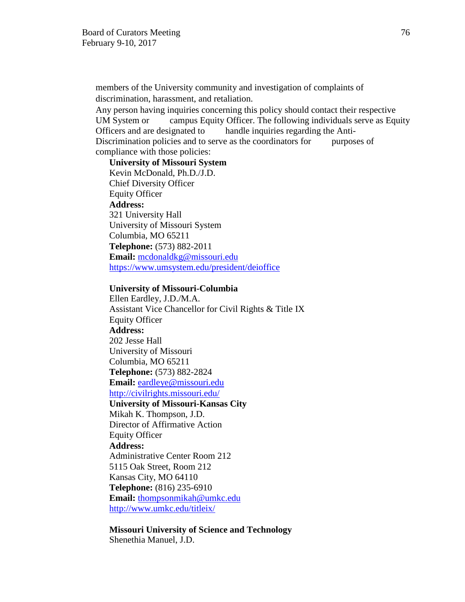members of the University community and investigation of complaints of discrimination, harassment, and retaliation.

Any person having inquiries concerning this policy should contact their respective UM System or campus Equity Officer. The following individuals serve as Equity Officers and are designated to handle inquiries regarding the Anti-Discrimination policies and to serve as the coordinators for purposes of compliance with those policies:

**University of Missouri System**  Kevin McDonald, Ph.D./J.D. Chief Diversity Officer Equity Officer **Address:** 321 University Hall University of Missouri System Columbia, MO 65211 **Telephone:** (573) 882-2011 **Email:** [mcdonaldkg@missouri.edu](mailto:mcdonaldkg@missouri.edu) <https://www.umsystem.edu/president/deioffice>

#### **University of Missouri-Columbia**

Ellen Eardley, J.D./M.A. Assistant Vice Chancellor for Civil Rights & Title IX Equity Officer **Address:** 202 Jesse Hall University of Missouri Columbia, MO 65211 **Telephone:** (573) 882-2824 **Email:** [eardleye@missouri.edu](mailto:eardleye@missouri.edu) <http://civilrights.missouri.edu/> **University of Missouri-Kansas City**  Mikah K. Thompson, J.D. Director of Affirmative Action Equity Officer **Address:** Administrative Center Room 212 5115 Oak Street, Room 212 Kansas City, MO 64110 **Telephone:** (816) 235-6910 **Email:** [thompsonmikah@umkc.edu](mailto:thompsonmikah@umkc.edu) <http://www.umkc.edu/titleix/>

**Missouri University of Science and Technology** Shenethia Manuel, J.D.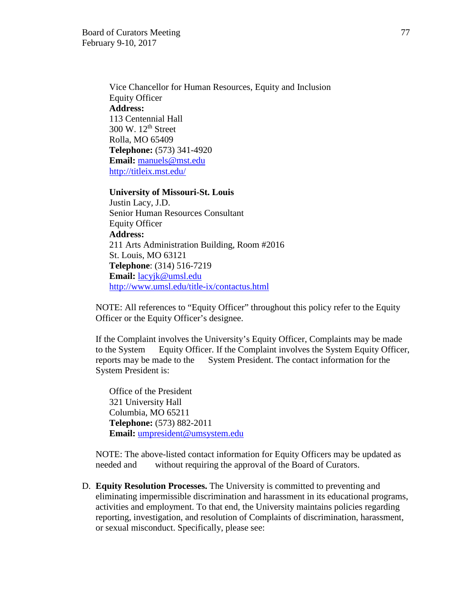Vice Chancellor for Human Resources, Equity and Inclusion Equity Officer **Address:** 113 Centennial Hall  $300 \text{ W}$ .  $12^{\text{th}}$  Street Rolla, MO 65409 **Telephone:** (573) 341-4920 **Email:** [manuels@mst.edu](mailto:manuels@mst.edu) <http://titleix.mst.edu/>

### **University of Missouri-St. Louis**

Justin Lacy, J.D. Senior Human Resources Consultant Equity Officer **Address:** 211 Arts Administration Building, Room #2016 St. Louis, MO 63121 **Telephone**: (314) 516-7219 **Email:** [lacyjk@umsl.edu](mailto:lacyjk@umsl.edu) <http://www.umsl.edu/title-ix/contactus.html>

NOTE: All references to "Equity Officer" throughout this policy refer to the Equity Officer or the Equity Officer's designee.

If the Complaint involves the University's Equity Officer, Complaints may be made to the System Equity Officer. If the Complaint involves the System Equity Officer, reports may be made to the System President. The contact information for the System President is:

Office of the President 321 University Hall Columbia, MO 65211 **Telephone:** (573) 882-2011 **Email:** [umpresident@umsystem.edu](mailto:umpresident@umsystem.edu)

NOTE: The above-listed contact information for Equity Officers may be updated as needed and without requiring the approval of the Board of Curators.

D. **Equity Resolution Processes.** The University is committed to preventing and eliminating impermissible discrimination and harassment in its educational programs, activities and employment. To that end, the University maintains policies regarding reporting, investigation, and resolution of Complaints of discrimination, harassment, or sexual misconduct. Specifically, please see: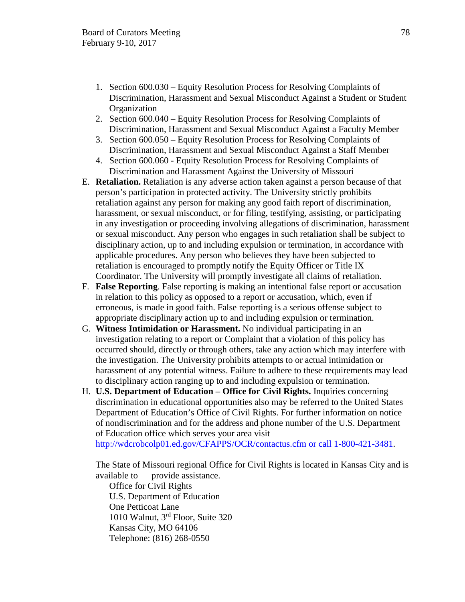- 1. Section 600.030 Equity Resolution Process for Resolving Complaints of Discrimination, Harassment and Sexual Misconduct Against a Student or Student **Organization**
- 2. Section 600.040 Equity Resolution Process for Resolving Complaints of Discrimination, Harassment and Sexual Misconduct Against a Faculty Member
- 3. Section 600.050 Equity Resolution Process for Resolving Complaints of Discrimination, Harassment and Sexual Misconduct Against a Staff Member
- 4. Section 600.060 Equity Resolution Process for Resolving Complaints of Discrimination and Harassment Against the University of Missouri
- E. **Retaliation.** Retaliation is any adverse action taken against a person because of that person's participation in protected activity. The University strictly prohibits retaliation against any person for making any good faith report of discrimination, harassment, or sexual misconduct, or for filing, testifying, assisting, or participating in any investigation or proceeding involving allegations of discrimination, harassment or sexual misconduct. Any person who engages in such retaliation shall be subject to disciplinary action, up to and including expulsion or termination, in accordance with applicable procedures. Any person who believes they have been subjected to retaliation is encouraged to promptly notify the Equity Officer or Title IX Coordinator. The University will promptly investigate all claims of retaliation.
- F. **False Reporting**. False reporting is making an intentional false report or accusation in relation to this policy as opposed to a report or accusation, which, even if erroneous, is made in good faith. False reporting is a serious offense subject to appropriate disciplinary action up to and including expulsion or termination.
- G. **Witness Intimidation or Harassment.** No individual participating in an investigation relating to a report or Complaint that a violation of this policy has occurred should, directly or through others, take any action which may interfere with the investigation. The University prohibits attempts to or actual intimidation or harassment of any potential witness. Failure to adhere to these requirements may lead to disciplinary action ranging up to and including expulsion or termination.
- H. **U.S. Department of Education Office for Civil Rights.** Inquiries concerning discrimination in educational opportunities also may be referred to the United States Department of Education's Office of Civil Rights. For further information on notice of nondiscrimination and for the address and phone number of the U.S. Department of Education office which serves your area visit

[http://wdcrobcolp01.ed.gov/CFAPPS/OCR/contactus.cfm or call 1-800-421-3481.](http://wdcrobcolp01.ed.gov/CFAPPS/OCR/contactus.cfm%20or%20call%201-800-421-3481)

The State of Missouri regional Office for Civil Rights is located in Kansas City and is available to provide assistance.

Office for Civil Rights U.S. Department of Education One Petticoat Lane 1010 Walnut, 3rd Floor, Suite 320 Kansas City, MO 64106 Telephone: (816) 268-0550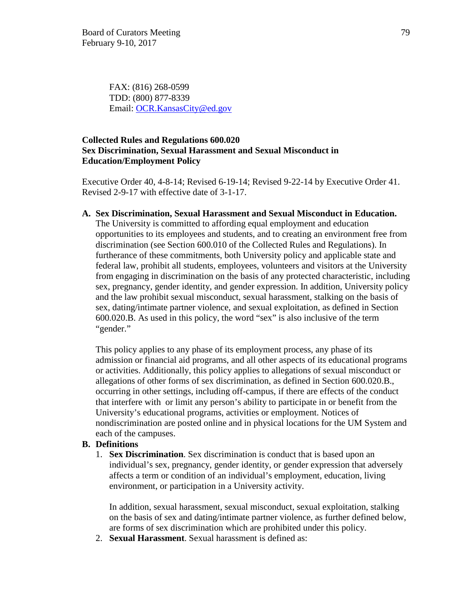FAX: (816) 268-0599 TDD: (800) 877-8339 Email: [OCR.KansasCity@ed.gov](mailto:OCR.KansasCity@ed.gov)

# **Collected Rules and Regulations 600.020 Sex Discrimination, Sexual Harassment and Sexual Misconduct in Education/Employment Policy**

Executive Order 40, 4-8-14; Revised 6-19-14; Revised 9-22-14 by Executive Order 41. Revised 2-9-17 with effective date of 3-1-17.

**A. Sex Discrimination, Sexual Harassment and Sexual Misconduct in Education.** 

The University is committed to affording equal employment and education opportunities to its employees and students, and to creating an environment free from discrimination (see Section 600.010 of the Collected Rules and Regulations). In furtherance of these commitments, both University policy and applicable state and federal law, prohibit all students, employees, volunteers and visitors at the University from engaging in discrimination on the basis of any protected characteristic, including sex, pregnancy, gender identity, and gender expression. In addition, University policy and the law prohibit sexual misconduct, sexual harassment, stalking on the basis of sex, dating/intimate partner violence, and sexual exploitation, as defined in Section 600.020.B. As used in this policy, the word "sex" is also inclusive of the term "gender."

This policy applies to any phase of its employment process, any phase of its admission or financial aid programs, and all other aspects of its educational programs or activities. Additionally, this policy applies to allegations of sexual misconduct or allegations of other forms of sex discrimination, as defined in Section 600.020.B., occurring in other settings, including off-campus, if there are effects of the conduct that interfere with or limit any person's ability to participate in or benefit from the University's educational programs, activities or employment. Notices of nondiscrimination are posted online and in physical locations for the UM System and each of the campuses.

# **B. Definitions**

1. **Sex Discrimination**. Sex discrimination is conduct that is based upon an individual's sex, pregnancy, gender identity, or gender expression that adversely affects a term or condition of an individual's employment, education, living environment, or participation in a University activity.

In addition, sexual harassment, sexual misconduct, sexual exploitation, stalking on the basis of sex and dating/intimate partner violence, as further defined below, are forms of sex discrimination which are prohibited under this policy.

2. **Sexual Harassment**. Sexual harassment is defined as: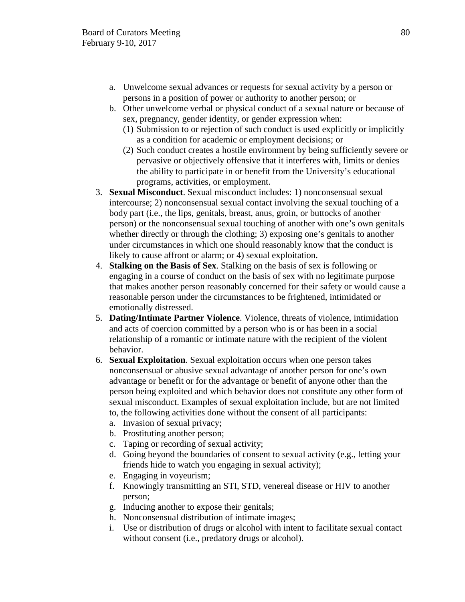- a. Unwelcome sexual advances or requests for sexual activity by a person or persons in a position of power or authority to another person; or
- b. Other unwelcome verbal or physical conduct of a sexual nature or because of sex, pregnancy, gender identity, or gender expression when:
	- (1) Submission to or rejection of such conduct is used explicitly or implicitly as a condition for academic or employment decisions; or
	- (2) Such conduct creates a hostile environment by being sufficiently severe or pervasive or objectively offensive that it interferes with, limits or denies the ability to participate in or benefit from the University's educational programs, activities, or employment.
- 3. **Sexual Misconduct**. Sexual misconduct includes: 1) nonconsensual sexual intercourse; 2) nonconsensual sexual contact involving the sexual touching of a body part (i.e., the lips, genitals, breast, anus, groin, or buttocks of another person) or the nonconsensual sexual touching of another with one's own genitals whether directly or through the clothing; 3) exposing one's genitals to another under circumstances in which one should reasonably know that the conduct is likely to cause affront or alarm; or 4) sexual exploitation.
- 4. **Stalking on the Basis of Sex**. Stalking on the basis of sex is following or engaging in a course of conduct on the basis of sex with no legitimate purpose that makes another person reasonably concerned for their safety or would cause a reasonable person under the circumstances to be frightened, intimidated or emotionally distressed.
- 5. **Dating/Intimate Partner Violence**. Violence, threats of violence, intimidation and acts of coercion committed by a person who is or has been in a social relationship of a romantic or intimate nature with the recipient of the violent behavior.
- 6. **Sexual Exploitation**. Sexual exploitation occurs when one person takes nonconsensual or abusive sexual advantage of another person for one's own advantage or benefit or for the advantage or benefit of anyone other than the person being exploited and which behavior does not constitute any other form of sexual misconduct. Examples of sexual exploitation include, but are not limited to, the following activities done without the consent of all participants:
	- a. Invasion of sexual privacy;
	- b. Prostituting another person;
	- c. Taping or recording of sexual activity;
	- d. Going beyond the boundaries of consent to sexual activity (e.g., letting your friends hide to watch you engaging in sexual activity);
	- e. Engaging in voyeurism;
	- f. Knowingly transmitting an STI, STD, venereal disease or HIV to another person;
	- g. Inducing another to expose their genitals;
	- h. Nonconsensual distribution of intimate images;
	- i. Use or distribution of drugs or alcohol with intent to facilitate sexual contact without consent (i.e., predatory drugs or alcohol).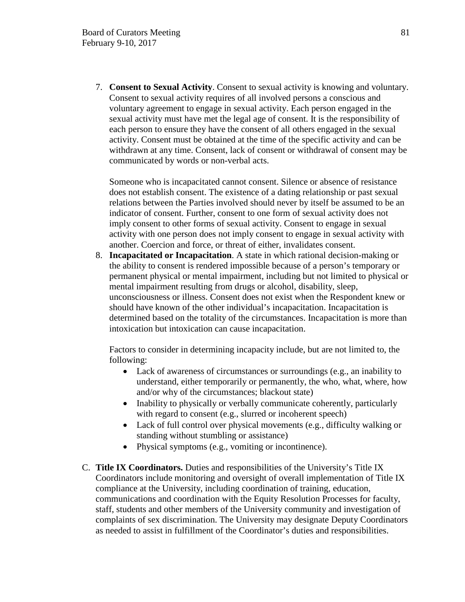7. **Consent to Sexual Activity**. Consent to sexual activity is knowing and voluntary. Consent to sexual activity requires of all involved persons a conscious and voluntary agreement to engage in sexual activity. Each person engaged in the sexual activity must have met the legal age of consent. It is the responsibility of each person to ensure they have the consent of all others engaged in the sexual activity. Consent must be obtained at the time of the specific activity and can be withdrawn at any time. Consent, lack of consent or withdrawal of consent may be communicated by words or non-verbal acts.

Someone who is incapacitated cannot consent. Silence or absence of resistance does not establish consent. The existence of a dating relationship or past sexual relations between the Parties involved should never by itself be assumed to be an indicator of consent. Further, consent to one form of sexual activity does not imply consent to other forms of sexual activity. Consent to engage in sexual activity with one person does not imply consent to engage in sexual activity with another. Coercion and force, or threat of either, invalidates consent.

8. **Incapacitated or Incapacitation**. A state in which rational decision-making or the ability to consent is rendered impossible because of a person's temporary or permanent physical or mental impairment, including but not limited to physical or mental impairment resulting from drugs or alcohol, disability, sleep, unconsciousness or illness. Consent does not exist when the Respondent knew or should have known of the other individual's incapacitation. Incapacitation is determined based on the totality of the circumstances. Incapacitation is more than intoxication but intoxication can cause incapacitation.

Factors to consider in determining incapacity include, but are not limited to, the following:

- Lack of awareness of circumstances or surroundings (e.g., an inability to understand, either temporarily or permanently, the who, what, where, how and/or why of the circumstances; blackout state)
- Inability to physically or verbally communicate coherently, particularly with regard to consent (e.g., slurred or incoherent speech)
- Lack of full control over physical movements (e.g., difficulty walking or standing without stumbling or assistance)
- Physical symptoms (e.g., vomiting or incontinence).
- C. **Title IX Coordinators.** Duties and responsibilities of the University's Title IX Coordinators include monitoring and oversight of overall implementation of Title IX compliance at the University, including coordination of training, education, communications and coordination with the Equity Resolution Processes for faculty, staff, students and other members of the University community and investigation of complaints of sex discrimination. The University may designate Deputy Coordinators as needed to assist in fulfillment of the Coordinator's duties and responsibilities.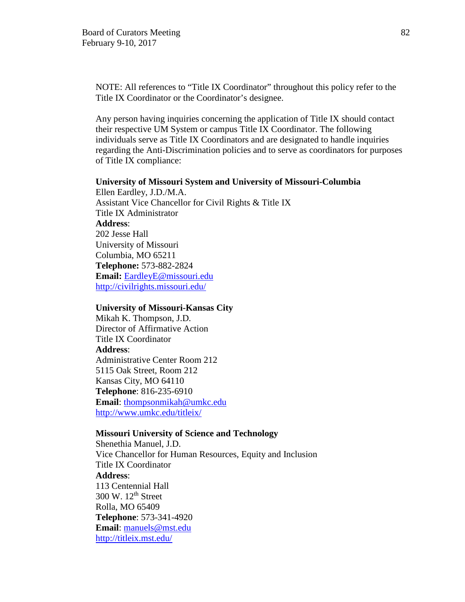NOTE: All references to "Title IX Coordinator" throughout this policy refer to the Title IX Coordinator or the Coordinator's designee.

Any person having inquiries concerning the application of Title IX should contact their respective UM System or campus Title IX Coordinator. The following individuals serve as Title IX Coordinators and are designated to handle inquiries regarding the Anti-Discrimination policies and to serve as coordinators for purposes of Title IX compliance:

### **University of Missouri System and University of Missouri-Columbia**

Ellen Eardley, J.D./M.A. Assistant Vice Chancellor for Civil Rights & Title IX Title IX Administrator **Address**: 202 Jesse Hall University of Missouri Columbia, MO 65211 **Telephone:** 573-882-2824 **Email:** [EardleyE@missouri.edu](mailto:EardleyE@missouri.edu) <http://civilrights.missouri.edu/>

#### **University of Missouri-Kansas City**

Mikah K. Thompson, J.D. Director of Affirmative Action Title IX Coordinator **Address**: Administrative Center Room 212 5115 Oak Street, Room 212 Kansas City, MO 64110 **Telephone**: 816-235-6910 **Email**: [thompsonmikah@umkc.edu](mailto:thompsonmikah@umkc.edu) <http://www.umkc.edu/titleix/>

#### **Missouri University of Science and Technology**

Shenethia Manuel, J.D. Vice Chancellor for Human Resources, Equity and Inclusion Title IX Coordinator **Address**: 113 Centennial Hall  $300 \text{ W}$ .  $12^{\text{th}}$  Street Rolla, MO 65409 **Telephone**: 573-341-4920 **Email**: [manuels@mst.edu](mailto:manuels@mst.edu) <http://titleix.mst.edu/>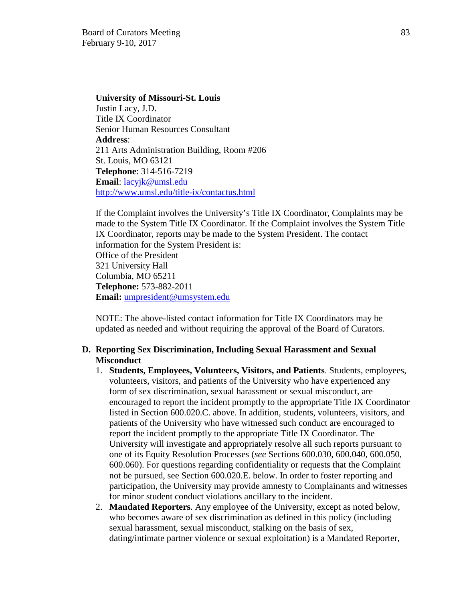**University of Missouri-St. Louis**  Justin Lacy, J.D. Title IX Coordinator Senior Human Resources Consultant **Address**: 211 Arts Administration Building, Room #206 St. Louis, MO 63121 **Telephone**: 314-516-7219 **Email**: [lacyjk@umsl.edu](mailto:lacyjk@umsl.edu) <http://www.umsl.edu/title-ix/contactus.html>

If the Complaint involves the University's Title IX Coordinator, Complaints may be made to the System Title IX Coordinator. If the Complaint involves the System Title IX Coordinator, reports may be made to the System President. The contact information for the System President is: Office of the President 321 University Hall Columbia, MO 65211 **Telephone:** 573-882-2011 **Email:** [umpresident@umsystem.edu](mailto:umpresident@umsystem.edu)

NOTE: The above-listed contact information for Title IX Coordinators may be updated as needed and without requiring the approval of the Board of Curators.

### **D. Reporting Sex Discrimination, Including Sexual Harassment and Sexual Misconduct**

- 1. **Students, Employees, Volunteers, Visitors, and Patients**. Students, employees, volunteers, visitors, and patients of the University who have experienced any form of sex discrimination, sexual harassment or sexual misconduct, are encouraged to report the incident promptly to the appropriate Title IX Coordinator listed in Section 600.020.C. above. In addition, students, volunteers, visitors, and patients of the University who have witnessed such conduct are encouraged to report the incident promptly to the appropriate Title IX Coordinator. The University will investigate and appropriately resolve all such reports pursuant to one of its Equity Resolution Processes (*see* Sections 600.030, 600.040, 600.050, 600.060). For questions regarding confidentiality or requests that the Complaint not be pursued, see Section 600.020.E. below. In order to foster reporting and participation, the University may provide amnesty to Complainants and witnesses for minor student conduct violations ancillary to the incident.
- 2. **Mandated Reporters**. Any employee of the University, except as noted below, who becomes aware of sex discrimination as defined in this policy (including sexual harassment, sexual misconduct, stalking on the basis of sex, dating/intimate partner violence or sexual exploitation) is a Mandated Reporter,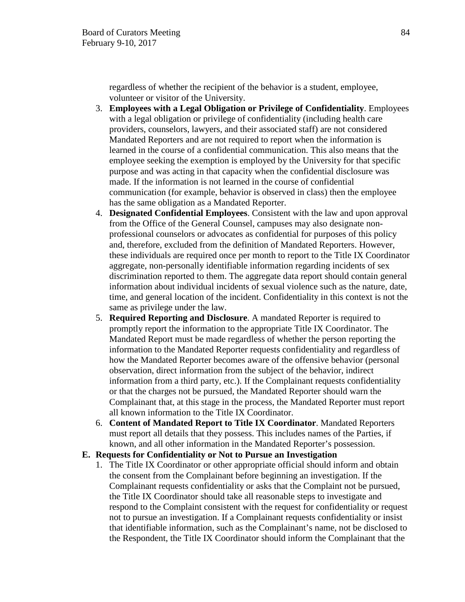regardless of whether the recipient of the behavior is a student, employee, volunteer or visitor of the University.

- 3. **Employees with a Legal Obligation or Privilege of Confidentiality**. Employees with a legal obligation or privilege of confidentiality (including health care providers, counselors, lawyers, and their associated staff) are not considered Mandated Reporters and are not required to report when the information is learned in the course of a confidential communication. This also means that the employee seeking the exemption is employed by the University for that specific purpose and was acting in that capacity when the confidential disclosure was made. If the information is not learned in the course of confidential communication (for example, behavior is observed in class) then the employee has the same obligation as a Mandated Reporter.
- 4. **Designated Confidential Employees**. Consistent with the law and upon approval from the Office of the General Counsel, campuses may also designate nonprofessional counselors or advocates as confidential for purposes of this policy and, therefore, excluded from the definition of Mandated Reporters. However, these individuals are required once per month to report to the Title IX Coordinator aggregate, non-personally identifiable information regarding incidents of sex discrimination reported to them. The aggregate data report should contain general information about individual incidents of sexual violence such as the nature, date, time, and general location of the incident. Confidentiality in this context is not the same as privilege under the law.
- 5. **Required Reporting and Disclosure**. A mandated Reporter is required to promptly report the information to the appropriate Title IX Coordinator. The Mandated Report must be made regardless of whether the person reporting the information to the Mandated Reporter requests confidentiality and regardless of how the Mandated Reporter becomes aware of the offensive behavior (personal observation, direct information from the subject of the behavior, indirect information from a third party, etc.). If the Complainant requests confidentiality or that the charges not be pursued, the Mandated Reporter should warn the Complainant that, at this stage in the process, the Mandated Reporter must report all known information to the Title IX Coordinator.
- 6. **Content of Mandated Report to Title IX Coordinator**. Mandated Reporters must report all details that they possess. This includes names of the Parties, if known, and all other information in the Mandated Reporter's possession.

### **E. Requests for Confidentiality or Not to Pursue an Investigation**

1. The Title IX Coordinator or other appropriate official should inform and obtain the consent from the Complainant before beginning an investigation. If the Complainant requests confidentiality or asks that the Complaint not be pursued, the Title IX Coordinator should take all reasonable steps to investigate and respond to the Complaint consistent with the request for confidentiality or request not to pursue an investigation. If a Complainant requests confidentiality or insist that identifiable information, such as the Complainant's name, not be disclosed to the Respondent, the Title IX Coordinator should inform the Complainant that the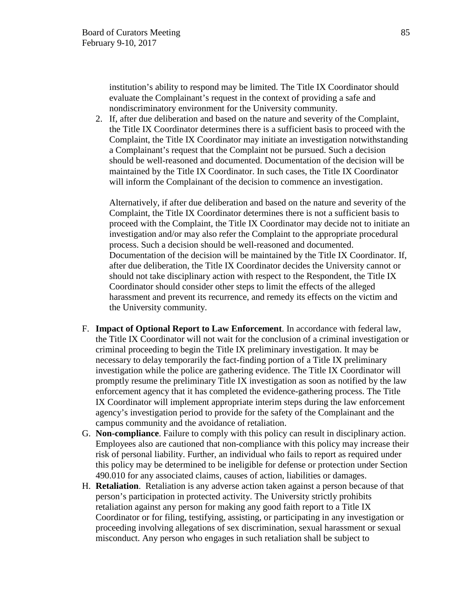institution's ability to respond may be limited. The Title IX Coordinator should evaluate the Complainant's request in the context of providing a safe and nondiscriminatory environment for the University community.

2. If, after due deliberation and based on the nature and severity of the Complaint, the Title IX Coordinator determines there is a sufficient basis to proceed with the Complaint, the Title IX Coordinator may initiate an investigation notwithstanding a Complainant's request that the Complaint not be pursued. Such a decision should be well-reasoned and documented. Documentation of the decision will be maintained by the Title IX Coordinator. In such cases, the Title IX Coordinator will inform the Complainant of the decision to commence an investigation.

Alternatively, if after due deliberation and based on the nature and severity of the Complaint, the Title IX Coordinator determines there is not a sufficient basis to proceed with the Complaint, the Title IX Coordinator may decide not to initiate an investigation and/or may also refer the Complaint to the appropriate procedural process. Such a decision should be well-reasoned and documented. Documentation of the decision will be maintained by the Title IX Coordinator. If, after due deliberation, the Title IX Coordinator decides the University cannot or should not take disciplinary action with respect to the Respondent, the Title IX Coordinator should consider other steps to limit the effects of the alleged harassment and prevent its recurrence, and remedy its effects on the victim and the University community.

- F. **Impact of Optional Report to Law Enforcement**. In accordance with federal law, the Title IX Coordinator will not wait for the conclusion of a criminal investigation or criminal proceeding to begin the Title IX preliminary investigation. It may be necessary to delay temporarily the fact-finding portion of a Title IX preliminary investigation while the police are gathering evidence. The Title IX Coordinator will promptly resume the preliminary Title IX investigation as soon as notified by the law enforcement agency that it has completed the evidence-gathering process. The Title IX Coordinator will implement appropriate interim steps during the law enforcement agency's investigation period to provide for the safety of the Complainant and the campus community and the avoidance of retaliation.
- G. **Non-compliance**. Failure to comply with this policy can result in disciplinary action. Employees also are cautioned that non-compliance with this policy may increase their risk of personal liability. Further, an individual who fails to report as required under this policy may be determined to be ineligible for defense or protection under Section 490.010 for any associated claims, causes of action, liabilities or damages.
- H. **Retaliation**. Retaliation is any adverse action taken against a person because of that person's participation in protected activity. The University strictly prohibits retaliation against any person for making any good faith report to a Title IX Coordinator or for filing, testifying, assisting, or participating in any investigation or proceeding involving allegations of sex discrimination, sexual harassment or sexual misconduct. Any person who engages in such retaliation shall be subject to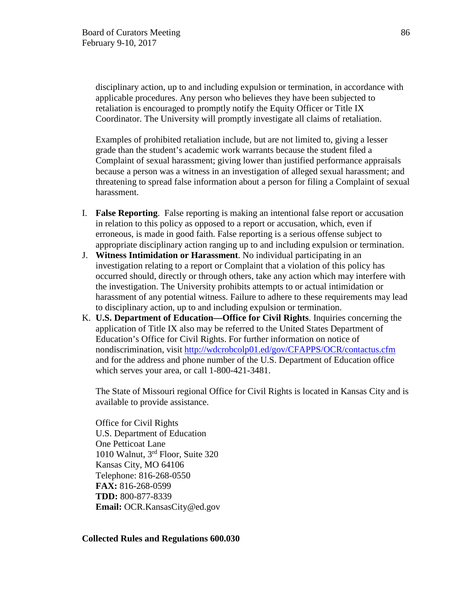disciplinary action, up to and including expulsion or termination, in accordance with applicable procedures. Any person who believes they have been subjected to retaliation is encouraged to promptly notify the Equity Officer or Title IX Coordinator. The University will promptly investigate all claims of retaliation.

Examples of prohibited retaliation include, but are not limited to, giving a lesser grade than the student's academic work warrants because the student filed a Complaint of sexual harassment; giving lower than justified performance appraisals because a person was a witness in an investigation of alleged sexual harassment; and threatening to spread false information about a person for filing a Complaint of sexual harassment.

- I. **False Reporting**. False reporting is making an intentional false report or accusation in relation to this policy as opposed to a report or accusation, which, even if erroneous, is made in good faith. False reporting is a serious offense subject to appropriate disciplinary action ranging up to and including expulsion or termination.
- J. **Witness Intimidation or Harassment**. No individual participating in an investigation relating to a report or Complaint that a violation of this policy has occurred should, directly or through others, take any action which may interfere with the investigation. The University prohibits attempts to or actual intimidation or harassment of any potential witness. Failure to adhere to these requirements may lead to disciplinary action, up to and including expulsion or termination.
- K. **U.S. Department of Education—Office for Civil Rights**. Inquiries concerning the application of Title IX also may be referred to the United States Department of Education's Office for Civil Rights. For further information on notice of nondiscrimination, visit<http://wdcrobcolp01.ed/gov/CFAPPS/OCR/contactus.cfm> and for the address and phone number of the U.S. Department of Education office which serves your area, or call 1-800-421-3481.

The State of Missouri regional Office for Civil Rights is located in Kansas City and is available to provide assistance.

Office for Civil Rights U.S. Department of Education One Petticoat Lane 1010 Walnut, 3rd Floor, Suite 320 Kansas City, MO 64106 Telephone: 816-268-0550 **FAX:** 816-268-0599 **TDD:** 800-877-8339 **Email:** OCR.KansasCity@ed.gov

**Collected Rules and Regulations 600.030**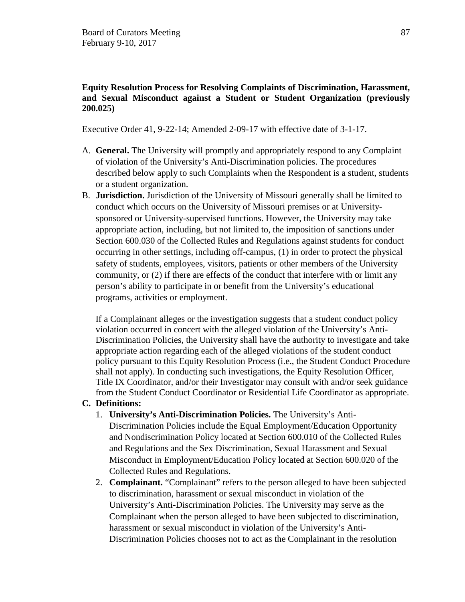# **Equity Resolution Process for Resolving Complaints of Discrimination, Harassment, and Sexual Misconduct against a Student or Student Organization (previously 200.025)**

Executive Order 41, 9-22-14; Amended 2-09-17 with effective date of 3-1-17.

- A. **General.** The University will promptly and appropriately respond to any Complaint of violation of the University's Anti-Discrimination policies. The procedures described below apply to such Complaints when the Respondent is a student, students or a student organization.
- B. **Jurisdiction.** Jurisdiction of the University of Missouri generally shall be limited to conduct which occurs on the University of Missouri premises or at Universitysponsored or University-supervised functions. However, the University may take appropriate action, including, but not limited to, the imposition of sanctions under Section 600.030 of the Collected Rules and Regulations against students for conduct occurring in other settings, including off-campus, (1) in order to protect the physical safety of students, employees, visitors, patients or other members of the University community, or (2) if there are effects of the conduct that interfere with or limit any person's ability to participate in or benefit from the University's educational programs, activities or employment.

If a Complainant alleges or the investigation suggests that a student conduct policy violation occurred in concert with the alleged violation of the University's Anti-Discrimination Policies, the University shall have the authority to investigate and take appropriate action regarding each of the alleged violations of the student conduct policy pursuant to this Equity Resolution Process (i.e., the Student Conduct Procedure shall not apply). In conducting such investigations, the Equity Resolution Officer, Title IX Coordinator, and/or their Investigator may consult with and/or seek guidance from the Student Conduct Coordinator or Residential Life Coordinator as appropriate.

# **C. Definitions:**

- 1. **University's Anti-Discrimination Policies.** The University's Anti-Discrimination Policies include the Equal Employment/Education Opportunity and Nondiscrimination Policy located at Section 600.010 of the Collected Rules and Regulations and the Sex Discrimination, Sexual Harassment and Sexual Misconduct in Employment/Education Policy located at Section 600.020 of the Collected Rules and Regulations.
- 2. **Complainant.** "Complainant" refers to the person alleged to have been subjected to discrimination, harassment or sexual misconduct in violation of the University's Anti-Discrimination Policies. The University may serve as the Complainant when the person alleged to have been subjected to discrimination, harassment or sexual misconduct in violation of the University's Anti-Discrimination Policies chooses not to act as the Complainant in the resolution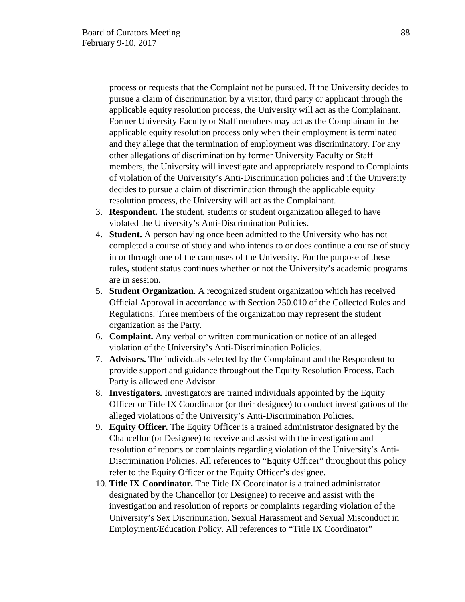process or requests that the Complaint not be pursued. If the University decides to pursue a claim of discrimination by a visitor, third party or applicant through the applicable equity resolution process, the University will act as the Complainant. Former University Faculty or Staff members may act as the Complainant in the applicable equity resolution process only when their employment is terminated and they allege that the termination of employment was discriminatory. For any other allegations of discrimination by former University Faculty or Staff members, the University will investigate and appropriately respond to Complaints of violation of the University's Anti-Discrimination policies and if the University decides to pursue a claim of discrimination through the applicable equity resolution process, the University will act as the Complainant.

- 3. **Respondent.** The student, students or student organization alleged to have violated the University's Anti-Discrimination Policies.
- 4. **Student.** A person having once been admitted to the University who has not completed a course of study and who intends to or does continue a course of study in or through one of the campuses of the University. For the purpose of these rules, student status continues whether or not the University's academic programs are in session.
- 5. **Student Organization**. A recognized student organization which has received Official Approval in accordance with Section 250.010 of the Collected Rules and Regulations. Three members of the organization may represent the student organization as the Party.
- 6. **Complaint.** Any verbal or written communication or notice of an alleged violation of the University's Anti-Discrimination Policies.
- 7. **Advisors.** The individuals selected by the Complainant and the Respondent to provide support and guidance throughout the Equity Resolution Process. Each Party is allowed one Advisor.
- 8. **Investigators.** Investigators are trained individuals appointed by the Equity Officer or Title IX Coordinator (or their designee) to conduct investigations of the alleged violations of the University's Anti-Discrimination Policies.
- 9. **Equity Officer.** The Equity Officer is a trained administrator designated by the Chancellor (or Designee) to receive and assist with the investigation and resolution of reports or complaints regarding violation of the University's Anti-Discrimination Policies. All references to "Equity Officer" throughout this policy refer to the Equity Officer or the Equity Officer's designee.
- 10. **Title IX Coordinator.** The Title IX Coordinator is a trained administrator designated by the Chancellor (or Designee) to receive and assist with the investigation and resolution of reports or complaints regarding violation of the University's Sex Discrimination, Sexual Harassment and Sexual Misconduct in Employment/Education Policy. All references to "Title IX Coordinator"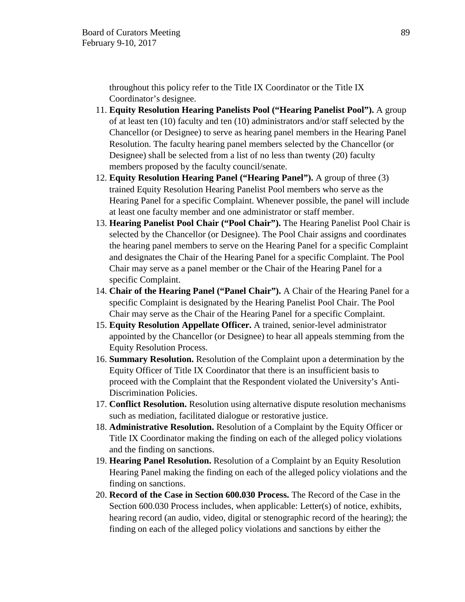throughout this policy refer to the Title IX Coordinator or the Title IX Coordinator's designee.

- 11. **Equity Resolution Hearing Panelists Pool ("Hearing Panelist Pool").** A group of at least ten (10) faculty and ten (10) administrators and/or staff selected by the Chancellor (or Designee) to serve as hearing panel members in the Hearing Panel Resolution. The faculty hearing panel members selected by the Chancellor (or Designee) shall be selected from a list of no less than twenty (20) faculty members proposed by the faculty council/senate.
- 12. **Equity Resolution Hearing Panel ("Hearing Panel").** A group of three (3) trained Equity Resolution Hearing Panelist Pool members who serve as the Hearing Panel for a specific Complaint. Whenever possible, the panel will include at least one faculty member and one administrator or staff member.
- 13. **Hearing Panelist Pool Chair ("Pool Chair").** The Hearing Panelist Pool Chair is selected by the Chancellor (or Designee). The Pool Chair assigns and coordinates the hearing panel members to serve on the Hearing Panel for a specific Complaint and designates the Chair of the Hearing Panel for a specific Complaint. The Pool Chair may serve as a panel member or the Chair of the Hearing Panel for a specific Complaint.
- 14. **Chair of the Hearing Panel ("Panel Chair").** A Chair of the Hearing Panel for a specific Complaint is designated by the Hearing Panelist Pool Chair. The Pool Chair may serve as the Chair of the Hearing Panel for a specific Complaint.
- 15. **Equity Resolution Appellate Officer.** A trained, senior-level administrator appointed by the Chancellor (or Designee) to hear all appeals stemming from the Equity Resolution Process.
- 16. **Summary Resolution.** Resolution of the Complaint upon a determination by the Equity Officer of Title IX Coordinator that there is an insufficient basis to proceed with the Complaint that the Respondent violated the University's Anti-Discrimination Policies.
- 17. **Conflict Resolution.** Resolution using alternative dispute resolution mechanisms such as mediation, facilitated dialogue or restorative justice.
- 18. **Administrative Resolution.** Resolution of a Complaint by the Equity Officer or Title IX Coordinator making the finding on each of the alleged policy violations and the finding on sanctions.
- 19. **Hearing Panel Resolution.** Resolution of a Complaint by an Equity Resolution Hearing Panel making the finding on each of the alleged policy violations and the finding on sanctions.
- 20. **Record of the Case in Section 600.030 Process.** The Record of the Case in the Section 600.030 Process includes, when applicable: Letter(s) of notice, exhibits, hearing record (an audio, video, digital or stenographic record of the hearing); the finding on each of the alleged policy violations and sanctions by either the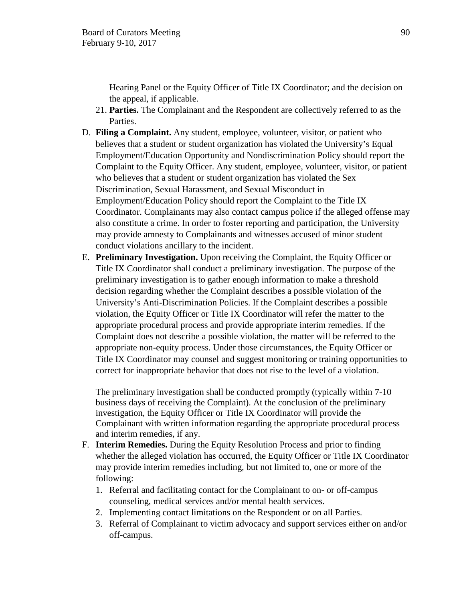Hearing Panel or the Equity Officer of Title IX Coordinator; and the decision on the appeal, if applicable.

- 21. **Parties.** The Complainant and the Respondent are collectively referred to as the Parties.
- D. **Filing a Complaint.** Any student, employee, volunteer, visitor, or patient who believes that a student or student organization has violated the University's Equal Employment/Education Opportunity and Nondiscrimination Policy should report the Complaint to the Equity Officer. Any student, employee, volunteer, visitor, or patient who believes that a student or student organization has violated the Sex Discrimination, Sexual Harassment, and Sexual Misconduct in Employment/Education Policy should report the Complaint to the Title IX Coordinator. Complainants may also contact campus police if the alleged offense may also constitute a crime. In order to foster reporting and participation, the University may provide amnesty to Complainants and witnesses accused of minor student conduct violations ancillary to the incident.
- E. **Preliminary Investigation.** Upon receiving the Complaint, the Equity Officer or Title IX Coordinator shall conduct a preliminary investigation. The purpose of the preliminary investigation is to gather enough information to make a threshold decision regarding whether the Complaint describes a possible violation of the University's Anti-Discrimination Policies. If the Complaint describes a possible violation, the Equity Officer or Title IX Coordinator will refer the matter to the appropriate procedural process and provide appropriate interim remedies. If the Complaint does not describe a possible violation, the matter will be referred to the appropriate non-equity process. Under those circumstances, the Equity Officer or Title IX Coordinator may counsel and suggest monitoring or training opportunities to correct for inappropriate behavior that does not rise to the level of a violation.

The preliminary investigation shall be conducted promptly (typically within 7-10 business days of receiving the Complaint). At the conclusion of the preliminary investigation, the Equity Officer or Title IX Coordinator will provide the Complainant with written information regarding the appropriate procedural process and interim remedies, if any.

- F. **Interim Remedies.** During the Equity Resolution Process and prior to finding whether the alleged violation has occurred, the Equity Officer or Title IX Coordinator may provide interim remedies including, but not limited to, one or more of the following:
	- 1. Referral and facilitating contact for the Complainant to on- or off-campus counseling, medical services and/or mental health services.
	- 2. Implementing contact limitations on the Respondent or on all Parties.
	- 3. Referral of Complainant to victim advocacy and support services either on and/or off-campus.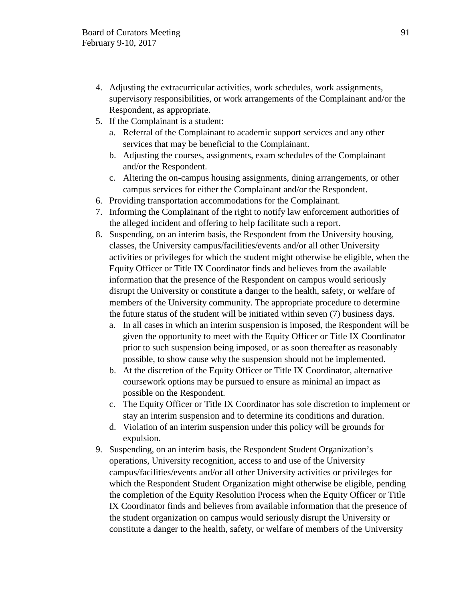- 4. Adjusting the extracurricular activities, work schedules, work assignments, supervisory responsibilities, or work arrangements of the Complainant and/or the Respondent, as appropriate.
- 5. If the Complainant is a student:
	- a. Referral of the Complainant to academic support services and any other services that may be beneficial to the Complainant.
	- b. Adjusting the courses, assignments, exam schedules of the Complainant and/or the Respondent.
	- c. Altering the on-campus housing assignments, dining arrangements, or other campus services for either the Complainant and/or the Respondent.
- 6. Providing transportation accommodations for the Complainant.
- 7. Informing the Complainant of the right to notify law enforcement authorities of the alleged incident and offering to help facilitate such a report.
- 8. Suspending, on an interim basis, the Respondent from the University housing, classes, the University campus/facilities/events and/or all other University activities or privileges for which the student might otherwise be eligible, when the Equity Officer or Title IX Coordinator finds and believes from the available information that the presence of the Respondent on campus would seriously disrupt the University or constitute a danger to the health, safety, or welfare of members of the University community. The appropriate procedure to determine the future status of the student will be initiated within seven (7) business days.
	- a. In all cases in which an interim suspension is imposed, the Respondent will be given the opportunity to meet with the Equity Officer or Title IX Coordinator prior to such suspension being imposed, or as soon thereafter as reasonably possible, to show cause why the suspension should not be implemented.
	- b. At the discretion of the Equity Officer or Title IX Coordinator, alternative coursework options may be pursued to ensure as minimal an impact as possible on the Respondent.
	- c. The Equity Officer or Title IX Coordinator has sole discretion to implement or stay an interim suspension and to determine its conditions and duration.
	- d. Violation of an interim suspension under this policy will be grounds for expulsion.
- 9. Suspending, on an interim basis, the Respondent Student Organization's operations, University recognition, access to and use of the University campus/facilities/events and/or all other University activities or privileges for which the Respondent Student Organization might otherwise be eligible, pending the completion of the Equity Resolution Process when the Equity Officer or Title IX Coordinator finds and believes from available information that the presence of the student organization on campus would seriously disrupt the University or constitute a danger to the health, safety, or welfare of members of the University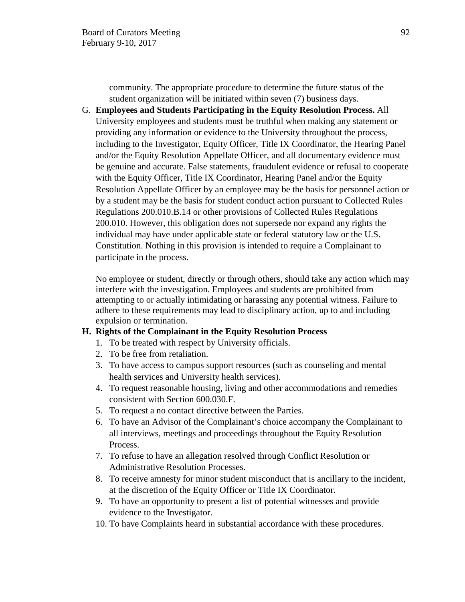community. The appropriate procedure to determine the future status of the student organization will be initiated within seven (7) business days.

G. **Employees and Students Participating in the Equity Resolution Process.** All University employees and students must be truthful when making any statement or providing any information or evidence to the University throughout the process, including to the Investigator, Equity Officer, Title IX Coordinator, the Hearing Panel and/or the Equity Resolution Appellate Officer, and all documentary evidence must be genuine and accurate. False statements, fraudulent evidence or refusal to cooperate with the Equity Officer, Title IX Coordinator, Hearing Panel and/or the Equity Resolution Appellate Officer by an employee may be the basis for personnel action or by a student may be the basis for student conduct action pursuant to Collected Rules Regulations 200.010.B.14 or other provisions of Collected Rules Regulations 200.010. However, this obligation does not supersede nor expand any rights the individual may have under applicable state or federal statutory law or the U.S. Constitution. Nothing in this provision is intended to require a Complainant to participate in the process.

No employee or student, directly or through others, should take any action which may interfere with the investigation. Employees and students are prohibited from attempting to or actually intimidating or harassing any potential witness. Failure to adhere to these requirements may lead to disciplinary action, up to and including expulsion or termination.

### **H. Rights of the Complainant in the Equity Resolution Process**

- 1. To be treated with respect by University officials.
- 2. To be free from retaliation.
- 3. To have access to campus support resources (such as counseling and mental health services and University health services).
- 4. To request reasonable housing, living and other accommodations and remedies consistent with Section 600.030.F.
- 5. To request a no contact directive between the Parties.
- 6. To have an Advisor of the Complainant's choice accompany the Complainant to all interviews, meetings and proceedings throughout the Equity Resolution Process.
- 7. To refuse to have an allegation resolved through Conflict Resolution or Administrative Resolution Processes.
- 8. To receive amnesty for minor student misconduct that is ancillary to the incident, at the discretion of the Equity Officer or Title IX Coordinator.
- 9. To have an opportunity to present a list of potential witnesses and provide evidence to the Investigator.
- 10. To have Complaints heard in substantial accordance with these procedures.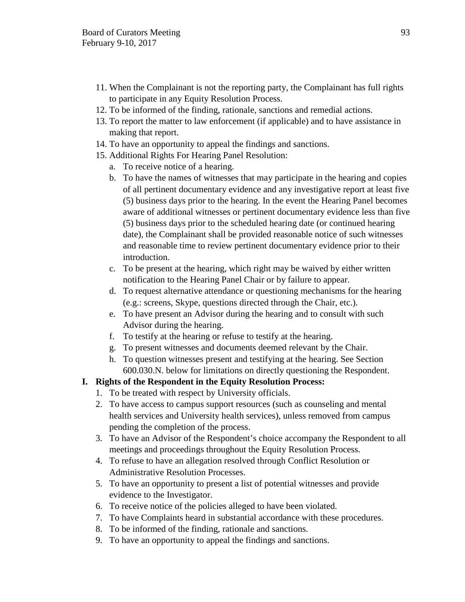- 11. When the Complainant is not the reporting party, the Complainant has full rights to participate in any Equity Resolution Process.
- 12. To be informed of the finding, rationale, sanctions and remedial actions.
- 13. To report the matter to law enforcement (if applicable) and to have assistance in making that report.
- 14. To have an opportunity to appeal the findings and sanctions.
- 15. Additional Rights For Hearing Panel Resolution:
	- a. To receive notice of a hearing.
	- b. To have the names of witnesses that may participate in the hearing and copies of all pertinent documentary evidence and any investigative report at least five (5) business days prior to the hearing. In the event the Hearing Panel becomes aware of additional witnesses or pertinent documentary evidence less than five (5) business days prior to the scheduled hearing date (or continued hearing date), the Complainant shall be provided reasonable notice of such witnesses and reasonable time to review pertinent documentary evidence prior to their introduction.
	- c. To be present at the hearing, which right may be waived by either written notification to the Hearing Panel Chair or by failure to appear.
	- d. To request alternative attendance or questioning mechanisms for the hearing (e.g.: screens, Skype, questions directed through the Chair, etc.).
	- e. To have present an Advisor during the hearing and to consult with such Advisor during the hearing.
	- f. To testify at the hearing or refuse to testify at the hearing.
	- g. To present witnesses and documents deemed relevant by the Chair.
	- h. To question witnesses present and testifying at the hearing. See Section 600.030.N. below for limitations on directly questioning the Respondent.

# **I. Rights of the Respondent in the Equity Resolution Process:**

- 1. To be treated with respect by University officials.
- 2. To have access to campus support resources (such as counseling and mental health services and University health services), unless removed from campus pending the completion of the process.
- 3. To have an Advisor of the Respondent's choice accompany the Respondent to all meetings and proceedings throughout the Equity Resolution Process.
- 4. To refuse to have an allegation resolved through Conflict Resolution or Administrative Resolution Processes.
- 5. To have an opportunity to present a list of potential witnesses and provide evidence to the Investigator.
- 6. To receive notice of the policies alleged to have been violated.
- 7. To have Complaints heard in substantial accordance with these procedures.
- 8. To be informed of the finding, rationale and sanctions.
- 9. To have an opportunity to appeal the findings and sanctions.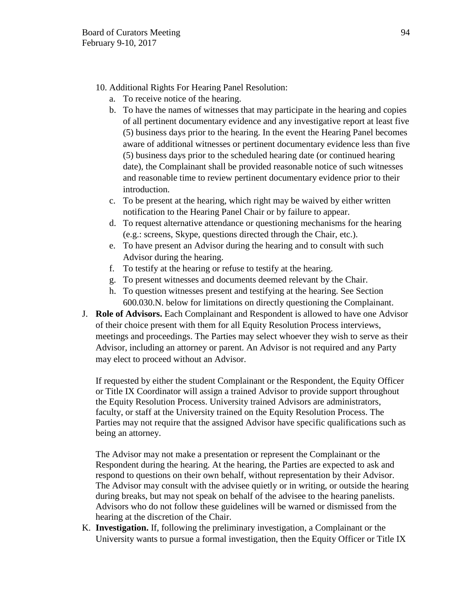- 10. Additional Rights For Hearing Panel Resolution:
	- a. To receive notice of the hearing.
	- b. To have the names of witnesses that may participate in the hearing and copies of all pertinent documentary evidence and any investigative report at least five (5) business days prior to the hearing. In the event the Hearing Panel becomes aware of additional witnesses or pertinent documentary evidence less than five (5) business days prior to the scheduled hearing date (or continued hearing date), the Complainant shall be provided reasonable notice of such witnesses and reasonable time to review pertinent documentary evidence prior to their introduction.
	- c. To be present at the hearing, which right may be waived by either written notification to the Hearing Panel Chair or by failure to appear.
	- d. To request alternative attendance or questioning mechanisms for the hearing (e.g.: screens, Skype, questions directed through the Chair, etc.).
	- e. To have present an Advisor during the hearing and to consult with such Advisor during the hearing.
	- f. To testify at the hearing or refuse to testify at the hearing.
	- g. To present witnesses and documents deemed relevant by the Chair.
	- h. To question witnesses present and testifying at the hearing. See Section 600.030.N. below for limitations on directly questioning the Complainant.
- J. **Role of Advisors.** Each Complainant and Respondent is allowed to have one Advisor of their choice present with them for all Equity Resolution Process interviews, meetings and proceedings. The Parties may select whoever they wish to serve as their Advisor, including an attorney or parent. An Advisor is not required and any Party may elect to proceed without an Advisor.

If requested by either the student Complainant or the Respondent, the Equity Officer or Title IX Coordinator will assign a trained Advisor to provide support throughout the Equity Resolution Process. University trained Advisors are administrators, faculty, or staff at the University trained on the Equity Resolution Process. The Parties may not require that the assigned Advisor have specific qualifications such as being an attorney.

The Advisor may not make a presentation or represent the Complainant or the Respondent during the hearing. At the hearing, the Parties are expected to ask and respond to questions on their own behalf, without representation by their Advisor. The Advisor may consult with the advisee quietly or in writing, or outside the hearing during breaks, but may not speak on behalf of the advisee to the hearing panelists. Advisors who do not follow these guidelines will be warned or dismissed from the hearing at the discretion of the Chair.

K. **Investigation.** If, following the preliminary investigation, a Complainant or the University wants to pursue a formal investigation, then the Equity Officer or Title IX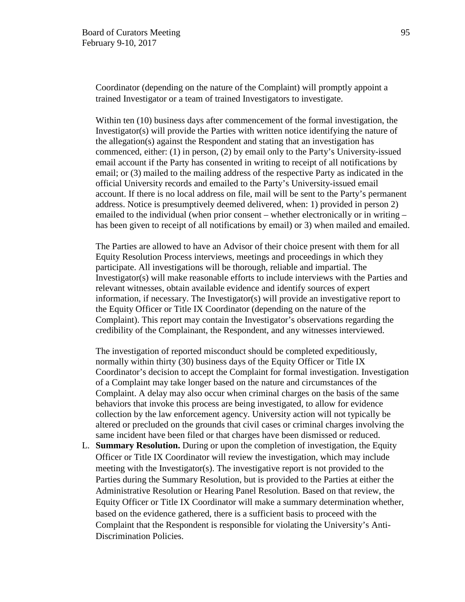Coordinator (depending on the nature of the Complaint) will promptly appoint a trained Investigator or a team of trained Investigators to investigate.

Within ten (10) business days after commencement of the formal investigation, the Investigator(s) will provide the Parties with written notice identifying the nature of the allegation(s) against the Respondent and stating that an investigation has commenced, either: (1) in person, (2) by email only to the Party's University-issued email account if the Party has consented in writing to receipt of all notifications by email; or (3) mailed to the mailing address of the respective Party as indicated in the official University records and emailed to the Party's University-issued email account. If there is no local address on file, mail will be sent to the Party's permanent address. Notice is presumptively deemed delivered, when: 1) provided in person 2) emailed to the individual (when prior consent – whether electronically or in writing – has been given to receipt of all notifications by email) or 3) when mailed and emailed.

The Parties are allowed to have an Advisor of their choice present with them for all Equity Resolution Process interviews, meetings and proceedings in which they participate. All investigations will be thorough, reliable and impartial. The Investigator(s) will make reasonable efforts to include interviews with the Parties and relevant witnesses, obtain available evidence and identify sources of expert information, if necessary. The Investigator(s) will provide an investigative report to the Equity Officer or Title IX Coordinator (depending on the nature of the Complaint). This report may contain the Investigator's observations regarding the credibility of the Complainant, the Respondent, and any witnesses interviewed.

The investigation of reported misconduct should be completed expeditiously, normally within thirty (30) business days of the Equity Officer or Title IX Coordinator's decision to accept the Complaint for formal investigation. Investigation of a Complaint may take longer based on the nature and circumstances of the Complaint. A delay may also occur when criminal charges on the basis of the same behaviors that invoke this process are being investigated, to allow for evidence collection by the law enforcement agency. University action will not typically be altered or precluded on the grounds that civil cases or criminal charges involving the same incident have been filed or that charges have been dismissed or reduced.

L. **Summary Resolution.** During or upon the completion of investigation, the Equity Officer or Title IX Coordinator will review the investigation, which may include meeting with the Investigator(s). The investigative report is not provided to the Parties during the Summary Resolution, but is provided to the Parties at either the Administrative Resolution or Hearing Panel Resolution. Based on that review, the Equity Officer or Title IX Coordinator will make a summary determination whether, based on the evidence gathered, there is a sufficient basis to proceed with the Complaint that the Respondent is responsible for violating the University's Anti-Discrimination Policies.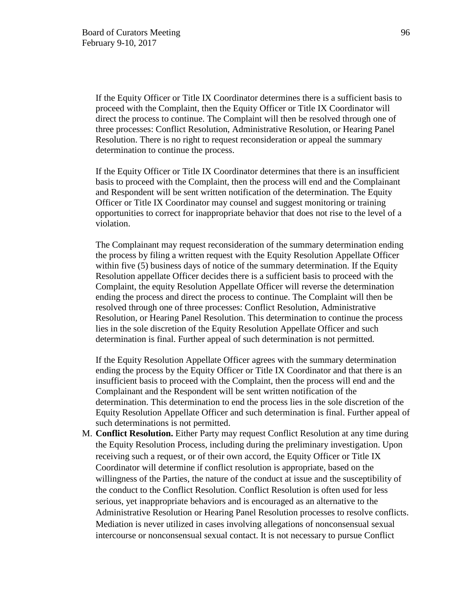If the Equity Officer or Title IX Coordinator determines there is a sufficient basis to proceed with the Complaint, then the Equity Officer or Title IX Coordinator will direct the process to continue. The Complaint will then be resolved through one of three processes: Conflict Resolution, Administrative Resolution, or Hearing Panel Resolution. There is no right to request reconsideration or appeal the summary determination to continue the process.

If the Equity Officer or Title IX Coordinator determines that there is an insufficient basis to proceed with the Complaint, then the process will end and the Complainant and Respondent will be sent written notification of the determination. The Equity Officer or Title IX Coordinator may counsel and suggest monitoring or training opportunities to correct for inappropriate behavior that does not rise to the level of a violation.

The Complainant may request reconsideration of the summary determination ending the process by filing a written request with the Equity Resolution Appellate Officer within five (5) business days of notice of the summary determination. If the Equity Resolution appellate Officer decides there is a sufficient basis to proceed with the Complaint, the equity Resolution Appellate Officer will reverse the determination ending the process and direct the process to continue. The Complaint will then be resolved through one of three processes: Conflict Resolution, Administrative Resolution, or Hearing Panel Resolution. This determination to continue the process lies in the sole discretion of the Equity Resolution Appellate Officer and such determination is final. Further appeal of such determination is not permitted.

If the Equity Resolution Appellate Officer agrees with the summary determination ending the process by the Equity Officer or Title IX Coordinator and that there is an insufficient basis to proceed with the Complaint, then the process will end and the Complainant and the Respondent will be sent written notification of the determination. This determination to end the process lies in the sole discretion of the Equity Resolution Appellate Officer and such determination is final. Further appeal of such determinations is not permitted.

M. **Conflict Resolution.** Either Party may request Conflict Resolution at any time during the Equity Resolution Process, including during the preliminary investigation. Upon receiving such a request, or of their own accord, the Equity Officer or Title IX Coordinator will determine if conflict resolution is appropriate, based on the willingness of the Parties, the nature of the conduct at issue and the susceptibility of the conduct to the Conflict Resolution. Conflict Resolution is often used for less serious, yet inappropriate behaviors and is encouraged as an alternative to the Administrative Resolution or Hearing Panel Resolution processes to resolve conflicts. Mediation is never utilized in cases involving allegations of nonconsensual sexual intercourse or nonconsensual sexual contact. It is not necessary to pursue Conflict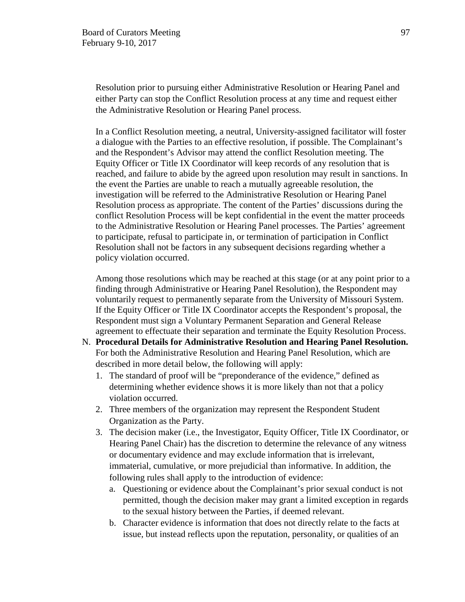Resolution prior to pursuing either Administrative Resolution or Hearing Panel and either Party can stop the Conflict Resolution process at any time and request either the Administrative Resolution or Hearing Panel process.

In a Conflict Resolution meeting, a neutral, University-assigned facilitator will foster a dialogue with the Parties to an effective resolution, if possible. The Complainant's and the Respondent's Advisor may attend the conflict Resolution meeting. The Equity Officer or Title IX Coordinator will keep records of any resolution that is reached, and failure to abide by the agreed upon resolution may result in sanctions. In the event the Parties are unable to reach a mutually agreeable resolution, the investigation will be referred to the Administrative Resolution or Hearing Panel Resolution process as appropriate. The content of the Parties' discussions during the conflict Resolution Process will be kept confidential in the event the matter proceeds to the Administrative Resolution or Hearing Panel processes. The Parties' agreement to participate, refusal to participate in, or termination of participation in Conflict Resolution shall not be factors in any subsequent decisions regarding whether a policy violation occurred.

Among those resolutions which may be reached at this stage (or at any point prior to a finding through Administrative or Hearing Panel Resolution), the Respondent may voluntarily request to permanently separate from the University of Missouri System. If the Equity Officer or Title IX Coordinator accepts the Respondent's proposal, the Respondent must sign a Voluntary Permanent Separation and General Release agreement to effectuate their separation and terminate the Equity Resolution Process.

- N. **Procedural Details for Administrative Resolution and Hearing Panel Resolution.**  For both the Administrative Resolution and Hearing Panel Resolution, which are described in more detail below, the following will apply:
	- 1. The standard of proof will be "preponderance of the evidence," defined as determining whether evidence shows it is more likely than not that a policy violation occurred.
	- 2. Three members of the organization may represent the Respondent Student Organization as the Party.
	- 3. The decision maker (i.e., the Investigator, Equity Officer, Title IX Coordinator, or Hearing Panel Chair) has the discretion to determine the relevance of any witness or documentary evidence and may exclude information that is irrelevant, immaterial, cumulative, or more prejudicial than informative. In addition, the following rules shall apply to the introduction of evidence:
		- a. Questioning or evidence about the Complainant's prior sexual conduct is not permitted, though the decision maker may grant a limited exception in regards to the sexual history between the Parties, if deemed relevant.
		- b. Character evidence is information that does not directly relate to the facts at issue, but instead reflects upon the reputation, personality, or qualities of an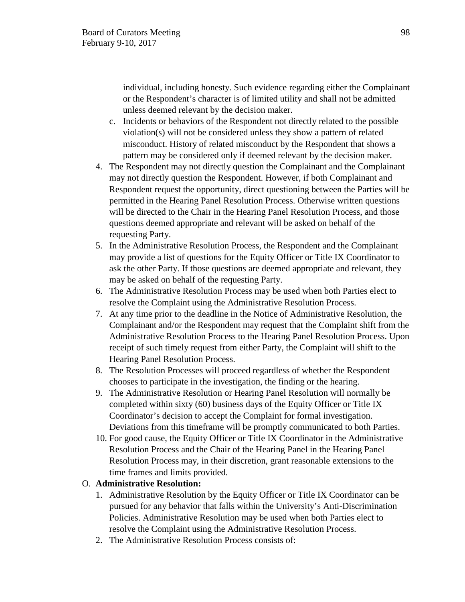individual, including honesty. Such evidence regarding either the Complainant or the Respondent's character is of limited utility and shall not be admitted unless deemed relevant by the decision maker.

- c. Incidents or behaviors of the Respondent not directly related to the possible violation(s) will not be considered unless they show a pattern of related misconduct. History of related misconduct by the Respondent that shows a pattern may be considered only if deemed relevant by the decision maker.
- 4. The Respondent may not directly question the Complainant and the Complainant may not directly question the Respondent. However, if both Complainant and Respondent request the opportunity, direct questioning between the Parties will be permitted in the Hearing Panel Resolution Process. Otherwise written questions will be directed to the Chair in the Hearing Panel Resolution Process, and those questions deemed appropriate and relevant will be asked on behalf of the requesting Party.
- 5. In the Administrative Resolution Process, the Respondent and the Complainant may provide a list of questions for the Equity Officer or Title IX Coordinator to ask the other Party. If those questions are deemed appropriate and relevant, they may be asked on behalf of the requesting Party.
- 6. The Administrative Resolution Process may be used when both Parties elect to resolve the Complaint using the Administrative Resolution Process.
- 7. At any time prior to the deadline in the Notice of Administrative Resolution, the Complainant and/or the Respondent may request that the Complaint shift from the Administrative Resolution Process to the Hearing Panel Resolution Process. Upon receipt of such timely request from either Party, the Complaint will shift to the Hearing Panel Resolution Process.
- 8. The Resolution Processes will proceed regardless of whether the Respondent chooses to participate in the investigation, the finding or the hearing.
- 9. The Administrative Resolution or Hearing Panel Resolution will normally be completed within sixty (60) business days of the Equity Officer or Title IX Coordinator's decision to accept the Complaint for formal investigation. Deviations from this timeframe will be promptly communicated to both Parties.
- 10. For good cause, the Equity Officer or Title IX Coordinator in the Administrative Resolution Process and the Chair of the Hearing Panel in the Hearing Panel Resolution Process may, in their discretion, grant reasonable extensions to the time frames and limits provided.

# O. **Administrative Resolution:**

- 1. Administrative Resolution by the Equity Officer or Title IX Coordinator can be pursued for any behavior that falls within the University's Anti-Discrimination Policies. Administrative Resolution may be used when both Parties elect to resolve the Complaint using the Administrative Resolution Process.
- 2. The Administrative Resolution Process consists of: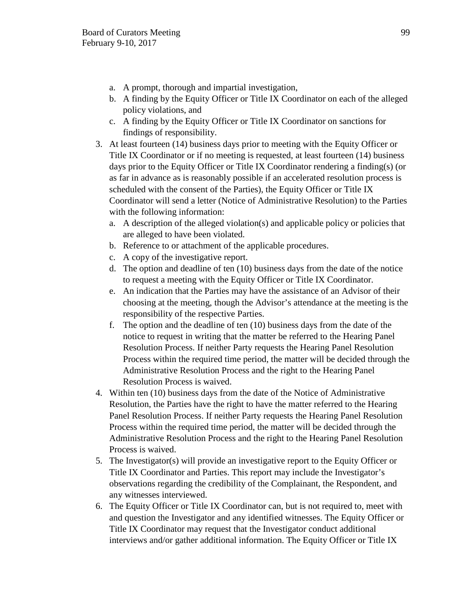- a. A prompt, thorough and impartial investigation,
- b. A finding by the Equity Officer or Title IX Coordinator on each of the alleged policy violations, and
- c. A finding by the Equity Officer or Title IX Coordinator on sanctions for findings of responsibility.
- 3. At least fourteen (14) business days prior to meeting with the Equity Officer or Title IX Coordinator or if no meeting is requested, at least fourteen (14) business days prior to the Equity Officer or Title IX Coordinator rendering a finding(s) (or as far in advance as is reasonably possible if an accelerated resolution process is scheduled with the consent of the Parties), the Equity Officer or Title IX Coordinator will send a letter (Notice of Administrative Resolution) to the Parties with the following information:
	- a. A description of the alleged violation(s) and applicable policy or policies that are alleged to have been violated.
	- b. Reference to or attachment of the applicable procedures.
	- c. A copy of the investigative report.
	- d. The option and deadline of ten (10) business days from the date of the notice to request a meeting with the Equity Officer or Title IX Coordinator.
	- e. An indication that the Parties may have the assistance of an Advisor of their choosing at the meeting, though the Advisor's attendance at the meeting is the responsibility of the respective Parties.
	- f. The option and the deadline of ten (10) business days from the date of the notice to request in writing that the matter be referred to the Hearing Panel Resolution Process. If neither Party requests the Hearing Panel Resolution Process within the required time period, the matter will be decided through the Administrative Resolution Process and the right to the Hearing Panel Resolution Process is waived.
- 4. Within ten (10) business days from the date of the Notice of Administrative Resolution, the Parties have the right to have the matter referred to the Hearing Panel Resolution Process. If neither Party requests the Hearing Panel Resolution Process within the required time period, the matter will be decided through the Administrative Resolution Process and the right to the Hearing Panel Resolution Process is waived.
- 5. The Investigator(s) will provide an investigative report to the Equity Officer or Title IX Coordinator and Parties. This report may include the Investigator's observations regarding the credibility of the Complainant, the Respondent, and any witnesses interviewed.
- 6. The Equity Officer or Title IX Coordinator can, but is not required to, meet with and question the Investigator and any identified witnesses. The Equity Officer or Title IX Coordinator may request that the Investigator conduct additional interviews and/or gather additional information. The Equity Officer or Title IX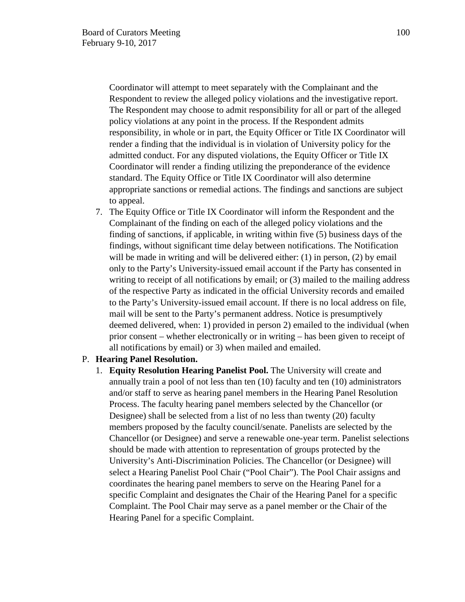Coordinator will attempt to meet separately with the Complainant and the Respondent to review the alleged policy violations and the investigative report. The Respondent may choose to admit responsibility for all or part of the alleged policy violations at any point in the process. If the Respondent admits responsibility, in whole or in part, the Equity Officer or Title IX Coordinator will render a finding that the individual is in violation of University policy for the admitted conduct. For any disputed violations, the Equity Officer or Title IX Coordinator will render a finding utilizing the preponderance of the evidence standard. The Equity Office or Title IX Coordinator will also determine appropriate sanctions or remedial actions. The findings and sanctions are subject to appeal.

7. The Equity Office or Title IX Coordinator will inform the Respondent and the Complainant of the finding on each of the alleged policy violations and the finding of sanctions, if applicable, in writing within five (5) business days of the findings, without significant time delay between notifications. The Notification will be made in writing and will be delivered either: (1) in person, (2) by email only to the Party's University-issued email account if the Party has consented in writing to receipt of all notifications by email; or (3) mailed to the mailing address of the respective Party as indicated in the official University records and emailed to the Party's University-issued email account. If there is no local address on file, mail will be sent to the Party's permanent address. Notice is presumptively deemed delivered, when: 1) provided in person 2) emailed to the individual (when prior consent – whether electronically or in writing – has been given to receipt of all notifications by email) or 3) when mailed and emailed.

### P. **Hearing Panel Resolution.**

1. **Equity Resolution Hearing Panelist Pool.** The University will create and annually train a pool of not less than ten (10) faculty and ten (10) administrators and/or staff to serve as hearing panel members in the Hearing Panel Resolution Process. The faculty hearing panel members selected by the Chancellor (or Designee) shall be selected from a list of no less than twenty (20) faculty members proposed by the faculty council/senate. Panelists are selected by the Chancellor (or Designee) and serve a renewable one-year term. Panelist selections should be made with attention to representation of groups protected by the University's Anti-Discrimination Policies. The Chancellor (or Designee) will select a Hearing Panelist Pool Chair ("Pool Chair"). The Pool Chair assigns and coordinates the hearing panel members to serve on the Hearing Panel for a specific Complaint and designates the Chair of the Hearing Panel for a specific Complaint. The Pool Chair may serve as a panel member or the Chair of the Hearing Panel for a specific Complaint.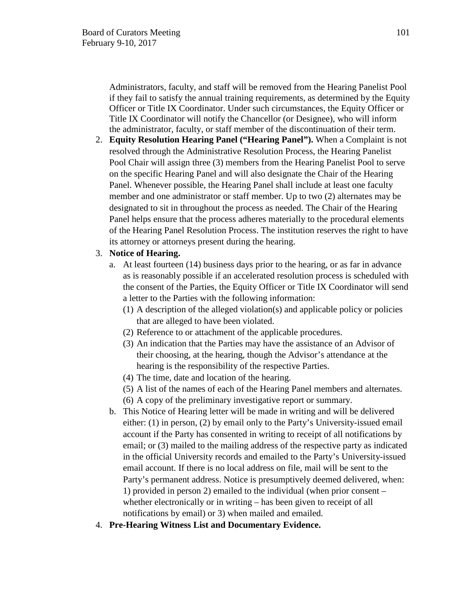Administrators, faculty, and staff will be removed from the Hearing Panelist Pool if they fail to satisfy the annual training requirements, as determined by the Equity Officer or Title IX Coordinator. Under such circumstances, the Equity Officer or Title IX Coordinator will notify the Chancellor (or Designee), who will inform the administrator, faculty, or staff member of the discontinuation of their term.

2. **Equity Resolution Hearing Panel ("Hearing Panel").** When a Complaint is not resolved through the Administrative Resolution Process, the Hearing Panelist Pool Chair will assign three (3) members from the Hearing Panelist Pool to serve on the specific Hearing Panel and will also designate the Chair of the Hearing Panel. Whenever possible, the Hearing Panel shall include at least one faculty member and one administrator or staff member. Up to two (2) alternates may be designated to sit in throughout the process as needed. The Chair of the Hearing Panel helps ensure that the process adheres materially to the procedural elements of the Hearing Panel Resolution Process. The institution reserves the right to have its attorney or attorneys present during the hearing.

### 3. **Notice of Hearing.**

- a. At least fourteen (14) business days prior to the hearing, or as far in advance as is reasonably possible if an accelerated resolution process is scheduled with the consent of the Parties, the Equity Officer or Title IX Coordinator will send a letter to the Parties with the following information:
	- (1) A description of the alleged violation(s) and applicable policy or policies that are alleged to have been violated.
	- (2) Reference to or attachment of the applicable procedures.
	- (3) An indication that the Parties may have the assistance of an Advisor of their choosing, at the hearing, though the Advisor's attendance at the hearing is the responsibility of the respective Parties.
	- (4) The time, date and location of the hearing.
	- (5) A list of the names of each of the Hearing Panel members and alternates.
	- (6) A copy of the preliminary investigative report or summary.
- b. This Notice of Hearing letter will be made in writing and will be delivered either: (1) in person, (2) by email only to the Party's University-issued email account if the Party has consented in writing to receipt of all notifications by email; or (3) mailed to the mailing address of the respective party as indicated in the official University records and emailed to the Party's University-issued email account. If there is no local address on file, mail will be sent to the Party's permanent address. Notice is presumptively deemed delivered, when: 1) provided in person 2) emailed to the individual (when prior consent – whether electronically or in writing – has been given to receipt of all notifications by email) or 3) when mailed and emailed.
- 4. **Pre-Hearing Witness List and Documentary Evidence.**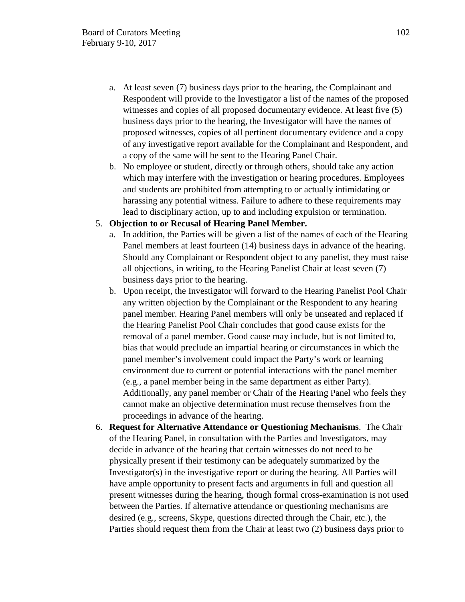- a. At least seven (7) business days prior to the hearing, the Complainant and Respondent will provide to the Investigator a list of the names of the proposed witnesses and copies of all proposed documentary evidence. At least five (5) business days prior to the hearing, the Investigator will have the names of proposed witnesses, copies of all pertinent documentary evidence and a copy of any investigative report available for the Complainant and Respondent, and a copy of the same will be sent to the Hearing Panel Chair.
- b. No employee or student, directly or through others, should take any action which may interfere with the investigation or hearing procedures. Employees and students are prohibited from attempting to or actually intimidating or harassing any potential witness. Failure to adhere to these requirements may lead to disciplinary action, up to and including expulsion or termination.

### 5. **Objection to or Recusal of Hearing Panel Member.**

- a. In addition, the Parties will be given a list of the names of each of the Hearing Panel members at least fourteen (14) business days in advance of the hearing. Should any Complainant or Respondent object to any panelist, they must raise all objections, in writing, to the Hearing Panelist Chair at least seven (7) business days prior to the hearing.
- b. Upon receipt, the Investigator will forward to the Hearing Panelist Pool Chair any written objection by the Complainant or the Respondent to any hearing panel member. Hearing Panel members will only be unseated and replaced if the Hearing Panelist Pool Chair concludes that good cause exists for the removal of a panel member. Good cause may include, but is not limited to, bias that would preclude an impartial hearing or circumstances in which the panel member's involvement could impact the Party's work or learning environment due to current or potential interactions with the panel member (e.g., a panel member being in the same department as either Party). Additionally, any panel member or Chair of the Hearing Panel who feels they cannot make an objective determination must recuse themselves from the proceedings in advance of the hearing.
- 6. **Request for Alternative Attendance or Questioning Mechanisms**. The Chair of the Hearing Panel, in consultation with the Parties and Investigators, may decide in advance of the hearing that certain witnesses do not need to be physically present if their testimony can be adequately summarized by the Investigator(s) in the investigative report or during the hearing. All Parties will have ample opportunity to present facts and arguments in full and question all present witnesses during the hearing, though formal cross-examination is not used between the Parties. If alternative attendance or questioning mechanisms are desired (e.g., screens, Skype, questions directed through the Chair, etc.), the Parties should request them from the Chair at least two (2) business days prior to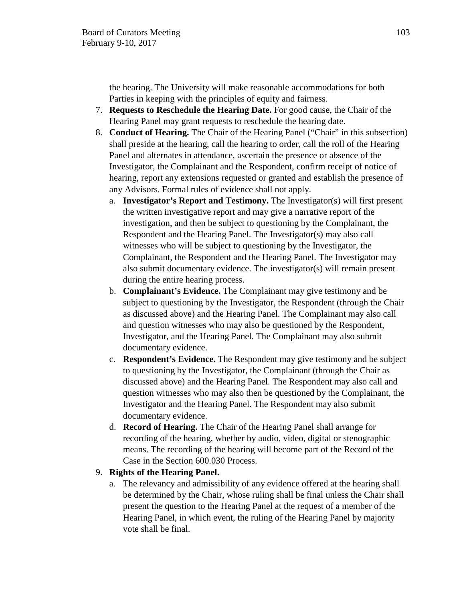the hearing. The University will make reasonable accommodations for both Parties in keeping with the principles of equity and fairness.

- 7. **Requests to Reschedule the Hearing Date.** For good cause, the Chair of the Hearing Panel may grant requests to reschedule the hearing date.
- 8. **Conduct of Hearing.** The Chair of the Hearing Panel ("Chair" in this subsection) shall preside at the hearing, call the hearing to order, call the roll of the Hearing Panel and alternates in attendance, ascertain the presence or absence of the Investigator, the Complainant and the Respondent, confirm receipt of notice of hearing, report any extensions requested or granted and establish the presence of any Advisors. Formal rules of evidence shall not apply.
	- a. **Investigator's Report and Testimony.** The Investigator(s) will first present the written investigative report and may give a narrative report of the investigation, and then be subject to questioning by the Complainant, the Respondent and the Hearing Panel. The Investigator(s) may also call witnesses who will be subject to questioning by the Investigator, the Complainant, the Respondent and the Hearing Panel. The Investigator may also submit documentary evidence. The investigator(s) will remain present during the entire hearing process.
	- b. **Complainant's Evidence.** The Complainant may give testimony and be subject to questioning by the Investigator, the Respondent (through the Chair as discussed above) and the Hearing Panel. The Complainant may also call and question witnesses who may also be questioned by the Respondent, Investigator, and the Hearing Panel. The Complainant may also submit documentary evidence.
	- c. **Respondent's Evidence.** The Respondent may give testimony and be subject to questioning by the Investigator, the Complainant (through the Chair as discussed above) and the Hearing Panel. The Respondent may also call and question witnesses who may also then be questioned by the Complainant, the Investigator and the Hearing Panel. The Respondent may also submit documentary evidence.
	- d. **Record of Hearing.** The Chair of the Hearing Panel shall arrange for recording of the hearing, whether by audio, video, digital or stenographic means. The recording of the hearing will become part of the Record of the Case in the Section 600.030 Process.

# 9. **Rights of the Hearing Panel.**

a. The relevancy and admissibility of any evidence offered at the hearing shall be determined by the Chair, whose ruling shall be final unless the Chair shall present the question to the Hearing Panel at the request of a member of the Hearing Panel, in which event, the ruling of the Hearing Panel by majority vote shall be final.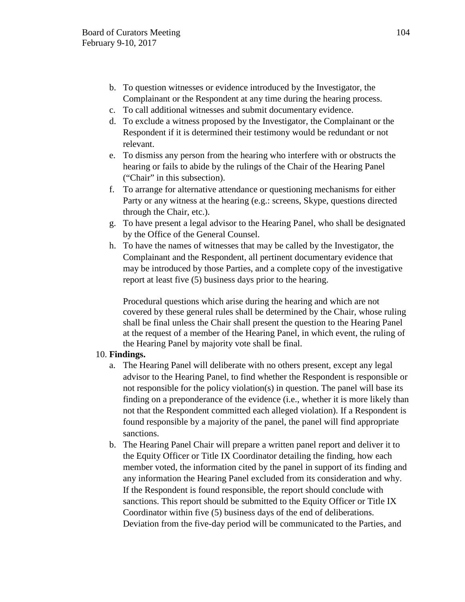- b. To question witnesses or evidence introduced by the Investigator, the Complainant or the Respondent at any time during the hearing process.
- c. To call additional witnesses and submit documentary evidence.
- d. To exclude a witness proposed by the Investigator, the Complainant or the Respondent if it is determined their testimony would be redundant or not relevant.
- e. To dismiss any person from the hearing who interfere with or obstructs the hearing or fails to abide by the rulings of the Chair of the Hearing Panel ("Chair" in this subsection).
- f. To arrange for alternative attendance or questioning mechanisms for either Party or any witness at the hearing (e.g.: screens, Skype, questions directed through the Chair, etc.).
- g. To have present a legal advisor to the Hearing Panel, who shall be designated by the Office of the General Counsel.
- h. To have the names of witnesses that may be called by the Investigator, the Complainant and the Respondent, all pertinent documentary evidence that may be introduced by those Parties, and a complete copy of the investigative report at least five (5) business days prior to the hearing.

Procedural questions which arise during the hearing and which are not covered by these general rules shall be determined by the Chair, whose ruling shall be final unless the Chair shall present the question to the Hearing Panel at the request of a member of the Hearing Panel, in which event, the ruling of the Hearing Panel by majority vote shall be final.

# 10. **Findings.**

- a. The Hearing Panel will deliberate with no others present, except any legal advisor to the Hearing Panel, to find whether the Respondent is responsible or not responsible for the policy violation(s) in question. The panel will base its finding on a preponderance of the evidence (i.e., whether it is more likely than not that the Respondent committed each alleged violation). If a Respondent is found responsible by a majority of the panel, the panel will find appropriate sanctions.
- b. The Hearing Panel Chair will prepare a written panel report and deliver it to the Equity Officer or Title IX Coordinator detailing the finding, how each member voted, the information cited by the panel in support of its finding and any information the Hearing Panel excluded from its consideration and why. If the Respondent is found responsible, the report should conclude with sanctions. This report should be submitted to the Equity Officer or Title IX Coordinator within five (5) business days of the end of deliberations. Deviation from the five-day period will be communicated to the Parties, and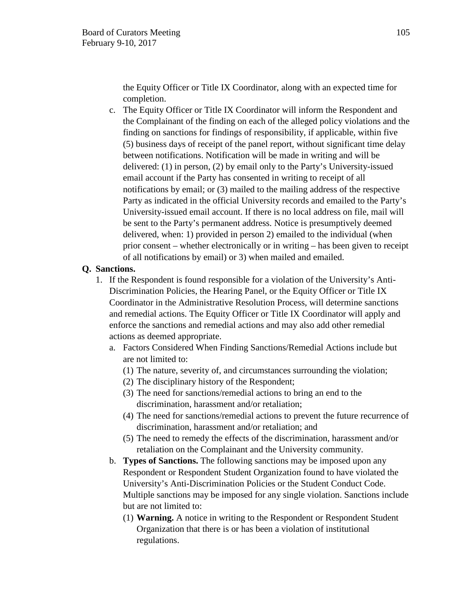the Equity Officer or Title IX Coordinator, along with an expected time for completion.

c. The Equity Officer or Title IX Coordinator will inform the Respondent and the Complainant of the finding on each of the alleged policy violations and the finding on sanctions for findings of responsibility, if applicable, within five (5) business days of receipt of the panel report, without significant time delay between notifications. Notification will be made in writing and will be delivered: (1) in person, (2) by email only to the Party's University-issued email account if the Party has consented in writing to receipt of all notifications by email; or (3) mailed to the mailing address of the respective Party as indicated in the official University records and emailed to the Party's University-issued email account. If there is no local address on file, mail will be sent to the Party's permanent address. Notice is presumptively deemed delivered, when: 1) provided in person 2) emailed to the individual (when prior consent – whether electronically or in writing – has been given to receipt of all notifications by email) or 3) when mailed and emailed.

# **Q. Sanctions.**

- 1. If the Respondent is found responsible for a violation of the University's Anti-Discrimination Policies, the Hearing Panel, or the Equity Officer or Title IX Coordinator in the Administrative Resolution Process, will determine sanctions and remedial actions. The Equity Officer or Title IX Coordinator will apply and enforce the sanctions and remedial actions and may also add other remedial actions as deemed appropriate.
	- a. Factors Considered When Finding Sanctions/Remedial Actions include but are not limited to:
		- (1) The nature, severity of, and circumstances surrounding the violation;
		- (2) The disciplinary history of the Respondent;
		- (3) The need for sanctions/remedial actions to bring an end to the discrimination, harassment and/or retaliation;
		- (4) The need for sanctions/remedial actions to prevent the future recurrence of discrimination, harassment and/or retaliation; and
		- (5) The need to remedy the effects of the discrimination, harassment and/or retaliation on the Complainant and the University community.
	- b. **Types of Sanctions.** The following sanctions may be imposed upon any Respondent or Respondent Student Organization found to have violated the University's Anti-Discrimination Policies or the Student Conduct Code. Multiple sanctions may be imposed for any single violation. Sanctions include but are not limited to:
		- (1) **Warning.** A notice in writing to the Respondent or Respondent Student Organization that there is or has been a violation of institutional regulations.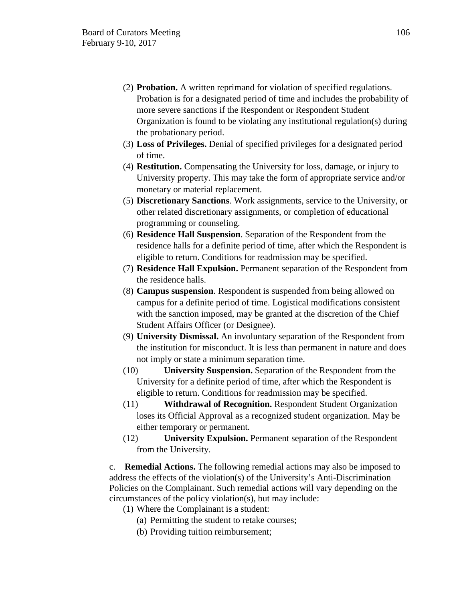- (2) **Probation.** A written reprimand for violation of specified regulations. Probation is for a designated period of time and includes the probability of more severe sanctions if the Respondent or Respondent Student Organization is found to be violating any institutional regulation(s) during the probationary period.
- (3) **Loss of Privileges.** Denial of specified privileges for a designated period of time.
- (4) **Restitution.** Compensating the University for loss, damage, or injury to University property. This may take the form of appropriate service and/or monetary or material replacement.
- (5) **Discretionary Sanctions**. Work assignments, service to the University, or other related discretionary assignments, or completion of educational programming or counseling.
- (6) **Residence Hall Suspension**. Separation of the Respondent from the residence halls for a definite period of time, after which the Respondent is eligible to return. Conditions for readmission may be specified.
- (7) **Residence Hall Expulsion.** Permanent separation of the Respondent from the residence halls.
- (8) **Campus suspension**. Respondent is suspended from being allowed on campus for a definite period of time. Logistical modifications consistent with the sanction imposed, may be granted at the discretion of the Chief Student Affairs Officer (or Designee).
- (9) **University Dismissal.** An involuntary separation of the Respondent from the institution for misconduct. It is less than permanent in nature and does not imply or state a minimum separation time.
- (10) **University Suspension.** Separation of the Respondent from the University for a definite period of time, after which the Respondent is eligible to return. Conditions for readmission may be specified.
- (11) **Withdrawal of Recognition.** Respondent Student Organization loses its Official Approval as a recognized student organization. May be either temporary or permanent.
- (12) **University Expulsion.** Permanent separation of the Respondent from the University.

c. **Remedial Actions.** The following remedial actions may also be imposed to address the effects of the violation(s) of the University's Anti-Discrimination Policies on the Complainant. Such remedial actions will vary depending on the circumstances of the policy violation(s), but may include:

(1) Where the Complainant is a student:

- (a) Permitting the student to retake courses;
- (b) Providing tuition reimbursement;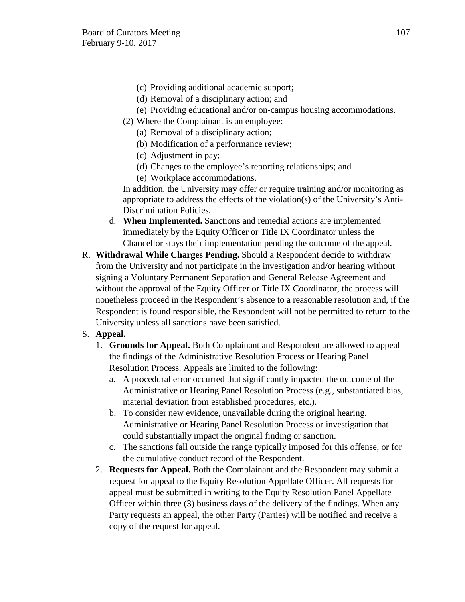- (c) Providing additional academic support;
- (d) Removal of a disciplinary action; and
- (e) Providing educational and/or on-campus housing accommodations.
- (2) Where the Complainant is an employee:
	- (a) Removal of a disciplinary action;
	- (b) Modification of a performance review;
	- (c) Adjustment in pay;
	- (d) Changes to the employee's reporting relationships; and
	- (e) Workplace accommodations.

In addition, the University may offer or require training and/or monitoring as appropriate to address the effects of the violation(s) of the University's Anti-Discrimination Policies.

- d. **When Implemented.** Sanctions and remedial actions are implemented immediately by the Equity Officer or Title IX Coordinator unless the Chancellor stays their implementation pending the outcome of the appeal.
- R. **Withdrawal While Charges Pending.** Should a Respondent decide to withdraw from the University and not participate in the investigation and/or hearing without signing a Voluntary Permanent Separation and General Release Agreement and without the approval of the Equity Officer or Title IX Coordinator, the process will nonetheless proceed in the Respondent's absence to a reasonable resolution and, if the Respondent is found responsible, the Respondent will not be permitted to return to the University unless all sanctions have been satisfied.
- S. **Appeal.** 
	- 1. **Grounds for Appeal.** Both Complainant and Respondent are allowed to appeal the findings of the Administrative Resolution Process or Hearing Panel Resolution Process. Appeals are limited to the following:
		- a. A procedural error occurred that significantly impacted the outcome of the Administrative or Hearing Panel Resolution Process (e.g., substantiated bias, material deviation from established procedures, etc.).
		- b. To consider new evidence, unavailable during the original hearing. Administrative or Hearing Panel Resolution Process or investigation that could substantially impact the original finding or sanction.
		- c. The sanctions fall outside the range typically imposed for this offense, or for the cumulative conduct record of the Respondent.
	- 2. **Requests for Appeal.** Both the Complainant and the Respondent may submit a request for appeal to the Equity Resolution Appellate Officer. All requests for appeal must be submitted in writing to the Equity Resolution Panel Appellate Officer within three (3) business days of the delivery of the findings. When any Party requests an appeal, the other Party (Parties) will be notified and receive a copy of the request for appeal.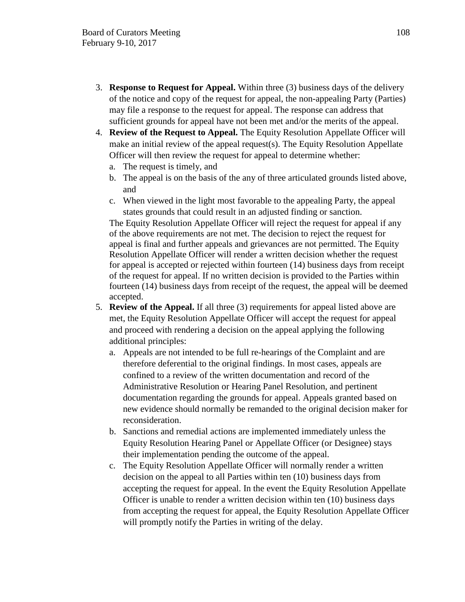- 3. **Response to Request for Appeal.** Within three (3) business days of the delivery of the notice and copy of the request for appeal, the non-appealing Party (Parties) may file a response to the request for appeal. The response can address that sufficient grounds for appeal have not been met and/or the merits of the appeal.
- 4. **Review of the Request to Appeal.** The Equity Resolution Appellate Officer will make an initial review of the appeal request(s). The Equity Resolution Appellate Officer will then review the request for appeal to determine whether:
	- a. The request is timely, and
	- b. The appeal is on the basis of the any of three articulated grounds listed above, and
	- c. When viewed in the light most favorable to the appealing Party, the appeal states grounds that could result in an adjusted finding or sanction.

The Equity Resolution Appellate Officer will reject the request for appeal if any of the above requirements are not met. The decision to reject the request for appeal is final and further appeals and grievances are not permitted. The Equity Resolution Appellate Officer will render a written decision whether the request for appeal is accepted or rejected within fourteen (14) business days from receipt of the request for appeal. If no written decision is provided to the Parties within fourteen (14) business days from receipt of the request, the appeal will be deemed accepted.

- 5. **Review of the Appeal.** If all three (3) requirements for appeal listed above are met, the Equity Resolution Appellate Officer will accept the request for appeal and proceed with rendering a decision on the appeal applying the following additional principles:
	- a. Appeals are not intended to be full re-hearings of the Complaint and are therefore deferential to the original findings. In most cases, appeals are confined to a review of the written documentation and record of the Administrative Resolution or Hearing Panel Resolution, and pertinent documentation regarding the grounds for appeal. Appeals granted based on new evidence should normally be remanded to the original decision maker for reconsideration.
	- b. Sanctions and remedial actions are implemented immediately unless the Equity Resolution Hearing Panel or Appellate Officer (or Designee) stays their implementation pending the outcome of the appeal.
	- c. The Equity Resolution Appellate Officer will normally render a written decision on the appeal to all Parties within ten (10) business days from accepting the request for appeal. In the event the Equity Resolution Appellate Officer is unable to render a written decision within ten (10) business days from accepting the request for appeal, the Equity Resolution Appellate Officer will promptly notify the Parties in writing of the delay.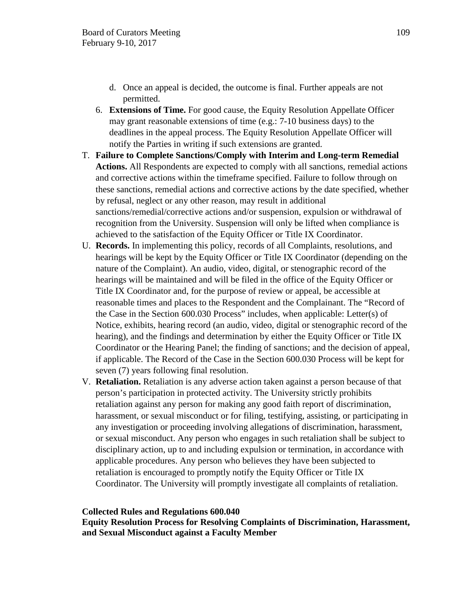- d. Once an appeal is decided, the outcome is final. Further appeals are not permitted.
- 6. **Extensions of Time.** For good cause, the Equity Resolution Appellate Officer may grant reasonable extensions of time (e.g.: 7-10 business days) to the deadlines in the appeal process. The Equity Resolution Appellate Officer will notify the Parties in writing if such extensions are granted.
- T. **Failure to Complete Sanctions/Comply with Interim and Long-term Remedial Actions.** All Respondents are expected to comply with all sanctions, remedial actions and corrective actions within the timeframe specified. Failure to follow through on these sanctions, remedial actions and corrective actions by the date specified, whether by refusal, neglect or any other reason, may result in additional sanctions/remedial/corrective actions and/or suspension, expulsion or withdrawal of recognition from the University. Suspension will only be lifted when compliance is achieved to the satisfaction of the Equity Officer or Title IX Coordinator.
- U. **Records.** In implementing this policy, records of all Complaints, resolutions, and hearings will be kept by the Equity Officer or Title IX Coordinator (depending on the nature of the Complaint). An audio, video, digital, or stenographic record of the hearings will be maintained and will be filed in the office of the Equity Officer or Title IX Coordinator and, for the purpose of review or appeal, be accessible at reasonable times and places to the Respondent and the Complainant. The "Record of the Case in the Section 600.030 Process" includes, when applicable: Letter(s) of Notice, exhibits, hearing record (an audio, video, digital or stenographic record of the hearing), and the findings and determination by either the Equity Officer or Title IX Coordinator or the Hearing Panel; the finding of sanctions; and the decision of appeal, if applicable. The Record of the Case in the Section 600.030 Process will be kept for seven (7) years following final resolution.
- V. **Retaliation.** Retaliation is any adverse action taken against a person because of that person's participation in protected activity. The University strictly prohibits retaliation against any person for making any good faith report of discrimination, harassment, or sexual misconduct or for filing, testifying, assisting, or participating in any investigation or proceeding involving allegations of discrimination, harassment, or sexual misconduct. Any person who engages in such retaliation shall be subject to disciplinary action, up to and including expulsion or termination, in accordance with applicable procedures. Any person who believes they have been subjected to retaliation is encouraged to promptly notify the Equity Officer or Title IX Coordinator. The University will promptly investigate all complaints of retaliation.

#### **Collected Rules and Regulations 600.040**

**Equity Resolution Process for Resolving Complaints of Discrimination, Harassment, and Sexual Misconduct against a Faculty Member**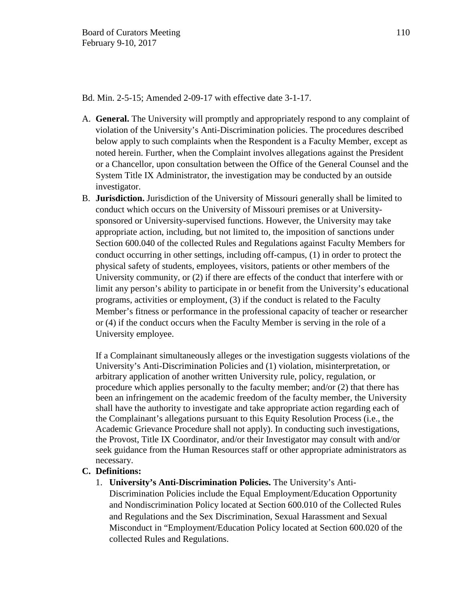Bd. Min. 2-5-15; Amended 2-09-17 with effective date 3-1-17.

- A. **General.** The University will promptly and appropriately respond to any complaint of violation of the University's Anti-Discrimination policies. The procedures described below apply to such complaints when the Respondent is a Faculty Member, except as noted herein. Further, when the Complaint involves allegations against the President or a Chancellor, upon consultation between the Office of the General Counsel and the System Title IX Administrator, the investigation may be conducted by an outside investigator.
- B. **Jurisdiction.** Jurisdiction of the University of Missouri generally shall be limited to conduct which occurs on the University of Missouri premises or at Universitysponsored or University-supervised functions. However, the University may take appropriate action, including, but not limited to, the imposition of sanctions under Section 600.040 of the collected Rules and Regulations against Faculty Members for conduct occurring in other settings, including off-campus, (1) in order to protect the physical safety of students, employees, visitors, patients or other members of the University community, or (2) if there are effects of the conduct that interfere with or limit any person's ability to participate in or benefit from the University's educational programs, activities or employment, (3) if the conduct is related to the Faculty Member's fitness or performance in the professional capacity of teacher or researcher or (4) if the conduct occurs when the Faculty Member is serving in the role of a University employee.

If a Complainant simultaneously alleges or the investigation suggests violations of the University's Anti-Discrimination Policies and (1) violation, misinterpretation, or arbitrary application of another written University rule, policy, regulation, or procedure which applies personally to the faculty member; and/or (2) that there has been an infringement on the academic freedom of the faculty member, the University shall have the authority to investigate and take appropriate action regarding each of the Complainant's allegations pursuant to this Equity Resolution Process (i.e., the Academic Grievance Procedure shall not apply). In conducting such investigations, the Provost, Title IX Coordinator, and/or their Investigator may consult with and/or seek guidance from the Human Resources staff or other appropriate administrators as necessary.

### **C. Definitions:**

1. **University's Anti-Discrimination Policies.** The University's Anti-Discrimination Policies include the Equal Employment/Education Opportunity and Nondiscrimination Policy located at Section 600.010 of the Collected Rules and Regulations and the Sex Discrimination, Sexual Harassment and Sexual Misconduct in "Employment/Education Policy located at Section 600.020 of the collected Rules and Regulations.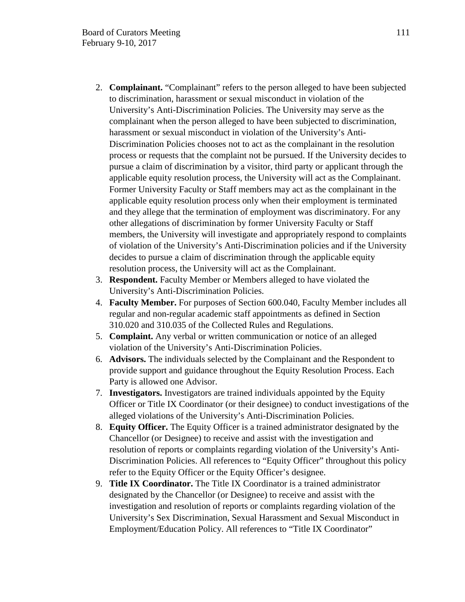- 2. **Complainant.** "Complainant" refers to the person alleged to have been subjected to discrimination, harassment or sexual misconduct in violation of the University's Anti-Discrimination Policies. The University may serve as the complainant when the person alleged to have been subjected to discrimination, harassment or sexual misconduct in violation of the University's Anti-Discrimination Policies chooses not to act as the complainant in the resolution process or requests that the complaint not be pursued. If the University decides to pursue a claim of discrimination by a visitor, third party or applicant through the applicable equity resolution process, the University will act as the Complainant. Former University Faculty or Staff members may act as the complainant in the applicable equity resolution process only when their employment is terminated and they allege that the termination of employment was discriminatory. For any other allegations of discrimination by former University Faculty or Staff members, the University will investigate and appropriately respond to complaints of violation of the University's Anti-Discrimination policies and if the University decides to pursue a claim of discrimination through the applicable equity resolution process, the University will act as the Complainant.
- 3. **Respondent.** Faculty Member or Members alleged to have violated the University's Anti-Discrimination Policies.
- 4. **Faculty Member.** For purposes of Section 600.040, Faculty Member includes all regular and non-regular academic staff appointments as defined in Section 310.020 and 310.035 of the Collected Rules and Regulations.
- 5. **Complaint.** Any verbal or written communication or notice of an alleged violation of the University's Anti-Discrimination Policies.
- 6. **Advisors.** The individuals selected by the Complainant and the Respondent to provide support and guidance throughout the Equity Resolution Process. Each Party is allowed one Advisor.
- 7. **Investigators.** Investigators are trained individuals appointed by the Equity Officer or Title IX Coordinator (or their designee) to conduct investigations of the alleged violations of the University's Anti-Discrimination Policies.
- 8. **Equity Officer.** The Equity Officer is a trained administrator designated by the Chancellor (or Designee) to receive and assist with the investigation and resolution of reports or complaints regarding violation of the University's Anti-Discrimination Policies. All references to "Equity Officer" throughout this policy refer to the Equity Officer or the Equity Officer's designee.
- 9. **Title IX Coordinator.** The Title IX Coordinator is a trained administrator designated by the Chancellor (or Designee) to receive and assist with the investigation and resolution of reports or complaints regarding violation of the University's Sex Discrimination, Sexual Harassment and Sexual Misconduct in Employment/Education Policy. All references to "Title IX Coordinator"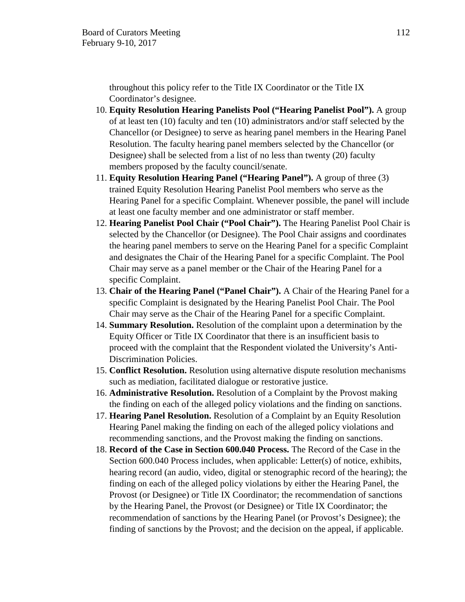throughout this policy refer to the Title IX Coordinator or the Title IX Coordinator's designee.

- 10. **Equity Resolution Hearing Panelists Pool ("Hearing Panelist Pool").** A group of at least ten (10) faculty and ten (10) administrators and/or staff selected by the Chancellor (or Designee) to serve as hearing panel members in the Hearing Panel Resolution. The faculty hearing panel members selected by the Chancellor (or Designee) shall be selected from a list of no less than twenty (20) faculty members proposed by the faculty council/senate.
- 11. **Equity Resolution Hearing Panel ("Hearing Panel").** A group of three (3) trained Equity Resolution Hearing Panelist Pool members who serve as the Hearing Panel for a specific Complaint. Whenever possible, the panel will include at least one faculty member and one administrator or staff member.
- 12. **Hearing Panelist Pool Chair ("Pool Chair").** The Hearing Panelist Pool Chair is selected by the Chancellor (or Designee). The Pool Chair assigns and coordinates the hearing panel members to serve on the Hearing Panel for a specific Complaint and designates the Chair of the Hearing Panel for a specific Complaint. The Pool Chair may serve as a panel member or the Chair of the Hearing Panel for a specific Complaint.
- 13. **Chair of the Hearing Panel ("Panel Chair").** A Chair of the Hearing Panel for a specific Complaint is designated by the Hearing Panelist Pool Chair. The Pool Chair may serve as the Chair of the Hearing Panel for a specific Complaint.
- 14. **Summary Resolution.** Resolution of the complaint upon a determination by the Equity Officer or Title IX Coordinator that there is an insufficient basis to proceed with the complaint that the Respondent violated the University's Anti-Discrimination Policies.
- 15. **Conflict Resolution.** Resolution using alternative dispute resolution mechanisms such as mediation, facilitated dialogue or restorative justice.
- 16. **Administrative Resolution.** Resolution of a Complaint by the Provost making the finding on each of the alleged policy violations and the finding on sanctions.
- 17. **Hearing Panel Resolution.** Resolution of a Complaint by an Equity Resolution Hearing Panel making the finding on each of the alleged policy violations and recommending sanctions, and the Provost making the finding on sanctions.
- 18. **Record of the Case in Section 600.040 Process.** The Record of the Case in the Section 600.040 Process includes, when applicable: Letter(s) of notice, exhibits, hearing record (an audio, video, digital or stenographic record of the hearing); the finding on each of the alleged policy violations by either the Hearing Panel, the Provost (or Designee) or Title IX Coordinator; the recommendation of sanctions by the Hearing Panel, the Provost (or Designee) or Title IX Coordinator; the recommendation of sanctions by the Hearing Panel (or Provost's Designee); the finding of sanctions by the Provost; and the decision on the appeal, if applicable.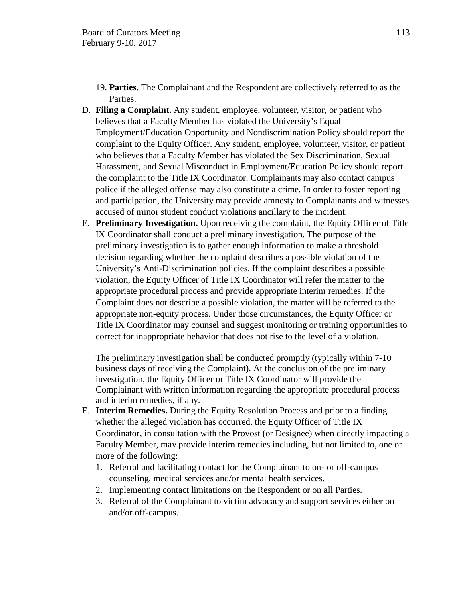- 19. **Parties.** The Complainant and the Respondent are collectively referred to as the Parties.
- D. **Filing a Complaint.** Any student, employee, volunteer, visitor, or patient who believes that a Faculty Member has violated the University's Equal Employment/Education Opportunity and Nondiscrimination Policy should report the complaint to the Equity Officer. Any student, employee, volunteer, visitor, or patient who believes that a Faculty Member has violated the Sex Discrimination, Sexual Harassment, and Sexual Misconduct in Employment/Education Policy should report the complaint to the Title IX Coordinator. Complainants may also contact campus police if the alleged offense may also constitute a crime. In order to foster reporting and participation, the University may provide amnesty to Complainants and witnesses accused of minor student conduct violations ancillary to the incident.
- E. **Preliminary Investigation.** Upon receiving the complaint, the Equity Officer of Title IX Coordinator shall conduct a preliminary investigation. The purpose of the preliminary investigation is to gather enough information to make a threshold decision regarding whether the complaint describes a possible violation of the University's Anti-Discrimination policies. If the complaint describes a possible violation, the Equity Officer of Title IX Coordinator will refer the matter to the appropriate procedural process and provide appropriate interim remedies. If the Complaint does not describe a possible violation, the matter will be referred to the appropriate non-equity process. Under those circumstances, the Equity Officer or Title IX Coordinator may counsel and suggest monitoring or training opportunities to correct for inappropriate behavior that does not rise to the level of a violation.

The preliminary investigation shall be conducted promptly (typically within 7-10 business days of receiving the Complaint). At the conclusion of the preliminary investigation, the Equity Officer or Title IX Coordinator will provide the Complainant with written information regarding the appropriate procedural process and interim remedies, if any.

- F. **Interim Remedies.** During the Equity Resolution Process and prior to a finding whether the alleged violation has occurred, the Equity Officer of Title IX Coordinator, in consultation with the Provost (or Designee) when directly impacting a Faculty Member, may provide interim remedies including, but not limited to, one or more of the following:
	- 1. Referral and facilitating contact for the Complainant to on- or off-campus counseling, medical services and/or mental health services.
	- 2. Implementing contact limitations on the Respondent or on all Parties.
	- 3. Referral of the Complainant to victim advocacy and support services either on and/or off-campus.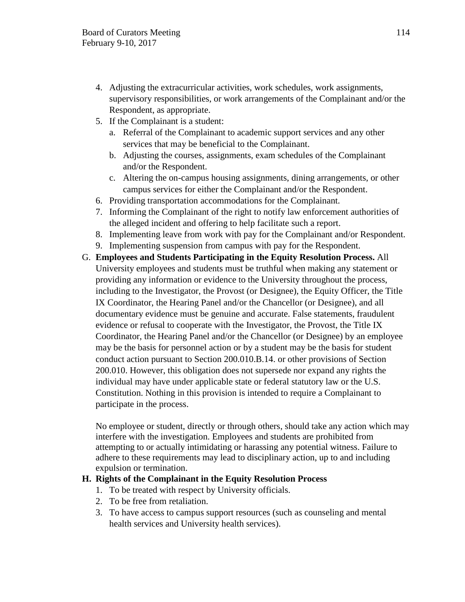- 4. Adjusting the extracurricular activities, work schedules, work assignments, supervisory responsibilities, or work arrangements of the Complainant and/or the Respondent, as appropriate.
- 5. If the Complainant is a student:
	- a. Referral of the Complainant to academic support services and any other services that may be beneficial to the Complainant.
	- b. Adjusting the courses, assignments, exam schedules of the Complainant and/or the Respondent.
	- c. Altering the on-campus housing assignments, dining arrangements, or other campus services for either the Complainant and/or the Respondent.
- 6. Providing transportation accommodations for the Complainant.
- 7. Informing the Complainant of the right to notify law enforcement authorities of the alleged incident and offering to help facilitate such a report.
- 8. Implementing leave from work with pay for the Complainant and/or Respondent.
- 9. Implementing suspension from campus with pay for the Respondent.
- G. **Employees and Students Participating in the Equity Resolution Process.** All University employees and students must be truthful when making any statement or providing any information or evidence to the University throughout the process, including to the Investigator, the Provost (or Designee), the Equity Officer, the Title IX Coordinator, the Hearing Panel and/or the Chancellor (or Designee), and all documentary evidence must be genuine and accurate. False statements, fraudulent evidence or refusal to cooperate with the Investigator, the Provost, the Title IX Coordinator, the Hearing Panel and/or the Chancellor (or Designee) by an employee may be the basis for personnel action or by a student may be the basis for student conduct action pursuant to Section 200.010.B.14. or other provisions of Section 200.010. However, this obligation does not supersede nor expand any rights the individual may have under applicable state or federal statutory law or the U.S. Constitution. Nothing in this provision is intended to require a Complainant to participate in the process.

No employee or student, directly or through others, should take any action which may interfere with the investigation. Employees and students are prohibited from attempting to or actually intimidating or harassing any potential witness. Failure to adhere to these requirements may lead to disciplinary action, up to and including expulsion or termination.

# **H. Rights of the Complainant in the Equity Resolution Process**

- 1. To be treated with respect by University officials.
- 2. To be free from retaliation.
- 3. To have access to campus support resources (such as counseling and mental health services and University health services).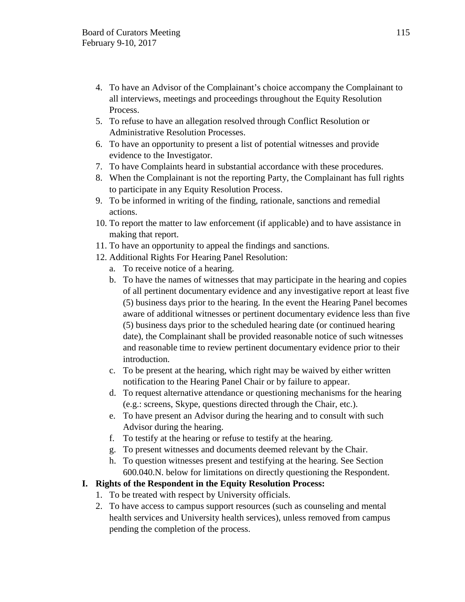- 4. To have an Advisor of the Complainant's choice accompany the Complainant to all interviews, meetings and proceedings throughout the Equity Resolution Process.
- 5. To refuse to have an allegation resolved through Conflict Resolution or Administrative Resolution Processes.
- 6. To have an opportunity to present a list of potential witnesses and provide evidence to the Investigator.
- 7. To have Complaints heard in substantial accordance with these procedures.
- 8. When the Complainant is not the reporting Party, the Complainant has full rights to participate in any Equity Resolution Process.
- 9. To be informed in writing of the finding, rationale, sanctions and remedial actions.
- 10. To report the matter to law enforcement (if applicable) and to have assistance in making that report.
- 11. To have an opportunity to appeal the findings and sanctions.
- 12. Additional Rights For Hearing Panel Resolution:
	- a. To receive notice of a hearing.
	- b. To have the names of witnesses that may participate in the hearing and copies of all pertinent documentary evidence and any investigative report at least five (5) business days prior to the hearing. In the event the Hearing Panel becomes aware of additional witnesses or pertinent documentary evidence less than five (5) business days prior to the scheduled hearing date (or continued hearing date), the Complainant shall be provided reasonable notice of such witnesses and reasonable time to review pertinent documentary evidence prior to their introduction.
	- c. To be present at the hearing, which right may be waived by either written notification to the Hearing Panel Chair or by failure to appear.
	- d. To request alternative attendance or questioning mechanisms for the hearing (e.g.: screens, Skype, questions directed through the Chair, etc.).
	- e. To have present an Advisor during the hearing and to consult with such Advisor during the hearing.
	- f. To testify at the hearing or refuse to testify at the hearing.
	- g. To present witnesses and documents deemed relevant by the Chair.
	- h. To question witnesses present and testifying at the hearing. See Section 600.040.N. below for limitations on directly questioning the Respondent.

# **I. Rights of the Respondent in the Equity Resolution Process:**

- 1. To be treated with respect by University officials.
- 2. To have access to campus support resources (such as counseling and mental health services and University health services), unless removed from campus pending the completion of the process.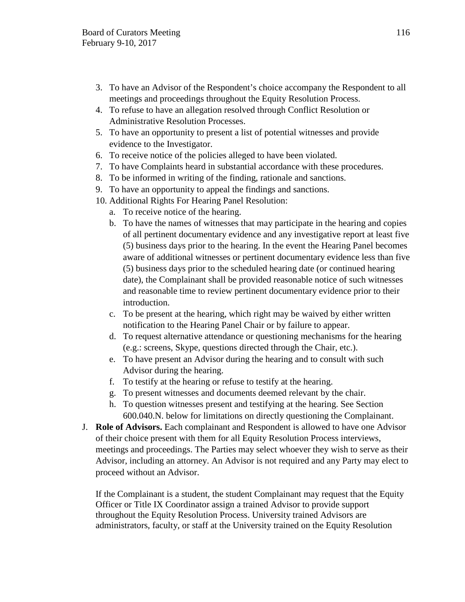- 3. To have an Advisor of the Respondent's choice accompany the Respondent to all meetings and proceedings throughout the Equity Resolution Process.
- 4. To refuse to have an allegation resolved through Conflict Resolution or Administrative Resolution Processes.
- 5. To have an opportunity to present a list of potential witnesses and provide evidence to the Investigator.
- 6. To receive notice of the policies alleged to have been violated.
- 7. To have Complaints heard in substantial accordance with these procedures.
- 8. To be informed in writing of the finding, rationale and sanctions.
- 9. To have an opportunity to appeal the findings and sanctions.
- 10. Additional Rights For Hearing Panel Resolution:
	- a. To receive notice of the hearing.
	- b. To have the names of witnesses that may participate in the hearing and copies of all pertinent documentary evidence and any investigative report at least five (5) business days prior to the hearing. In the event the Hearing Panel becomes aware of additional witnesses or pertinent documentary evidence less than five (5) business days prior to the scheduled hearing date (or continued hearing date), the Complainant shall be provided reasonable notice of such witnesses and reasonable time to review pertinent documentary evidence prior to their introduction.
	- c. To be present at the hearing, which right may be waived by either written notification to the Hearing Panel Chair or by failure to appear.
	- d. To request alternative attendance or questioning mechanisms for the hearing (e.g.: screens, Skype, questions directed through the Chair, etc.).
	- e. To have present an Advisor during the hearing and to consult with such Advisor during the hearing.
	- f. To testify at the hearing or refuse to testify at the hearing.
	- g. To present witnesses and documents deemed relevant by the chair.
	- h. To question witnesses present and testifying at the hearing. See Section 600.040.N. below for limitations on directly questioning the Complainant.
- J. **Role of Advisors.** Each complainant and Respondent is allowed to have one Advisor of their choice present with them for all Equity Resolution Process interviews, meetings and proceedings. The Parties may select whoever they wish to serve as their Advisor, including an attorney. An Advisor is not required and any Party may elect to proceed without an Advisor.

If the Complainant is a student, the student Complainant may request that the Equity Officer or Title IX Coordinator assign a trained Advisor to provide support throughout the Equity Resolution Process. University trained Advisors are administrators, faculty, or staff at the University trained on the Equity Resolution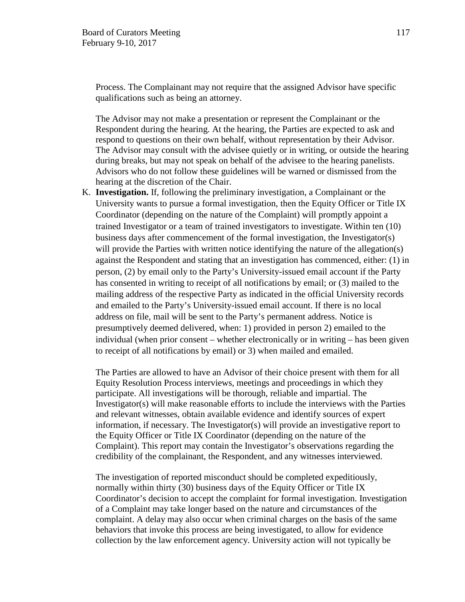Process. The Complainant may not require that the assigned Advisor have specific qualifications such as being an attorney.

The Advisor may not make a presentation or represent the Complainant or the Respondent during the hearing. At the hearing, the Parties are expected to ask and respond to questions on their own behalf, without representation by their Advisor. The Advisor may consult with the advisee quietly or in writing, or outside the hearing during breaks, but may not speak on behalf of the advisee to the hearing panelists. Advisors who do not follow these guidelines will be warned or dismissed from the hearing at the discretion of the Chair.

K. **Investigation.** If, following the preliminary investigation, a Complainant or the University wants to pursue a formal investigation, then the Equity Officer or Title IX Coordinator (depending on the nature of the Complaint) will promptly appoint a trained Investigator or a team of trained investigators to investigate. Within ten (10) business days after commencement of the formal investigation, the Investigator(s) will provide the Parties with written notice identifying the nature of the allegation(s) against the Respondent and stating that an investigation has commenced, either: (1) in person, (2) by email only to the Party's University-issued email account if the Party has consented in writing to receipt of all notifications by email; or (3) mailed to the mailing address of the respective Party as indicated in the official University records and emailed to the Party's University-issued email account. If there is no local address on file, mail will be sent to the Party's permanent address. Notice is presumptively deemed delivered, when: 1) provided in person 2) emailed to the individual (when prior consent – whether electronically or in writing – has been given to receipt of all notifications by email) or 3) when mailed and emailed.

The Parties are allowed to have an Advisor of their choice present with them for all Equity Resolution Process interviews, meetings and proceedings in which they participate. All investigations will be thorough, reliable and impartial. The Investigator(s) will make reasonable efforts to include the interviews with the Parties and relevant witnesses, obtain available evidence and identify sources of expert information, if necessary. The Investigator(s) will provide an investigative report to the Equity Officer or Title IX Coordinator (depending on the nature of the Complaint). This report may contain the Investigator's observations regarding the credibility of the complainant, the Respondent, and any witnesses interviewed.

The investigation of reported misconduct should be completed expeditiously, normally within thirty (30) business days of the Equity Officer or Title IX Coordinator's decision to accept the complaint for formal investigation. Investigation of a Complaint may take longer based on the nature and circumstances of the complaint. A delay may also occur when criminal charges on the basis of the same behaviors that invoke this process are being investigated, to allow for evidence collection by the law enforcement agency. University action will not typically be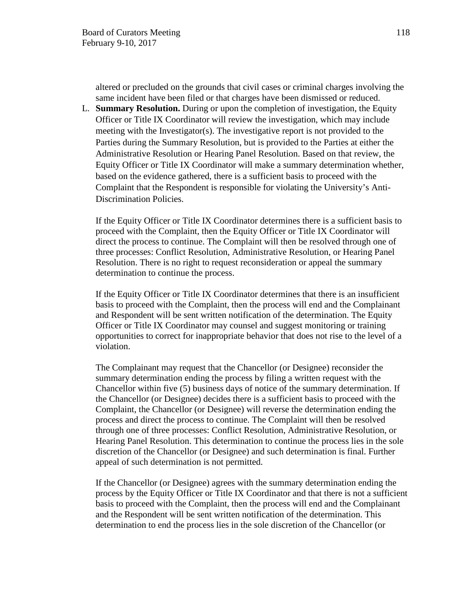altered or precluded on the grounds that civil cases or criminal charges involving the same incident have been filed or that charges have been dismissed or reduced.

L. **Summary Resolution.** During or upon the completion of investigation, the Equity Officer or Title IX Coordinator will review the investigation, which may include meeting with the Investigator(s). The investigative report is not provided to the Parties during the Summary Resolution, but is provided to the Parties at either the Administrative Resolution or Hearing Panel Resolution. Based on that review, the Equity Officer or Title IX Coordinator will make a summary determination whether, based on the evidence gathered, there is a sufficient basis to proceed with the Complaint that the Respondent is responsible for violating the University's Anti-Discrimination Policies.

If the Equity Officer or Title IX Coordinator determines there is a sufficient basis to proceed with the Complaint, then the Equity Officer or Title IX Coordinator will direct the process to continue. The Complaint will then be resolved through one of three processes: Conflict Resolution, Administrative Resolution, or Hearing Panel Resolution. There is no right to request reconsideration or appeal the summary determination to continue the process.

If the Equity Officer or Title IX Coordinator determines that there is an insufficient basis to proceed with the Complaint, then the process will end and the Complainant and Respondent will be sent written notification of the determination. The Equity Officer or Title IX Coordinator may counsel and suggest monitoring or training opportunities to correct for inappropriate behavior that does not rise to the level of a violation.

The Complainant may request that the Chancellor (or Designee) reconsider the summary determination ending the process by filing a written request with the Chancellor within five (5) business days of notice of the summary determination. If the Chancellor (or Designee) decides there is a sufficient basis to proceed with the Complaint, the Chancellor (or Designee) will reverse the determination ending the process and direct the process to continue. The Complaint will then be resolved through one of three processes: Conflict Resolution, Administrative Resolution, or Hearing Panel Resolution. This determination to continue the process lies in the sole discretion of the Chancellor (or Designee) and such determination is final. Further appeal of such determination is not permitted.

If the Chancellor (or Designee) agrees with the summary determination ending the process by the Equity Officer or Title IX Coordinator and that there is not a sufficient basis to proceed with the Complaint, then the process will end and the Complainant and the Respondent will be sent written notification of the determination. This determination to end the process lies in the sole discretion of the Chancellor (or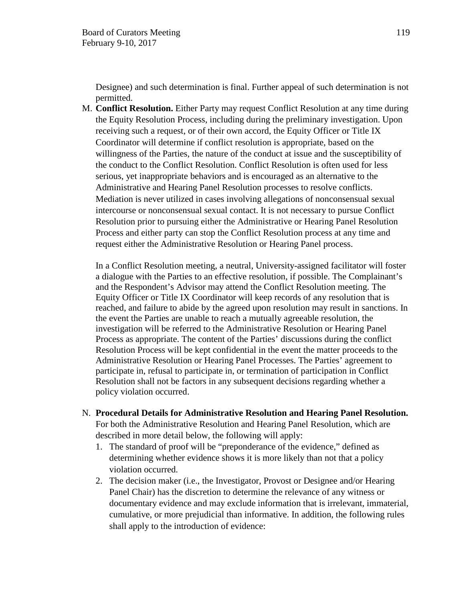Designee) and such determination is final. Further appeal of such determination is not permitted.

M. **Conflict Resolution.** Either Party may request Conflict Resolution at any time during the Equity Resolution Process, including during the preliminary investigation. Upon receiving such a request, or of their own accord, the Equity Officer or Title IX Coordinator will determine if conflict resolution is appropriate, based on the willingness of the Parties, the nature of the conduct at issue and the susceptibility of the conduct to the Conflict Resolution. Conflict Resolution is often used for less serious, yet inappropriate behaviors and is encouraged as an alternative to the Administrative and Hearing Panel Resolution processes to resolve conflicts. Mediation is never utilized in cases involving allegations of nonconsensual sexual intercourse or nonconsensual sexual contact. It is not necessary to pursue Conflict Resolution prior to pursuing either the Administrative or Hearing Panel Resolution Process and either party can stop the Conflict Resolution process at any time and request either the Administrative Resolution or Hearing Panel process.

In a Conflict Resolution meeting, a neutral, University-assigned facilitator will foster a dialogue with the Parties to an effective resolution, if possible. The Complainant's and the Respondent's Advisor may attend the Conflict Resolution meeting. The Equity Officer or Title IX Coordinator will keep records of any resolution that is reached, and failure to abide by the agreed upon resolution may result in sanctions. In the event the Parties are unable to reach a mutually agreeable resolution, the investigation will be referred to the Administrative Resolution or Hearing Panel Process as appropriate. The content of the Parties' discussions during the conflict Resolution Process will be kept confidential in the event the matter proceeds to the Administrative Resolution or Hearing Panel Processes. The Parties' agreement to participate in, refusal to participate in, or termination of participation in Conflict Resolution shall not be factors in any subsequent decisions regarding whether a policy violation occurred.

- N. **Procedural Details for Administrative Resolution and Hearing Panel Resolution.**  For both the Administrative Resolution and Hearing Panel Resolution, which are described in more detail below, the following will apply:
	- 1. The standard of proof will be "preponderance of the evidence," defined as determining whether evidence shows it is more likely than not that a policy violation occurred.
	- 2. The decision maker (i.e., the Investigator, Provost or Designee and/or Hearing Panel Chair) has the discretion to determine the relevance of any witness or documentary evidence and may exclude information that is irrelevant, immaterial, cumulative, or more prejudicial than informative. In addition, the following rules shall apply to the introduction of evidence: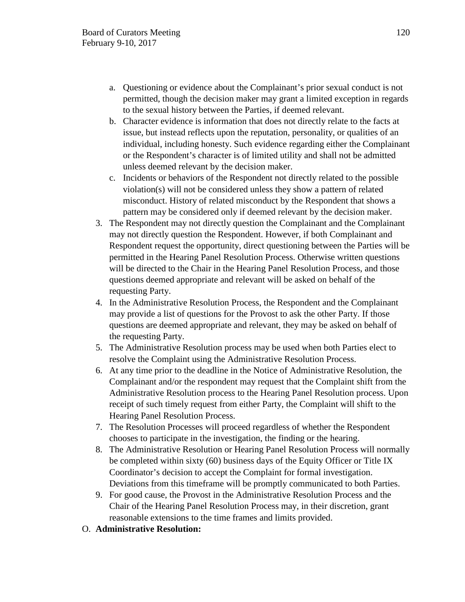- a. Questioning or evidence about the Complainant's prior sexual conduct is not permitted, though the decision maker may grant a limited exception in regards to the sexual history between the Parties, if deemed relevant.
- b. Character evidence is information that does not directly relate to the facts at issue, but instead reflects upon the reputation, personality, or qualities of an individual, including honesty. Such evidence regarding either the Complainant or the Respondent's character is of limited utility and shall not be admitted unless deemed relevant by the decision maker.
- c. Incidents or behaviors of the Respondent not directly related to the possible violation(s) will not be considered unless they show a pattern of related misconduct. History of related misconduct by the Respondent that shows a pattern may be considered only if deemed relevant by the decision maker.
- 3. The Respondent may not directly question the Complainant and the Complainant may not directly question the Respondent. However, if both Complainant and Respondent request the opportunity, direct questioning between the Parties will be permitted in the Hearing Panel Resolution Process. Otherwise written questions will be directed to the Chair in the Hearing Panel Resolution Process, and those questions deemed appropriate and relevant will be asked on behalf of the requesting Party.
- 4. In the Administrative Resolution Process, the Respondent and the Complainant may provide a list of questions for the Provost to ask the other Party. If those questions are deemed appropriate and relevant, they may be asked on behalf of the requesting Party.
- 5. The Administrative Resolution process may be used when both Parties elect to resolve the Complaint using the Administrative Resolution Process.
- 6. At any time prior to the deadline in the Notice of Administrative Resolution, the Complainant and/or the respondent may request that the Complaint shift from the Administrative Resolution process to the Hearing Panel Resolution process. Upon receipt of such timely request from either Party, the Complaint will shift to the Hearing Panel Resolution Process.
- 7. The Resolution Processes will proceed regardless of whether the Respondent chooses to participate in the investigation, the finding or the hearing.
- 8. The Administrative Resolution or Hearing Panel Resolution Process will normally be completed within sixty (60) business days of the Equity Officer or Title IX Coordinator's decision to accept the Complaint for formal investigation. Deviations from this timeframe will be promptly communicated to both Parties.
- 9. For good cause, the Provost in the Administrative Resolution Process and the Chair of the Hearing Panel Resolution Process may, in their discretion, grant reasonable extensions to the time frames and limits provided.
- O. **Administrative Resolution:**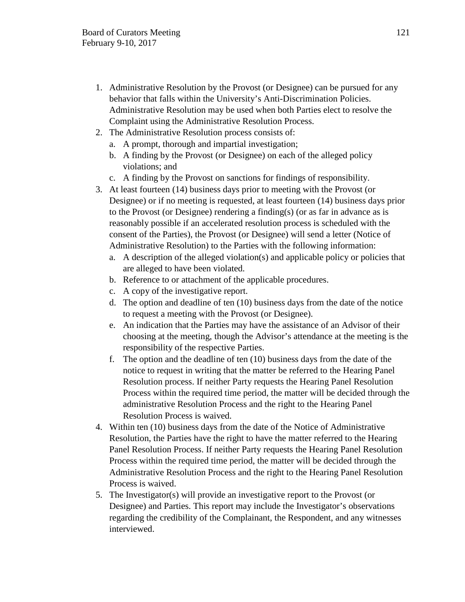- 1. Administrative Resolution by the Provost (or Designee) can be pursued for any behavior that falls within the University's Anti-Discrimination Policies. Administrative Resolution may be used when both Parties elect to resolve the Complaint using the Administrative Resolution Process.
- 2. The Administrative Resolution process consists of:
	- a. A prompt, thorough and impartial investigation;
	- b. A finding by the Provost (or Designee) on each of the alleged policy violations; and
	- c. A finding by the Provost on sanctions for findings of responsibility.
- 3. At least fourteen (14) business days prior to meeting with the Provost (or Designee) or if no meeting is requested, at least fourteen (14) business days prior to the Provost (or Designee) rendering a finding(s) (or as far in advance as is reasonably possible if an accelerated resolution process is scheduled with the consent of the Parties), the Provost (or Designee) will send a letter (Notice of Administrative Resolution) to the Parties with the following information:
	- a. A description of the alleged violation(s) and applicable policy or policies that are alleged to have been violated.
	- b. Reference to or attachment of the applicable procedures.
	- c. A copy of the investigative report.
	- d. The option and deadline of ten (10) business days from the date of the notice to request a meeting with the Provost (or Designee).
	- e. An indication that the Parties may have the assistance of an Advisor of their choosing at the meeting, though the Advisor's attendance at the meeting is the responsibility of the respective Parties.
	- f. The option and the deadline of ten (10) business days from the date of the notice to request in writing that the matter be referred to the Hearing Panel Resolution process. If neither Party requests the Hearing Panel Resolution Process within the required time period, the matter will be decided through the administrative Resolution Process and the right to the Hearing Panel Resolution Process is waived.
- 4. Within ten (10) business days from the date of the Notice of Administrative Resolution, the Parties have the right to have the matter referred to the Hearing Panel Resolution Process. If neither Party requests the Hearing Panel Resolution Process within the required time period, the matter will be decided through the Administrative Resolution Process and the right to the Hearing Panel Resolution Process is waived.
- 5. The Investigator(s) will provide an investigative report to the Provost (or Designee) and Parties. This report may include the Investigator's observations regarding the credibility of the Complainant, the Respondent, and any witnesses interviewed.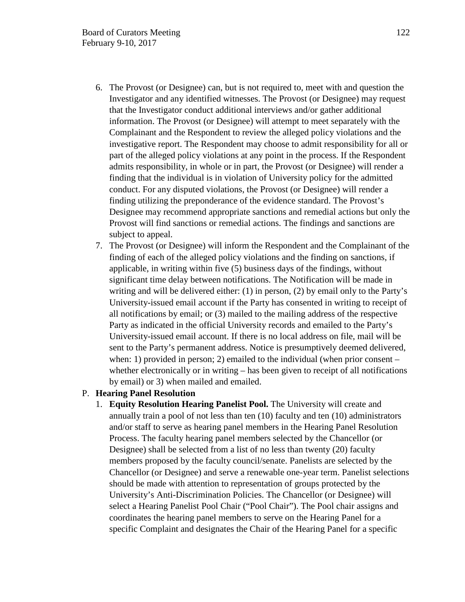- 6. The Provost (or Designee) can, but is not required to, meet with and question the Investigator and any identified witnesses. The Provost (or Designee) may request that the Investigator conduct additional interviews and/or gather additional information. The Provost (or Designee) will attempt to meet separately with the Complainant and the Respondent to review the alleged policy violations and the investigative report. The Respondent may choose to admit responsibility for all or part of the alleged policy violations at any point in the process. If the Respondent admits responsibility, in whole or in part, the Provost (or Designee) will render a finding that the individual is in violation of University policy for the admitted conduct. For any disputed violations, the Provost (or Designee) will render a finding utilizing the preponderance of the evidence standard. The Provost's Designee may recommend appropriate sanctions and remedial actions but only the Provost will find sanctions or remedial actions. The findings and sanctions are subject to appeal.
- 7. The Provost (or Designee) will inform the Respondent and the Complainant of the finding of each of the alleged policy violations and the finding on sanctions, if applicable, in writing within five (5) business days of the findings, without significant time delay between notifications. The Notification will be made in writing and will be delivered either: (1) in person, (2) by email only to the Party's University-issued email account if the Party has consented in writing to receipt of all notifications by email; or (3) mailed to the mailing address of the respective Party as indicated in the official University records and emailed to the Party's University-issued email account. If there is no local address on file, mail will be sent to the Party's permanent address. Notice is presumptively deemed delivered, when: 1) provided in person; 2) emailed to the individual (when prior consent – whether electronically or in writing – has been given to receipt of all notifications by email) or 3) when mailed and emailed.

### P. **Hearing Panel Resolution**

1. **Equity Resolution Hearing Panelist Pool.** The University will create and annually train a pool of not less than ten (10) faculty and ten (10) administrators and/or staff to serve as hearing panel members in the Hearing Panel Resolution Process. The faculty hearing panel members selected by the Chancellor (or Designee) shall be selected from a list of no less than twenty (20) faculty members proposed by the faculty council/senate. Panelists are selected by the Chancellor (or Designee) and serve a renewable one-year term. Panelist selections should be made with attention to representation of groups protected by the University's Anti-Discrimination Policies. The Chancellor (or Designee) will select a Hearing Panelist Pool Chair ("Pool Chair"). The Pool chair assigns and coordinates the hearing panel members to serve on the Hearing Panel for a specific Complaint and designates the Chair of the Hearing Panel for a specific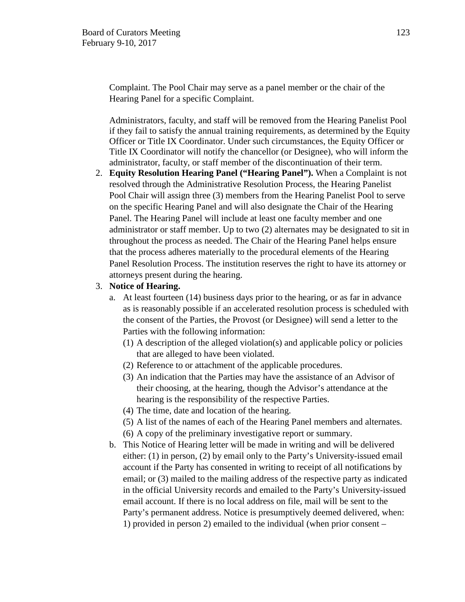Complaint. The Pool Chair may serve as a panel member or the chair of the Hearing Panel for a specific Complaint.

Administrators, faculty, and staff will be removed from the Hearing Panelist Pool if they fail to satisfy the annual training requirements, as determined by the Equity Officer or Title IX Coordinator. Under such circumstances, the Equity Officer or Title IX Coordinator will notify the chancellor (or Designee), who will inform the administrator, faculty, or staff member of the discontinuation of their term.

2. **Equity Resolution Hearing Panel ("Hearing Panel").** When a Complaint is not resolved through the Administrative Resolution Process, the Hearing Panelist Pool Chair will assign three (3) members from the Hearing Panelist Pool to serve on the specific Hearing Panel and will also designate the Chair of the Hearing Panel. The Hearing Panel will include at least one faculty member and one administrator or staff member. Up to two (2) alternates may be designated to sit in throughout the process as needed. The Chair of the Hearing Panel helps ensure that the process adheres materially to the procedural elements of the Hearing Panel Resolution Process. The institution reserves the right to have its attorney or attorneys present during the hearing.

#### 3. **Notice of Hearing.**

- a. At least fourteen (14) business days prior to the hearing, or as far in advance as is reasonably possible if an accelerated resolution process is scheduled with the consent of the Parties, the Provost (or Designee) will send a letter to the Parties with the following information:
	- (1) A description of the alleged violation(s) and applicable policy or policies that are alleged to have been violated.
	- (2) Reference to or attachment of the applicable procedures.
	- (3) An indication that the Parties may have the assistance of an Advisor of their choosing, at the hearing, though the Advisor's attendance at the hearing is the responsibility of the respective Parties.
	- (4) The time, date and location of the hearing.
	- (5) A list of the names of each of the Hearing Panel members and alternates.
	- (6) A copy of the preliminary investigative report or summary.
- b. This Notice of Hearing letter will be made in writing and will be delivered either: (1) in person, (2) by email only to the Party's University-issued email account if the Party has consented in writing to receipt of all notifications by email; or (3) mailed to the mailing address of the respective party as indicated in the official University records and emailed to the Party's University-issued email account. If there is no local address on file, mail will be sent to the Party's permanent address. Notice is presumptively deemed delivered, when: 1) provided in person 2) emailed to the individual (when prior consent –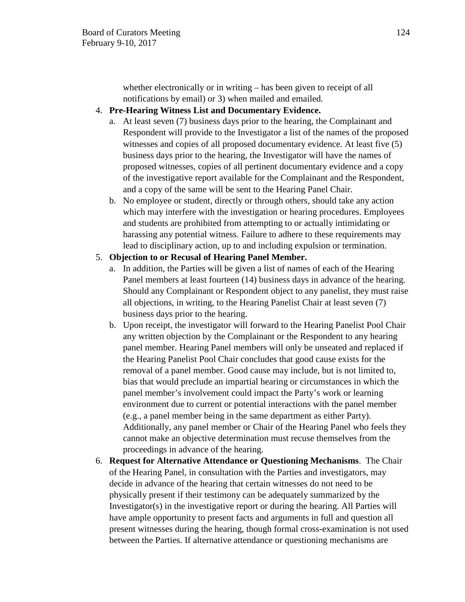whether electronically or in writing – has been given to receipt of all notifications by email) or 3) when mailed and emailed.

## 4. **Pre-Hearing Witness List and Documentary Evidence.**

- a. At least seven (7) business days prior to the hearing, the Complainant and Respondent will provide to the Investigator a list of the names of the proposed witnesses and copies of all proposed documentary evidence. At least five (5) business days prior to the hearing, the Investigator will have the names of proposed witnesses, copies of all pertinent documentary evidence and a copy of the investigative report available for the Complainant and the Respondent, and a copy of the same will be sent to the Hearing Panel Chair.
- b. No employee or student, directly or through others, should take any action which may interfere with the investigation or hearing procedures. Employees and students are prohibited from attempting to or actually intimidating or harassing any potential witness. Failure to adhere to these requirements may lead to disciplinary action, up to and including expulsion or termination.

## 5. **Objection to or Recusal of Hearing Panel Member.**

- a. In addition, the Parties will be given a list of names of each of the Hearing Panel members at least fourteen (14) business days in advance of the hearing. Should any Complainant or Respondent object to any panelist, they must raise all objections, in writing, to the Hearing Panelist Chair at least seven (7) business days prior to the hearing.
- b. Upon receipt, the investigator will forward to the Hearing Panelist Pool Chair any written objection by the Complainant or the Respondent to any hearing panel member. Hearing Panel members will only be unseated and replaced if the Hearing Panelist Pool Chair concludes that good cause exists for the removal of a panel member. Good cause may include, but is not limited to, bias that would preclude an impartial hearing or circumstances in which the panel member's involvement could impact the Party's work or learning environment due to current or potential interactions with the panel member (e.g., a panel member being in the same department as either Party). Additionally, any panel member or Chair of the Hearing Panel who feels they cannot make an objective determination must recuse themselves from the proceedings in advance of the hearing.
- 6. **Request for Alternative Attendance or Questioning Mechanisms**. The Chair of the Hearing Panel, in consultation with the Parties and investigators, may decide in advance of the hearing that certain witnesses do not need to be physically present if their testimony can be adequately summarized by the Investigator(s) in the investigative report or during the hearing. All Parties will have ample opportunity to present facts and arguments in full and question all present witnesses during the hearing, though formal cross-examination is not used between the Parties. If alternative attendance or questioning mechanisms are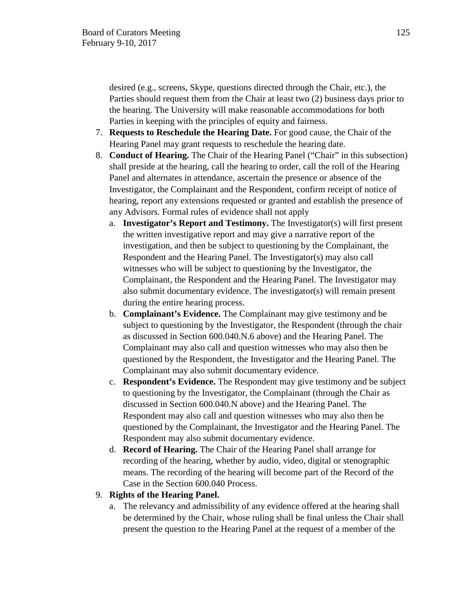desired (e.g., screens, Skype, questions directed through the Chair, etc.), the Parties should request them from the Chair at least two (2) business days prior to the hearing. The University will make reasonable accommodations for both Parties in keeping with the principles of equity and fairness.

- 7. **Requests to Reschedule the Hearing Date.** For good cause, the Chair of the Hearing Panel may grant requests to reschedule the hearing date.
- 8. **Conduct of Hearing.** The Chair of the Hearing Panel ("Chair" in this subsection) shall preside at the hearing, call the hearing to order, call the roll of the Hearing Panel and alternates in attendance, ascertain the presence or absence of the Investigator, the Complainant and the Respondent, confirm receipt of notice of hearing, report any extensions requested or granted and establish the presence of any Advisors. Formal rules of evidence shall not apply
	- a. **Investigator's Report and Testimony.** The Investigator(s) will first present the written investigative report and may give a narrative report of the investigation, and then be subject to questioning by the Complainant, the Respondent and the Hearing Panel. The Investigator(s) may also call witnesses who will be subject to questioning by the Investigator, the Complainant, the Respondent and the Hearing Panel. The Investigator may also submit documentary evidence. The investigator(s) will remain present during the entire hearing process.
	- b. **Complainant's Evidence.** The Complainant may give testimony and be subject to questioning by the Investigator, the Respondent (through the chair as discussed in Section 600.040.N.6 above) and the Hearing Panel. The Complainant may also call and question witnesses who may also then be questioned by the Respondent, the Investigator and the Hearing Panel. The Complainant may also submit documentary evidence.
	- c. **Respondent's Evidence.** The Respondent may give testimony and be subject to questioning by the Investigator, the Complainant (through the Chair as discussed in Section 600.040.N above) and the Hearing Panel. The Respondent may also call and question witnesses who may also then be questioned by the Complainant, the Investigator and the Hearing Panel. The Respondent may also submit documentary evidence.
	- d. **Record of Hearing.** The Chair of the Hearing Panel shall arrange for recording of the hearing, whether by audio, video, digital or stenographic means. The recording of the hearing will become part of the Record of the Case in the Section 600.040 Process.

# 9. **Rights of the Hearing Panel.**

a. The relevancy and admissibility of any evidence offered at the hearing shall be determined by the Chair, whose ruling shall be final unless the Chair shall present the question to the Hearing Panel at the request of a member of the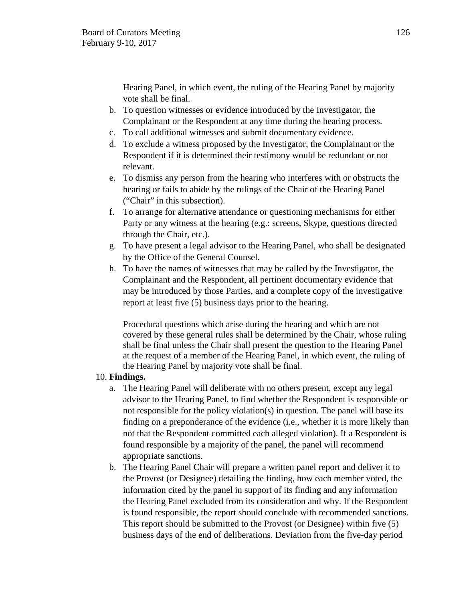Hearing Panel, in which event, the ruling of the Hearing Panel by majority vote shall be final.

- b. To question witnesses or evidence introduced by the Investigator, the Complainant or the Respondent at any time during the hearing process.
- c. To call additional witnesses and submit documentary evidence.
- d. To exclude a witness proposed by the Investigator, the Complainant or the Respondent if it is determined their testimony would be redundant or not relevant.
- e. To dismiss any person from the hearing who interferes with or obstructs the hearing or fails to abide by the rulings of the Chair of the Hearing Panel ("Chair" in this subsection).
- f. To arrange for alternative attendance or questioning mechanisms for either Party or any witness at the hearing (e.g.: screens, Skype, questions directed through the Chair, etc.).
- g. To have present a legal advisor to the Hearing Panel, who shall be designated by the Office of the General Counsel.
- h. To have the names of witnesses that may be called by the Investigator, the Complainant and the Respondent, all pertinent documentary evidence that may be introduced by those Parties, and a complete copy of the investigative report at least five (5) business days prior to the hearing.

Procedural questions which arise during the hearing and which are not covered by these general rules shall be determined by the Chair, whose ruling shall be final unless the Chair shall present the question to the Hearing Panel at the request of a member of the Hearing Panel, in which event, the ruling of the Hearing Panel by majority vote shall be final.

# 10. **Findings.**

- a. The Hearing Panel will deliberate with no others present, except any legal advisor to the Hearing Panel, to find whether the Respondent is responsible or not responsible for the policy violation(s) in question. The panel will base its finding on a preponderance of the evidence (i.e., whether it is more likely than not that the Respondent committed each alleged violation). If a Respondent is found responsible by a majority of the panel, the panel will recommend appropriate sanctions.
- b. The Hearing Panel Chair will prepare a written panel report and deliver it to the Provost (or Designee) detailing the finding, how each member voted, the information cited by the panel in support of its finding and any information the Hearing Panel excluded from its consideration and why. If the Respondent is found responsible, the report should conclude with recommended sanctions. This report should be submitted to the Provost (or Designee) within five (5) business days of the end of deliberations. Deviation from the five-day period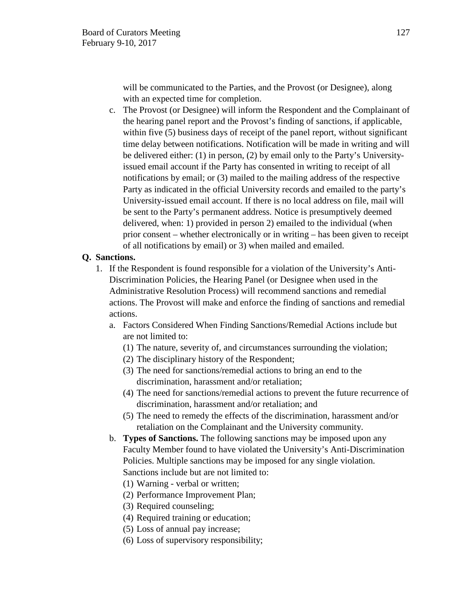will be communicated to the Parties, and the Provost (or Designee), along with an expected time for completion.

c. The Provost (or Designee) will inform the Respondent and the Complainant of the hearing panel report and the Provost's finding of sanctions, if applicable, within five (5) business days of receipt of the panel report, without significant time delay between notifications. Notification will be made in writing and will be delivered either: (1) in person, (2) by email only to the Party's Universityissued email account if the Party has consented in writing to receipt of all notifications by email; or (3) mailed to the mailing address of the respective Party as indicated in the official University records and emailed to the party's University-issued email account. If there is no local address on file, mail will be sent to the Party's permanent address. Notice is presumptively deemed delivered, when: 1) provided in person 2) emailed to the individual (when prior consent – whether electronically or in writing – has been given to receipt of all notifications by email) or 3) when mailed and emailed.

### **Q. Sanctions.**

- 1. If the Respondent is found responsible for a violation of the University's Anti-Discrimination Policies, the Hearing Panel (or Designee when used in the Administrative Resolution Process) will recommend sanctions and remedial actions. The Provost will make and enforce the finding of sanctions and remedial actions.
	- a. Factors Considered When Finding Sanctions/Remedial Actions include but are not limited to:
		- (1) The nature, severity of, and circumstances surrounding the violation;
		- (2) The disciplinary history of the Respondent;
		- (3) The need for sanctions/remedial actions to bring an end to the discrimination, harassment and/or retaliation;
		- (4) The need for sanctions/remedial actions to prevent the future recurrence of discrimination, harassment and/or retaliation; and
		- (5) The need to remedy the effects of the discrimination, harassment and/or retaliation on the Complainant and the University community.
	- b. **Types of Sanctions.** The following sanctions may be imposed upon any Faculty Member found to have violated the University's Anti-Discrimination Policies. Multiple sanctions may be imposed for any single violation. Sanctions include but are not limited to:
		- (1) Warning verbal or written;
		- (2) Performance Improvement Plan;
		- (3) Required counseling;
		- (4) Required training or education;
		- (5) Loss of annual pay increase;
		- (6) Loss of supervisory responsibility;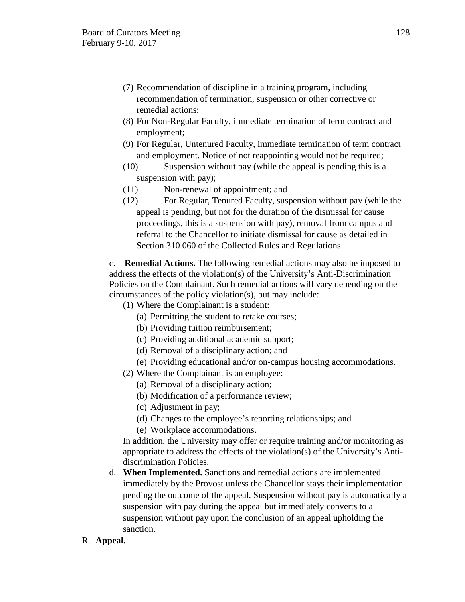- (7) Recommendation of discipline in a training program, including recommendation of termination, suspension or other corrective or remedial actions;
- (8) For Non-Regular Faculty, immediate termination of term contract and employment;
- (9) For Regular, Untenured Faculty, immediate termination of term contract and employment. Notice of not reappointing would not be required;
- (10) Suspension without pay (while the appeal is pending this is a suspension with pay);
- (11) Non-renewal of appointment; and
- (12) For Regular, Tenured Faculty, suspension without pay (while the appeal is pending, but not for the duration of the dismissal for cause proceedings, this is a suspension with pay), removal from campus and referral to the Chancellor to initiate dismissal for cause as detailed in Section 310.060 of the Collected Rules and Regulations.

c. **Remedial Actions.** The following remedial actions may also be imposed to address the effects of the violation(s) of the University's Anti-Discrimination Policies on the Complainant. Such remedial actions will vary depending on the circumstances of the policy violation(s), but may include:

(1) Where the Complainant is a student:

- (a) Permitting the student to retake courses;
- (b) Providing tuition reimbursement;
- (c) Providing additional academic support;
- (d) Removal of a disciplinary action; and
- (e) Providing educational and/or on-campus housing accommodations.
- (2) Where the Complainant is an employee:
	- (a) Removal of a disciplinary action;
	- (b) Modification of a performance review;
	- (c) Adjustment in pay;
	- (d) Changes to the employee's reporting relationships; and
	- (e) Workplace accommodations.

In addition, the University may offer or require training and/or monitoring as appropriate to address the effects of the violation(s) of the University's Antidiscrimination Policies.

- d. **When Implemented.** Sanctions and remedial actions are implemented immediately by the Provost unless the Chancellor stays their implementation pending the outcome of the appeal. Suspension without pay is automatically a suspension with pay during the appeal but immediately converts to a suspension without pay upon the conclusion of an appeal upholding the sanction.
- R. **Appeal.**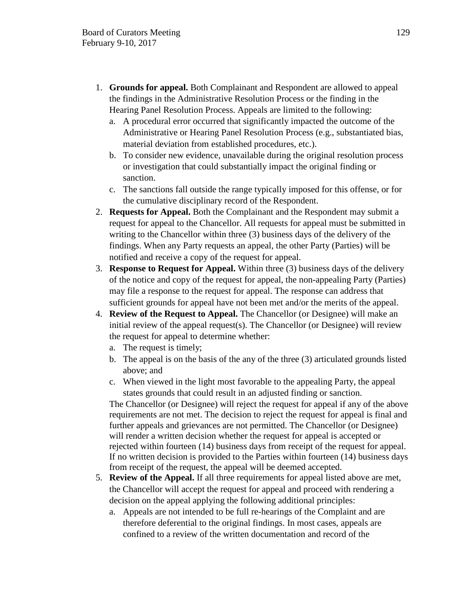- 1. **Grounds for appeal.** Both Complainant and Respondent are allowed to appeal the findings in the Administrative Resolution Process or the finding in the Hearing Panel Resolution Process. Appeals are limited to the following:
	- a. A procedural error occurred that significantly impacted the outcome of the Administrative or Hearing Panel Resolution Process (e.g., substantiated bias, material deviation from established procedures, etc.).
	- b. To consider new evidence, unavailable during the original resolution process or investigation that could substantially impact the original finding or sanction.
	- c. The sanctions fall outside the range typically imposed for this offense, or for the cumulative disciplinary record of the Respondent.
- 2. **Requests for Appeal.** Both the Complainant and the Respondent may submit a request for appeal to the Chancellor. All requests for appeal must be submitted in writing to the Chancellor within three (3) business days of the delivery of the findings. When any Party requests an appeal, the other Party (Parties) will be notified and receive a copy of the request for appeal.
- 3. **Response to Request for Appeal.** Within three (3) business days of the delivery of the notice and copy of the request for appeal, the non-appealing Party (Parties) may file a response to the request for appeal. The response can address that sufficient grounds for appeal have not been met and/or the merits of the appeal.
- 4. **Review of the Request to Appeal.** The Chancellor (or Designee) will make an initial review of the appeal request(s). The Chancellor (or Designee) will review the request for appeal to determine whether:
	- a. The request is timely;
	- b. The appeal is on the basis of the any of the three (3) articulated grounds listed above; and
	- c. When viewed in the light most favorable to the appealing Party, the appeal states grounds that could result in an adjusted finding or sanction.

The Chancellor (or Designee) will reject the request for appeal if any of the above requirements are not met. The decision to reject the request for appeal is final and further appeals and grievances are not permitted. The Chancellor (or Designee) will render a written decision whether the request for appeal is accepted or rejected within fourteen (14) business days from receipt of the request for appeal. If no written decision is provided to the Parties within fourteen (14) business days from receipt of the request, the appeal will be deemed accepted.

- 5. **Review of the Appeal.** If all three requirements for appeal listed above are met, the Chancellor will accept the request for appeal and proceed with rendering a decision on the appeal applying the following additional principles:
	- a. Appeals are not intended to be full re-hearings of the Complaint and are therefore deferential to the original findings. In most cases, appeals are confined to a review of the written documentation and record of the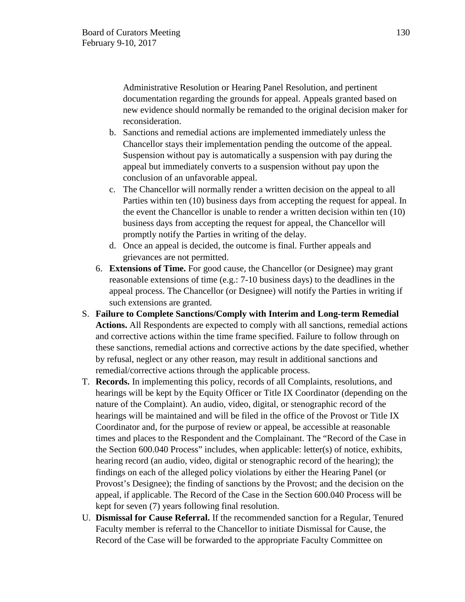Administrative Resolution or Hearing Panel Resolution, and pertinent documentation regarding the grounds for appeal. Appeals granted based on new evidence should normally be remanded to the original decision maker for reconsideration.

- b. Sanctions and remedial actions are implemented immediately unless the Chancellor stays their implementation pending the outcome of the appeal. Suspension without pay is automatically a suspension with pay during the appeal but immediately converts to a suspension without pay upon the conclusion of an unfavorable appeal.
- c. The Chancellor will normally render a written decision on the appeal to all Parties within ten (10) business days from accepting the request for appeal. In the event the Chancellor is unable to render a written decision within ten (10) business days from accepting the request for appeal, the Chancellor will promptly notify the Parties in writing of the delay.
- d. Once an appeal is decided, the outcome is final. Further appeals and grievances are not permitted.
- 6. **Extensions of Time.** For good cause, the Chancellor (or Designee) may grant reasonable extensions of time (e.g.: 7-10 business days) to the deadlines in the appeal process. The Chancellor (or Designee) will notify the Parties in writing if such extensions are granted.
- S. **Failure to Complete Sanctions/Comply with Interim and Long-term Remedial Actions.** All Respondents are expected to comply with all sanctions, remedial actions and corrective actions within the time frame specified. Failure to follow through on these sanctions, remedial actions and corrective actions by the date specified, whether by refusal, neglect or any other reason, may result in additional sanctions and remedial/corrective actions through the applicable process.
- T. **Records.** In implementing this policy, records of all Complaints, resolutions, and hearings will be kept by the Equity Officer or Title IX Coordinator (depending on the nature of the Complaint). An audio, video, digital, or stenographic record of the hearings will be maintained and will be filed in the office of the Provost or Title IX Coordinator and, for the purpose of review or appeal, be accessible at reasonable times and places to the Respondent and the Complainant. The "Record of the Case in the Section 600.040 Process" includes, when applicable: letter(s) of notice, exhibits, hearing record (an audio, video, digital or stenographic record of the hearing); the findings on each of the alleged policy violations by either the Hearing Panel (or Provost's Designee); the finding of sanctions by the Provost; and the decision on the appeal, if applicable. The Record of the Case in the Section 600.040 Process will be kept for seven (7) years following final resolution.
- U. **Dismissal for Cause Referral.** If the recommended sanction for a Regular, Tenured Faculty member is referral to the Chancellor to initiate Dismissal for Cause, the Record of the Case will be forwarded to the appropriate Faculty Committee on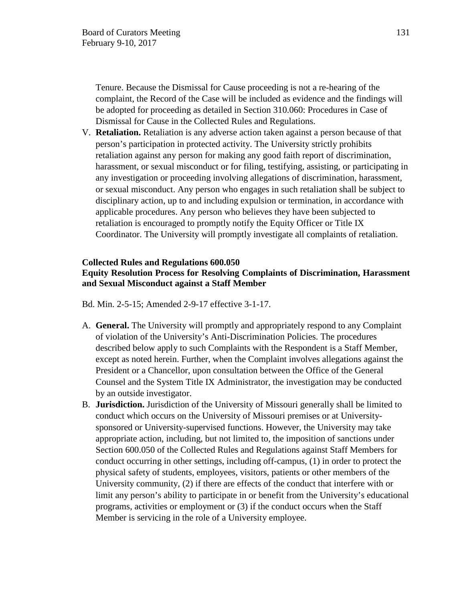Tenure. Because the Dismissal for Cause proceeding is not a re-hearing of the complaint, the Record of the Case will be included as evidence and the findings will be adopted for proceeding as detailed in Section 310.060: Procedures in Case of Dismissal for Cause in the Collected Rules and Regulations.

V. **Retaliation.** Retaliation is any adverse action taken against a person because of that person's participation in protected activity. The University strictly prohibits retaliation against any person for making any good faith report of discrimination, harassment, or sexual misconduct or for filing, testifying, assisting, or participating in any investigation or proceeding involving allegations of discrimination, harassment, or sexual misconduct. Any person who engages in such retaliation shall be subject to disciplinary action, up to and including expulsion or termination, in accordance with applicable procedures. Any person who believes they have been subjected to retaliation is encouraged to promptly notify the Equity Officer or Title IX Coordinator. The University will promptly investigate all complaints of retaliation.

#### **Collected Rules and Regulations 600.050**

## **Equity Resolution Process for Resolving Complaints of Discrimination, Harassment and Sexual Misconduct against a Staff Member**

Bd. Min. 2-5-15; Amended 2-9-17 effective 3-1-17.

- A. **General.** The University will promptly and appropriately respond to any Complaint of violation of the University's Anti-Discrimination Policies. The procedures described below apply to such Complaints with the Respondent is a Staff Member, except as noted herein. Further, when the Complaint involves allegations against the President or a Chancellor, upon consultation between the Office of the General Counsel and the System Title IX Administrator, the investigation may be conducted by an outside investigator.
- B. **Jurisdiction.** Jurisdiction of the University of Missouri generally shall be limited to conduct which occurs on the University of Missouri premises or at Universitysponsored or University-supervised functions. However, the University may take appropriate action, including, but not limited to, the imposition of sanctions under Section 600.050 of the Collected Rules and Regulations against Staff Members for conduct occurring in other settings, including off-campus, (1) in order to protect the physical safety of students, employees, visitors, patients or other members of the University community, (2) if there are effects of the conduct that interfere with or limit any person's ability to participate in or benefit from the University's educational programs, activities or employment or (3) if the conduct occurs when the Staff Member is servicing in the role of a University employee.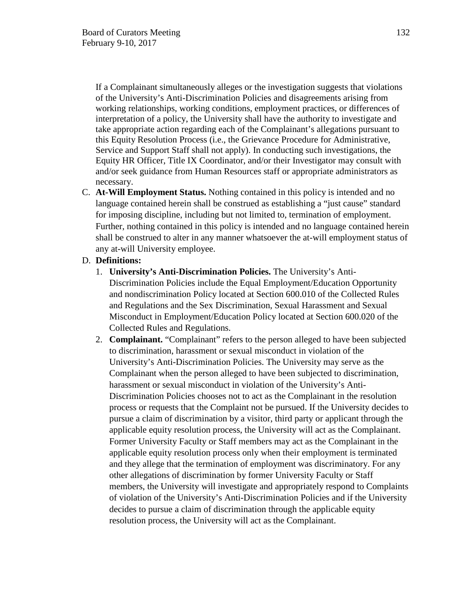If a Complainant simultaneously alleges or the investigation suggests that violations of the University's Anti-Discrimination Policies and disagreements arising from working relationships, working conditions, employment practices, or differences of interpretation of a policy, the University shall have the authority to investigate and take appropriate action regarding each of the Complainant's allegations pursuant to this Equity Resolution Process (i.e., the Grievance Procedure for Administrative, Service and Support Staff shall not apply). In conducting such investigations, the Equity HR Officer, Title IX Coordinator, and/or their Investigator may consult with and/or seek guidance from Human Resources staff or appropriate administrators as necessary.

C. **At-Will Employment Status.** Nothing contained in this policy is intended and no language contained herein shall be construed as establishing a "just cause" standard for imposing discipline, including but not limited to, termination of employment. Further, nothing contained in this policy is intended and no language contained herein shall be construed to alter in any manner whatsoever the at-will employment status of any at-will University employee.

### D. **Definitions:**

- 1. **University's Anti-Discrimination Policies.** The University's Anti-Discrimination Policies include the Equal Employment/Education Opportunity and nondiscrimination Policy located at Section 600.010 of the Collected Rules and Regulations and the Sex Discrimination, Sexual Harassment and Sexual Misconduct in Employment/Education Policy located at Section 600.020 of the Collected Rules and Regulations.
- 2. **Complainant.** "Complainant" refers to the person alleged to have been subjected to discrimination, harassment or sexual misconduct in violation of the University's Anti-Discrimination Policies. The University may serve as the Complainant when the person alleged to have been subjected to discrimination, harassment or sexual misconduct in violation of the University's Anti-Discrimination Policies chooses not to act as the Complainant in the resolution process or requests that the Complaint not be pursued. If the University decides to pursue a claim of discrimination by a visitor, third party or applicant through the applicable equity resolution process, the University will act as the Complainant. Former University Faculty or Staff members may act as the Complainant in the applicable equity resolution process only when their employment is terminated and they allege that the termination of employment was discriminatory. For any other allegations of discrimination by former University Faculty or Staff members, the University will investigate and appropriately respond to Complaints of violation of the University's Anti-Discrimination Policies and if the University decides to pursue a claim of discrimination through the applicable equity resolution process, the University will act as the Complainant.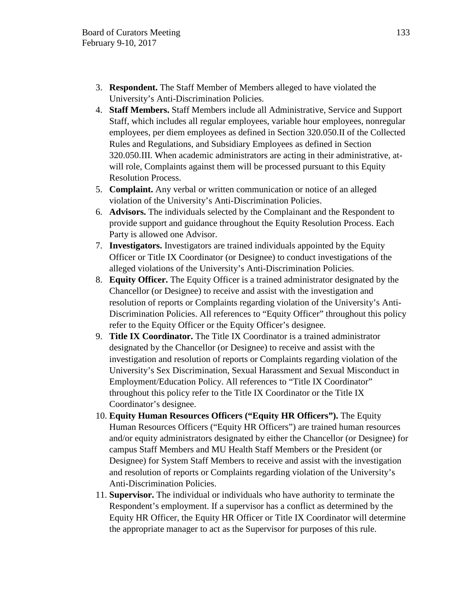- 3. **Respondent.** The Staff Member of Members alleged to have violated the University's Anti-Discrimination Policies.
- 4. **Staff Members.** Staff Members include all Administrative, Service and Support Staff, which includes all regular employees, variable hour employees, nonregular employees, per diem employees as defined in Section 320.050.II of the Collected Rules and Regulations, and Subsidiary Employees as defined in Section 320.050.III. When academic administrators are acting in their administrative, atwill role, Complaints against them will be processed pursuant to this Equity Resolution Process.
- 5. **Complaint.** Any verbal or written communication or notice of an alleged violation of the University's Anti-Discrimination Policies.
- 6. **Advisors.** The individuals selected by the Complainant and the Respondent to provide support and guidance throughout the Equity Resolution Process. Each Party is allowed one Advisor.
- 7. **Investigators.** Investigators are trained individuals appointed by the Equity Officer or Title IX Coordinator (or Designee) to conduct investigations of the alleged violations of the University's Anti-Discrimination Policies.
- 8. **Equity Officer.** The Equity Officer is a trained administrator designated by the Chancellor (or Designee) to receive and assist with the investigation and resolution of reports or Complaints regarding violation of the University's Anti-Discrimination Policies. All references to "Equity Officer" throughout this policy refer to the Equity Officer or the Equity Officer's designee.
- 9. **Title IX Coordinator.** The Title IX Coordinator is a trained administrator designated by the Chancellor (or Designee) to receive and assist with the investigation and resolution of reports or Complaints regarding violation of the University's Sex Discrimination, Sexual Harassment and Sexual Misconduct in Employment/Education Policy. All references to "Title IX Coordinator" throughout this policy refer to the Title IX Coordinator or the Title IX Coordinator's designee.
- 10. **Equity Human Resources Officers ("Equity HR Officers").** The Equity Human Resources Officers ("Equity HR Officers") are trained human resources and/or equity administrators designated by either the Chancellor (or Designee) for campus Staff Members and MU Health Staff Members or the President (or Designee) for System Staff Members to receive and assist with the investigation and resolution of reports or Complaints regarding violation of the University's Anti-Discrimination Policies.
- 11. **Supervisor.** The individual or individuals who have authority to terminate the Respondent's employment. If a supervisor has a conflict as determined by the Equity HR Officer, the Equity HR Officer or Title IX Coordinator will determine the appropriate manager to act as the Supervisor for purposes of this rule.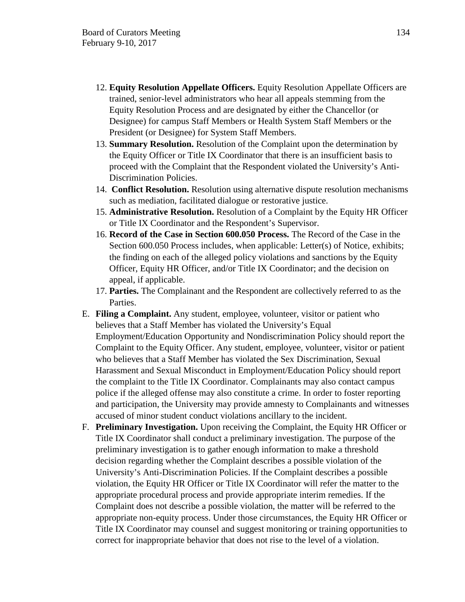- 12. **Equity Resolution Appellate Officers.** Equity Resolution Appellate Officers are trained, senior-level administrators who hear all appeals stemming from the Equity Resolution Process and are designated by either the Chancellor (or Designee) for campus Staff Members or Health System Staff Members or the President (or Designee) for System Staff Members.
- 13. **Summary Resolution.** Resolution of the Complaint upon the determination by the Equity Officer or Title IX Coordinator that there is an insufficient basis to proceed with the Complaint that the Respondent violated the University's Anti-Discrimination Policies.
- 14. **Conflict Resolution.** Resolution using alternative dispute resolution mechanisms such as mediation, facilitated dialogue or restorative justice.
- 15. **Administrative Resolution.** Resolution of a Complaint by the Equity HR Officer or Title IX Coordinator and the Respondent's Supervisor.
- 16. **Record of the Case in Section 600.050 Process.** The Record of the Case in the Section 600.050 Process includes, when applicable: Letter(s) of Notice, exhibits; the finding on each of the alleged policy violations and sanctions by the Equity Officer, Equity HR Officer, and/or Title IX Coordinator; and the decision on appeal, if applicable.
- 17. **Parties.** The Complainant and the Respondent are collectively referred to as the Parties.
- E. **Filing a Complaint.** Any student, employee, volunteer, visitor or patient who believes that a Staff Member has violated the University's Equal Employment/Education Opportunity and Nondiscrimination Policy should report the Complaint to the Equity Officer. Any student, employee, volunteer, visitor or patient who believes that a Staff Member has violated the Sex Discrimination, Sexual Harassment and Sexual Misconduct in Employment/Education Policy should report the complaint to the Title IX Coordinator. Complainants may also contact campus police if the alleged offense may also constitute a crime. In order to foster reporting and participation, the University may provide amnesty to Complainants and witnesses accused of minor student conduct violations ancillary to the incident.
- F. **Preliminary Investigation.** Upon receiving the Complaint, the Equity HR Officer or Title IX Coordinator shall conduct a preliminary investigation. The purpose of the preliminary investigation is to gather enough information to make a threshold decision regarding whether the Complaint describes a possible violation of the University's Anti-Discrimination Policies. If the Complaint describes a possible violation, the Equity HR Officer or Title IX Coordinator will refer the matter to the appropriate procedural process and provide appropriate interim remedies. If the Complaint does not describe a possible violation, the matter will be referred to the appropriate non-equity process. Under those circumstances, the Equity HR Officer or Title IX Coordinator may counsel and suggest monitoring or training opportunities to correct for inappropriate behavior that does not rise to the level of a violation.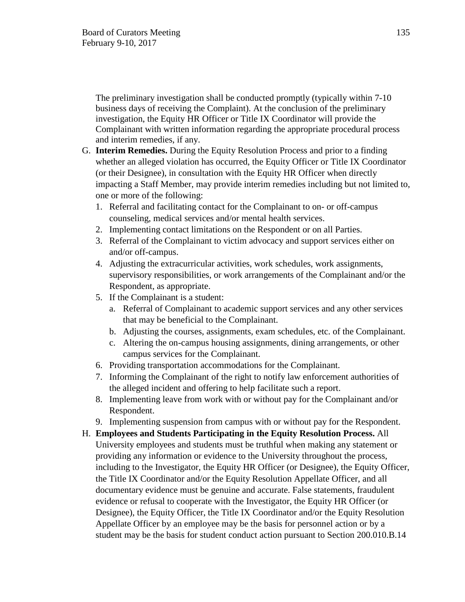The preliminary investigation shall be conducted promptly (typically within 7-10 business days of receiving the Complaint). At the conclusion of the preliminary investigation, the Equity HR Officer or Title IX Coordinator will provide the Complainant with written information regarding the appropriate procedural process and interim remedies, if any.

- G. **Interim Remedies.** During the Equity Resolution Process and prior to a finding whether an alleged violation has occurred, the Equity Officer or Title IX Coordinator (or their Designee), in consultation with the Equity HR Officer when directly impacting a Staff Member, may provide interim remedies including but not limited to, one or more of the following:
	- 1. Referral and facilitating contact for the Complainant to on- or off-campus counseling, medical services and/or mental health services.
	- 2. Implementing contact limitations on the Respondent or on all Parties.
	- 3. Referral of the Complainant to victim advocacy and support services either on and/or off-campus.
	- 4. Adjusting the extracurricular activities, work schedules, work assignments, supervisory responsibilities, or work arrangements of the Complainant and/or the Respondent, as appropriate.
	- 5. If the Complainant is a student:
		- a. Referral of Complainant to academic support services and any other services that may be beneficial to the Complainant.
		- b. Adjusting the courses, assignments, exam schedules, etc. of the Complainant.
		- c. Altering the on-campus housing assignments, dining arrangements, or other campus services for the Complainant.
	- 6. Providing transportation accommodations for the Complainant.
	- 7. Informing the Complainant of the right to notify law enforcement authorities of the alleged incident and offering to help facilitate such a report.
	- 8. Implementing leave from work with or without pay for the Complainant and/or Respondent.
	- 9. Implementing suspension from campus with or without pay for the Respondent.
- H. **Employees and Students Participating in the Equity Resolution Process.** All University employees and students must be truthful when making any statement or providing any information or evidence to the University throughout the process, including to the Investigator, the Equity HR Officer (or Designee), the Equity Officer, the Title IX Coordinator and/or the Equity Resolution Appellate Officer, and all documentary evidence must be genuine and accurate. False statements, fraudulent evidence or refusal to cooperate with the Investigator, the Equity HR Officer (or Designee), the Equity Officer, the Title IX Coordinator and/or the Equity Resolution Appellate Officer by an employee may be the basis for personnel action or by a student may be the basis for student conduct action pursuant to Section 200.010.B.14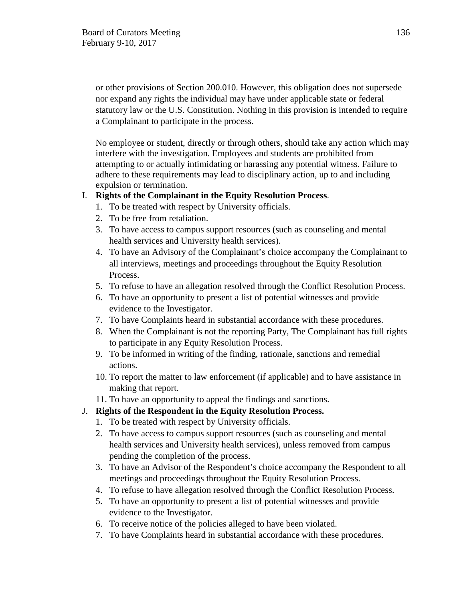or other provisions of Section 200.010. However, this obligation does not supersede nor expand any rights the individual may have under applicable state or federal statutory law or the U.S. Constitution. Nothing in this provision is intended to require a Complainant to participate in the process.

No employee or student, directly or through others, should take any action which may interfere with the investigation. Employees and students are prohibited from attempting to or actually intimidating or harassing any potential witness. Failure to adhere to these requirements may lead to disciplinary action, up to and including expulsion or termination.

## I. **Rights of the Complainant in the Equity Resolution Process**.

- 1. To be treated with respect by University officials.
- 2. To be free from retaliation.
- 3. To have access to campus support resources (such as counseling and mental health services and University health services).
- 4. To have an Advisory of the Complainant's choice accompany the Complainant to all interviews, meetings and proceedings throughout the Equity Resolution Process.
- 5. To refuse to have an allegation resolved through the Conflict Resolution Process.
- 6. To have an opportunity to present a list of potential witnesses and provide evidence to the Investigator.
- 7. To have Complaints heard in substantial accordance with these procedures.
- 8. When the Complainant is not the reporting Party, The Complainant has full rights to participate in any Equity Resolution Process.
- 9. To be informed in writing of the finding, rationale, sanctions and remedial actions.
- 10. To report the matter to law enforcement (if applicable) and to have assistance in making that report.
- 11. To have an opportunity to appeal the findings and sanctions.

# J. **Rights of the Respondent in the Equity Resolution Process.**

- 1. To be treated with respect by University officials.
- 2. To have access to campus support resources (such as counseling and mental health services and University health services), unless removed from campus pending the completion of the process.
- 3. To have an Advisor of the Respondent's choice accompany the Respondent to all meetings and proceedings throughout the Equity Resolution Process.
- 4. To refuse to have allegation resolved through the Conflict Resolution Process.
- 5. To have an opportunity to present a list of potential witnesses and provide evidence to the Investigator.
- 6. To receive notice of the policies alleged to have been violated.
- 7. To have Complaints heard in substantial accordance with these procedures.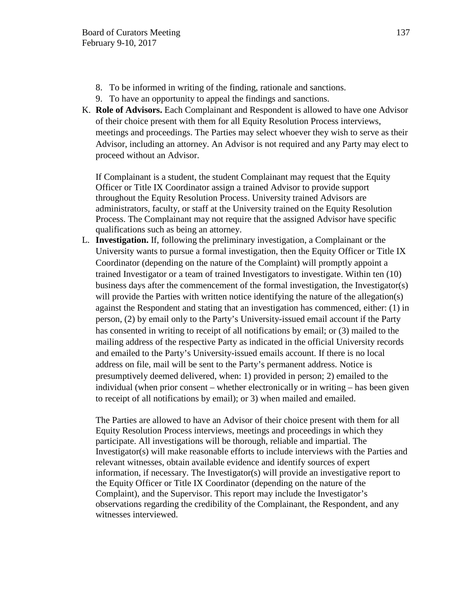- 8. To be informed in writing of the finding, rationale and sanctions.
- 9. To have an opportunity to appeal the findings and sanctions.
- K. **Role of Advisors.** Each Complainant and Respondent is allowed to have one Advisor of their choice present with them for all Equity Resolution Process interviews, meetings and proceedings. The Parties may select whoever they wish to serve as their Advisor, including an attorney. An Advisor is not required and any Party may elect to proceed without an Advisor.

If Complainant is a student, the student Complainant may request that the Equity Officer or Title IX Coordinator assign a trained Advisor to provide support throughout the Equity Resolution Process. University trained Advisors are administrators, faculty, or staff at the University trained on the Equity Resolution Process. The Complainant may not require that the assigned Advisor have specific qualifications such as being an attorney.

L. **Investigation.** If, following the preliminary investigation, a Complainant or the University wants to pursue a formal investigation, then the Equity Officer or Title IX Coordinator (depending on the nature of the Complaint) will promptly appoint a trained Investigator or a team of trained Investigators to investigate. Within ten (10) business days after the commencement of the formal investigation, the Investigator(s) will provide the Parties with written notice identifying the nature of the allegation(s) against the Respondent and stating that an investigation has commenced, either: (1) in person, (2) by email only to the Party's University-issued email account if the Party has consented in writing to receipt of all notifications by email; or (3) mailed to the mailing address of the respective Party as indicated in the official University records and emailed to the Party's University-issued emails account. If there is no local address on file, mail will be sent to the Party's permanent address. Notice is presumptively deemed delivered, when: 1) provided in person; 2) emailed to the individual (when prior consent – whether electronically or in writing – has been given to receipt of all notifications by email); or 3) when mailed and emailed.

The Parties are allowed to have an Advisor of their choice present with them for all Equity Resolution Process interviews, meetings and proceedings in which they participate. All investigations will be thorough, reliable and impartial. The Investigator(s) will make reasonable efforts to include interviews with the Parties and relevant witnesses, obtain available evidence and identify sources of expert information, if necessary. The Investigator(s) will provide an investigative report to the Equity Officer or Title IX Coordinator (depending on the nature of the Complaint), and the Supervisor. This report may include the Investigator's observations regarding the credibility of the Complainant, the Respondent, and any witnesses interviewed.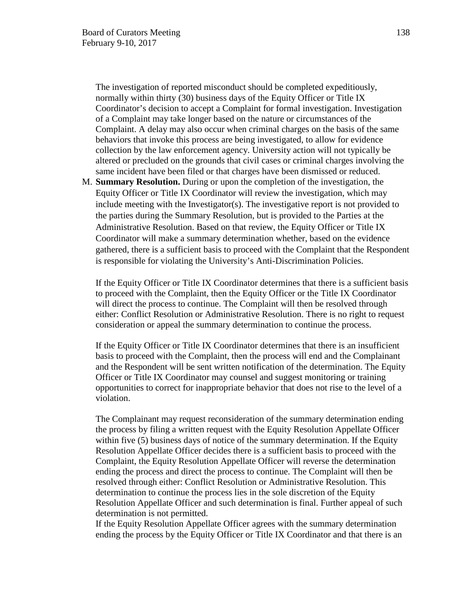The investigation of reported misconduct should be completed expeditiously, normally within thirty (30) business days of the Equity Officer or Title IX Coordinator's decision to accept a Complaint for formal investigation. Investigation of a Complaint may take longer based on the nature or circumstances of the Complaint. A delay may also occur when criminal charges on the basis of the same behaviors that invoke this process are being investigated, to allow for evidence collection by the law enforcement agency. University action will not typically be altered or precluded on the grounds that civil cases or criminal charges involving the same incident have been filed or that charges have been dismissed or reduced.

M. **Summary Resolution.** During or upon the completion of the investigation, the Equity Officer or Title IX Coordinator will review the investigation, which may include meeting with the Investigator(s). The investigative report is not provided to the parties during the Summary Resolution, but is provided to the Parties at the Administrative Resolution. Based on that review, the Equity Officer or Title IX Coordinator will make a summary determination whether, based on the evidence gathered, there is a sufficient basis to proceed with the Complaint that the Respondent is responsible for violating the University's Anti-Discrimination Policies.

If the Equity Officer or Title IX Coordinator determines that there is a sufficient basis to proceed with the Complaint, then the Equity Officer or the Title IX Coordinator will direct the process to continue. The Complaint will then be resolved through either: Conflict Resolution or Administrative Resolution. There is no right to request consideration or appeal the summary determination to continue the process.

If the Equity Officer or Title IX Coordinator determines that there is an insufficient basis to proceed with the Complaint, then the process will end and the Complainant and the Respondent will be sent written notification of the determination. The Equity Officer or Title IX Coordinator may counsel and suggest monitoring or training opportunities to correct for inappropriate behavior that does not rise to the level of a violation.

The Complainant may request reconsideration of the summary determination ending the process by filing a written request with the Equity Resolution Appellate Officer within five (5) business days of notice of the summary determination. If the Equity Resolution Appellate Officer decides there is a sufficient basis to proceed with the Complaint, the Equity Resolution Appellate Officer will reverse the determination ending the process and direct the process to continue. The Complaint will then be resolved through either: Conflict Resolution or Administrative Resolution. This determination to continue the process lies in the sole discretion of the Equity Resolution Appellate Officer and such determination is final. Further appeal of such determination is not permitted.

If the Equity Resolution Appellate Officer agrees with the summary determination ending the process by the Equity Officer or Title IX Coordinator and that there is an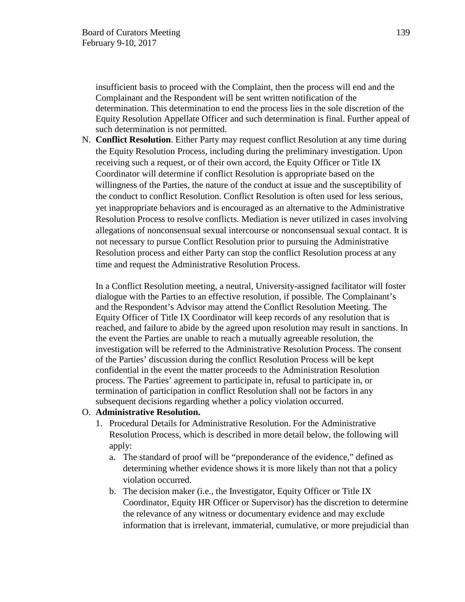insufficient basis to proceed with the Complaint, then the process will end and the Complainant and the Respondent will be sent written notification of the determination. This determination to end the process lies in the sole discretion of the Equity Resolution Appellate Officer and such determination is final. Further appeal of such determination is not permitted.

N. **Conflict Resolution**. Either Party may request conflict Resolution at any time during the Equity Resolution Process, including during the preliminary investigation. Upon receiving such a request, or of their own accord, the Equity Officer or Title IX Coordinator will determine if conflict Resolution is appropriate based on the willingness of the Parties, the nature of the conduct at issue and the susceptibility of the conduct to conflict Resolution. Conflict Resolution is often used for less serious, yet inappropriate behaviors and is encouraged as an alternative to the Administrative Resolution Process to resolve conflicts. Mediation is never utilized in cases involving allegations of nonconsensual sexual intercourse or nonconsensual sexual contact. It is not necessary to pursue Conflict Resolution prior to pursuing the Administrative Resolution process and either Party can stop the conflict Resolution process at any time and request the Administrative Resolution Process.

In a Conflict Resolution meeting, a neutral, University-assigned facilitator will foster dialogue with the Parties to an effective resolution, if possible. The Complainant's and the Respondent's Advisor may attend the Conflict Resolution Meeting. The Equity Officer of Title IX Coordinator will keep records of any resolution that is reached, and failure to abide by the agreed upon resolution may result in sanctions. In the event the Parties are unable to reach a mutually agreeable resolution, the investigation will be referred to the Administrative Resolution Process. The consent of the Parties' discussion during the conflict Resolution Process will be kept confidential in the event the matter proceeds to the Administration Resolution process. The Parties' agreement to participate in, refusal to participate in, or termination of participation in conflict Resolution shall not be factors in any subsequent decisions regarding whether a policy violation occurred.

#### O. **Administrative Resolution.**

- 1. Procedural Details for Administrative Resolution. For the Administrative Resolution Process, which is described in more detail below, the following will apply:
	- a. The standard of proof will be "preponderance of the evidence," defined as determining whether evidence shows it is more likely than not that a policy violation occurred.
	- b. The decision maker (i.e., the Investigator, Equity Officer or Title IX Coordinator, Equity HR Officer or Supervisor) has the discretion to determine the relevance of any witness or documentary evidence and may exclude information that is irrelevant, immaterial, cumulative, or more prejudicial than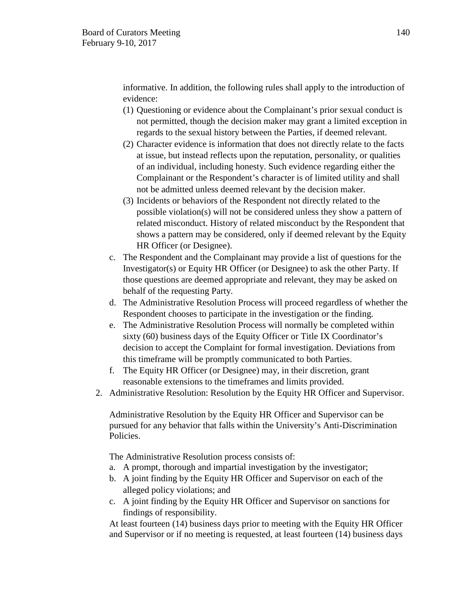informative. In addition, the following rules shall apply to the introduction of evidence:

- (1) Questioning or evidence about the Complainant's prior sexual conduct is not permitted, though the decision maker may grant a limited exception in regards to the sexual history between the Parties, if deemed relevant.
- (2) Character evidence is information that does not directly relate to the facts at issue, but instead reflects upon the reputation, personality, or qualities of an individual, including honesty. Such evidence regarding either the Complainant or the Respondent's character is of limited utility and shall not be admitted unless deemed relevant by the decision maker.
- (3) Incidents or behaviors of the Respondent not directly related to the possible violation(s) will not be considered unless they show a pattern of related misconduct. History of related misconduct by the Respondent that shows a pattern may be considered, only if deemed relevant by the Equity HR Officer (or Designee).
- c. The Respondent and the Complainant may provide a list of questions for the Investigator(s) or Equity HR Officer (or Designee) to ask the other Party. If those questions are deemed appropriate and relevant, they may be asked on behalf of the requesting Party.
- d. The Administrative Resolution Process will proceed regardless of whether the Respondent chooses to participate in the investigation or the finding.
- e. The Administrative Resolution Process will normally be completed within sixty (60) business days of the Equity Officer or Title IX Coordinator's decision to accept the Complaint for formal investigation. Deviations from this timeframe will be promptly communicated to both Parties.
- f. The Equity HR Officer (or Designee) may, in their discretion, grant reasonable extensions to the timeframes and limits provided.
- 2. Administrative Resolution: Resolution by the Equity HR Officer and Supervisor.

Administrative Resolution by the Equity HR Officer and Supervisor can be pursued for any behavior that falls within the University's Anti-Discrimination Policies.

The Administrative Resolution process consists of:

- a. A prompt, thorough and impartial investigation by the investigator;
- b. A joint finding by the Equity HR Officer and Supervisor on each of the alleged policy violations; and
- c. A joint finding by the Equity HR Officer and Supervisor on sanctions for findings of responsibility.

At least fourteen (14) business days prior to meeting with the Equity HR Officer and Supervisor or if no meeting is requested, at least fourteen (14) business days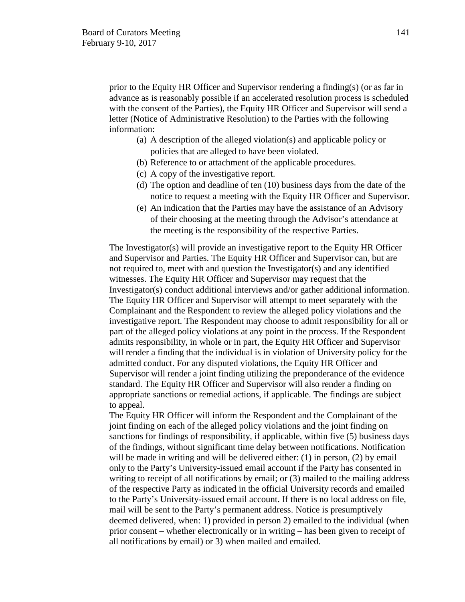prior to the Equity HR Officer and Supervisor rendering a finding(s) (or as far in advance as is reasonably possible if an accelerated resolution process is scheduled with the consent of the Parties), the Equity HR Officer and Supervisor will send a letter (Notice of Administrative Resolution) to the Parties with the following information:

- (a) A description of the alleged violation(s) and applicable policy or policies that are alleged to have been violated.
- (b) Reference to or attachment of the applicable procedures.
- (c) A copy of the investigative report.
- (d) The option and deadline of ten (10) business days from the date of the notice to request a meeting with the Equity HR Officer and Supervisor.
- (e) An indication that the Parties may have the assistance of an Advisory of their choosing at the meeting through the Advisor's attendance at the meeting is the responsibility of the respective Parties.

The Investigator(s) will provide an investigative report to the Equity HR Officer and Supervisor and Parties. The Equity HR Officer and Supervisor can, but are not required to, meet with and question the Investigator(s) and any identified witnesses. The Equity HR Officer and Supervisor may request that the Investigator(s) conduct additional interviews and/or gather additional information. The Equity HR Officer and Supervisor will attempt to meet separately with the Complainant and the Respondent to review the alleged policy violations and the investigative report. The Respondent may choose to admit responsibility for all or part of the alleged policy violations at any point in the process. If the Respondent admits responsibility, in whole or in part, the Equity HR Officer and Supervisor will render a finding that the individual is in violation of University policy for the admitted conduct. For any disputed violations, the Equity HR Officer and Supervisor will render a joint finding utilizing the preponderance of the evidence standard. The Equity HR Officer and Supervisor will also render a finding on appropriate sanctions or remedial actions, if applicable. The findings are subject to appeal.

The Equity HR Officer will inform the Respondent and the Complainant of the joint finding on each of the alleged policy violations and the joint finding on sanctions for findings of responsibility, if applicable, within five (5) business days of the findings, without significant time delay between notifications. Notification will be made in writing and will be delivered either:  $(1)$  in person,  $(2)$  by email only to the Party's University-issued email account if the Party has consented in writing to receipt of all notifications by email; or (3) mailed to the mailing address of the respective Party as indicated in the official University records and emailed to the Party's University-issued email account. If there is no local address on file, mail will be sent to the Party's permanent address. Notice is presumptively deemed delivered, when: 1) provided in person 2) emailed to the individual (when prior consent – whether electronically or in writing – has been given to receipt of all notifications by email) or 3) when mailed and emailed.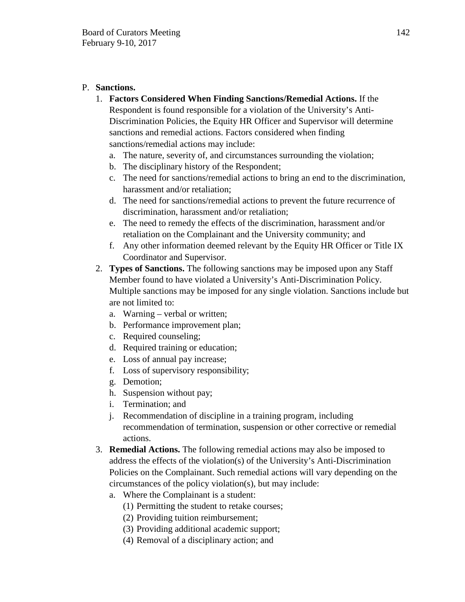# P. **Sanctions.**

- 1. **Factors Considered When Finding Sanctions/Remedial Actions.** If the Respondent is found responsible for a violation of the University's Anti-Discrimination Policies, the Equity HR Officer and Supervisor will determine sanctions and remedial actions. Factors considered when finding sanctions/remedial actions may include:
	- a. The nature, severity of, and circumstances surrounding the violation;
	- b. The disciplinary history of the Respondent;
	- c. The need for sanctions/remedial actions to bring an end to the discrimination, harassment and/or retaliation;
	- d. The need for sanctions/remedial actions to prevent the future recurrence of discrimination, harassment and/or retaliation;
	- e. The need to remedy the effects of the discrimination, harassment and/or retaliation on the Complainant and the University community; and
	- f. Any other information deemed relevant by the Equity HR Officer or Title IX Coordinator and Supervisor.
- 2. **Types of Sanctions.** The following sanctions may be imposed upon any Staff Member found to have violated a University's Anti-Discrimination Policy. Multiple sanctions may be imposed for any single violation. Sanctions include but are not limited to:
	- a. Warning verbal or written;
	- b. Performance improvement plan;
	- c. Required counseling;
	- d. Required training or education;
	- e. Loss of annual pay increase;
	- f. Loss of supervisory responsibility;
	- g. Demotion;
	- h. Suspension without pay;
	- i. Termination; and
	- j. Recommendation of discipline in a training program, including recommendation of termination, suspension or other corrective or remedial actions.
- 3. **Remedial Actions.** The following remedial actions may also be imposed to address the effects of the violation(s) of the University's Anti-Discrimination Policies on the Complainant. Such remedial actions will vary depending on the circumstances of the policy violation(s), but may include:
	- a. Where the Complainant is a student:
		- (1) Permitting the student to retake courses;
		- (2) Providing tuition reimbursement;
		- (3) Providing additional academic support;
		- (4) Removal of a disciplinary action; and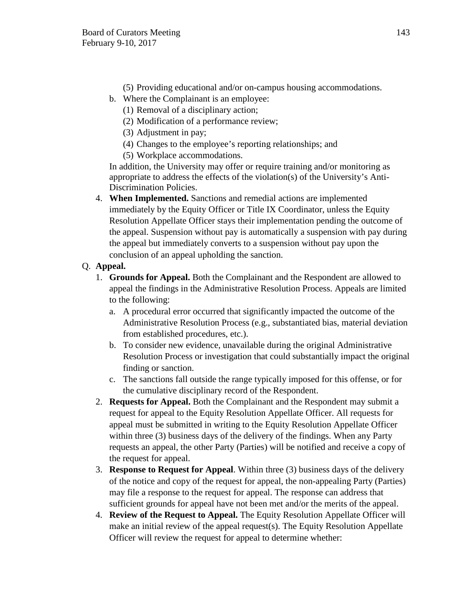- (5) Providing educational and/or on-campus housing accommodations.
- b. Where the Complainant is an employee:
	- (1) Removal of a disciplinary action;
	- (2) Modification of a performance review;
	- (3) Adjustment in pay;
	- (4) Changes to the employee's reporting relationships; and
	- (5) Workplace accommodations.

In addition, the University may offer or require training and/or monitoring as appropriate to address the effects of the violation(s) of the University's Anti-Discrimination Policies.

4. **When Implemented.** Sanctions and remedial actions are implemented immediately by the Equity Officer or Title IX Coordinator, unless the Equity Resolution Appellate Officer stays their implementation pending the outcome of the appeal. Suspension without pay is automatically a suspension with pay during the appeal but immediately converts to a suspension without pay upon the conclusion of an appeal upholding the sanction.

# Q. **Appeal.**

- 1. **Grounds for Appeal.** Both the Complainant and the Respondent are allowed to appeal the findings in the Administrative Resolution Process. Appeals are limited to the following:
	- a. A procedural error occurred that significantly impacted the outcome of the Administrative Resolution Process (e.g., substantiated bias, material deviation from established procedures, etc.).
	- b. To consider new evidence, unavailable during the original Administrative Resolution Process or investigation that could substantially impact the original finding or sanction.
	- c. The sanctions fall outside the range typically imposed for this offense, or for the cumulative disciplinary record of the Respondent.
- 2. **Requests for Appeal.** Both the Complainant and the Respondent may submit a request for appeal to the Equity Resolution Appellate Officer. All requests for appeal must be submitted in writing to the Equity Resolution Appellate Officer within three (3) business days of the delivery of the findings. When any Party requests an appeal, the other Party (Parties) will be notified and receive a copy of the request for appeal.
- 3. **Response to Request for Appeal**. Within three (3) business days of the delivery of the notice and copy of the request for appeal, the non-appealing Party (Parties) may file a response to the request for appeal. The response can address that sufficient grounds for appeal have not been met and/or the merits of the appeal.
- 4. **Review of the Request to Appeal.** The Equity Resolution Appellate Officer will make an initial review of the appeal request(s). The Equity Resolution Appellate Officer will review the request for appeal to determine whether: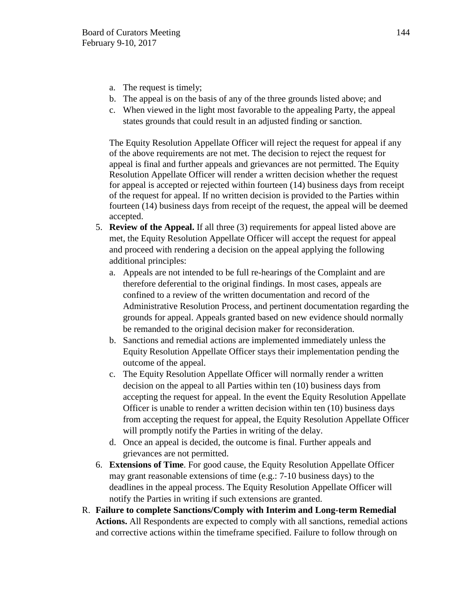- a. The request is timely;
- b. The appeal is on the basis of any of the three grounds listed above; and
- c. When viewed in the light most favorable to the appealing Party, the appeal states grounds that could result in an adjusted finding or sanction.

The Equity Resolution Appellate Officer will reject the request for appeal if any of the above requirements are not met. The decision to reject the request for appeal is final and further appeals and grievances are not permitted. The Equity Resolution Appellate Officer will render a written decision whether the request for appeal is accepted or rejected within fourteen (14) business days from receipt of the request for appeal. If no written decision is provided to the Parties within fourteen (14) business days from receipt of the request, the appeal will be deemed accepted.

- 5. **Review of the Appeal.** If all three (3) requirements for appeal listed above are met, the Equity Resolution Appellate Officer will accept the request for appeal and proceed with rendering a decision on the appeal applying the following additional principles:
	- a. Appeals are not intended to be full re-hearings of the Complaint and are therefore deferential to the original findings. In most cases, appeals are confined to a review of the written documentation and record of the Administrative Resolution Process, and pertinent documentation regarding the grounds for appeal. Appeals granted based on new evidence should normally be remanded to the original decision maker for reconsideration.
	- b. Sanctions and remedial actions are implemented immediately unless the Equity Resolution Appellate Officer stays their implementation pending the outcome of the appeal.
	- c. The Equity Resolution Appellate Officer will normally render a written decision on the appeal to all Parties within ten (10) business days from accepting the request for appeal. In the event the Equity Resolution Appellate Officer is unable to render a written decision within ten (10) business days from accepting the request for appeal, the Equity Resolution Appellate Officer will promptly notify the Parties in writing of the delay.
	- d. Once an appeal is decided, the outcome is final. Further appeals and grievances are not permitted.
- 6. **Extensions of Time**. For good cause, the Equity Resolution Appellate Officer may grant reasonable extensions of time (e.g.: 7-10 business days) to the deadlines in the appeal process. The Equity Resolution Appellate Officer will notify the Parties in writing if such extensions are granted.
- R. **Failure to complete Sanctions/Comply with Interim and Long-term Remedial Actions.** All Respondents are expected to comply with all sanctions, remedial actions and corrective actions within the timeframe specified. Failure to follow through on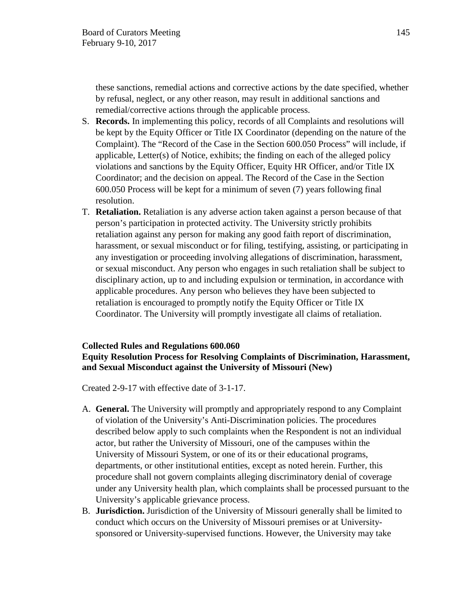these sanctions, remedial actions and corrective actions by the date specified, whether by refusal, neglect, or any other reason, may result in additional sanctions and remedial/corrective actions through the applicable process.

- S. **Records.** In implementing this policy, records of all Complaints and resolutions will be kept by the Equity Officer or Title IX Coordinator (depending on the nature of the Complaint). The "Record of the Case in the Section 600.050 Process" will include, if applicable, Letter(s) of Notice, exhibits; the finding on each of the alleged policy violations and sanctions by the Equity Officer, Equity HR Officer, and/or Title IX Coordinator; and the decision on appeal. The Record of the Case in the Section 600.050 Process will be kept for a minimum of seven (7) years following final resolution.
- T. **Retaliation.** Retaliation is any adverse action taken against a person because of that person's participation in protected activity. The University strictly prohibits retaliation against any person for making any good faith report of discrimination, harassment, or sexual misconduct or for filing, testifying, assisting, or participating in any investigation or proceeding involving allegations of discrimination, harassment, or sexual misconduct. Any person who engages in such retaliation shall be subject to disciplinary action, up to and including expulsion or termination, in accordance with applicable procedures. Any person who believes they have been subjected to retaliation is encouraged to promptly notify the Equity Officer or Title IX Coordinator. The University will promptly investigate all claims of retaliation.

#### **Collected Rules and Regulations 600.060**

# **Equity Resolution Process for Resolving Complaints of Discrimination, Harassment, and Sexual Misconduct against the University of Missouri (New)**

Created 2-9-17 with effective date of 3-1-17.

- A. **General.** The University will promptly and appropriately respond to any Complaint of violation of the University's Anti-Discrimination policies. The procedures described below apply to such complaints when the Respondent is not an individual actor, but rather the University of Missouri, one of the campuses within the University of Missouri System, or one of its or their educational programs, departments, or other institutional entities, except as noted herein. Further, this procedure shall not govern complaints alleging discriminatory denial of coverage under any University health plan, which complaints shall be processed pursuant to the University's applicable grievance process.
- B. **Jurisdiction.** Jurisdiction of the University of Missouri generally shall be limited to conduct which occurs on the University of Missouri premises or at Universitysponsored or University-supervised functions. However, the University may take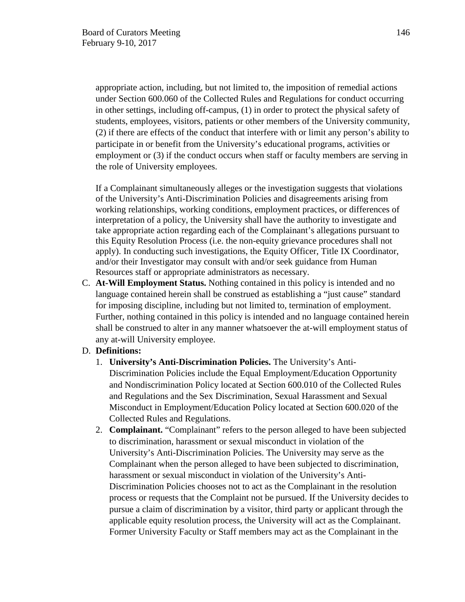appropriate action, including, but not limited to, the imposition of remedial actions under Section 600.060 of the Collected Rules and Regulations for conduct occurring in other settings, including off-campus, (1) in order to protect the physical safety of students, employees, visitors, patients or other members of the University community, (2) if there are effects of the conduct that interfere with or limit any person's ability to participate in or benefit from the University's educational programs, activities or employment or (3) if the conduct occurs when staff or faculty members are serving in the role of University employees.

If a Complainant simultaneously alleges or the investigation suggests that violations of the University's Anti-Discrimination Policies and disagreements arising from working relationships, working conditions, employment practices, or differences of interpretation of a policy, the University shall have the authority to investigate and take appropriate action regarding each of the Complainant's allegations pursuant to this Equity Resolution Process (i.e. the non-equity grievance procedures shall not apply). In conducting such investigations, the Equity Officer, Title IX Coordinator, and/or their Investigator may consult with and/or seek guidance from Human Resources staff or appropriate administrators as necessary.

C. **At-Will Employment Status.** Nothing contained in this policy is intended and no language contained herein shall be construed as establishing a "just cause" standard for imposing discipline, including but not limited to, termination of employment. Further, nothing contained in this policy is intended and no language contained herein shall be construed to alter in any manner whatsoever the at-will employment status of any at-will University employee.

# D. **Definitions:**

- 1. **University's Anti-Discrimination Policies.** The University's Anti-Discrimination Policies include the Equal Employment/Education Opportunity and Nondiscrimination Policy located at Section 600.010 of the Collected Rules and Regulations and the Sex Discrimination, Sexual Harassment and Sexual Misconduct in Employment/Education Policy located at Section 600.020 of the Collected Rules and Regulations.
- 2. **Complainant.** "Complainant" refers to the person alleged to have been subjected to discrimination, harassment or sexual misconduct in violation of the University's Anti-Discrimination Policies. The University may serve as the Complainant when the person alleged to have been subjected to discrimination, harassment or sexual misconduct in violation of the University's Anti-Discrimination Policies chooses not to act as the Complainant in the resolution process or requests that the Complaint not be pursued. If the University decides to pursue a claim of discrimination by a visitor, third party or applicant through the applicable equity resolution process, the University will act as the Complainant. Former University Faculty or Staff members may act as the Complainant in the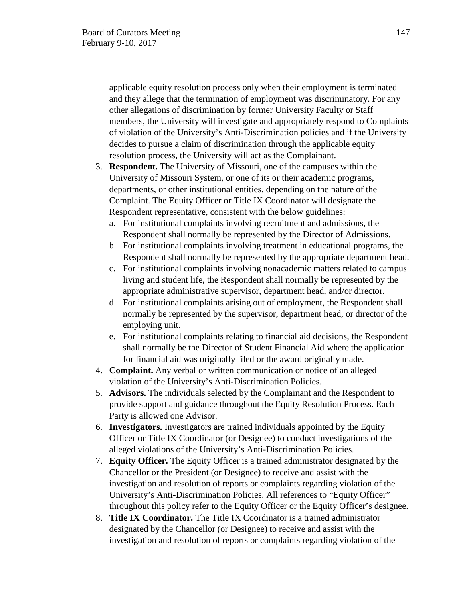applicable equity resolution process only when their employment is terminated and they allege that the termination of employment was discriminatory. For any other allegations of discrimination by former University Faculty or Staff members, the University will investigate and appropriately respond to Complaints of violation of the University's Anti-Discrimination policies and if the University decides to pursue a claim of discrimination through the applicable equity resolution process, the University will act as the Complainant.

- 3. **Respondent.** The University of Missouri, one of the campuses within the University of Missouri System, or one of its or their academic programs, departments, or other institutional entities, depending on the nature of the Complaint. The Equity Officer or Title IX Coordinator will designate the Respondent representative, consistent with the below guidelines:
	- a. For institutional complaints involving recruitment and admissions, the Respondent shall normally be represented by the Director of Admissions.
	- b. For institutional complaints involving treatment in educational programs, the Respondent shall normally be represented by the appropriate department head.
	- c. For institutional complaints involving nonacademic matters related to campus living and student life, the Respondent shall normally be represented by the appropriate administrative supervisor, department head, and/or director.
	- d. For institutional complaints arising out of employment, the Respondent shall normally be represented by the supervisor, department head, or director of the employing unit.
	- e. For institutional complaints relating to financial aid decisions, the Respondent shall normally be the Director of Student Financial Aid where the application for financial aid was originally filed or the award originally made.
- 4. **Complaint.** Any verbal or written communication or notice of an alleged violation of the University's Anti-Discrimination Policies.
- 5. **Advisors.** The individuals selected by the Complainant and the Respondent to provide support and guidance throughout the Equity Resolution Process. Each Party is allowed one Advisor.
- 6. **Investigators.** Investigators are trained individuals appointed by the Equity Officer or Title IX Coordinator (or Designee) to conduct investigations of the alleged violations of the University's Anti-Discrimination Policies.
- 7. **Equity Officer.** The Equity Officer is a trained administrator designated by the Chancellor or the President (or Designee) to receive and assist with the investigation and resolution of reports or complaints regarding violation of the University's Anti-Discrimination Policies. All references to "Equity Officer" throughout this policy refer to the Equity Officer or the Equity Officer's designee.
- 8. **Title IX Coordinator.** The Title IX Coordinator is a trained administrator designated by the Chancellor (or Designee) to receive and assist with the investigation and resolution of reports or complaints regarding violation of the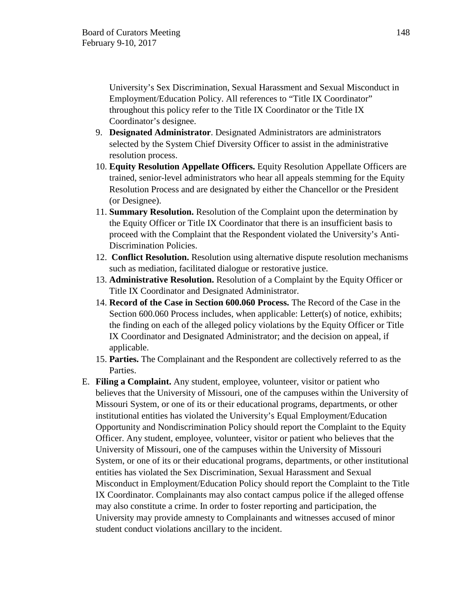University's Sex Discrimination, Sexual Harassment and Sexual Misconduct in Employment/Education Policy. All references to "Title IX Coordinator" throughout this policy refer to the Title IX Coordinator or the Title IX Coordinator's designee.

- 9. **Designated Administrator**. Designated Administrators are administrators selected by the System Chief Diversity Officer to assist in the administrative resolution process.
- 10. **Equity Resolution Appellate Officers.** Equity Resolution Appellate Officers are trained, senior-level administrators who hear all appeals stemming for the Equity Resolution Process and are designated by either the Chancellor or the President (or Designee).
- 11. **Summary Resolution.** Resolution of the Complaint upon the determination by the Equity Officer or Title IX Coordinator that there is an insufficient basis to proceed with the Complaint that the Respondent violated the University's Anti-Discrimination Policies.
- 12. **Conflict Resolution.** Resolution using alternative dispute resolution mechanisms such as mediation, facilitated dialogue or restorative justice.
- 13. **Administrative Resolution.** Resolution of a Complaint by the Equity Officer or Title IX Coordinator and Designated Administrator.
- 14. **Record of the Case in Section 600.060 Process.** The Record of the Case in the Section 600.060 Process includes, when applicable: Letter(s) of notice, exhibits; the finding on each of the alleged policy violations by the Equity Officer or Title IX Coordinator and Designated Administrator; and the decision on appeal, if applicable.
- 15. **Parties.** The Complainant and the Respondent are collectively referred to as the Parties.
- E. **Filing a Complaint.** Any student, employee, volunteer, visitor or patient who believes that the University of Missouri, one of the campuses within the University of Missouri System, or one of its or their educational programs, departments, or other institutional entities has violated the University's Equal Employment/Education Opportunity and Nondiscrimination Policy should report the Complaint to the Equity Officer. Any student, employee, volunteer, visitor or patient who believes that the University of Missouri, one of the campuses within the University of Missouri System, or one of its or their educational programs, departments, or other institutional entities has violated the Sex Discrimination, Sexual Harassment and Sexual Misconduct in Employment/Education Policy should report the Complaint to the Title IX Coordinator. Complainants may also contact campus police if the alleged offense may also constitute a crime. In order to foster reporting and participation, the University may provide amnesty to Complainants and witnesses accused of minor student conduct violations ancillary to the incident.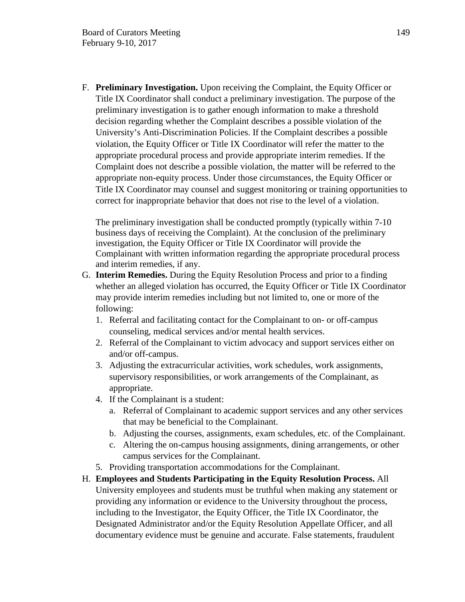F. **Preliminary Investigation.** Upon receiving the Complaint, the Equity Officer or Title IX Coordinator shall conduct a preliminary investigation. The purpose of the preliminary investigation is to gather enough information to make a threshold decision regarding whether the Complaint describes a possible violation of the University's Anti-Discrimination Policies. If the Complaint describes a possible violation, the Equity Officer or Title IX Coordinator will refer the matter to the appropriate procedural process and provide appropriate interim remedies. If the Complaint does not describe a possible violation, the matter will be referred to the appropriate non-equity process. Under those circumstances, the Equity Officer or Title IX Coordinator may counsel and suggest monitoring or training opportunities to correct for inappropriate behavior that does not rise to the level of a violation.

The preliminary investigation shall be conducted promptly (typically within 7-10 business days of receiving the Complaint). At the conclusion of the preliminary investigation, the Equity Officer or Title IX Coordinator will provide the Complainant with written information regarding the appropriate procedural process and interim remedies, if any.

- G. **Interim Remedies.** During the Equity Resolution Process and prior to a finding whether an alleged violation has occurred, the Equity Officer or Title IX Coordinator may provide interim remedies including but not limited to, one or more of the following:
	- 1. Referral and facilitating contact for the Complainant to on- or off-campus counseling, medical services and/or mental health services.
	- 2. Referral of the Complainant to victim advocacy and support services either on and/or off-campus.
	- 3. Adjusting the extracurricular activities, work schedules, work assignments, supervisory responsibilities, or work arrangements of the Complainant, as appropriate.
	- 4. If the Complainant is a student:
		- a. Referral of Complainant to academic support services and any other services that may be beneficial to the Complainant.
		- b. Adjusting the courses, assignments, exam schedules, etc. of the Complainant.
		- c. Altering the on-campus housing assignments, dining arrangements, or other campus services for the Complainant.
	- 5. Providing transportation accommodations for the Complainant.
- H. **Employees and Students Participating in the Equity Resolution Process.** All University employees and students must be truthful when making any statement or providing any information or evidence to the University throughout the process, including to the Investigator, the Equity Officer, the Title IX Coordinator, the Designated Administrator and/or the Equity Resolution Appellate Officer, and all documentary evidence must be genuine and accurate. False statements, fraudulent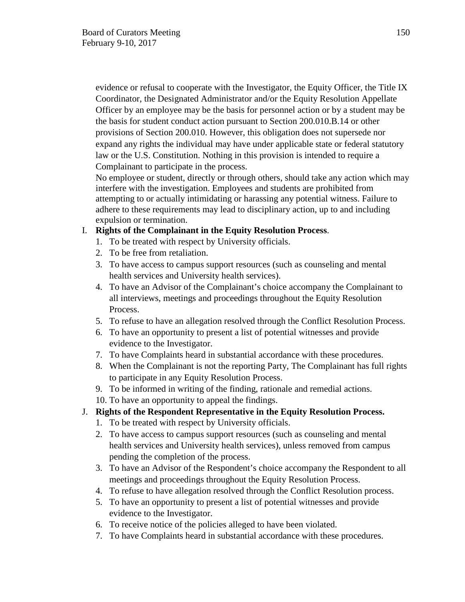evidence or refusal to cooperate with the Investigator, the Equity Officer, the Title IX Coordinator, the Designated Administrator and/or the Equity Resolution Appellate Officer by an employee may be the basis for personnel action or by a student may be the basis for student conduct action pursuant to Section 200.010.B.14 or other provisions of Section 200.010. However, this obligation does not supersede nor expand any rights the individual may have under applicable state or federal statutory law or the U.S. Constitution. Nothing in this provision is intended to require a Complainant to participate in the process.

No employee or student, directly or through others, should take any action which may interfere with the investigation. Employees and students are prohibited from attempting to or actually intimidating or harassing any potential witness. Failure to adhere to these requirements may lead to disciplinary action, up to and including expulsion or termination.

# I. **Rights of the Complainant in the Equity Resolution Process**.

- 1. To be treated with respect by University officials.
- 2. To be free from retaliation.
- 3. To have access to campus support resources (such as counseling and mental health services and University health services).
- 4. To have an Advisor of the Complainant's choice accompany the Complainant to all interviews, meetings and proceedings throughout the Equity Resolution Process.
- 5. To refuse to have an allegation resolved through the Conflict Resolution Process.
- 6. To have an opportunity to present a list of potential witnesses and provide evidence to the Investigator.
- 7. To have Complaints heard in substantial accordance with these procedures.
- 8. When the Complainant is not the reporting Party, The Complainant has full rights to participate in any Equity Resolution Process.
- 9. To be informed in writing of the finding, rationale and remedial actions.
- 10. To have an opportunity to appeal the findings.

# J. **Rights of the Respondent Representative in the Equity Resolution Process.**

- 1. To be treated with respect by University officials.
- 2. To have access to campus support resources (such as counseling and mental health services and University health services), unless removed from campus pending the completion of the process.
- 3. To have an Advisor of the Respondent's choice accompany the Respondent to all meetings and proceedings throughout the Equity Resolution Process.
- 4. To refuse to have allegation resolved through the Conflict Resolution process.
- 5. To have an opportunity to present a list of potential witnesses and provide evidence to the Investigator.
- 6. To receive notice of the policies alleged to have been violated.
- 7. To have Complaints heard in substantial accordance with these procedures.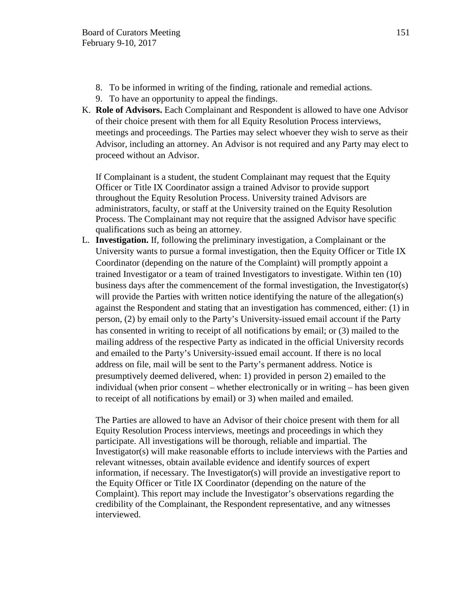- 8. To be informed in writing of the finding, rationale and remedial actions.
- 9. To have an opportunity to appeal the findings.
- K. **Role of Advisors.** Each Complainant and Respondent is allowed to have one Advisor of their choice present with them for all Equity Resolution Process interviews, meetings and proceedings. The Parties may select whoever they wish to serve as their Advisor, including an attorney. An Advisor is not required and any Party may elect to proceed without an Advisor.

If Complainant is a student, the student Complainant may request that the Equity Officer or Title IX Coordinator assign a trained Advisor to provide support throughout the Equity Resolution Process. University trained Advisors are administrators, faculty, or staff at the University trained on the Equity Resolution Process. The Complainant may not require that the assigned Advisor have specific qualifications such as being an attorney.

L. **Investigation.** If, following the preliminary investigation, a Complainant or the University wants to pursue a formal investigation, then the Equity Officer or Title IX Coordinator (depending on the nature of the Complaint) will promptly appoint a trained Investigator or a team of trained Investigators to investigate. Within ten (10) business days after the commencement of the formal investigation, the Investigator(s) will provide the Parties with written notice identifying the nature of the allegation(s) against the Respondent and stating that an investigation has commenced, either: (1) in person, (2) by email only to the Party's University-issued email account if the Party has consented in writing to receipt of all notifications by email; or (3) mailed to the mailing address of the respective Party as indicated in the official University records and emailed to the Party's University-issued email account. If there is no local address on file, mail will be sent to the Party's permanent address. Notice is presumptively deemed delivered, when: 1) provided in person 2) emailed to the individual (when prior consent – whether electronically or in writing – has been given to receipt of all notifications by email) or 3) when mailed and emailed.

The Parties are allowed to have an Advisor of their choice present with them for all Equity Resolution Process interviews, meetings and proceedings in which they participate. All investigations will be thorough, reliable and impartial. The Investigator(s) will make reasonable efforts to include interviews with the Parties and relevant witnesses, obtain available evidence and identify sources of expert information, if necessary. The Investigator(s) will provide an investigative report to the Equity Officer or Title IX Coordinator (depending on the nature of the Complaint). This report may include the Investigator's observations regarding the credibility of the Complainant, the Respondent representative, and any witnesses interviewed.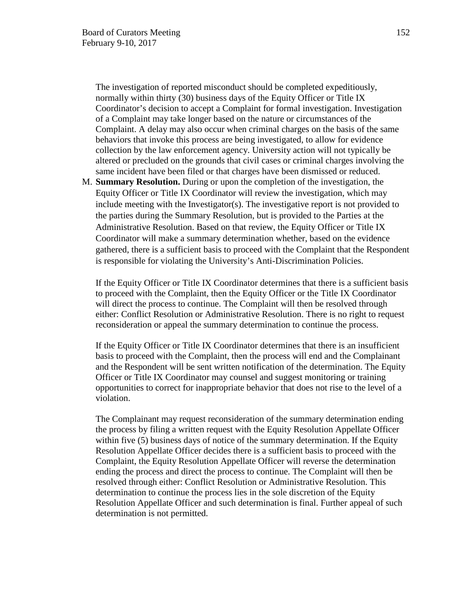The investigation of reported misconduct should be completed expeditiously, normally within thirty (30) business days of the Equity Officer or Title IX Coordinator's decision to accept a Complaint for formal investigation. Investigation of a Complaint may take longer based on the nature or circumstances of the Complaint. A delay may also occur when criminal charges on the basis of the same behaviors that invoke this process are being investigated, to allow for evidence collection by the law enforcement agency. University action will not typically be altered or precluded on the grounds that civil cases or criminal charges involving the same incident have been filed or that charges have been dismissed or reduced.

M. **Summary Resolution.** During or upon the completion of the investigation, the Equity Officer or Title IX Coordinator will review the investigation, which may include meeting with the Investigator(s). The investigative report is not provided to the parties during the Summary Resolution, but is provided to the Parties at the Administrative Resolution. Based on that review, the Equity Officer or Title IX Coordinator will make a summary determination whether, based on the evidence gathered, there is a sufficient basis to proceed with the Complaint that the Respondent is responsible for violating the University's Anti-Discrimination Policies.

If the Equity Officer or Title IX Coordinator determines that there is a sufficient basis to proceed with the Complaint, then the Equity Officer or the Title IX Coordinator will direct the process to continue. The Complaint will then be resolved through either: Conflict Resolution or Administrative Resolution. There is no right to request reconsideration or appeal the summary determination to continue the process.

If the Equity Officer or Title IX Coordinator determines that there is an insufficient basis to proceed with the Complaint, then the process will end and the Complainant and the Respondent will be sent written notification of the determination. The Equity Officer or Title IX Coordinator may counsel and suggest monitoring or training opportunities to correct for inappropriate behavior that does not rise to the level of a violation.

The Complainant may request reconsideration of the summary determination ending the process by filing a written request with the Equity Resolution Appellate Officer within five (5) business days of notice of the summary determination. If the Equity Resolution Appellate Officer decides there is a sufficient basis to proceed with the Complaint, the Equity Resolution Appellate Officer will reverse the determination ending the process and direct the process to continue. The Complaint will then be resolved through either: Conflict Resolution or Administrative Resolution. This determination to continue the process lies in the sole discretion of the Equity Resolution Appellate Officer and such determination is final. Further appeal of such determination is not permitted.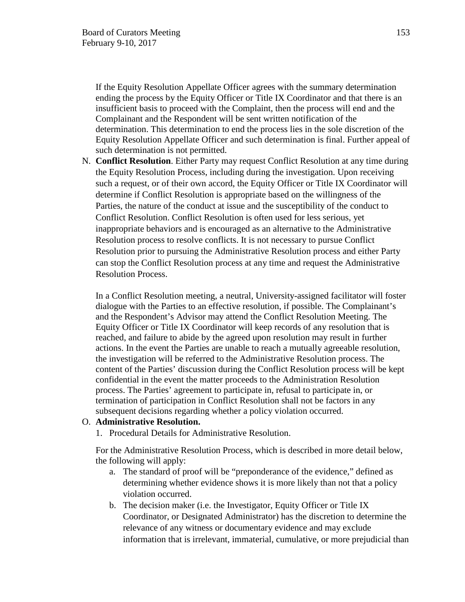If the Equity Resolution Appellate Officer agrees with the summary determination ending the process by the Equity Officer or Title IX Coordinator and that there is an insufficient basis to proceed with the Complaint, then the process will end and the Complainant and the Respondent will be sent written notification of the determination. This determination to end the process lies in the sole discretion of the Equity Resolution Appellate Officer and such determination is final. Further appeal of such determination is not permitted.

N. **Conflict Resolution**. Either Party may request Conflict Resolution at any time during the Equity Resolution Process, including during the investigation. Upon receiving such a request, or of their own accord, the Equity Officer or Title IX Coordinator will determine if Conflict Resolution is appropriate based on the willingness of the Parties, the nature of the conduct at issue and the susceptibility of the conduct to Conflict Resolution. Conflict Resolution is often used for less serious, yet inappropriate behaviors and is encouraged as an alternative to the Administrative Resolution process to resolve conflicts. It is not necessary to pursue Conflict Resolution prior to pursuing the Administrative Resolution process and either Party can stop the Conflict Resolution process at any time and request the Administrative Resolution Process.

In a Conflict Resolution meeting, a neutral, University-assigned facilitator will foster dialogue with the Parties to an effective resolution, if possible. The Complainant's and the Respondent's Advisor may attend the Conflict Resolution Meeting. The Equity Officer or Title IX Coordinator will keep records of any resolution that is reached, and failure to abide by the agreed upon resolution may result in further actions. In the event the Parties are unable to reach a mutually agreeable resolution, the investigation will be referred to the Administrative Resolution process. The content of the Parties' discussion during the Conflict Resolution process will be kept confidential in the event the matter proceeds to the Administration Resolution process. The Parties' agreement to participate in, refusal to participate in, or termination of participation in Conflict Resolution shall not be factors in any subsequent decisions regarding whether a policy violation occurred.

## O. **Administrative Resolution.**

1. Procedural Details for Administrative Resolution.

For the Administrative Resolution Process, which is described in more detail below, the following will apply:

- a. The standard of proof will be "preponderance of the evidence," defined as determining whether evidence shows it is more likely than not that a policy violation occurred.
- b. The decision maker (i.e. the Investigator, Equity Officer or Title IX Coordinator, or Designated Administrator) has the discretion to determine the relevance of any witness or documentary evidence and may exclude information that is irrelevant, immaterial, cumulative, or more prejudicial than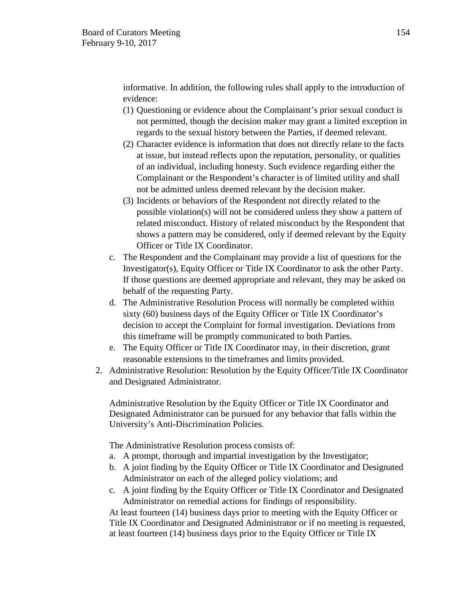informative. In addition, the following rules shall apply to the introduction of evidence:

- (1) Questioning or evidence about the Complainant's prior sexual conduct is not permitted, though the decision maker may grant a limited exception in regards to the sexual history between the Parties, if deemed relevant.
- (2) Character evidence is information that does not directly relate to the facts at issue, but instead reflects upon the reputation, personality, or qualities of an individual, including honesty. Such evidence regarding either the Complainant or the Respondent's character is of limited utility and shall not be admitted unless deemed relevant by the decision maker.
- (3) Incidents or behaviors of the Respondent not directly related to the possible violation(s) will not be considered unless they show a pattern of related misconduct. History of related misconduct by the Respondent that shows a pattern may be considered, only if deemed relevant by the Equity Officer or Title IX Coordinator.
- c. The Respondent and the Complainant may provide a list of questions for the Investigator(s), Equity Officer or Title IX Coordinator to ask the other Party. If those questions are deemed appropriate and relevant, they may be asked on behalf of the requesting Party.
- d. The Administrative Resolution Process will normally be completed within sixty (60) business days of the Equity Officer or Title IX Coordinator's decision to accept the Complaint for formal investigation. Deviations from this timeframe will be promptly communicated to both Parties.
- e. The Equity Officer or Title IX Coordinator may, in their discretion, grant reasonable extensions to the timeframes and limits provided.
- 2. Administrative Resolution: Resolution by the Equity Officer/Title IX Coordinator and Designated Administrator.

Administrative Resolution by the Equity Officer or Title IX Coordinator and Designated Administrator can be pursued for any behavior that falls within the University's Anti-Discrimination Policies.

The Administrative Resolution process consists of:

- a. A prompt, thorough and impartial investigation by the Investigator;
- b. A joint finding by the Equity Officer or Title IX Coordinator and Designated Administrator on each of the alleged policy violations; and
- c. A joint finding by the Equity Officer or Title IX Coordinator and Designated Administrator on remedial actions for findings of responsibility.

At least fourteen (14) business days prior to meeting with the Equity Officer or Title IX Coordinator and Designated Administrator or if no meeting is requested, at least fourteen (14) business days prior to the Equity Officer or Title IX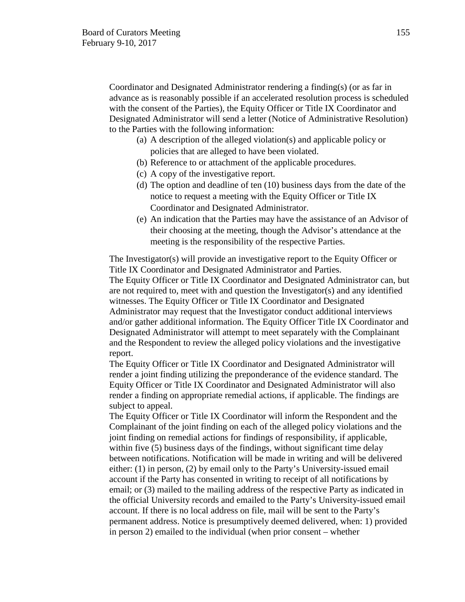Coordinator and Designated Administrator rendering a finding(s) (or as far in advance as is reasonably possible if an accelerated resolution process is scheduled with the consent of the Parties), the Equity Officer or Title IX Coordinator and Designated Administrator will send a letter (Notice of Administrative Resolution) to the Parties with the following information:

- (a) A description of the alleged violation(s) and applicable policy or policies that are alleged to have been violated.
- (b) Reference to or attachment of the applicable procedures.
- (c) A copy of the investigative report.
- (d) The option and deadline of ten (10) business days from the date of the notice to request a meeting with the Equity Officer or Title IX Coordinator and Designated Administrator.
- (e) An indication that the Parties may have the assistance of an Advisor of their choosing at the meeting, though the Advisor's attendance at the meeting is the responsibility of the respective Parties.

The Investigator(s) will provide an investigative report to the Equity Officer or Title IX Coordinator and Designated Administrator and Parties.

The Equity Officer or Title IX Coordinator and Designated Administrator can, but are not required to, meet with and question the Investigator(s) and any identified witnesses. The Equity Officer or Title IX Coordinator and Designated Administrator may request that the Investigator conduct additional interviews and/or gather additional information. The Equity Officer Title IX Coordinator and Designated Administrator will attempt to meet separately with the Complainant and the Respondent to review the alleged policy violations and the investigative report.

The Equity Officer or Title IX Coordinator and Designated Administrator will render a joint finding utilizing the preponderance of the evidence standard. The Equity Officer or Title IX Coordinator and Designated Administrator will also render a finding on appropriate remedial actions, if applicable. The findings are subject to appeal.

The Equity Officer or Title IX Coordinator will inform the Respondent and the Complainant of the joint finding on each of the alleged policy violations and the joint finding on remedial actions for findings of responsibility, if applicable, within five (5) business days of the findings, without significant time delay between notifications. Notification will be made in writing and will be delivered either: (1) in person, (2) by email only to the Party's University-issued email account if the Party has consented in writing to receipt of all notifications by email; or (3) mailed to the mailing address of the respective Party as indicated in the official University records and emailed to the Party's University-issued email account. If there is no local address on file, mail will be sent to the Party's permanent address. Notice is presumptively deemed delivered, when: 1) provided in person 2) emailed to the individual (when prior consent – whether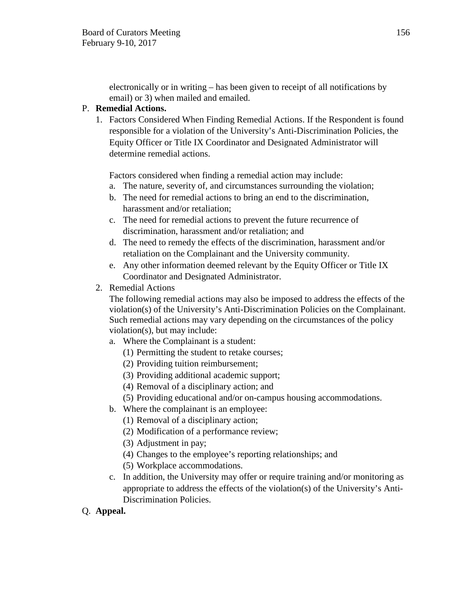electronically or in writing – has been given to receipt of all notifications by email) or 3) when mailed and emailed.

# P. **Remedial Actions.**

1. Factors Considered When Finding Remedial Actions. If the Respondent is found responsible for a violation of the University's Anti-Discrimination Policies, the Equity Officer or Title IX Coordinator and Designated Administrator will determine remedial actions.

Factors considered when finding a remedial action may include:

- a. The nature, severity of, and circumstances surrounding the violation;
- b. The need for remedial actions to bring an end to the discrimination, harassment and/or retaliation;
- c. The need for remedial actions to prevent the future recurrence of discrimination, harassment and/or retaliation; and
- d. The need to remedy the effects of the discrimination, harassment and/or retaliation on the Complainant and the University community.
- e. Any other information deemed relevant by the Equity Officer or Title IX Coordinator and Designated Administrator.
- 2. Remedial Actions

The following remedial actions may also be imposed to address the effects of the violation(s) of the University's Anti-Discrimination Policies on the Complainant. Such remedial actions may vary depending on the circumstances of the policy violation(s), but may include:

- a. Where the Complainant is a student:
	- (1) Permitting the student to retake courses;
	- (2) Providing tuition reimbursement;
	- (3) Providing additional academic support;
	- (4) Removal of a disciplinary action; and
	- (5) Providing educational and/or on-campus housing accommodations.
- b. Where the complainant is an employee:
	- (1) Removal of a disciplinary action;
	- (2) Modification of a performance review;
	- (3) Adjustment in pay;
	- (4) Changes to the employee's reporting relationships; and
	- (5) Workplace accommodations.
- c. In addition, the University may offer or require training and/or monitoring as appropriate to address the effects of the violation(s) of the University's Anti-Discrimination Policies.
- Q. **Appeal.**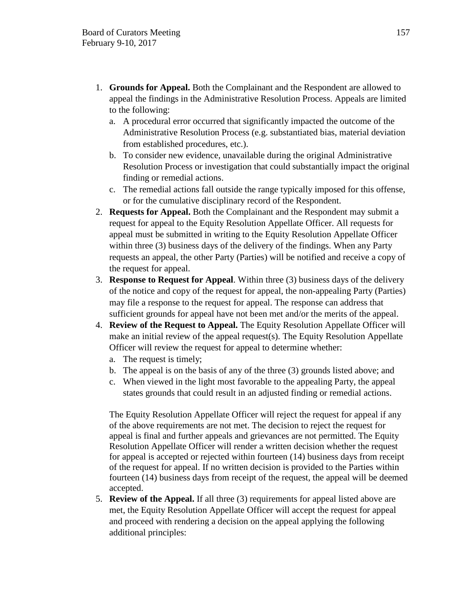- 1. **Grounds for Appeal.** Both the Complainant and the Respondent are allowed to appeal the findings in the Administrative Resolution Process. Appeals are limited to the following:
	- a. A procedural error occurred that significantly impacted the outcome of the Administrative Resolution Process (e.g. substantiated bias, material deviation from established procedures, etc.).
	- b. To consider new evidence, unavailable during the original Administrative Resolution Process or investigation that could substantially impact the original finding or remedial actions.
	- c. The remedial actions fall outside the range typically imposed for this offense, or for the cumulative disciplinary record of the Respondent.
- 2. **Requests for Appeal.** Both the Complainant and the Respondent may submit a request for appeal to the Equity Resolution Appellate Officer. All requests for appeal must be submitted in writing to the Equity Resolution Appellate Officer within three (3) business days of the delivery of the findings. When any Party requests an appeal, the other Party (Parties) will be notified and receive a copy of the request for appeal.
- 3. **Response to Request for Appeal**. Within three (3) business days of the delivery of the notice and copy of the request for appeal, the non-appealing Party (Parties) may file a response to the request for appeal. The response can address that sufficient grounds for appeal have not been met and/or the merits of the appeal.
- 4. **Review of the Request to Appeal.** The Equity Resolution Appellate Officer will make an initial review of the appeal request(s). The Equity Resolution Appellate Officer will review the request for appeal to determine whether:
	- a. The request is timely;
	- b. The appeal is on the basis of any of the three (3) grounds listed above; and
	- c. When viewed in the light most favorable to the appealing Party, the appeal states grounds that could result in an adjusted finding or remedial actions.

The Equity Resolution Appellate Officer will reject the request for appeal if any of the above requirements are not met. The decision to reject the request for appeal is final and further appeals and grievances are not permitted. The Equity Resolution Appellate Officer will render a written decision whether the request for appeal is accepted or rejected within fourteen (14) business days from receipt of the request for appeal. If no written decision is provided to the Parties within fourteen (14) business days from receipt of the request, the appeal will be deemed accepted.

5. **Review of the Appeal.** If all three (3) requirements for appeal listed above are met, the Equity Resolution Appellate Officer will accept the request for appeal and proceed with rendering a decision on the appeal applying the following additional principles: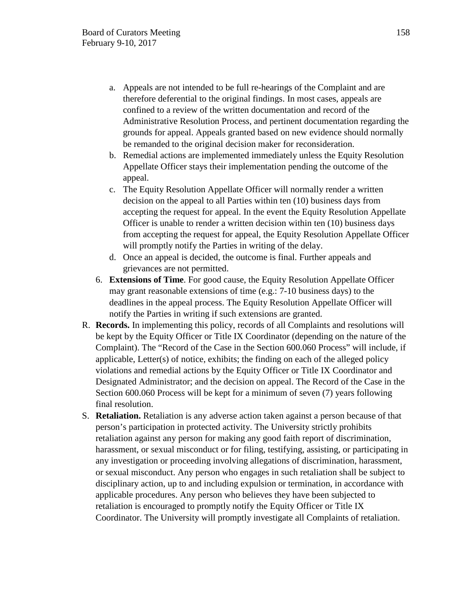- a. Appeals are not intended to be full re-hearings of the Complaint and are therefore deferential to the original findings. In most cases, appeals are confined to a review of the written documentation and record of the Administrative Resolution Process, and pertinent documentation regarding the grounds for appeal. Appeals granted based on new evidence should normally be remanded to the original decision maker for reconsideration.
- b. Remedial actions are implemented immediately unless the Equity Resolution Appellate Officer stays their implementation pending the outcome of the appeal.
- c. The Equity Resolution Appellate Officer will normally render a written decision on the appeal to all Parties within ten (10) business days from accepting the request for appeal. In the event the Equity Resolution Appellate Officer is unable to render a written decision within ten (10) business days from accepting the request for appeal, the Equity Resolution Appellate Officer will promptly notify the Parties in writing of the delay.
- d. Once an appeal is decided, the outcome is final. Further appeals and grievances are not permitted.
- 6. **Extensions of Time**. For good cause, the Equity Resolution Appellate Officer may grant reasonable extensions of time (e.g.: 7-10 business days) to the deadlines in the appeal process. The Equity Resolution Appellate Officer will notify the Parties in writing if such extensions are granted.
- R. **Records.** In implementing this policy, records of all Complaints and resolutions will be kept by the Equity Officer or Title IX Coordinator (depending on the nature of the Complaint). The "Record of the Case in the Section 600.060 Process" will include, if applicable, Letter(s) of notice, exhibits; the finding on each of the alleged policy violations and remedial actions by the Equity Officer or Title IX Coordinator and Designated Administrator; and the decision on appeal. The Record of the Case in the Section 600.060 Process will be kept for a minimum of seven (7) years following final resolution.
- S. **Retaliation.** Retaliation is any adverse action taken against a person because of that person's participation in protected activity. The University strictly prohibits retaliation against any person for making any good faith report of discrimination, harassment, or sexual misconduct or for filing, testifying, assisting, or participating in any investigation or proceeding involving allegations of discrimination, harassment, or sexual misconduct. Any person who engages in such retaliation shall be subject to disciplinary action, up to and including expulsion or termination, in accordance with applicable procedures. Any person who believes they have been subjected to retaliation is encouraged to promptly notify the Equity Officer or Title IX Coordinator. The University will promptly investigate all Complaints of retaliation.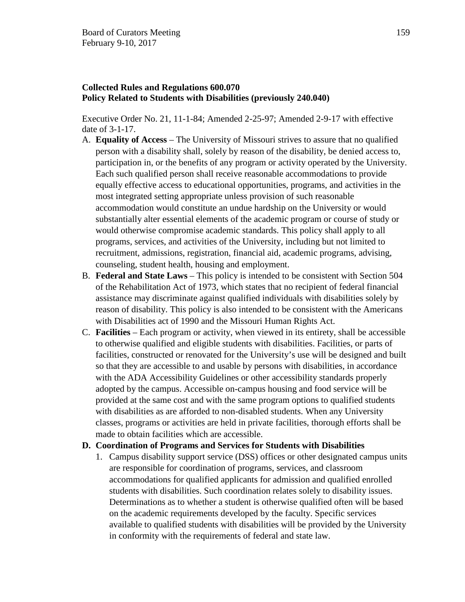## **Collected Rules and Regulations 600.070 Policy Related to Students with Disabilities (previously 240.040)**

Executive Order No. 21, 11-1-84; Amended 2-25-97; Amended 2-9-17 with effective date of 3-1-17.

- A. **Equality of Access** The University of Missouri strives to assure that no qualified person with a disability shall, solely by reason of the disability, be denied access to, participation in, or the benefits of any program or activity operated by the University. Each such qualified person shall receive reasonable accommodations to provide equally effective access to educational opportunities, programs, and activities in the most integrated setting appropriate unless provision of such reasonable accommodation would constitute an undue hardship on the University or would substantially alter essential elements of the academic program or course of study or would otherwise compromise academic standards. This policy shall apply to all programs, services, and activities of the University, including but not limited to recruitment, admissions, registration, financial aid, academic programs, advising, counseling, student health, housing and employment.
- B. **Federal and State Laws** This policy is intended to be consistent with Section 504 of the Rehabilitation Act of 1973, which states that no recipient of federal financial assistance may discriminate against qualified individuals with disabilities solely by reason of disability. This policy is also intended to be consistent with the Americans with Disabilities act of 1990 and the Missouri Human Rights Act.
- C. **Facilities** Each program or activity, when viewed in its entirety, shall be accessible to otherwise qualified and eligible students with disabilities. Facilities, or parts of facilities, constructed or renovated for the University's use will be designed and built so that they are accessible to and usable by persons with disabilities, in accordance with the ADA Accessibility Guidelines or other accessibility standards properly adopted by the campus. Accessible on-campus housing and food service will be provided at the same cost and with the same program options to qualified students with disabilities as are afforded to non-disabled students. When any University classes, programs or activities are held in private facilities, thorough efforts shall be made to obtain facilities which are accessible.

## **D. Coordination of Programs and Services for Students with Disabilities**

1. Campus disability support service (DSS) offices or other designated campus units are responsible for coordination of programs, services, and classroom accommodations for qualified applicants for admission and qualified enrolled students with disabilities. Such coordination relates solely to disability issues. Determinations as to whether a student is otherwise qualified often will be based on the academic requirements developed by the faculty. Specific services available to qualified students with disabilities will be provided by the University in conformity with the requirements of federal and state law.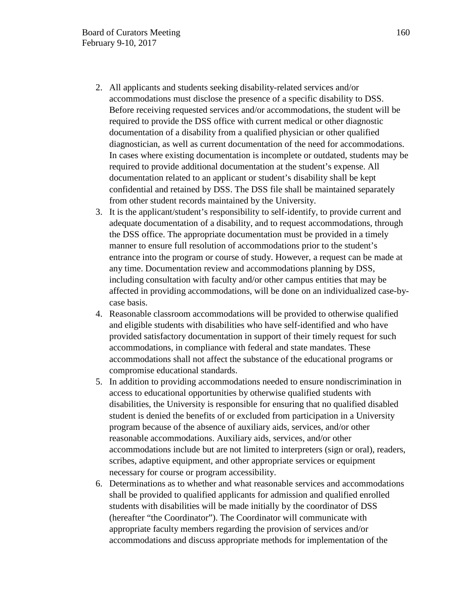- 2. All applicants and students seeking disability-related services and/or accommodations must disclose the presence of a specific disability to DSS. Before receiving requested services and/or accommodations, the student will be required to provide the DSS office with current medical or other diagnostic documentation of a disability from a qualified physician or other qualified diagnostician, as well as current documentation of the need for accommodations. In cases where existing documentation is incomplete or outdated, students may be required to provide additional documentation at the student's expense. All documentation related to an applicant or student's disability shall be kept confidential and retained by DSS. The DSS file shall be maintained separately from other student records maintained by the University.
- 3. It is the applicant/student's responsibility to self-identify, to provide current and adequate documentation of a disability, and to request accommodations, through the DSS office. The appropriate documentation must be provided in a timely manner to ensure full resolution of accommodations prior to the student's entrance into the program or course of study. However, a request can be made at any time. Documentation review and accommodations planning by DSS, including consultation with faculty and/or other campus entities that may be affected in providing accommodations, will be done on an individualized case-bycase basis.
- 4. Reasonable classroom accommodations will be provided to otherwise qualified and eligible students with disabilities who have self-identified and who have provided satisfactory documentation in support of their timely request for such accommodations, in compliance with federal and state mandates. These accommodations shall not affect the substance of the educational programs or compromise educational standards.
- 5. In addition to providing accommodations needed to ensure nondiscrimination in access to educational opportunities by otherwise qualified students with disabilities, the University is responsible for ensuring that no qualified disabled student is denied the benefits of or excluded from participation in a University program because of the absence of auxiliary aids, services, and/or other reasonable accommodations. Auxiliary aids, services, and/or other accommodations include but are not limited to interpreters (sign or oral), readers, scribes, adaptive equipment, and other appropriate services or equipment necessary for course or program accessibility.
- 6. Determinations as to whether and what reasonable services and accommodations shall be provided to qualified applicants for admission and qualified enrolled students with disabilities will be made initially by the coordinator of DSS (hereafter "the Coordinator"). The Coordinator will communicate with appropriate faculty members regarding the provision of services and/or accommodations and discuss appropriate methods for implementation of the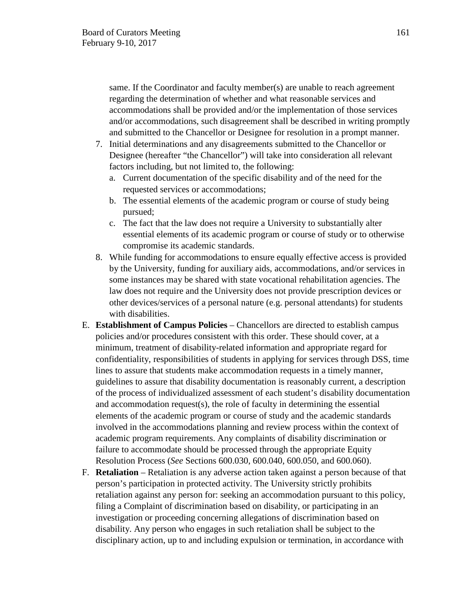same. If the Coordinator and faculty member(s) are unable to reach agreement regarding the determination of whether and what reasonable services and accommodations shall be provided and/or the implementation of those services and/or accommodations, such disagreement shall be described in writing promptly and submitted to the Chancellor or Designee for resolution in a prompt manner.

- 7. Initial determinations and any disagreements submitted to the Chancellor or Designee (hereafter "the Chancellor") will take into consideration all relevant factors including, but not limited to, the following:
	- a. Current documentation of the specific disability and of the need for the requested services or accommodations;
	- b. The essential elements of the academic program or course of study being pursued;
	- c. The fact that the law does not require a University to substantially alter essential elements of its academic program or course of study or to otherwise compromise its academic standards.
- 8. While funding for accommodations to ensure equally effective access is provided by the University, funding for auxiliary aids, accommodations, and/or services in some instances may be shared with state vocational rehabilitation agencies. The law does not require and the University does not provide prescription devices or other devices/services of a personal nature (e.g. personal attendants) for students with disabilities.
- E. **Establishment of Campus Policies** Chancellors are directed to establish campus policies and/or procedures consistent with this order. These should cover, at a minimum, treatment of disability-related information and appropriate regard for confidentiality, responsibilities of students in applying for services through DSS, time lines to assure that students make accommodation requests in a timely manner, guidelines to assure that disability documentation is reasonably current, a description of the process of individualized assessment of each student's disability documentation and accommodation request(s), the role of faculty in determining the essential elements of the academic program or course of study and the academic standards involved in the accommodations planning and review process within the context of academic program requirements. Any complaints of disability discrimination or failure to accommodate should be processed through the appropriate Equity Resolution Process (*See* Sections 600.030, 600.040, 600.050, and 600.060).
- F. **Retaliation** Retaliation is any adverse action taken against a person because of that person's participation in protected activity. The University strictly prohibits retaliation against any person for: seeking an accommodation pursuant to this policy, filing a Complaint of discrimination based on disability, or participating in an investigation or proceeding concerning allegations of discrimination based on disability. Any person who engages in such retaliation shall be subject to the disciplinary action, up to and including expulsion or termination, in accordance with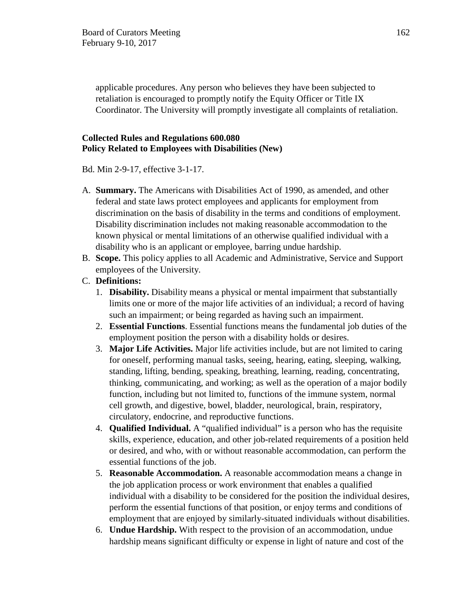applicable procedures. Any person who believes they have been subjected to retaliation is encouraged to promptly notify the Equity Officer or Title IX Coordinator. The University will promptly investigate all complaints of retaliation.

# **Collected Rules and Regulations 600.080 Policy Related to Employees with Disabilities (New)**

Bd. Min 2-9-17, effective 3-1-17.

- A. **Summary.** The Americans with Disabilities Act of 1990, as amended, and other federal and state laws protect employees and applicants for employment from discrimination on the basis of disability in the terms and conditions of employment. Disability discrimination includes not making reasonable accommodation to the known physical or mental limitations of an otherwise qualified individual with a disability who is an applicant or employee, barring undue hardship.
- B. **Scope.** This policy applies to all Academic and Administrative, Service and Support employees of the University.
- C. **Definitions:**
	- 1. **Disability.** Disability means a physical or mental impairment that substantially limits one or more of the major life activities of an individual; a record of having such an impairment; or being regarded as having such an impairment.
	- 2. **Essential Functions**. Essential functions means the fundamental job duties of the employment position the person with a disability holds or desires.
	- 3. **Major Life Activities.** Major life activities include, but are not limited to caring for oneself, performing manual tasks, seeing, hearing, eating, sleeping, walking, standing, lifting, bending, speaking, breathing, learning, reading, concentrating, thinking, communicating, and working; as well as the operation of a major bodily function, including but not limited to, functions of the immune system, normal cell growth, and digestive, bowel, bladder, neurological, brain, respiratory, circulatory, endocrine, and reproductive functions.
	- 4. **Qualified Individual.** A "qualified individual" is a person who has the requisite skills, experience, education, and other job-related requirements of a position held or desired, and who, with or without reasonable accommodation, can perform the essential functions of the job.
	- 5. **Reasonable Accommodation.** A reasonable accommodation means a change in the job application process or work environment that enables a qualified individual with a disability to be considered for the position the individual desires, perform the essential functions of that position, or enjoy terms and conditions of employment that are enjoyed by similarly-situated individuals without disabilities.
	- 6. **Undue Hardship.** With respect to the provision of an accommodation, undue hardship means significant difficulty or expense in light of nature and cost of the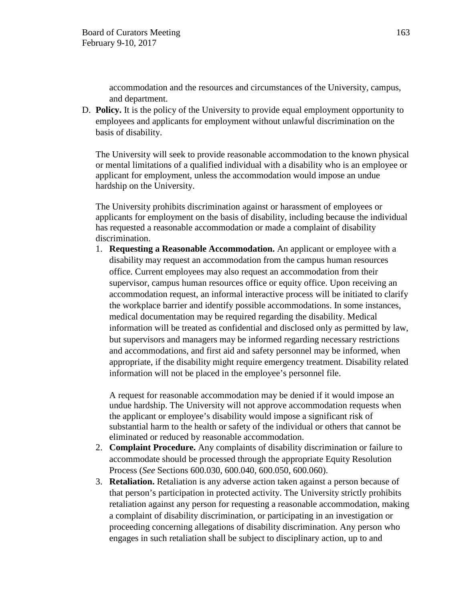accommodation and the resources and circumstances of the University, campus, and department.

D. **Policy.** It is the policy of the University to provide equal employment opportunity to employees and applicants for employment without unlawful discrimination on the basis of disability.

The University will seek to provide reasonable accommodation to the known physical or mental limitations of a qualified individual with a disability who is an employee or applicant for employment, unless the accommodation would impose an undue hardship on the University.

The University prohibits discrimination against or harassment of employees or applicants for employment on the basis of disability, including because the individual has requested a reasonable accommodation or made a complaint of disability discrimination.

1. **Requesting a Reasonable Accommodation.** An applicant or employee with a disability may request an accommodation from the campus human resources office. Current employees may also request an accommodation from their supervisor, campus human resources office or equity office. Upon receiving an accommodation request, an informal interactive process will be initiated to clarify the workplace barrier and identify possible accommodations. In some instances, medical documentation may be required regarding the disability. Medical information will be treated as confidential and disclosed only as permitted by law, but supervisors and managers may be informed regarding necessary restrictions and accommodations, and first aid and safety personnel may be informed, when appropriate, if the disability might require emergency treatment. Disability related information will not be placed in the employee's personnel file.

A request for reasonable accommodation may be denied if it would impose an undue hardship. The University will not approve accommodation requests when the applicant or employee's disability would impose a significant risk of substantial harm to the health or safety of the individual or others that cannot be eliminated or reduced by reasonable accommodation.

- 2. **Complaint Procedure.** Any complaints of disability discrimination or failure to accommodate should be processed through the appropriate Equity Resolution Process (*See* Sections 600.030, 600.040, 600.050, 600.060).
- 3. **Retaliation.** Retaliation is any adverse action taken against a person because of that person's participation in protected activity. The University strictly prohibits retaliation against any person for requesting a reasonable accommodation, making a complaint of disability discrimination, or participating in an investigation or proceeding concerning allegations of disability discrimination. Any person who engages in such retaliation shall be subject to disciplinary action, up to and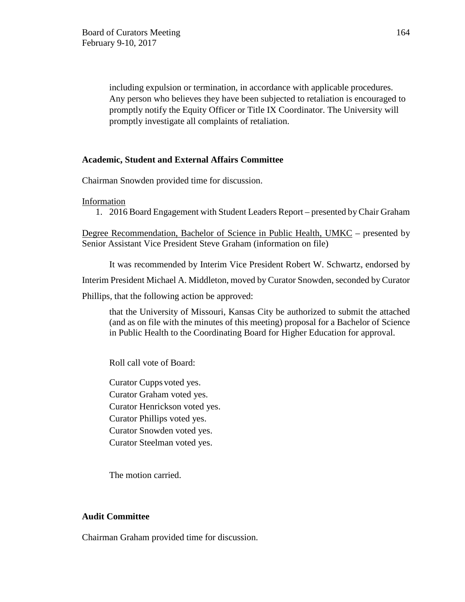including expulsion or termination, in accordance with applicable procedures. Any person who believes they have been subjected to retaliation is encouraged to promptly notify the Equity Officer or Title IX Coordinator. The University will promptly investigate all complaints of retaliation.

### **Academic, Student and External Affairs Committee**

Chairman Snowden provided time for discussion.

Information

1. 2016 Board Engagement with Student Leaders Report – presented by Chair Graham

Degree Recommendation, Bachelor of Science in Public Health, UMKC – presented by Senior Assistant Vice President Steve Graham (information on file)

It was recommended by Interim Vice President Robert W. Schwartz, endorsed by

Interim President Michael A. Middleton, moved by Curator Snowden, seconded by Curator

Phillips, that the following action be approved:

that the University of Missouri, Kansas City be authorized to submit the attached (and as on file with the minutes of this meeting) proposal for a Bachelor of Science in Public Health to the Coordinating Board for Higher Education for approval.

Roll call vote of Board:

Curator Cupps voted yes. Curator Graham voted yes. Curator Henrickson voted yes. Curator Phillips voted yes. Curator Snowden voted yes. Curator Steelman voted yes.

The motion carried.

#### **Audit Committee**

Chairman Graham provided time for discussion.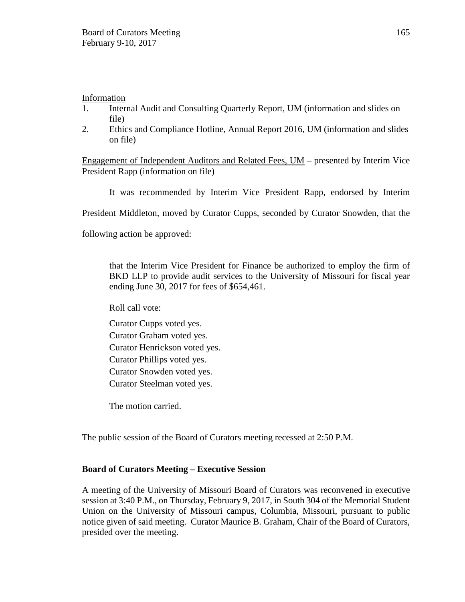Information

- 1. Internal Audit and Consulting Quarterly Report, UM (information and slides on file)
- 2. Ethics and Compliance Hotline, Annual Report 2016, UM (information and slides on file)

Engagement of Independent Auditors and Related Fees, UM – presented by Interim Vice President Rapp (information on file)

It was recommended by Interim Vice President Rapp, endorsed by Interim

President Middleton, moved by Curator Cupps, seconded by Curator Snowden, that the

following action be approved:

that the Interim Vice President for Finance be authorized to employ the firm of BKD LLP to provide audit services to the University of Missouri for fiscal year ending June 30, 2017 for fees of \$654,461.

Roll call vote:

- Curator Cupps voted yes.
- Curator Graham voted yes.
- Curator Henrickson voted yes.
- Curator Phillips voted yes.
- Curator Snowden voted yes.
- Curator Steelman voted yes.

The motion carried.

The public session of the Board of Curators meeting recessed at 2:50 P.M.

# **Board of Curators Meeting – Executive Session**

A meeting of the University of Missouri Board of Curators was reconvened in executive session at 3:40 P.M., on Thursday, February 9, 2017, in South 304 of the Memorial Student Union on the University of Missouri campus, Columbia, Missouri, pursuant to public notice given of said meeting. Curator Maurice B. Graham, Chair of the Board of Curators, presided over the meeting.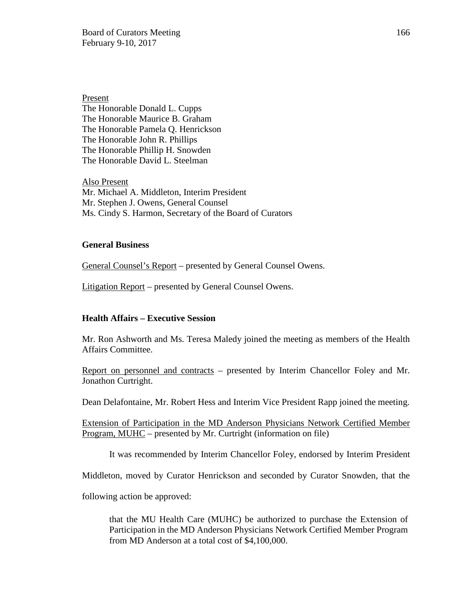Board of Curators Meeting 166 February 9-10, 2017

Present The Honorable Donald L. Cupps The Honorable Maurice B. Graham The Honorable Pamela Q. Henrickson The Honorable John R. Phillips The Honorable Phillip H. Snowden The Honorable David L. Steelman

Also Present Mr. Michael A. Middleton, Interim President Mr. Stephen J. Owens, General Counsel Ms. Cindy S. Harmon, Secretary of the Board of Curators

#### **General Business**

General Counsel's Report – presented by General Counsel Owens.

Litigation Report – presented by General Counsel Owens.

#### **Health Affairs – Executive Session**

Mr. Ron Ashworth and Ms. Teresa Maledy joined the meeting as members of the Health Affairs Committee.

Report on personnel and contracts – presented by Interim Chancellor Foley and Mr. Jonathon Curtright.

Dean Delafontaine, Mr. Robert Hess and Interim Vice President Rapp joined the meeting.

Extension of Participation in the MD Anderson Physicians Network Certified Member Program, MUHC – presented by Mr. Curtright (information on file)

It was recommended by Interim Chancellor Foley, endorsed by Interim President

Middleton, moved by Curator Henrickson and seconded by Curator Snowden, that the

following action be approved:

that the MU Health Care (MUHC) be authorized to purchase the Extension of Participation in the MD Anderson Physicians Network Certified Member Program from MD Anderson at a total cost of \$4,100,000.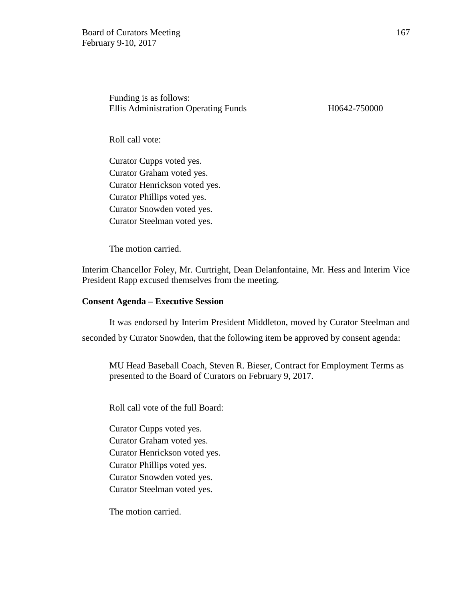Funding is as follows: Ellis Administration Operating Funds H0642-750000

Roll call vote:

Curator Cupps voted yes. Curator Graham voted yes. Curator Henrickson voted yes. Curator Phillips voted yes. Curator Snowden voted yes. Curator Steelman voted yes.

The motion carried.

Interim Chancellor Foley, Mr. Curtright, Dean Delanfontaine, Mr. Hess and Interim Vice President Rapp excused themselves from the meeting.

#### **Consent Agenda – Executive Session**

It was endorsed by Interim President Middleton, moved by Curator Steelman and seconded by Curator Snowden, that the following item be approved by consent agenda:

MU Head Baseball Coach, Steven R. Bieser, Contract for Employment Terms as presented to the Board of Curators on February 9, 2017.

Roll call vote of the full Board:

Curator Cupps voted yes. Curator Graham voted yes. Curator Henrickson voted yes. Curator Phillips voted yes. Curator Snowden voted yes. Curator Steelman voted yes.

The motion carried.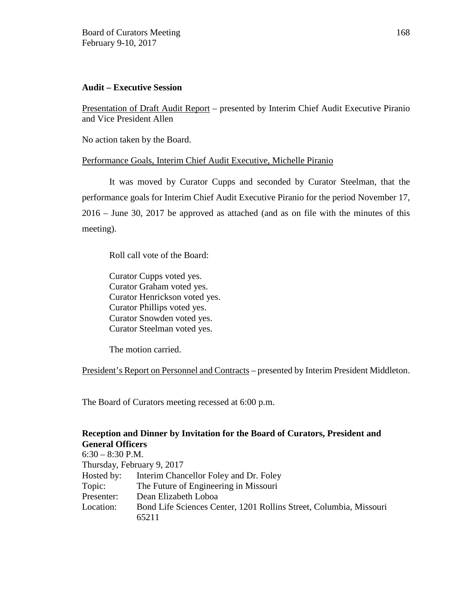## **Audit – Executive Session**

Presentation of Draft Audit Report – presented by Interim Chief Audit Executive Piranio and Vice President Allen

No action taken by the Board.

## Performance Goals, Interim Chief Audit Executive, Michelle Piranio

It was moved by Curator Cupps and seconded by Curator Steelman, that the performance goals for Interim Chief Audit Executive Piranio for the period November 17, 2016 – June 30, 2017 be approved as attached (and as on file with the minutes of this meeting).

Roll call vote of the Board:

 Curator Cupps voted yes. Curator Graham voted yes. Curator Henrickson voted yes. Curator Phillips voted yes. Curator Snowden voted yes. Curator Steelman voted yes.

The motion carried.

President's Report on Personnel and Contracts – presented by Interim President Middleton.

The Board of Curators meeting recessed at 6:00 p.m.

### **Reception and Dinner by Invitation for the Board of Curators, President and General Officers**

| scherm onneers             |                                                                    |
|----------------------------|--------------------------------------------------------------------|
| $6:30 - 8:30$ P.M.         |                                                                    |
| Thursday, February 9, 2017 |                                                                    |
| Hosted by:                 | Interim Chancellor Foley and Dr. Foley                             |
| Topic:                     | The Future of Engineering in Missouri                              |
| Presenter:                 | Dean Elizabeth Loboa                                               |
| Location:                  | Bond Life Sciences Center, 1201 Rollins Street, Columbia, Missouri |
|                            | 65211                                                              |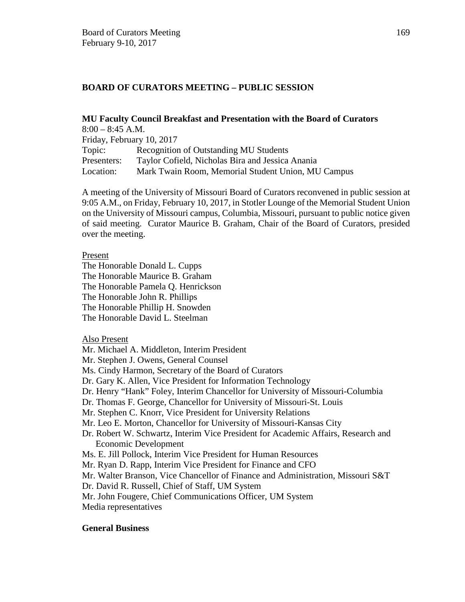# **BOARD OF CURATORS MEETING – PUBLIC SESSION**

# **MU Faculty Council Breakfast and Presentation with the Board of Curators**

| $8:00 - 8:45$ A.M.        |                                                    |  |  |  |
|---------------------------|----------------------------------------------------|--|--|--|
| Friday, February 10, 2017 |                                                    |  |  |  |
| Topic:                    | Recognition of Outstanding MU Students             |  |  |  |
| Presenters:               | Taylor Cofield, Nicholas Bira and Jessica Anania   |  |  |  |
| Location:                 | Mark Twain Room, Memorial Student Union, MU Campus |  |  |  |

A meeting of the University of Missouri Board of Curators reconvened in public session at 9:05 A.M., on Friday, February 10, 2017, in Stotler Lounge of the Memorial Student Union on the University of Missouri campus, Columbia, Missouri, pursuant to public notice given of said meeting. Curator Maurice B. Graham, Chair of the Board of Curators, presided over the meeting.

### Present

The Honorable Donald L. Cupps The Honorable Maurice B. Graham The Honorable Pamela Q. Henrickson The Honorable John R. Phillips The Honorable Phillip H. Snowden The Honorable David L. Steelman

## Also Present

Mr. Michael A. Middleton, Interim President Mr. Stephen J. Owens, General Counsel Ms. Cindy Harmon, Secretary of the Board of Curators Dr. Gary K. Allen, Vice President for Information Technology

- Dr. Henry "Hank" Foley, Interim Chancellor for University of Missouri-Columbia
- Dr. Thomas F. George, Chancellor for University of Missouri-St. Louis
- Mr. Stephen C. Knorr, Vice President for University Relations
- Mr. Leo E. Morton, Chancellor for University of Missouri-Kansas City
- Dr. Robert W. Schwartz, Interim Vice President for Academic Affairs, Research and Economic Development
- Ms. E. Jill Pollock, Interim Vice President for Human Resources
- Mr. Ryan D. Rapp, Interim Vice President for Finance and CFO
- Mr. Walter Branson, Vice Chancellor of Finance and Administration, Missouri S&T
- Dr. David R. Russell, Chief of Staff, UM System
- Mr. John Fougere, Chief Communications Officer, UM System
- Media representatives

## **General Business**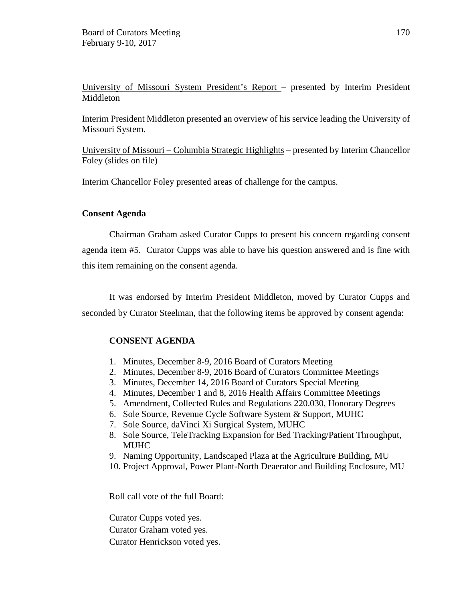University of Missouri System President's Report – presented by Interim President Middleton

Interim President Middleton presented an overview of his service leading the University of Missouri System.

University of Missouri – Columbia Strategic Highlights – presented by Interim Chancellor Foley (slides on file)

Interim Chancellor Foley presented areas of challenge for the campus.

### **Consent Agenda**

Chairman Graham asked Curator Cupps to present his concern regarding consent agenda item #5. Curator Cupps was able to have his question answered and is fine with this item remaining on the consent agenda.

It was endorsed by Interim President Middleton, moved by Curator Cupps and seconded by Curator Steelman, that the following items be approved by consent agenda:

## **CONSENT AGENDA**

- 1. Minutes, December 8-9, 2016 Board of Curators Meeting
- 2. Minutes, December 8-9, 2016 Board of Curators Committee Meetings
- 3. Minutes, December 14, 2016 Board of Curators Special Meeting
- 4. Minutes, December 1 and 8, 2016 Health Affairs Committee Meetings
- 5. Amendment, Collected Rules and Regulations 220.030, Honorary Degrees
- 6. Sole Source, Revenue Cycle Software System & Support, MUHC
- 7. Sole Source, daVinci Xi Surgical System, MUHC
- 8. Sole Source, TeleTracking Expansion for Bed Tracking/Patient Throughput, MUHC
- 9. Naming Opportunity, Landscaped Plaza at the Agriculture Building, MU
- 10. Project Approval, Power Plant-North Deaerator and Building Enclosure, MU

Roll call vote of the full Board:

Curator Cupps voted yes. Curator Graham voted yes. Curator Henrickson voted yes.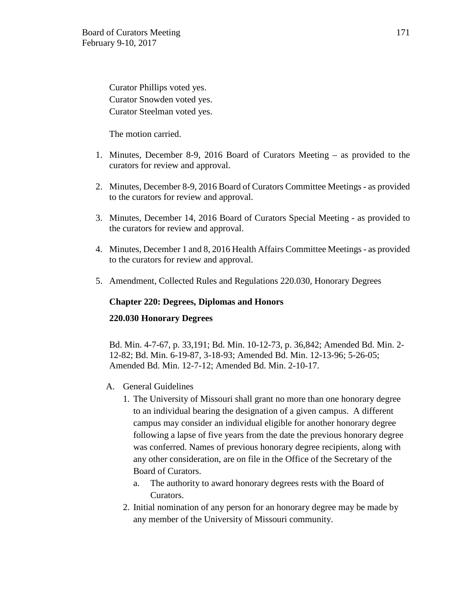Curator Phillips voted yes. Curator Snowden voted yes. Curator Steelman voted yes.

The motion carried.

- 1. Minutes, December 8-9, 2016 Board of Curators Meeting as provided to the curators for review and approval.
- 2. Minutes, December 8-9, 2016 Board of Curators Committee Meetings as provided to the curators for review and approval.
- 3. Minutes, December 14, 2016 Board of Curators Special Meeting as provided to the curators for review and approval.
- 4. Minutes, December 1 and 8, 2016 Health Affairs Committee Meetings as provided to the curators for review and approval.
- 5. Amendment, Collected Rules and Regulations 220.030, Honorary Degrees

### **Chapter 220: Degrees, Diplomas and Honors**

#### **220.030 Honorary Degrees**

Bd. Min. 4-7-67, p. 33,191; Bd. Min. 10-12-73, p. 36,842; Amended Bd. Min. 2- 12-82; Bd. Min. 6-19-87, 3-18-93; Amended Bd. Min. 12-13-96; 5-26-05; Amended Bd. Min. 12-7-12; Amended Bd. Min. 2-10-17.

- A. General Guidelines
	- 1. The University of Missouri shall grant no more than one honorary degree to an individual bearing the designation of a given campus. A different campus may consider an individual eligible for another honorary degree following a lapse of five years from the date the previous honorary degree was conferred. Names of previous honorary degree recipients, along with any other consideration, are on file in the Office of the Secretary of the Board of Curators.
		- a. The authority to award honorary degrees rests with the Board of Curators.
	- 2. Initial nomination of any person for an honorary degree may be made by any member of the University of Missouri community.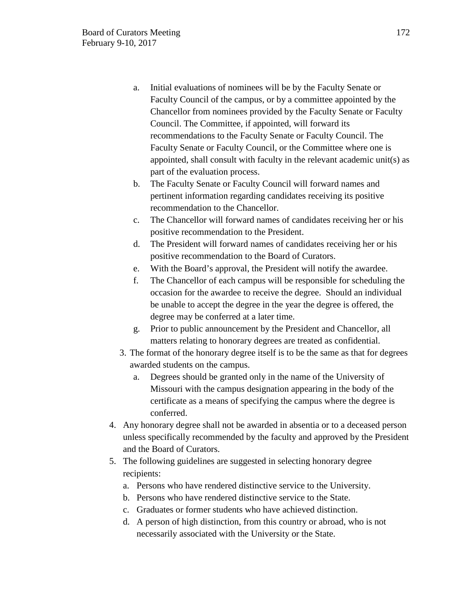- a. Initial evaluations of nominees will be by the Faculty Senate or Faculty Council of the campus, or by a committee appointed by the Chancellor from nominees provided by the Faculty Senate or Faculty Council. The Committee, if appointed, will forward its recommendations to the Faculty Senate or Faculty Council. The Faculty Senate or Faculty Council, or the Committee where one is appointed, shall consult with faculty in the relevant academic unit(s) as part of the evaluation process.
- b. The Faculty Senate or Faculty Council will forward names and pertinent information regarding candidates receiving its positive recommendation to the Chancellor.
- c. The Chancellor will forward names of candidates receiving her or his positive recommendation to the President.
- d. The President will forward names of candidates receiving her or his positive recommendation to the Board of Curators.
- e. With the Board's approval, the President will notify the awardee.
- f. The Chancellor of each campus will be responsible for scheduling the occasion for the awardee to receive the degree. Should an individual be unable to accept the degree in the year the degree is offered, the degree may be conferred at a later time.
- g. Prior to public announcement by the President and Chancellor, all matters relating to honorary degrees are treated as confidential.
- 3. The format of the honorary degree itself is to be the same as that for degrees awarded students on the campus.
	- a. Degrees should be granted only in the name of the University of Missouri with the campus designation appearing in the body of the certificate as a means of specifying the campus where the degree is conferred.
- 4. Any honorary degree shall not be awarded in absentia or to a deceased person unless specifically recommended by the faculty and approved by the President and the Board of Curators.
- 5. The following guidelines are suggested in selecting honorary degree recipients:
	- a. Persons who have rendered distinctive service to the University.
	- b. Persons who have rendered distinctive service to the State.
	- c. Graduates or former students who have achieved distinction.
	- d. A person of high distinction, from this country or abroad, who is not necessarily associated with the University or the State.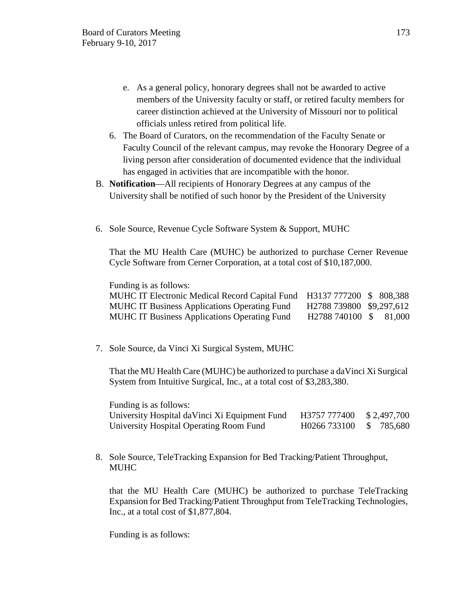- e. As a general policy, honorary degrees shall not be awarded to active members of the University faculty or staff, or retired faculty members for career distinction achieved at the University of Missouri nor to political officials unless retired from political life.
- 6. The Board of Curators, on the recommendation of the Faculty Senate or Faculty Council of the relevant campus, may revoke the Honorary Degree of a living person after consideration of documented evidence that the individual has engaged in activities that are incompatible with the honor.
- B. **Notification**—All recipients of Honorary Degrees at any campus of the University shall be notified of such honor by the President of the University
- 6. Sole Source, Revenue Cycle Software System & Support, MUHC

That the MU Health Care (MUHC) be authorized to purchase Cerner Revenue Cycle Software from Cerner Corporation, at a total cost of \$10,187,000.

Funding is as follows:

| MUHC IT Electronic Medical Record Capital Fund H3137 777200 \$ 808,388 |                          |  |
|------------------------------------------------------------------------|--------------------------|--|
| <b>MUHC IT Business Applications Operating Fund</b>                    | H2788 739800 \$9,297,612 |  |
| <b>MUHC IT Business Applications Operating Fund</b>                    | H2788 740100 \$ 81,000   |  |

7. Sole Source, da Vinci Xi Surgical System, MUHC

That the MU Health Care (MUHC) be authorized to purchase a daVinci Xi Surgical System from Intuitive Surgical, Inc., at a total cost of \$3,283,380.

| Funding is as follows:                         |                          |  |
|------------------------------------------------|--------------------------|--|
| University Hospital da Vinci Xi Equipment Fund | H3757 777400 \$2,497,700 |  |
| University Hospital Operating Room Fund        | H0266 733100 \$ 785,680  |  |

8. Sole Source, TeleTracking Expansion for Bed Tracking/Patient Throughput, MUHC

that the MU Health Care (MUHC) be authorized to purchase TeleTracking Expansion for Bed Tracking/Patient Throughput from TeleTracking Technologies, Inc., at a total cost of \$1,877,804.

Funding is as follows: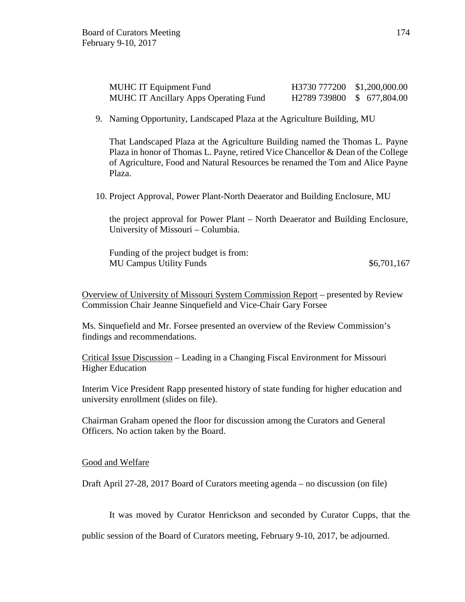| <b>MUHC IT Equipment Fund</b>                | H3730 777200 \$1,200,000.00 |  |
|----------------------------------------------|-----------------------------|--|
| <b>MUHC IT Ancillary Apps Operating Fund</b> | H2789 739800 \$ 677,804.00  |  |

9. Naming Opportunity, Landscaped Plaza at the Agriculture Building, MU

That Landscaped Plaza at the Agriculture Building named the Thomas L. Payne Plaza in honor of Thomas L. Payne, retired Vice Chancellor & Dean of the College of Agriculture, Food and Natural Resources be renamed the Tom and Alice Payne Plaza.

10. Project Approval, Power Plant-North Deaerator and Building Enclosure, MU

the project approval for Power Plant – North Deaerator and Building Enclosure, University of Missouri – Columbia.

Funding of the project budget is from: MU Campus Utility Funds  $$6,701,167$ 

Overview of University of Missouri System Commission Report – presented by Review Commission Chair Jeanne Sinquefield and Vice-Chair Gary Forsee

Ms. Sinquefield and Mr. Forsee presented an overview of the Review Commission's findings and recommendations.

Critical Issue Discussion – Leading in a Changing Fiscal Environment for Missouri Higher Education

Interim Vice President Rapp presented history of state funding for higher education and university enrollment (slides on file).

Chairman Graham opened the floor for discussion among the Curators and General Officers. No action taken by the Board.

#### Good and Welfare

Draft April 27-28, 2017 Board of Curators meeting agenda – no discussion (on file)

It was moved by Curator Henrickson and seconded by Curator Cupps, that the

public session of the Board of Curators meeting, February 9-10, 2017, be adjourned.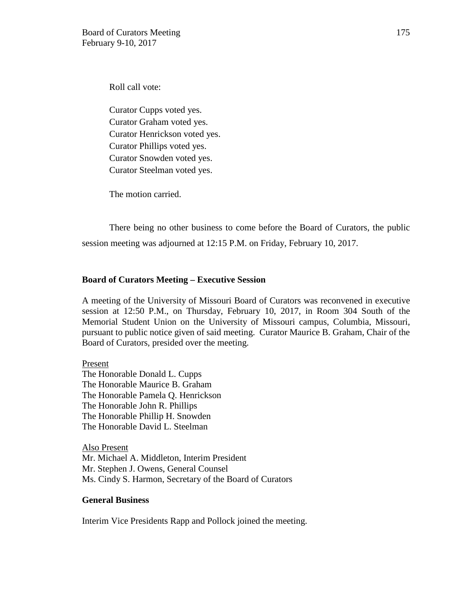Roll call vote:

Curator Cupps voted yes. Curator Graham voted yes. Curator Henrickson voted yes. Curator Phillips voted yes. Curator Snowden voted yes. Curator Steelman voted yes.

The motion carried.

There being no other business to come before the Board of Curators, the public session meeting was adjourned at 12:15 P.M. on Friday, February 10, 2017.

### **Board of Curators Meeting – Executive Session**

A meeting of the University of Missouri Board of Curators was reconvened in executive session at 12:50 P.M., on Thursday, February 10, 2017, in Room 304 South of the Memorial Student Union on the University of Missouri campus, Columbia, Missouri, pursuant to public notice given of said meeting. Curator Maurice B. Graham, Chair of the Board of Curators, presided over the meeting.

Present

The Honorable Donald L. Cupps The Honorable Maurice B. Graham The Honorable Pamela Q. Henrickson The Honorable John R. Phillips The Honorable Phillip H. Snowden The Honorable David L. Steelman

Also Present Mr. Michael A. Middleton, Interim President Mr. Stephen J. Owens, General Counsel Ms. Cindy S. Harmon, Secretary of the Board of Curators

#### **General Business**

Interim Vice Presidents Rapp and Pollock joined the meeting.